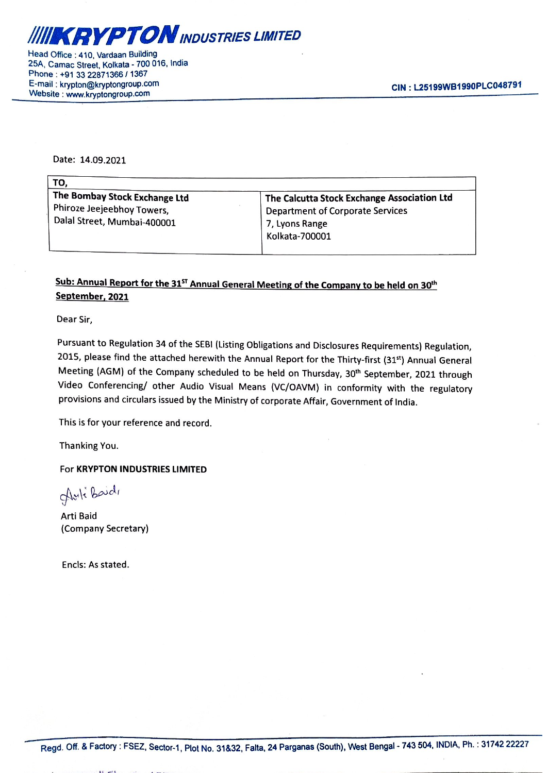

Head Office : 410, Vardaan Building 25A, Camac Street, Kolkata - 700 016, India Phone: +91 33 22871366 / 1367 E-mail: krypton@kryptongroup.com Website: www.kryptongroup.com

Date: 14.09.2021

| TO,                           |                                             |
|-------------------------------|---------------------------------------------|
| The Bombay Stock Exchange Ltd | The Calcutta Stock Exchange Association Ltd |
| , Phiroze Jeejeebhoy Towers,  | <b>Department of Corporate Services</b>     |
| , Dalal Street, Mumbai-400001 | 7, Lyons Range                              |
|                               | Kolkata-700001                              |
|                               |                                             |

# Sub: Annual Report for the 31<sup>ST</sup> Annual General Meeting of the Company to be held on 30<sup>th</sup> September, 2021

Dear Sir.

Pursuant to Regulation 34 of the SEBI (Listing Obligations and Disclosures Requirements) Regulation, 2015, please find the attached herewith the Annual Report for the Thirty-first (31<sup>st</sup>) Annual General Meeting (AGM) of the Company scheduled to be held on Thursday, 30<sup>th</sup> September, 2021 through Video Conferencing/ other Audio Visual Means (VC/OAVM) in conformity with the regulatory provisions and circulars issued by the Ministry of corporate Affair, Government of India.

This is for your reference and record.

Thanking You.

For KRYPTON INDUSTRIES LIMITED

Auli Boid,

Arti Baid (Company Secretary)

Encls: As stated.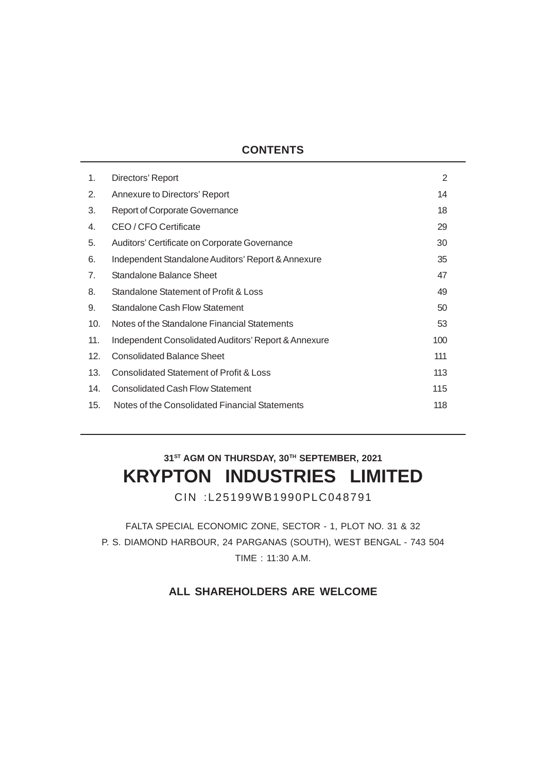# **CONTENTS**

| 1.  | Directors' Report                                    | 2   |
|-----|------------------------------------------------------|-----|
| 2.  | Annexure to Directors' Report                        | 14  |
| 3.  | <b>Report of Corporate Governance</b>                | 18  |
| 4.  | CEO/CFO Certificate                                  | 29  |
| 5.  | Auditors' Certificate on Corporate Governance        | 30  |
| 6.  | Independent Standalone Auditors' Report & Annexure   | 35  |
| 7.  | Standalone Balance Sheet                             | 47  |
| 8.  | Standalone Statement of Profit & Loss                | 49  |
| 9.  | Standalone Cash Flow Statement                       | 50  |
| 10. | Notes of the Standalone Financial Statements         | 53  |
| 11. | Independent Consolidated Auditors' Report & Annexure | 100 |
| 12. | <b>Consolidated Balance Sheet</b>                    | 111 |
| 13. | Consolidated Statement of Profit & Loss              | 113 |
| 14. | <b>Consolidated Cash Flow Statement</b>              | 115 |
| 15. | Notes of the Consolidated Financial Statements       | 118 |

# **31ST AGM ON THURSDAY, 30TH SEPTEMBER, 2021 KRYPTON INDUSTRIES LIMITED**

CIN :L25199WB1990PLC048791

FALTA SPECIAL ECONOMIC ZONE, SECTOR - 1, PLOT NO. 31 & 32 P. S. DIAMOND HARBOUR, 24 PARGANAS (SOUTH), WEST BENGAL - 743 504 TIME : 11:30 A.M.

# **ALL SHAREHOLDERS ARE WELCOME**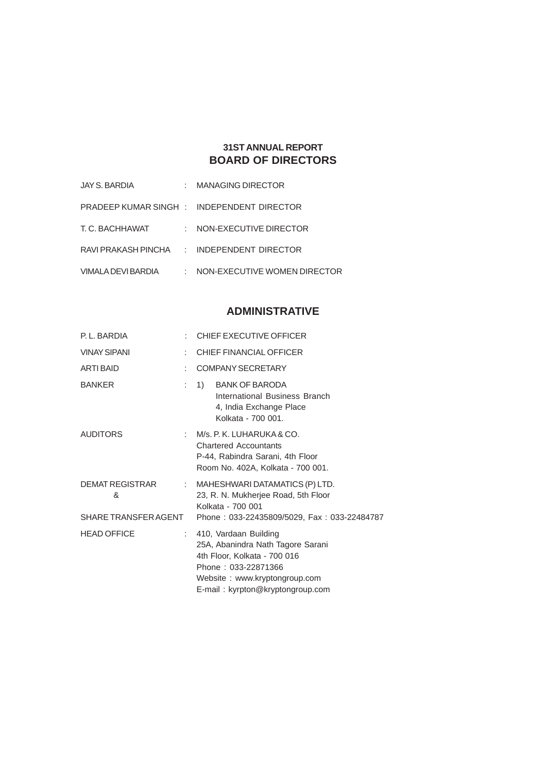# **31ST ANNUAL REPORT BOARD OF DIRECTORS**

| JAY S. BARDIA      | : MANAGING DIRECTOR                        |
|--------------------|--------------------------------------------|
|                    | PRADEEP KUMAR SINGH : INDEPENDENT DIRECTOR |
| T. C. BACHHAWAT    | $\therefore$ NON-EXECUTIVE DIRECTOR        |
|                    | RAVI PRAKASH PINCHA : INDEPENDENT DIRECTOR |
| VIMALA DEVI BARDIA | : NON-EXECUTIVE WOMEN DIRECTOR             |

# **ADMINISTRATIVE**

| CHIEF EXECUTIVE OFFICER                                                                                                                                                                |
|----------------------------------------------------------------------------------------------------------------------------------------------------------------------------------------|
| CHIEF FINANCIAL OFFICER                                                                                                                                                                |
| <b>COMPANY SECRETARY</b>                                                                                                                                                               |
| 1) BANK OF BARODA<br>International Business Branch<br>4, India Exchange Place<br>Kolkata - 700 001.                                                                                    |
| M/s. P. K. LUHARUKA & CO.<br><b>Chartered Accountants</b><br>P-44, Rabindra Sarani, 4th Floor<br>Room No. 402A, Kolkata - 700 001.                                                     |
| : MAHESHWARI DATAMATICS (P) LTD.<br>23, R. N. Mukherjee Road, 5th Floor<br>Kolkata - 700 001                                                                                           |
| Phone: 033-22435809/5029, Fax: 033-22484787                                                                                                                                            |
| 410, Vardaan Building<br>25A, Abanindra Nath Tagore Sarani<br>4th Floor, Kolkata - 700 016<br>Phone: 033-22871366<br>Website: www.kryptongroup.com<br>E-mail: kyrpton@kryptongroup.com |
| t.                                                                                                                                                                                     |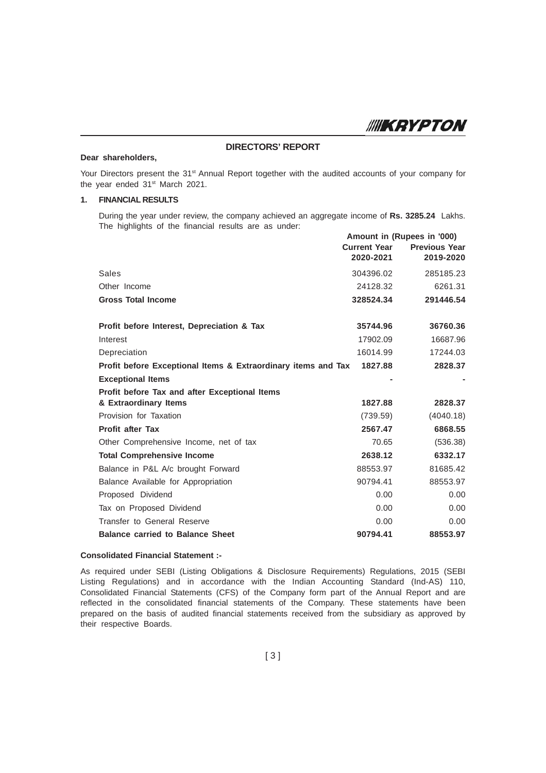# WIKRYPTON

# **DIRECTORS' REPORT**

#### **Dear shareholders,**

Your Directors present the 31<sup>st</sup> Annual Report together with the audited accounts of your company for the year ended 31<sup>st</sup> March 2021.

# **1. FINANCIAL RESULTS**

During the year under review, the company achieved an aggregate income of **Rs. 3285.24** Lakhs. The highlights of the financial results are as under:

|                                                               |                     | Amount in (Rupees in '000) |
|---------------------------------------------------------------|---------------------|----------------------------|
|                                                               | <b>Current Year</b> | <b>Previous Year</b>       |
|                                                               | 2020-2021           | 2019-2020                  |
| Sales                                                         | 304396.02           | 285185.23                  |
| Other Income                                                  | 24128.32            | 6261.31                    |
| <b>Gross Total Income</b>                                     | 328524.34           | 291446.54                  |
|                                                               |                     |                            |
| Profit before Interest, Depreciation & Tax                    | 35744.96            | 36760.36                   |
| Interest                                                      | 17902.09            | 16687.96                   |
| Depreciation                                                  | 16014.99            | 17244.03                   |
| Profit before Exceptional Items & Extraordinary items and Tax | 1827.88             | 2828.37                    |
| <b>Exceptional Items</b>                                      |                     |                            |
| Profit before Tax and after Exceptional Items                 |                     |                            |
| & Extraordinary Items                                         | 1827.88             | 2828.37                    |
| Provision for Taxation                                        | (739.59)            | (4040.18)                  |
| <b>Profit after Tax</b>                                       | 2567.47             | 6868.55                    |
| Other Comprehensive Income, net of tax                        | 70.65               | (536.38)                   |
| <b>Total Comprehensive Income</b>                             | 2638.12             | 6332.17                    |
| Balance in P&L A/c brought Forward                            | 88553.97            | 81685.42                   |
| Balance Available for Appropriation                           | 90794.41            | 88553.97                   |
| Proposed Dividend                                             | 0.00                | 0.00                       |
| Tax on Proposed Dividend                                      | 0.00                | 0.00                       |
| Transfer to General Reserve                                   | 0.00                | 0.00                       |
| <b>Balance carried to Balance Sheet</b>                       | 90794.41            | 88553.97                   |

# **Consolidated Financial Statement :-**

As required under SEBI (Listing Obligations & Disclosure Requirements) Regulations, 2015 (SEBI Listing Regulations) and in accordance with the Indian Accounting Standard (Ind-AS) 110, Consolidated Financial Statements (CFS) of the Company form part of the Annual Report and are reflected in the consolidated financial statements of the Company. These statements have been prepared on the basis of audited financial statements received from the subsidiary as approved by their respective Boards.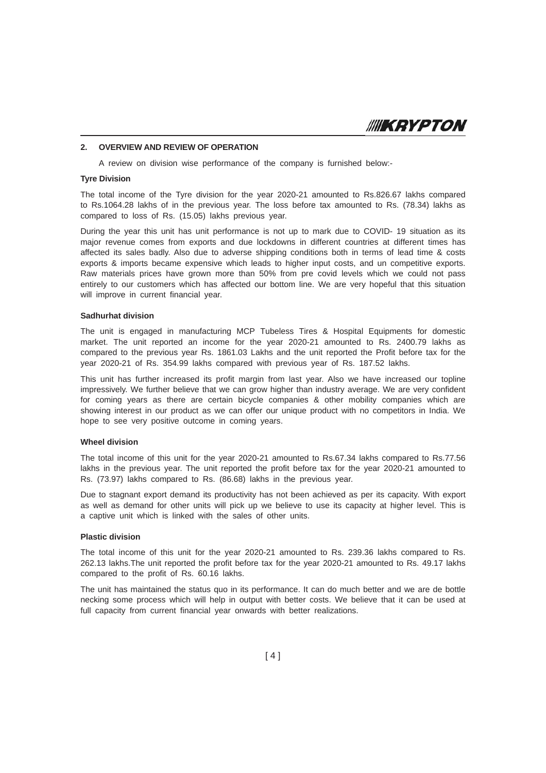### **2. OVERVIEW AND REVIEW OF OPERATION**

A review on division wise performance of the company is furnished below:-

#### **Tyre Division**

The total income of the Tyre division for the year 2020-21 amounted to Rs.826.67 lakhs compared to Rs.1064.28 lakhs of in the previous year. The loss before tax amounted to Rs. (78.34) lakhs as compared to loss of Rs. (15.05) lakhs previous year.

During the year this unit has unit performance is not up to mark due to COVID- 19 situation as its major revenue comes from exports and due lockdowns in different countries at different times has affected its sales badly. Also due to adverse shipping conditions both in terms of lead time & costs exports & imports became expensive which leads to higher input costs, and un competitive exports. Raw materials prices have grown more than 50% from pre covid levels which we could not pass entirely to our customers which has affected our bottom line. We are very hopeful that this situation will improve in current financial year.

#### **Sadhurhat division**

The unit is engaged in manufacturing MCP Tubeless Tires & Hospital Equipments for domestic market. The unit reported an income for the year 2020-21 amounted to Rs. 2400.79 lakhs as compared to the previous year Rs. 1861.03 Lakhs and the unit reported the Profit before tax for the year 2020-21 of Rs. 354.99 lakhs compared with previous year of Rs. 187.52 lakhs.

This unit has further increased its profit margin from last year. Also we have increased our topline impressively. We further believe that we can grow higher than industry average. We are very confident for coming years as there are certain bicycle companies & other mobility companies which are showing interest in our product as we can offer our unique product with no competitors in India. We hope to see very positive outcome in coming years.

#### **Wheel division**

The total income of this unit for the year 2020-21 amounted to Rs.67.34 lakhs compared to Rs.77.56 lakhs in the previous year. The unit reported the profit before tax for the year 2020-21 amounted to Rs. (73.97) lakhs compared to Rs. (86.68) lakhs in the previous year.

Due to stagnant export demand its productivity has not been achieved as per its capacity. With export as well as demand for other units will pick up we believe to use its capacity at higher level. This is a captive unit which is linked with the sales of other units.

#### **Plastic division**

The total income of this unit for the year 2020-21 amounted to Rs. 239.36 lakhs compared to Rs. 262.13 lakhs.The unit reported the profit before tax for the year 2020-21 amounted to Rs. 49.17 lakhs compared to the profit of Rs. 60.16 lakhs.

The unit has maintained the status quo in its performance. It can do much better and we are de bottle necking some process which will help in output with better costs. We believe that it can be used at full capacity from current financial year onwards with better realizations.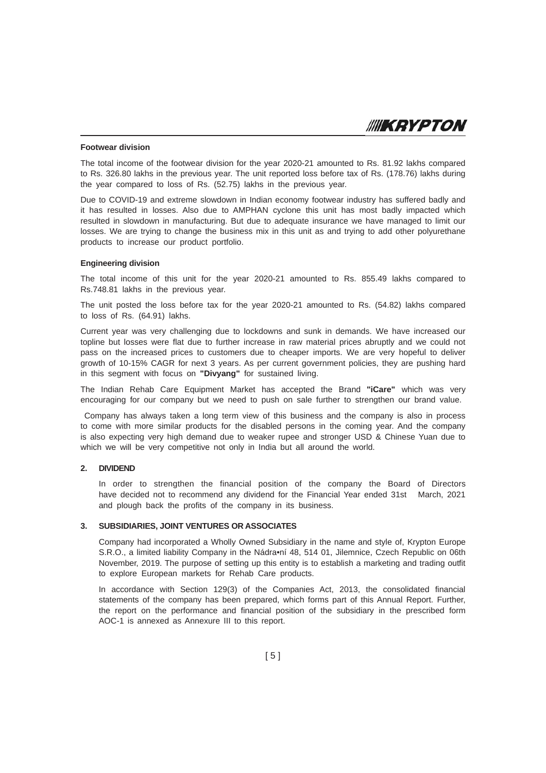#### **Footwear division**

The total income of the footwear division for the year 2020-21 amounted to Rs. 81.92 lakhs compared to Rs. 326.80 lakhs in the previous year. The unit reported loss before tax of Rs. (178.76) lakhs during the year compared to loss of Rs. (52.75) lakhs in the previous year.

Due to COVID-19 and extreme slowdown in Indian economy footwear industry has suffered badly and it has resulted in losses. Also due to AMPHAN cyclone this unit has most badly impacted which resulted in slowdown in manufacturing. But due to adequate insurance we have managed to limit our losses. We are trying to change the business mix in this unit as and trying to add other polyurethane products to increase our product portfolio.

#### **Engineering division**

The total income of this unit for the year 2020-21 amounted to Rs. 855.49 lakhs compared to Rs.748.81 lakhs in the previous year.

The unit posted the loss before tax for the year 2020-21 amounted to Rs. (54.82) lakhs compared to loss of Rs. (64.91) lakhs.

Current year was very challenging due to lockdowns and sunk in demands. We have increased our topline but losses were flat due to further increase in raw material prices abruptly and we could not pass on the increased prices to customers due to cheaper imports. We are very hopeful to deliver growth of 10-15% CAGR for next 3 years. As per current government policies, they are pushing hard in this segment with focus on **"Divyang"** for sustained living.

The Indian Rehab Care Equipment Market has accepted the Brand **"iCare"** which was very encouraging for our company but we need to push on sale further to strengthen our brand value.

 Company has always taken a long term view of this business and the company is also in process to come with more similar products for the disabled persons in the coming year. And the company is also expecting very high demand due to weaker rupee and stronger USD & Chinese Yuan due to which we will be very competitive not only in India but all around the world.

## **2. DIVIDEND**

In order to strengthen the financial position of the company the Board of Directors have decided not to recommend any dividend for the Financial Year ended 31st March, 2021 and plough back the profits of the company in its business.

### **3. SUBSIDIARIES, JOINT VENTURES OR ASSOCIATES**

Company had incorporated a Wholly Owned Subsidiary in the name and style of, Krypton Europe S.R.O., a limited liability Company in the Nádra•ní 48, 514 01, Jilemnice, Czech Republic on 06th November, 2019. The purpose of setting up this entity is to establish a marketing and trading outfit to explore European markets for Rehab Care products.

In accordance with Section 129(3) of the Companies Act, 2013, the consolidated financial statements of the company has been prepared, which forms part of this Annual Report. Further, the report on the performance and financial position of the subsidiary in the prescribed form AOC-1 is annexed as Annexure III to this report.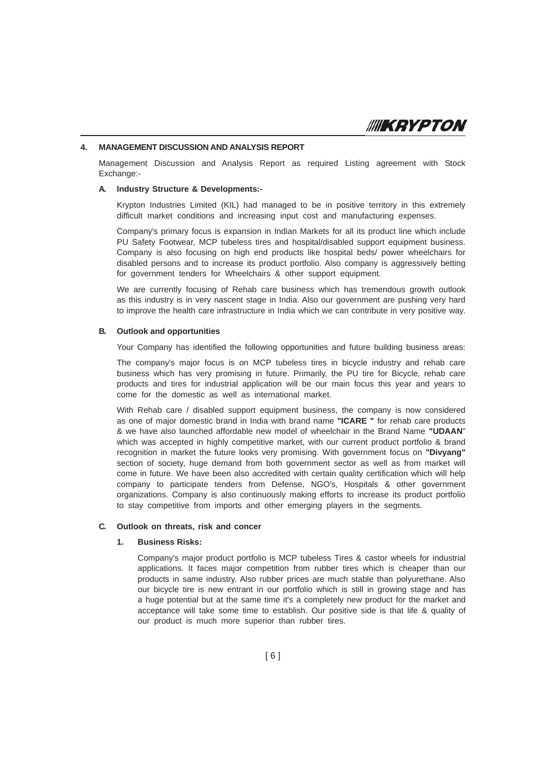### **4. MANAGEMENT DISCUSSION AND ANALYSIS REPORT**

Management Discussion and Analysis Report as required Listing agreement with Stock Exchange:-

#### **A. Industry Structure & Developments:-**

Krypton Industries Limited (KIL) had managed to be in positive territory in this extremely difficult market conditions and increasing input cost and manufacturing expenses.

Company's primary focus is expansion in Indian Markets for all its product line which include PU Safety Footwear, MCP tubeless tires and hospital/disabled support equipment business. Company is also focusing on high end products like hospital beds/ power wheelchairs for disabled persons and to increase its product portfolio. Also company is aggressively betting for government tenders for Wheelchairs & other support equipment.

We are currently focusing of Rehab care business which has tremendous growth outlook as this industry is in very nascent stage in India. Also our government are pushing very hard to improve the health care infrastructure in India which we can contribute in very positive way.

#### **B. Outlook and opportunities**

Your Company has identified the following opportunities and future building business areas:

The company's major focus is on MCP tubeless tires in bicycle industry and rehab care business which has very promising in future. Primarily, the PU tire for Bicycle, rehab care products and tires for industrial application will be our main focus this year and years to come for the domestic as well as international market.

With Rehab care / disabled support equipment business, the company is now considered as one of major domestic brand in India with brand name **"ICARE "** for rehab care products & we have also launched affordable new model of wheelchair in the Brand Name **"UDAAN**" which was accepted in highly competitive market, with our current product portfolio & brand recognition in market the future looks very promising. With government focus on **"Divyang"** section of society, huge demand from both government sector as well as from market will come in future. We have been also accredited with certain quality certification which will help company to participate tenders from Defense, NGO's, Hospitals & other government organizations. Company is also continuously making efforts to increase its product portfolio to stay competitive from imports and other emerging players in the segments.

### **C. Outlook on threats, risk and concer**

# **1. Business Risks:**

Company's major product portfolio is MCP tubeless Tires & castor wheels for industrial applications. It faces major competition from rubber tires which is cheaper than our products in same industry. Also rubber prices are much stable than polyurethane. Also our bicycle tire is new entrant in our portfolio which is still in growing stage and has a huge potential but at the same time it's a completely new product for the market and acceptance will take some time to establish. Our positive side is that life & quality of our product is much more superior than rubber tires.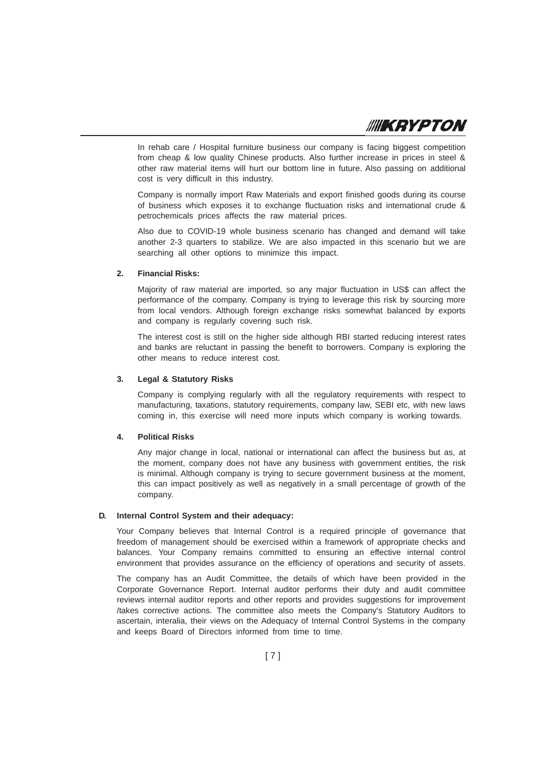In rehab care / Hospital furniture business our company is facing biggest competition from cheap & low quality Chinese products. Also further increase in prices in steel & other raw material items will hurt our bottom line in future. Also passing on additional cost is very difficult in this industry.

Company is normally import Raw Materials and export finished goods during its course of business which exposes it to exchange fluctuation risks and international crude & petrochemicals prices affects the raw material prices.

Also due to COVID-19 whole business scenario has changed and demand will take another 2-3 quarters to stabilize. We are also impacted in this scenario but we are searching all other options to minimize this impact.

# **2. Financial Risks:**

Majority of raw material are imported, so any major fluctuation in US\$ can affect the performance of the company. Company is trying to leverage this risk by sourcing more from local vendors. Although foreign exchange risks somewhat balanced by exports and company is regularly covering such risk.

The interest cost is still on the higher side although RBI started reducing interest rates and banks are reluctant in passing the benefit to borrowers. Company is exploring the other means to reduce interest cost.

## **3. Legal & Statutory Risks**

Company is complying regularly with all the regulatory requirements with respect to manufacturing, taxations, statutory requirements, company law, SEBI etc, with new laws coming in, this exercise will need more inputs which company is working towards.

# **4. Political Risks**

Any major change in local, national or international can affect the business but as, at the moment, company does not have any business with government entities, the risk is minimal. Although company is trying to secure government business at the moment, this can impact positively as well as negatively in a small percentage of growth of the company.

#### **D. Internal Control System and their adequacy:**

Your Company believes that Internal Control is a required principle of governance that freedom of management should be exercised within a framework of appropriate checks and balances. Your Company remains committed to ensuring an effective internal control environment that provides assurance on the efficiency of operations and security of assets.

The company has an Audit Committee, the details of which have been provided in the Corporate Governance Report. Internal auditor performs their duty and audit committee reviews internal auditor reports and other reports and provides suggestions for improvement /takes corrective actions. The committee also meets the Company's Statutory Auditors to ascertain, interalia, their views on the Adequacy of Internal Control Systems in the company and keeps Board of Directors informed from time to time.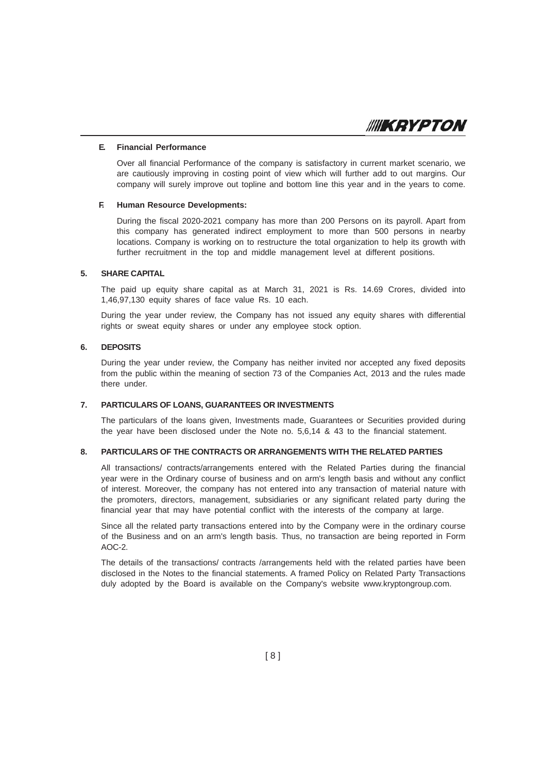# **E. Financial Performance**

Over all financial Performance of the company is satisfactory in current market scenario, we are cautiously improving in costing point of view which will further add to out margins. Our company will surely improve out topline and bottom line this year and in the years to come.

#### **F. Human Resource Developments:**

During the fiscal 2020-2021 company has more than 200 Persons on its payroll. Apart from this company has generated indirect employment to more than 500 persons in nearby locations. Company is working on to restructure the total organization to help its growth with further recruitment in the top and middle management level at different positions.

#### **5. SHARE CAPITAL**

The paid up equity share capital as at March 31, 2021 is Rs. 14.69 Crores, divided into 1,46,97,130 equity shares of face value Rs. 10 each.

During the year under review, the Company has not issued any equity shares with differential rights or sweat equity shares or under any employee stock option.

#### **6. DEPOSITS**

During the year under review, the Company has neither invited nor accepted any fixed deposits from the public within the meaning of section 73 of the Companies Act, 2013 and the rules made there under.

#### **7. PARTICULARS OF LOANS, GUARANTEES OR INVESTMENTS**

The particulars of the loans given, Investments made, Guarantees or Securities provided during the year have been disclosed under the Note no. 5,6,14 & 43 to the financial statement.

### **8. PARTICULARS OF THE CONTRACTS OR ARRANGEMENTS WITH THE RELATED PARTIES**

All transactions/ contracts/arrangements entered with the Related Parties during the financial year were in the Ordinary course of business and on arm's length basis and without any conflict of interest. Moreover, the company has not entered into any transaction of material nature with the promoters, directors, management, subsidiaries or any significant related party during the financial year that may have potential conflict with the interests of the company at large.

Since all the related party transactions entered into by the Company were in the ordinary course of the Business and on an arm's length basis. Thus, no transaction are being reported in Form AOC-2.

The details of the transactions/ contracts /arrangements held with the related parties have been disclosed in the Notes to the financial statements. A framed Policy on Related Party Transactions duly adopted by the Board is available on the Company's website www.kryptongroup.com.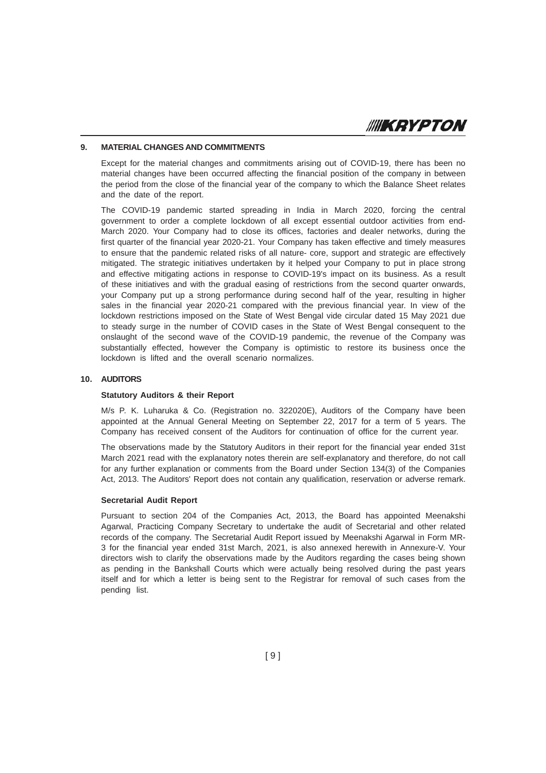## **9. MATERIAL CHANGES AND COMMITMENTS**

Except for the material changes and commitments arising out of COVID-19, there has been no material changes have been occurred affecting the financial position of the company in between the period from the close of the financial year of the company to which the Balance Sheet relates and the date of the report.

The COVID-19 pandemic started spreading in India in March 2020, forcing the central government to order a complete lockdown of all except essential outdoor activities from end-March 2020. Your Company had to close its offices, factories and dealer networks, during the first quarter of the financial year 2020-21. Your Company has taken effective and timely measures to ensure that the pandemic related risks of all nature- core, support and strategic are effectively mitigated. The strategic initiatives undertaken by it helped your Company to put in place strong and effective mitigating actions in response to COVID-19's impact on its business. As a result of these initiatives and with the gradual easing of restrictions from the second quarter onwards, your Company put up a strong performance during second half of the year, resulting in higher sales in the financial year 2020-21 compared with the previous financial year. In view of the lockdown restrictions imposed on the State of West Bengal vide circular dated 15 May 2021 due to steady surge in the number of COVID cases in the State of West Bengal consequent to the onslaught of the second wave of the COVID-19 pandemic, the revenue of the Company was substantially effected, however the Company is optimistic to restore its business once the lockdown is lifted and the overall scenario normalizes.

#### **10. AUDITORS**

#### **Statutory Auditors & their Report**

M/s P. K. Luharuka & Co. (Registration no. 322020E), Auditors of the Company have been appointed at the Annual General Meeting on September 22, 2017 for a term of 5 years. The Company has received consent of the Auditors for continuation of office for the current year.

The observations made by the Statutory Auditors in their report for the financial year ended 31st March 2021 read with the explanatory notes therein are self-explanatory and therefore, do not call for any further explanation or comments from the Board under Section 134(3) of the Companies Act, 2013. The Auditors' Report does not contain any qualification, reservation or adverse remark.

#### **Secretarial Audit Report**

Pursuant to section 204 of the Companies Act, 2013, the Board has appointed Meenakshi Agarwal, Practicing Company Secretary to undertake the audit of Secretarial and other related records of the company. The Secretarial Audit Report issued by Meenakshi Agarwal in Form MR-3 for the financial year ended 31st March, 2021, is also annexed herewith in Annexure-V. Your directors wish to clarify the observations made by the Auditors regarding the cases being shown as pending in the Bankshall Courts which were actually being resolved during the past years itself and for which a letter is being sent to the Registrar for removal of such cases from the pending list.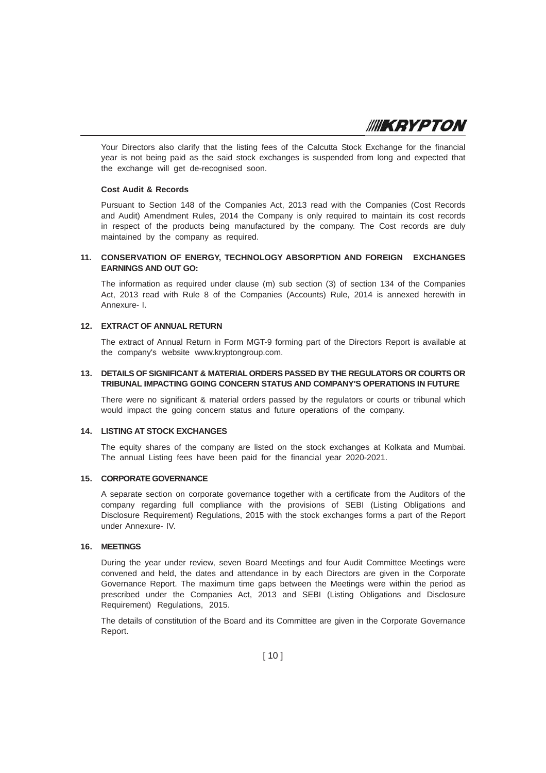

Your Directors also clarify that the listing fees of the Calcutta Stock Exchange for the financial year is not being paid as the said stock exchanges is suspended from long and expected that the exchange will get de-recognised soon.

### **Cost Audit & Records**

Pursuant to Section 148 of the Companies Act, 2013 read with the Companies (Cost Records and Audit) Amendment Rules, 2014 the Company is only required to maintain its cost records in respect of the products being manufactured by the company. The Cost records are duly maintained by the company as required.

# **11. CONSERVATION OF ENERGY, TECHNOLOGY ABSORPTION AND FOREIGN EXCHANGES EARNINGS AND OUT GO:**

The information as required under clause (m) sub section (3) of section 134 of the Companies Act, 2013 read with Rule 8 of the Companies (Accounts) Rule, 2014 is annexed herewith in Annexure- I.

# **12. EXTRACT OF ANNUAL RETURN**

The extract of Annual Return in Form MGT-9 forming part of the Directors Report is available at the company's website www.kryptongroup.com.

#### **13. DETAILS OF SIGNIFICANT & MATERIAL ORDERS PASSED BY THE REGULATORS OR COURTS OR TRIBUNAL IMPACTING GOING CONCERN STATUS AND COMPANY'S OPERATIONS IN FUTURE**

There were no significant & material orders passed by the regulators or courts or tribunal which would impact the going concern status and future operations of the company.

# **14. LISTING AT STOCK EXCHANGES**

The equity shares of the company are listed on the stock exchanges at Kolkata and Mumbai. The annual Listing fees have been paid for the financial year 2020-2021.

#### **15. CORPORATE GOVERNANCE**

A separate section on corporate governance together with a certificate from the Auditors of the company regarding full compliance with the provisions of SEBI (Listing Obligations and Disclosure Requirement) Regulations, 2015 with the stock exchanges forms a part of the Report under Annexure- IV.

#### **16. MEETINGS**

During the year under review, seven Board Meetings and four Audit Committee Meetings were convened and held, the dates and attendance in by each Directors are given in the Corporate Governance Report. The maximum time gaps between the Meetings were within the period as prescribed under the Companies Act, 2013 and SEBI (Listing Obligations and Disclosure Requirement) Regulations, 2015.

The details of constitution of the Board and its Committee are given in the Corporate Governance Report.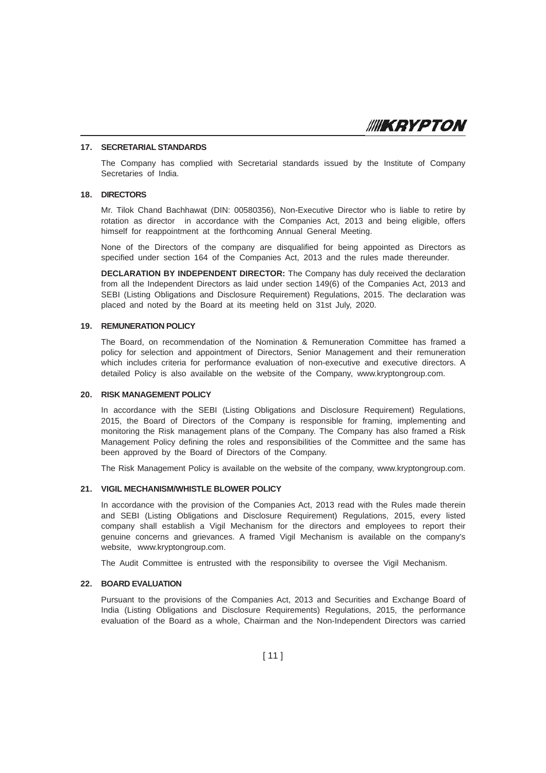### **17. SECRETARIAL STANDARDS**

The Company has complied with Secretarial standards issued by the Institute of Company Secretaries of India.

# **18. DIRECTORS**

Mr. Tilok Chand Bachhawat (DIN: 00580356), Non-Executive Director who is liable to retire by rotation as director in accordance with the Companies Act, 2013 and being eligible, offers himself for reappointment at the forthcoming Annual General Meeting.

None of the Directors of the company are disqualified for being appointed as Directors as specified under section 164 of the Companies Act, 2013 and the rules made thereunder.

**DECLARATION BY INDEPENDENT DIRECTOR:** The Company has duly received the declaration from all the Independent Directors as laid under section 149(6) of the Companies Act, 2013 and SEBI (Listing Obligations and Disclosure Requirement) Regulations, 2015. The declaration was placed and noted by the Board at its meeting held on 31st July, 2020.

#### **19. REMUNERATION POLICY**

The Board, on recommendation of the Nomination & Remuneration Committee has framed a policy for selection and appointment of Directors, Senior Management and their remuneration which includes criteria for performance evaluation of non-executive and executive directors. A detailed Policy is also available on the website of the Company, www.kryptongroup.com.

#### **20. RISK MANAGEMENT POLICY**

In accordance with the SEBI (Listing Obligations and Disclosure Requirement) Regulations, 2015, the Board of Directors of the Company is responsible for framing, implementing and monitoring the Risk management plans of the Company. The Company has also framed a Risk Management Policy defining the roles and responsibilities of the Committee and the same has been approved by the Board of Directors of the Company.

The Risk Management Policy is available on the website of the company, www.kryptongroup.com.

# **21. VIGIL MECHANISM/WHISTLE BLOWER POLICY**

In accordance with the provision of the Companies Act, 2013 read with the Rules made therein and SEBI (Listing Obligations and Disclosure Requirement) Regulations, 2015, every listed company shall establish a Vigil Mechanism for the directors and employees to report their genuine concerns and grievances. A framed Vigil Mechanism is available on the company's website, www.kryptongroup.com.

The Audit Committee is entrusted with the responsibility to oversee the Vigil Mechanism.

# **22. BOARD EVALUATION**

Pursuant to the provisions of the Companies Act, 2013 and Securities and Exchange Board of India (Listing Obligations and Disclosure Requirements) Regulations, 2015, the performance evaluation of the Board as a whole, Chairman and the Non-Independent Directors was carried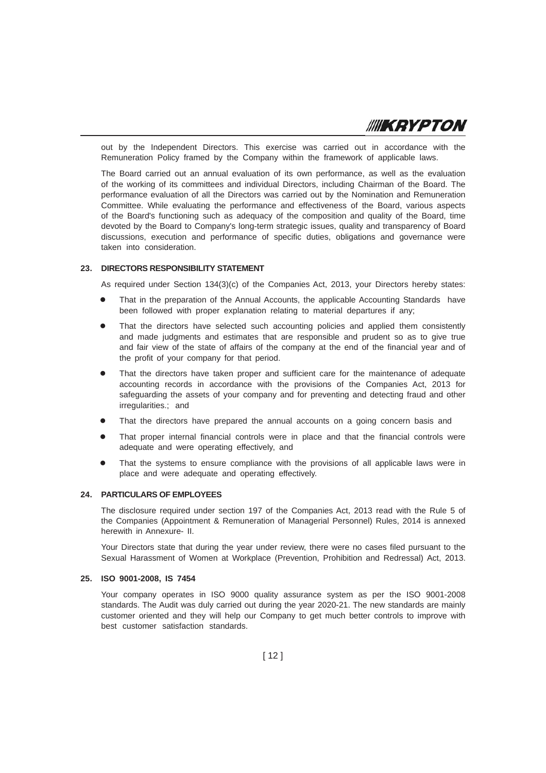out by the Independent Directors. This exercise was carried out in accordance with the Remuneration Policy framed by the Company within the framework of applicable laws.

The Board carried out an annual evaluation of its own performance, as well as the evaluation of the working of its committees and individual Directors, including Chairman of the Board. The performance evaluation of all the Directors was carried out by the Nomination and Remuneration Committee. While evaluating the performance and effectiveness of the Board, various aspects of the Board's functioning such as adequacy of the composition and quality of the Board, time devoted by the Board to Company's long-term strategic issues, quality and transparency of Board discussions, execution and performance of specific duties, obligations and governance were taken into consideration.

#### **23. DIRECTORS RESPONSIBILITY STATEMENT**

As required under Section 134(3)(c) of the Companies Act, 2013, your Directors hereby states:

- That in the preparation of the Annual Accounts, the applicable Accounting Standards have been followed with proper explanation relating to material departures if any;
- That the directors have selected such accounting policies and applied them consistently and made judgments and estimates that are responsible and prudent so as to give true and fair view of the state of affairs of the company at the end of the financial year and of the profit of your company for that period.
- That the directors have taken proper and sufficient care for the maintenance of adequate accounting records in accordance with the provisions of the Companies Act, 2013 for safeguarding the assets of your company and for preventing and detecting fraud and other irregularities.; and
- That the directors have prepared the annual accounts on a going concern basis and
- That proper internal financial controls were in place and that the financial controls were adequate and were operating effectively, and
- That the systems to ensure compliance with the provisions of all applicable laws were in place and were adequate and operating effectively.

#### **24. PARTICULARS OF EMPLOYEES**

The disclosure required under section 197 of the Companies Act, 2013 read with the Rule 5 of the Companies (Appointment & Remuneration of Managerial Personnel) Rules, 2014 is annexed herewith in Annexure- II.

Your Directors state that during the year under review, there were no cases filed pursuant to the Sexual Harassment of Women at Workplace (Prevention, Prohibition and Redressal) Act, 2013.

# **25. ISO 9001-2008, IS 7454**

Your company operates in ISO 9000 quality assurance system as per the ISO 9001-2008 standards. The Audit was duly carried out during the year 2020-21. The new standards are mainly customer oriented and they will help our Company to get much better controls to improve with best customer satisfaction standards.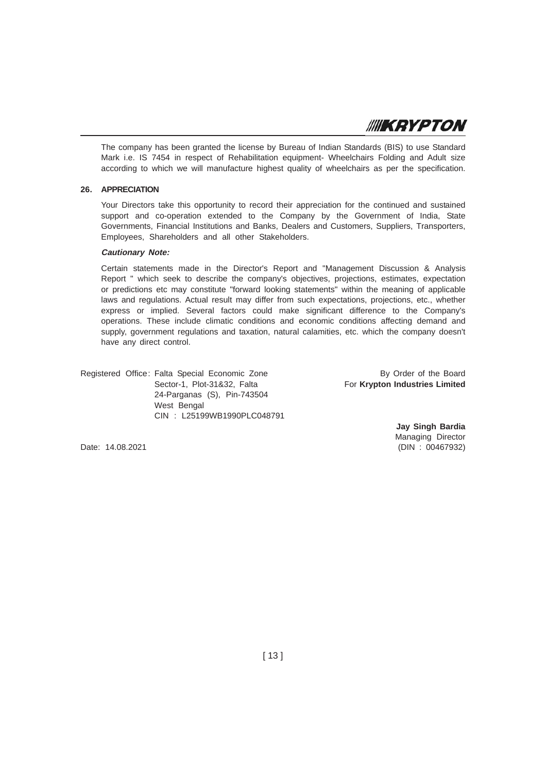The company has been granted the license by Bureau of Indian Standards (BIS) to use Standard Mark i.e. IS 7454 in respect of Rehabilitation equipment- Wheelchairs Folding and Adult size according to which we will manufacture highest quality of wheelchairs as per the specification.

# **26. APPRECIATION**

Your Directors take this opportunity to record their appreciation for the continued and sustained support and co-operation extended to the Company by the Government of India, State Governments, Financial Institutions and Banks, Dealers and Customers, Suppliers, Transporters, Employees, Shareholders and all other Stakeholders.

#### **Cautionary Note:**

Certain statements made in the Director's Report and "Management Discussion & Analysis Report " which seek to describe the company's objectives, projections, estimates, expectation or predictions etc may constitute "forward looking statements" within the meaning of applicable laws and regulations. Actual result may differ from such expectations, projections, etc., whether express or implied. Several factors could make significant difference to the Company's operations. These include climatic conditions and economic conditions affecting demand and supply, government regulations and taxation, natural calamities, etc. which the company doesn't have any direct control.

Registered Office: Falta Special Economic Zone By Order of the Board Sector-1, Plot-31&32, Falta For Krypton Industries Limited 24-Parganas (S), Pin-743504 West Bengal CIN : L25199WB1990PLC048791

 **Jay Singh Bardia** Managing Director Date: 14.08.2021 (DIN : 00467932)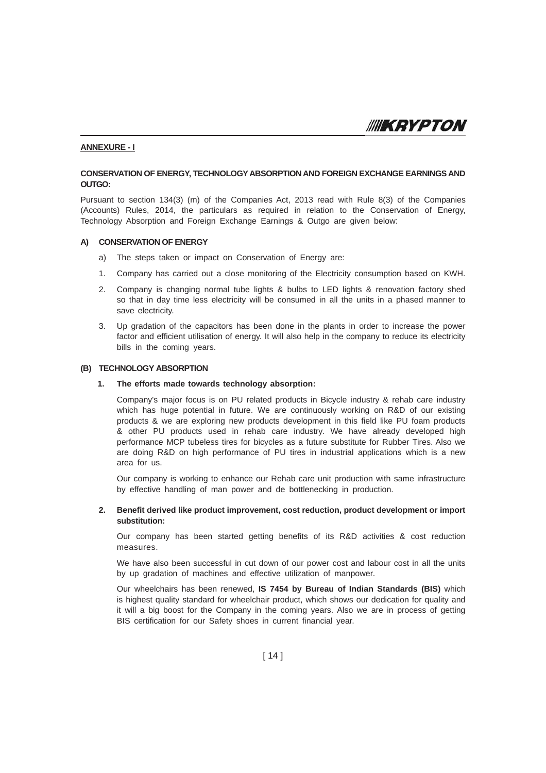# **ANNEXURE - I**

#### **CONSERVATION OF ENERGY, TECHNOLOGY ABSORPTION AND FOREIGN EXCHANGE EARNINGS AND OUTGO:**

Pursuant to section 134(3) (m) of the Companies Act, 2013 read with Rule 8(3) of the Companies (Accounts) Rules, 2014, the particulars as required in relation to the Conservation of Energy, Technology Absorption and Foreign Exchange Earnings & Outgo are given below:

#### **A) CONSERVATION OF ENERGY**

- a) The steps taken or impact on Conservation of Energy are:
- 1. Company has carried out a close monitoring of the Electricity consumption based on KWH.
- 2. Company is changing normal tube lights & bulbs to LED lights & renovation factory shed so that in day time less electricity will be consumed in all the units in a phased manner to save electricity.
- 3. Up gradation of the capacitors has been done in the plants in order to increase the power factor and efficient utilisation of energy. It will also help in the company to reduce its electricity bills in the coming years.

#### **(B) TECHNOLOGY ABSORPTION**

#### **1. The efforts made towards technology absorption:**

Company's major focus is on PU related products in Bicycle industry & rehab care industry which has huge potential in future. We are continuously working on R&D of our existing products & we are exploring new products development in this field like PU foam products & other PU products used in rehab care industry. We have already developed high performance MCP tubeless tires for bicycles as a future substitute for Rubber Tires. Also we are doing R&D on high performance of PU tires in industrial applications which is a new area for us.

Our company is working to enhance our Rehab care unit production with same infrastructure by effective handling of man power and de bottlenecking in production.

#### **2. Benefit derived like product improvement, cost reduction, product development or import substitution:**

Our company has been started getting benefits of its R&D activities & cost reduction measures.

We have also been successful in cut down of our power cost and labour cost in all the units by up gradation of machines and effective utilization of manpower.

Our wheelchairs has been renewed, **IS 7454 by Bureau of Indian Standards (BIS)** which is highest quality standard for wheelchair product, which shows our dedication for quality and it will a big boost for the Company in the coming years. Also we are in process of getting BIS certification for our Safety shoes in current financial year.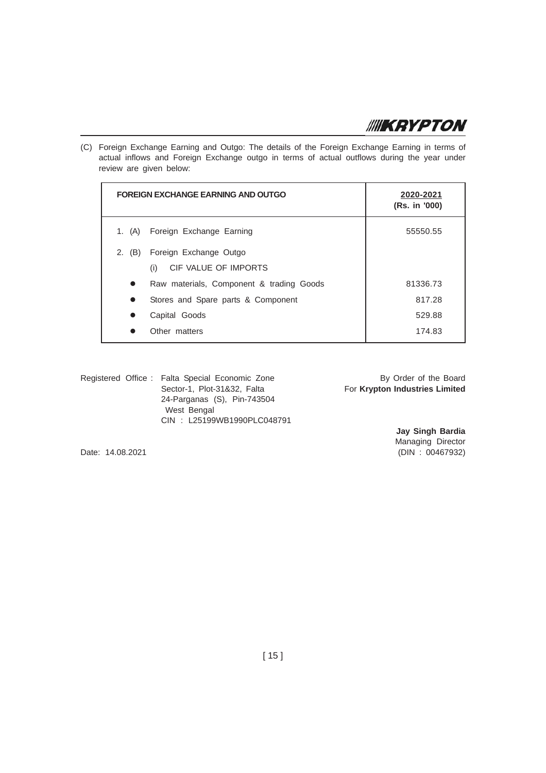# **INIKRYPTON**

(C) Foreign Exchange Earning and Outgo: The details of the Foreign Exchange Earning in terms of actual inflows and Foreign Exchange outgo in terms of actual outflows during the year under review are given below:

| <b>FOREIGN EXCHANGE EARNING AND OUTGO</b> | 2020-2021<br>(Rs. in '000)                            |          |
|-------------------------------------------|-------------------------------------------------------|----------|
|                                           | 1. (A) Foreign Exchange Earning                       | 55550.55 |
| (i)                                       | 2. (B) Foreign Exchange Outgo<br>CIF VALUE OF IMPORTS |          |
| $\bullet$                                 | Raw materials, Component & trading Goods              | 81336.73 |
| $\bullet$                                 | Stores and Spare parts & Component                    | 817.28   |
| $\bullet$                                 | Capital Goods                                         | 529.88   |
|                                           | Other matters                                         | 174.83   |

|  | Registered Office: Falta Special Economic Zone |
|--|------------------------------------------------|
|  | Sector-1, Plot-31&32, Falta                    |
|  | 24-Parganas (S), Pin-743504                    |
|  | West Bengal                                    |
|  | CIN : L25199WB1990PLC048791                    |

By Order of the Board For Krypton Industries Limited

 **Jay Singh Bardia** Managing Director Date: 14.08.2021 (DIN : 00467932)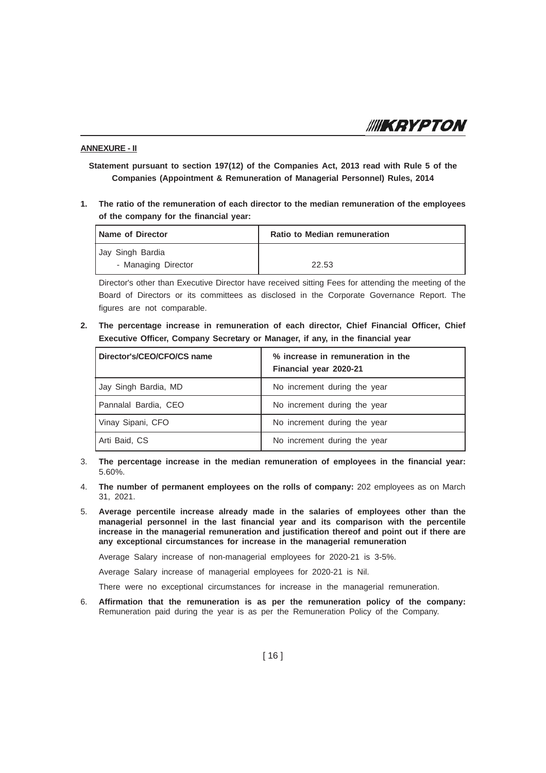# **ANNEXURE - II**

**Statement pursuant to section 197(12) of the Companies Act, 2013 read with Rule 5 of the Companies (Appointment & Remuneration of Managerial Personnel) Rules, 2014**

**1. The ratio of the remuneration of each director to the median remuneration of the employees of the company for the financial year:**

| <b>Name of Director</b> | Ratio to Median remuneration |
|-------------------------|------------------------------|
| Uay Singh Bardia        |                              |
| - Managing Director     | 22.53                        |

Director's other than Executive Director have received sitting Fees for attending the meeting of the Board of Directors or its committees as disclosed in the Corporate Governance Report. The figures are not comparable.

**2. The percentage increase in remuneration of each director, Chief Financial Officer, Chief Executive Officer, Company Secretary or Manager, if any, in the financial year**

| Director's/CEO/CFO/CS name | % increase in remuneration in the<br>Financial year 2020-21 |
|----------------------------|-------------------------------------------------------------|
| Jay Singh Bardia, MD       | No increment during the year                                |
| Pannalal Bardia, CEO       | No increment during the year                                |
| Vinay Sipani, CFO          | No increment during the year                                |
| Arti Baid, CS              | No increment during the year                                |

- 3. **The percentage increase in the median remuneration of employees in the financial year:** 5.60%.
- 4. **The number of permanent employees on the rolls of company:** 202 employees as on March 31, 2021.
- 5. **Average percentile increase already made in the salaries of employees other than the managerial personnel in the last financial year and its comparison with the percentile increase in the managerial remuneration and justification thereof and point out if there are any exceptional circumstances for increase in the managerial remuneration**

Average Salary increase of non-managerial employees for 2020-21 is 3-5%.

Average Salary increase of managerial employees for 2020-21 is Nil.

There were no exceptional circumstances for increase in the managerial remuneration.

6. **Affirmation that the remuneration is as per the remuneration policy of the company:** Remuneration paid during the year is as per the Remuneration Policy of the Company.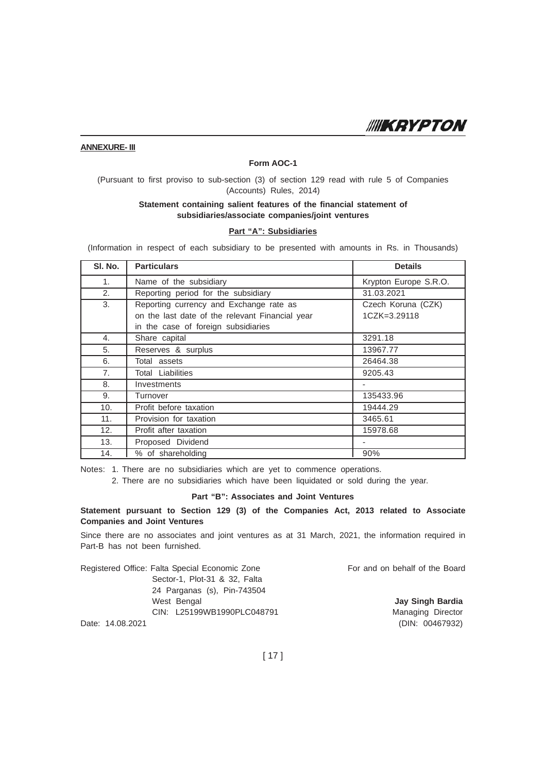

# **ANNEXURE- III**

# **Form AOC-1**

(Pursuant to first proviso to sub-section (3) of section 129 read with rule 5 of Companies (Accounts) Rules, 2014)

# **Statement containing salient features of the financial statement of subsidiaries/associate companies/joint ventures**

#### **Part "A": Subsidiaries**

(Information in respect of each subsidiary to be presented with amounts in Rs. in Thousands)

| SI. No.        | <b>Particulars</b>                              | <b>Details</b>        |
|----------------|-------------------------------------------------|-----------------------|
| 1 <sub>1</sub> | Name of the subsidiary                          | Krypton Europe S.R.O. |
| 2.             | Reporting period for the subsidiary             | 31.03.2021            |
| 3.             | Reporting currency and Exchange rate as         | Czech Koruna (CZK)    |
|                | on the last date of the relevant Financial year | $1CZK = 3.29118$      |
|                | in the case of foreign subsidiaries             |                       |
| 4.             | Share capital                                   | 3291.18               |
| 5.             | Reserves & surplus                              | 13967.77              |
| 6.             | Total assets                                    | 26464.38              |
| 7.             | <b>Total Liabilities</b>                        | 9205.43               |
| 8.             | Investments                                     |                       |
| 9.             | Turnover                                        | 135433.96             |
| 10.            | Profit before taxation                          | 19444.29              |
| 11.            | Provision for taxation                          | 3465.61               |
| 12.            | Profit after taxation                           | 15978.68              |
| 13.            | Proposed Dividend                               |                       |
| 14.            | % of shareholding                               | 90%                   |

Notes: 1. There are no subsidiaries which are yet to commence operations.

2. There are no subsidiaries which have been liquidated or sold during the year.

# **Part "B": Associates and Joint Ventures**

**Statement pursuant to Section 129 (3) of the Companies Act, 2013 related to Associate Companies and Joint Ventures**

Since there are no associates and joint ventures as at 31 March, 2021, the information required in Part-B has not been furnished.

Registered Office: Falta Special Economic Zone For and on behalf of the Board Sector-1, Plot-31 & 32, Falta 24 Parganas (s), Pin-743504 West Bengal **Jay Singh Bardia** CIN: L25199WB1990PLC048791 Managing Director Date: 14.08.2021 (DIN: 00467932)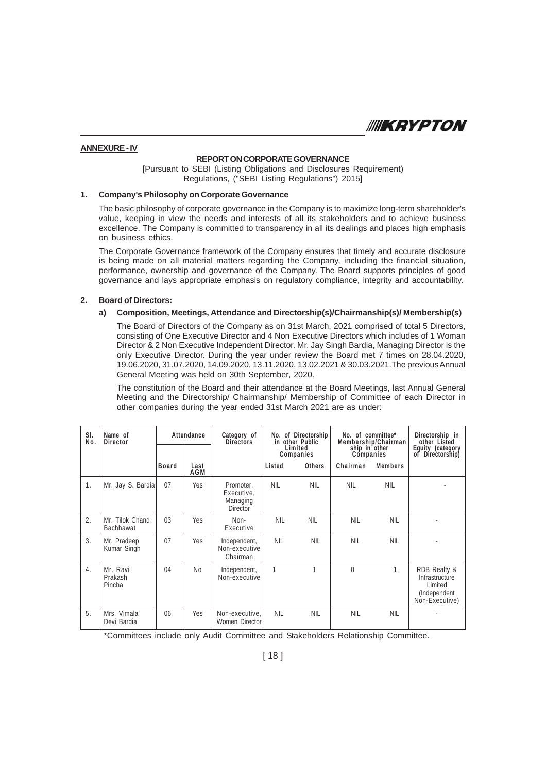

# **ANNEXURE - IV**

### **REPORT ON CORPORATE GOVERNANCE**

[Pursuant to SEBI (Listing Obligations and Disclosures Requirement) Regulations, ("SEBI Listing Regulations") 2015]

#### **1. Company's Philosophy on Corporate Governance**

The basic philosophy of corporate governance in the Company is to maximize long-term shareholder's value, keeping in view the needs and interests of all its stakeholders and to achieve business excellence. The Company is committed to transparency in all its dealings and places high emphasis on business ethics.

The Corporate Governance framework of the Company ensures that timely and accurate disclosure is being made on all material matters regarding the Company, including the financial situation, performance, ownership and governance of the Company. The Board supports principles of good governance and lays appropriate emphasis on regulatory compliance, integrity and accountability.

#### **2. Board of Directors:**

#### **a) Composition, Meetings, Attendance and Directorship(s)/Chairmanship(s)/ Membership(s)**

The Board of Directors of the Company as on 31st March, 2021 comprised of total 5 Directors, consisting of One Executive Director and 4 Non Executive Directors which includes of 1 Woman Director & 2 Non Executive Independent Director. Mr. Jay Singh Bardia, Managing Director is the only Executive Director. During the year under review the Board met 7 times on 28.04.2020, 19.06.2020, 31.07.2020, 14.09.2020, 13.11.2020, 13.02.2021 & 30.03.2021.The previous Annual General Meeting was held on 30th September, 2020.

The constitution of the Board and their attendance at the Board Meetings, last Annual General Meeting and the Directorship/ Chairmanship/ Membership of Committee of each Director in other companies during the year ended 31st March 2021 are as under:

| SI.<br>No.       | Name of<br><b>Director</b>    |              | Attendance     | Category of<br><b>Directors</b>                        | No. of Directorship<br>in other Public<br>Limited |               | No. of committee*<br>Membership/Chairman<br>ship in other |                | Directorship in<br>other Listed<br>Equity (category                         |
|------------------|-------------------------------|--------------|----------------|--------------------------------------------------------|---------------------------------------------------|---------------|-----------------------------------------------------------|----------------|-----------------------------------------------------------------------------|
|                  |                               |              |                |                                                        |                                                   | Companies     | Companies                                                 |                | of Directorship)                                                            |
|                  |                               | <b>Board</b> | Last<br>AGM    |                                                        | Listed                                            | <b>Others</b> | Chairman                                                  | <b>Members</b> |                                                                             |
| 1.               | Mr. Jay S. Bardia             | 07           | Yes            | Promoter,<br>Executive,<br>Managing<br><b>Director</b> | <b>NIL</b>                                        | NIL           | <b>NIL</b>                                                | <b>NIL</b>     |                                                                             |
| $\overline{2}$ . | Mr. Tilok Chand<br>Bachhawat  | 03           | Yes            | Non-<br>Executive                                      | <b>NIL</b>                                        | <b>NIL</b>    | <b>NIL</b>                                                | <b>NIL</b>     |                                                                             |
| 3.               | Mr. Pradeep<br>Kumar Singh    | 07           | Yes            | Independent,<br>Non-executive<br>Chairman              | <b>NIL</b>                                        | <b>NIL</b>    | <b>NIL</b>                                                | <b>NIL</b>     |                                                                             |
| $\overline{4}$ . | Mr. Ravi<br>Prakash<br>Pincha | 04           | N <sub>0</sub> | Independent,<br>Non-executive                          | $\mathbf{1}$                                      | 1             | $\theta$                                                  |                | RDB Realty &<br>Infrastructure<br>Limited<br>(Independent<br>Non-Executive) |
| 5.               | Mrs. Vimala<br>Devi Bardia    | 06           | Yes            | Non-executive,<br><b>Women Director</b>                | <b>NIL</b>                                        | <b>NIL</b>    | <b>NIL</b>                                                | <b>NIL</b>     |                                                                             |

\*Committees include only Audit Committee and Stakeholders Relationship Committee.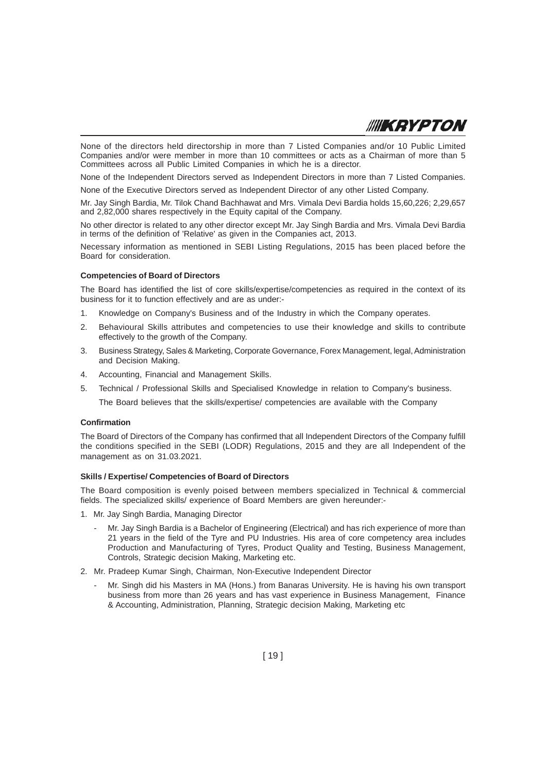

None of the directors held directorship in more than 7 Listed Companies and/or 10 Public Limited Companies and/or were member in more than 10 committees or acts as a Chairman of more than 5 Committees across all Public Limited Companies in which he is a director.

None of the Independent Directors served as Independent Directors in more than 7 Listed Companies. None of the Executive Directors served as Independent Director of any other Listed Company.

Mr. Jay Singh Bardia, Mr. Tilok Chand Bachhawat and Mrs. Vimala Devi Bardia holds 15,60,226; 2,29,657 and 2,82,000 shares respectively in the Equity capital of the Company.

No other director is related to any other director except Mr. Jay Singh Bardia and Mrs. Vimala Devi Bardia in terms of the definition of 'Relative' as given in the Companies act, 2013.

Necessary information as mentioned in SEBI Listing Regulations, 2015 has been placed before the Board for consideration.

#### **Competencies of Board of Directors**

The Board has identified the list of core skills/expertise/competencies as required in the context of its business for it to function effectively and are as under:-

- 1. Knowledge on Company's Business and of the Industry in which the Company operates.
- 2. Behavioural Skills attributes and competencies to use their knowledge and skills to contribute effectively to the growth of the Company.
- 3. Business Strategy, Sales & Marketing, Corporate Governance, Forex Management, legal, Administration and Decision Making.
- 4. Accounting, Financial and Management Skills.
- 5. Technical / Professional Skills and Specialised Knowledge in relation to Company's business.

The Board believes that the skills/expertise/ competencies are available with the Company

#### **Confirmation**

The Board of Directors of the Company has confirmed that all Independent Directors of the Company fulfill the conditions specified in the SEBI (LODR) Regulations, 2015 and they are all Independent of the management as on 31.03.2021.

#### **Skills / Expertise/ Competencies of Board of Directors**

The Board composition is evenly poised between members specialized in Technical & commercial fields. The specialized skills/ experience of Board Members are given hereunder:-

- 1. Mr. Jay Singh Bardia, Managing Director
	- Mr. Jay Singh Bardia is a Bachelor of Engineering (Electrical) and has rich experience of more than 21 years in the field of the Tyre and PU Industries. His area of core competency area includes Production and Manufacturing of Tyres, Product Quality and Testing, Business Management, Controls, Strategic decision Making, Marketing etc.
- 2. Mr. Pradeep Kumar Singh, Chairman, Non-Executive Independent Director
	- Mr. Singh did his Masters in MA (Hons.) from Banaras University. He is having his own transport business from more than 26 years and has vast experience in Business Management, Finance & Accounting, Administration, Planning, Strategic decision Making, Marketing etc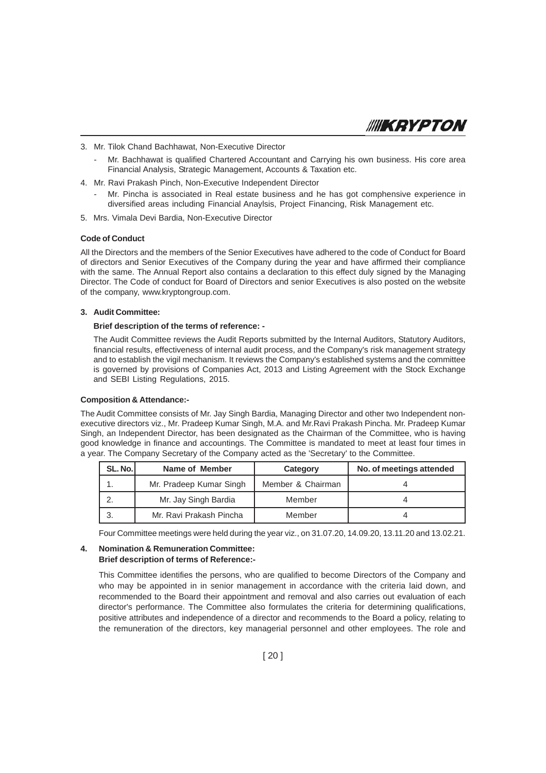- 3. Mr. Tilok Chand Bachhawat, Non-Executive Director
	- Mr. Bachhawat is qualified Chartered Accountant and Carrying his own business. His core area Financial Analysis, Strategic Management, Accounts & Taxation etc.
- 4. Mr. Ravi Prakash Pinch, Non-Executive Independent Director
	- Mr. Pincha is associated in Real estate business and he has got comphensive experience in diversified areas including Financial Anaylsis, Project Financing, Risk Management etc.
- 5. Mrs. Vimala Devi Bardia, Non-Executive Director

#### **Code of Conduct**

All the Directors and the members of the Senior Executives have adhered to the code of Conduct for Board of directors and Senior Executives of the Company during the year and have affirmed their compliance with the same. The Annual Report also contains a declaration to this effect duly signed by the Managing Director. The Code of conduct for Board of Directors and senior Executives is also posted on the website of the company, www.kryptongroup.com.

#### **3. Audit Committee:**

# **Brief description of the terms of reference: -**

The Audit Committee reviews the Audit Reports submitted by the Internal Auditors, Statutory Auditors, financial results, effectiveness of internal audit process, and the Company's risk management strategy and to establish the vigil mechanism. It reviews the Company's established systems and the committee is governed by provisions of Companies Act, 2013 and Listing Agreement with the Stock Exchange and SEBI Listing Regulations, 2015.

# **Composition & Attendance:-**

The Audit Committee consists of Mr. Jay Singh Bardia, Managing Director and other two Independent nonexecutive directors viz., Mr. Pradeep Kumar Singh, M.A. and Mr.Ravi Prakash Pincha. Mr. Pradeep Kumar Singh, an Independent Director, has been designated as the Chairman of the Committee, who is having good knowledge in finance and accountings. The Committee is mandated to meet at least four times in a year. The Company Secretary of the Company acted as the 'Secretary' to the Committee.

| SL. No. | Name of Member          | Category          | No. of meetings attended |
|---------|-------------------------|-------------------|--------------------------|
|         | Mr. Pradeep Kumar Singh | Member & Chairman |                          |
|         | Mr. Jay Singh Bardia    | Member            |                          |
|         | Mr. Ravi Prakash Pincha | Member            |                          |

Four Committee meetings were held during the year viz., on 31.07.20, 14.09.20, 13.11.20 and 13.02.21.

#### **4. Nomination & Remuneration Committee: Brief description of terms of Reference:-**

This Committee identifies the persons, who are qualified to become Directors of the Company and who may be appointed in in senior management in accordance with the criteria laid down, and recommended to the Board their appointment and removal and also carries out evaluation of each director's performance. The Committee also formulates the criteria for determining qualifications, positive attributes and independence of a director and recommends to the Board a policy, relating to the remuneration of the directors, key managerial personnel and other employees. The role and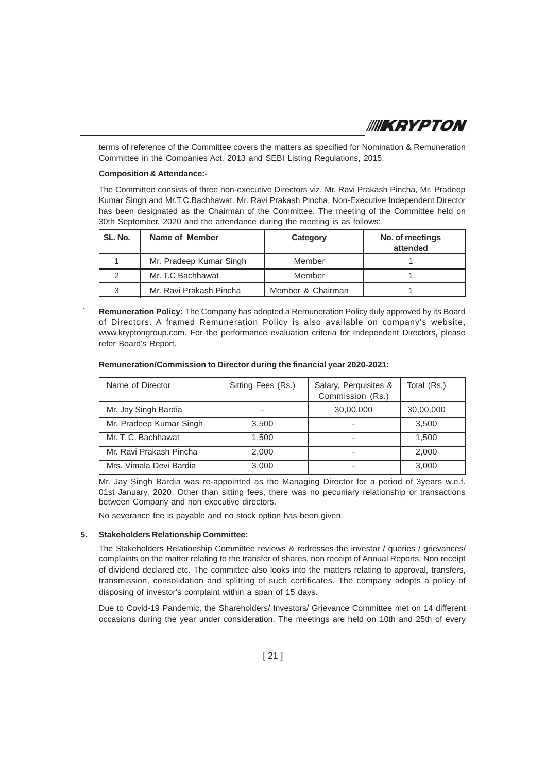

terms of reference of the Committee covers the matters as specified for Nomination & Remuneration Committee in the Companies Act, 2013 and SEBI Listing Regulations, 2015.

#### **Composition & Attendance:-**

The Committee consists of three non-executive Directors viz. Mr. Ravi Prakash Pincha, Mr. Pradeep Kumar Singh and Mr.T.C.Bachhawat. Mr. Ravi Prakash Pincha, Non-Executive Independent Director has been designated as the Chairman of the Committee. The meeting of the Committee held on 30th September, 2020 and the attendance during the meeting is as follows:

| SL. No. | Name of Member          | Category          | No. of meetings<br>attended |
|---------|-------------------------|-------------------|-----------------------------|
|         | Mr. Pradeep Kumar Singh | Member            |                             |
|         | Mr. T.C Bachhawat       | Member            |                             |
| հ       | Mr. Ravi Prakash Pincha | Member & Chairman |                             |

 ` **Remuneration Policy:** The Company has adopted a Remuneration Policy duly approved by its Board of Directors. A framed Remuneration Policy is also available on company's website, www.kryptongroup.com. For the performance evaluation criteria for Independent Directors, please refer Board's Report.

| Name of Director        | Sitting Fees (Rs.) | Salary, Perquisites &<br>Commission (Rs.) | Total (Rs.) |
|-------------------------|--------------------|-------------------------------------------|-------------|
| Mr. Jay Singh Bardia    |                    | 30,00,000                                 | 30,00,000   |
| Mr. Pradeep Kumar Singh | 3.500              |                                           | 3.500       |
| Mr. T. C. Bachhawat     | 1.500              |                                           | 1.500       |
| Mr. Ravi Prakash Pincha | 2.000              |                                           | 2.000       |
| Mrs. Vimala Devi Bardia | 3,000              |                                           | 3,000       |

**Remuneration/Commission to Director during the financial year 2020-2021:**

Mr. Jay Singh Bardia was re-appointed as the Managing Director for a period of 3years w.e.f. 01st January, 2020. Other than sitting fees, there was no pecuniary relationship or transactions between Company and non executive directors.

No severance fee is payable and no stock option has been given.

#### **5. Stakeholders Relationship Committee:**

The Stakeholders Relationship Committee reviews & redresses the investor / queries / grievances/ complaints on the matter relating to the transfer of shares, non receipt of Annual Reports, Non receipt of dividend declared etc. The committee also looks into the matters relating to approval, transfers, transmission, consolidation and splitting of such certificates. The company adopts a policy of disposing of investor's complaint within a span of 15 days.

Due to Covid-19 Pandemic, the Shareholders/ Investors/ Grievance Committee met on 14 different occasions during the year under consideration. The meetings are held on 10th and 25th of every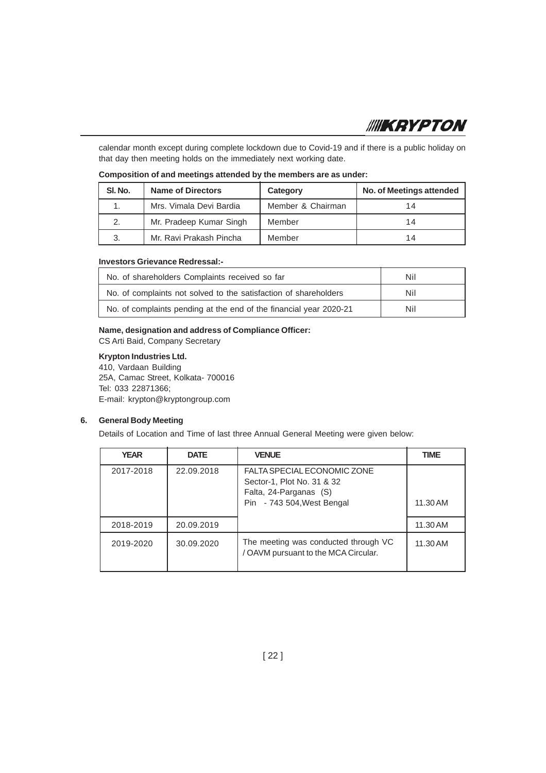

calendar month except during complete lockdown due to Covid-19 and if there is a public holiday on that day then meeting holds on the immediately next working date.

| SI. No. | <b>Name of Directors</b> | Category          | No. of Meetings attended |
|---------|--------------------------|-------------------|--------------------------|
|         | Mrs. Vimala Devi Bardia  | Member & Chairman | 14                       |
| 2.      | Mr. Pradeep Kumar Singh  | Member            | 14                       |
| 3.      | Mr. Ravi Prakash Pincha  | Member            | 14                       |

**Composition of and meetings attended by the members are as under:**

#### **Investors Grievance Redressal:-**

| No. of shareholders Complaints received so far                     | Nil |
|--------------------------------------------------------------------|-----|
| No. of complaints not solved to the satisfaction of shareholders   | Nil |
| No. of complaints pending at the end of the financial year 2020-21 | Nil |

# **Name, designation and address of Compliance Officer:**

CS Arti Baid, Company Secretary

# **Krypton Industries Ltd.**

410, Vardaan Building 25A, Camac Street, Kolkata- 700016 Tel: 033 22871366; E-mail: krypton@kryptongroup.com

# **6. General Body Meeting**

Details of Location and Time of last three Annual General Meeting were given below:

| <b>YEAR</b> | <b>DATE</b> | <b>VENUE</b>                                                                                                      | <b>TIME</b> |
|-------------|-------------|-------------------------------------------------------------------------------------------------------------------|-------------|
| 2017-2018   | 22.09.2018  | FALTA SPECIAL ECONOMIC ZONE<br>Sector-1, Plot No. 31 & 32<br>Falta, 24-Parganas (S)<br>Pin - 743 504, West Bengal | 11.30 AM    |
| 2018-2019   | 20.09.2019  |                                                                                                                   | 11.30 AM    |
| 2019-2020   | 30.09.2020  | The meeting was conducted through VC<br>/ OAVM pursuant to the MCA Circular.                                      | 11.30 AM    |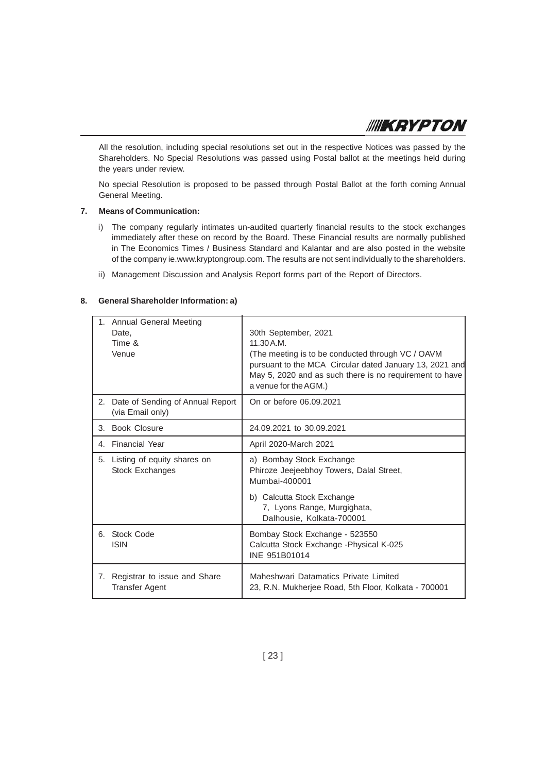

All the resolution, including special resolutions set out in the respective Notices was passed by the Shareholders. No Special Resolutions was passed using Postal ballot at the meetings held during the years under review.

No special Resolution is proposed to be passed through Postal Ballot at the forth coming Annual General Meeting.

# **7. Means of Communication:**

- i) The company regularly intimates un-audited quarterly financial results to the stock exchanges immediately after these on record by the Board. These Financial results are normally published in The Economics Times / Business Standard and Kalantar and are also posted in the website of the company ie.www.kryptongroup.com. The results are not sent individually to the shareholders.
- ii) Management Discussion and Analysis Report forms part of the Report of Directors.

# **8. General Shareholder Information: a)**

| 1. Annual General Meeting<br>Date.<br>Time &<br>Venue    | 30th September, 2021<br>11.30 A.M.<br>(The meeting is to be conducted through VC / OAVM<br>pursuant to the MCA Circular dated January 13, 2021 and<br>May 5, 2020 and as such there is no requirement to have<br>a venue for the AGM.) |
|----------------------------------------------------------|----------------------------------------------------------------------------------------------------------------------------------------------------------------------------------------------------------------------------------------|
| 2. Date of Sending of Annual Report<br>(via Email only)  | On or before 06.09.2021                                                                                                                                                                                                                |
| 3. Book Closure                                          | 24.09.2021 to 30.09.2021                                                                                                                                                                                                               |
| 4. Financial Year                                        | April 2020-March 2021                                                                                                                                                                                                                  |
| 5. Listing of equity shares on<br>Stock Exchanges        | a) Bombay Stock Exchange<br>Phiroze Jeejeebhoy Towers, Dalal Street,<br>Mumbai-400001                                                                                                                                                  |
|                                                          | b) Calcutta Stock Exchange<br>7, Lyons Range, Murgighata,<br>Dalhousie, Kolkata-700001                                                                                                                                                 |
| 6. Stock Code<br><b>ISIN</b>                             | Bombay Stock Exchange - 523550<br>Calcutta Stock Exchange - Physical K-025<br>INE 951B01014                                                                                                                                            |
| 7. Registrar to issue and Share<br><b>Transfer Agent</b> | Maheshwari Datamatics Private Limited<br>23, R.N. Mukherjee Road, 5th Floor, Kolkata - 700001                                                                                                                                          |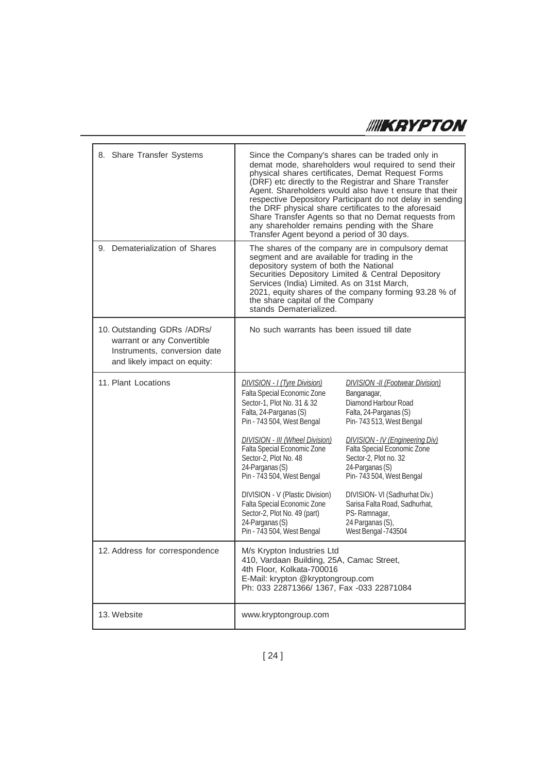# **INIKRYPTON**

| 8. Share Transfer Systems                                                                                                 | Since the Company's shares can be traded only in<br>demat mode, shareholders woul required to send their<br>physical shares certificates, Demat Request Forms<br>(DRF) etc directly to the Registrar and Share Transfer<br>Agent. Shareholders would also have t ensure that their<br>respective Depository Participant do not delay in sending<br>the DRF physical share certificates to the aforesaid<br>Share Transfer Agents so that no Demat requests from<br>any shareholder remains pending with the Share<br>Transfer Agent beyond a period of 30 days. |                                                                                                                                                                                                                                                                                                                                                                                                                     |  |
|---------------------------------------------------------------------------------------------------------------------------|-----------------------------------------------------------------------------------------------------------------------------------------------------------------------------------------------------------------------------------------------------------------------------------------------------------------------------------------------------------------------------------------------------------------------------------------------------------------------------------------------------------------------------------------------------------------|---------------------------------------------------------------------------------------------------------------------------------------------------------------------------------------------------------------------------------------------------------------------------------------------------------------------------------------------------------------------------------------------------------------------|--|
| 9. Dematerialization of Shares                                                                                            | The shares of the company are in compulsory demat<br>segment and are available for trading in the<br>depository system of both the National<br>Securities Depository Limited & Central Depository<br>Services (India) Limited. As on 31st March,<br>2021, equity shares of the company forming 93.28 % of<br>the share capital of the Company<br>stands Dematerialized.                                                                                                                                                                                         |                                                                                                                                                                                                                                                                                                                                                                                                                     |  |
| 10. Outstanding GDRs /ADRs/<br>warrant or any Convertible<br>Instruments, conversion date<br>and likely impact on equity: | No such warrants has been issued till date                                                                                                                                                                                                                                                                                                                                                                                                                                                                                                                      |                                                                                                                                                                                                                                                                                                                                                                                                                     |  |
| 11. Plant Locations<br>12. Address for correspondence                                                                     | <b>DIVISION - I (Tyre Division)</b><br>Falta Special Economic Zone<br>Sector-1, Plot No. 31 & 32<br>Falta, 24-Parganas (S)<br>Pin - 743 504, West Bengal<br>DIVISION - III (Wheel Division)<br>Falta Special Economic Zone<br>Sector-2, Plot No. 48<br>24-Parganas (S)<br>Pin - 743 504, West Bengal<br>DIVISION - V (Plastic Division)<br>Falta Special Economic Zone<br>Sector-2, Plot No. 49 (part)<br>24-Parganas (S)<br>Pin - 743 504, West Bengal<br>M/s Krypton Industries Ltd                                                                           | <b>DIVISION - II (Footwear Division)</b><br>Banganagar,<br>Diamond Harbour Road<br>Falta, 24-Parganas (S)<br>Pin-743 513, West Bengal<br><b>DIVISION - IV (Engineering Div)</b><br>Falta Special Economic Zone<br>Sector-2, Plot no. 32<br>24-Parganas (S)<br>Pin-743 504, West Bengal<br>DIVISION- VI (Sadhurhat Div.)<br>Sarisa Falta Road, Sadhurhat,<br>PS-Ramnagar,<br>24 Parganas (S),<br>West Bengal -743504 |  |
|                                                                                                                           | 410, Vardaan Building, 25A, Camac Street,<br>4th Floor, Kolkata-700016<br>E-Mail: krypton @kryptongroup.com<br>Ph: 033 22871366/ 1367, Fax -033 22871084                                                                                                                                                                                                                                                                                                                                                                                                        |                                                                                                                                                                                                                                                                                                                                                                                                                     |  |
| 13. Website                                                                                                               | www.kryptongroup.com                                                                                                                                                                                                                                                                                                                                                                                                                                                                                                                                            |                                                                                                                                                                                                                                                                                                                                                                                                                     |  |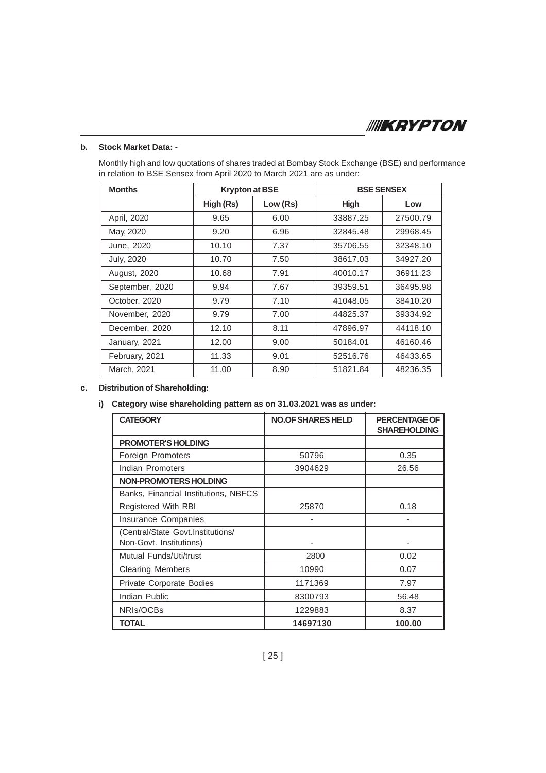# **b. Stock Market Data: -**

Monthly high and low quotations of shares traded at Bombay Stock Exchange (BSE) and performance in relation to BSE Sensex from April 2020 to March 2021 are as under:

| <b>Months</b>     | <b>Krypton at BSE</b> |          | <b>BSE SENSEX</b> |          |
|-------------------|-----------------------|----------|-------------------|----------|
|                   | High (Rs)             | Low (Rs) | High              | Low      |
| April, 2020       | 9.65                  | 6.00     | 33887.25          | 27500.79 |
| May, 2020         | 9.20                  | 6.96     | 32845.48          | 29968.45 |
| June, 2020        | 10.10                 | 7.37     | 35706.55          | 32348.10 |
| <b>July, 2020</b> | 10.70                 | 7.50     | 38617.03          | 34927.20 |
| August, 2020      | 10.68                 | 7.91     | 40010.17          | 36911.23 |
| September, 2020   | 9.94                  | 7.67     | 39359.51          | 36495.98 |
| October, 2020     | 9.79                  | 7.10     | 41048.05          | 38410.20 |
| November, 2020    | 9.79                  | 7.00     | 44825.37          | 39334.92 |
| December, 2020    | 12.10                 | 8.11     | 47896.97          | 44118.10 |
| January, 2021     | 12.00                 | 9.00     | 50184.01          | 46160.46 |
| February, 2021    | 11.33                 | 9.01     | 52516.76          | 46433.65 |
| March, 2021       | 11.00                 | 8.90     | 51821.84          | 48236.35 |

# **c. Distribution of Shareholding:**

# **i) Category wise shareholding pattern as on 31.03.2021 was as under:**

| <b>CATEGORY</b>                                              | <b>NO.OF SHARES HELD</b> | PERCENTAGE OF<br><b>SHAREHOLDING</b> |
|--------------------------------------------------------------|--------------------------|--------------------------------------|
| <b>PROMOTER'S HOLDING</b>                                    |                          |                                      |
| Foreign Promoters                                            | 50796                    | 0.35                                 |
| Indian Promoters                                             | 3904629                  | 26.56                                |
| <b>NON-PROMOTERS HOLDING</b>                                 |                          |                                      |
| Banks, Financial Institutions, NBFCS                         |                          |                                      |
| Registered With RBI                                          | 25870                    | 0.18                                 |
| <b>Insurance Companies</b>                                   |                          |                                      |
| (Central/State Govt.Institutions/<br>Non-Govt. Institutions) |                          |                                      |
| Mutual Funds/Uti/trust                                       | 2800                     | 0.02                                 |
| <b>Clearing Members</b>                                      | 10990                    | 0.07                                 |
| Private Corporate Bodies                                     | 1171369                  | 7.97                                 |
| Indian Public                                                | 8300793                  | 56.48                                |
| NRIs/OCBs                                                    | 1229883                  | 8.37                                 |
| <b>TOTAL</b>                                                 | 14697130                 | 100.00                               |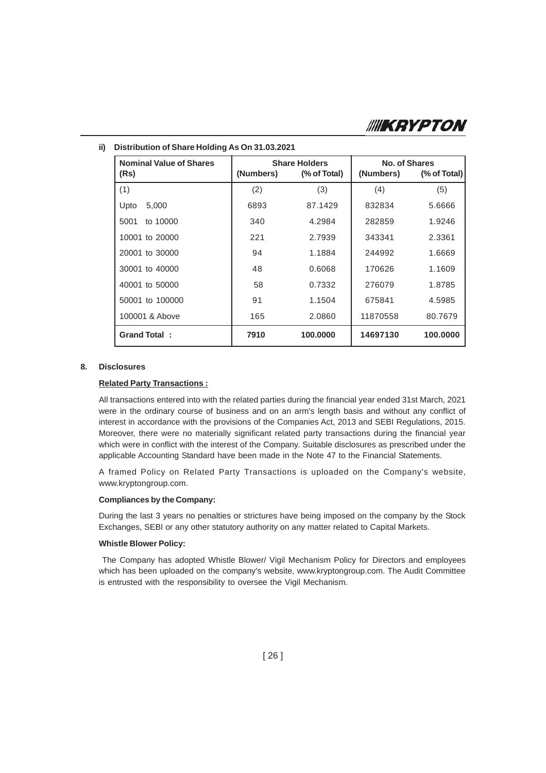# WIKRYPTON

| <b>Nominal Value of Shares</b><br>(Rs) | (Numbers) | <b>Share Holders</b><br>(% of Total) | No. of Shares<br>(Numbers) | $%$ of Total) |
|----------------------------------------|-----------|--------------------------------------|----------------------------|---------------|
| (1)                                    | (2)       | (3)                                  | (4)                        | (5)           |
| Upto<br>5,000                          | 6893      | 87.1429                              | 832834                     | 5.6666        |
| to 10000<br>5001                       | 340       | 4.2984                               | 282859                     | 1.9246        |
| 10001 to 20000                         | 221       | 2.7939                               | 343341                     | 2.3361        |
| 20001 to 30000                         | 94        | 1.1884                               | 244992                     | 1.6669        |
| 30001 to 40000                         | 48        | 0.6068                               | 170626                     | 1.1609        |
| 40001 to 50000                         | 58        | 0.7332                               | 276079                     | 1.8785        |
| 50001 to 100000                        | 91        | 1.1504                               | 675841                     | 4.5985        |
| 100001 & Above                         | 165       | 2.0860                               | 11870558                   | 80.7679       |
| <b>Grand Total:</b>                    | 7910      | 100.0000                             | 14697130                   | 100.0000      |

# **ii) Distribution of Share Holding As On 31.03.2021**

# **8. Disclosures**

#### **Related Party Transactions :**

All transactions entered into with the related parties during the financial year ended 31st March, 2021 were in the ordinary course of business and on an arm's length basis and without any conflict of interest in accordance with the provisions of the Companies Act, 2013 and SEBI Regulations, 2015. Moreover, there were no materially significant related party transactions during the financial year which were in conflict with the interest of the Company. Suitable disclosures as prescribed under the applicable Accounting Standard have been made in the Note 47 to the Financial Statements.

A framed Policy on Related Party Transactions is uploaded on the Company's website, www.kryptongroup.com.

#### **Compliances by the Company:**

During the last 3 years no penalties or strictures have being imposed on the company by the Stock Exchanges, SEBI or any other statutory authority on any matter related to Capital Markets.

#### **Whistle Blower Policy:**

 The Company has adopted Whistle Blower/ Vigil Mechanism Policy for Directors and employees which has been uploaded on the company's website, www.kryptongroup.com. The Audit Committee is entrusted with the responsibility to oversee the Vigil Mechanism.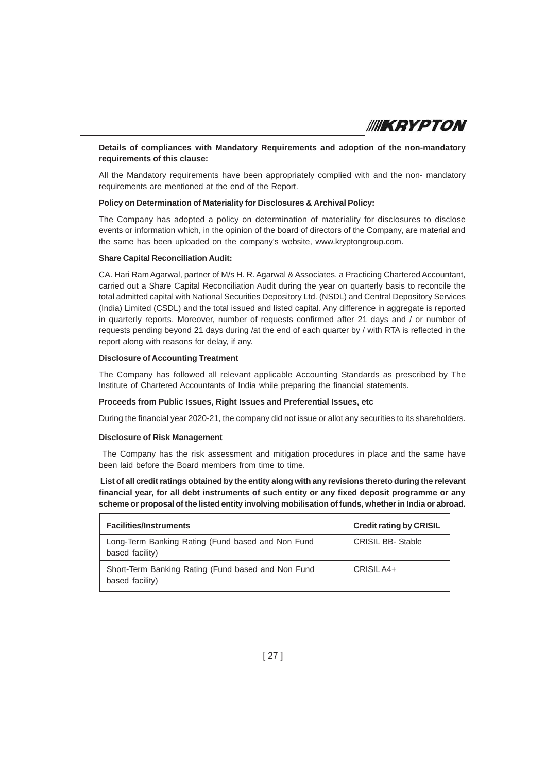# **Details of compliances with Mandatory Requirements and adoption of the non-mandatory requirements of this clause:**

All the Mandatory requirements have been appropriately complied with and the non- mandatory requirements are mentioned at the end of the Report.

#### **Policy on Determination of Materiality for Disclosures & Archival Policy:**

The Company has adopted a policy on determination of materiality for disclosures to disclose events or information which, in the opinion of the board of directors of the Company, are material and the same has been uploaded on the company's website, www.kryptongroup.com.

# **Share Capital Reconciliation Audit:**

CA. Hari Ram Agarwal, partner of M/s H. R. Agarwal & Associates, a Practicing Chartered Accountant, carried out a Share Capital Reconciliation Audit during the year on quarterly basis to reconcile the total admitted capital with National Securities Depository Ltd. (NSDL) and Central Depository Services (India) Limited (CSDL) and the total issued and listed capital. Any difference in aggregate is reported in quarterly reports. Moreover, number of requests confirmed after 21 days and / or number of requests pending beyond 21 days during /at the end of each quarter by / with RTA is reflected in the report along with reasons for delay, if any.

#### **Disclosure of Accounting Treatment**

The Company has followed all relevant applicable Accounting Standards as prescribed by The Institute of Chartered Accountants of India while preparing the financial statements.

#### **Proceeds from Public Issues, Right Issues and Preferential Issues, etc**

During the financial year 2020-21, the company did not issue or allot any securities to its shareholders.

#### **Disclosure of Risk Management**

 The Company has the risk assessment and mitigation procedures in place and the same have been laid before the Board members from time to time.

 **List of all credit ratings obtained by the entity along with any revisions thereto during the relevant financial year, for all debt instruments of such entity or any fixed deposit programme or any scheme or proposal of the listed entity involving mobilisation of funds, whether in India or abroad.**

| <b>Facilities/Instruments</b>                                         | <b>Credit rating by CRISIL</b> |
|-----------------------------------------------------------------------|--------------------------------|
| Long-Term Banking Rating (Fund based and Non Fund<br>based facility)  | <b>CRISIL BB- Stable</b>       |
| Short-Term Banking Rating (Fund based and Non Fund<br>based facility) | CRISILA4+                      |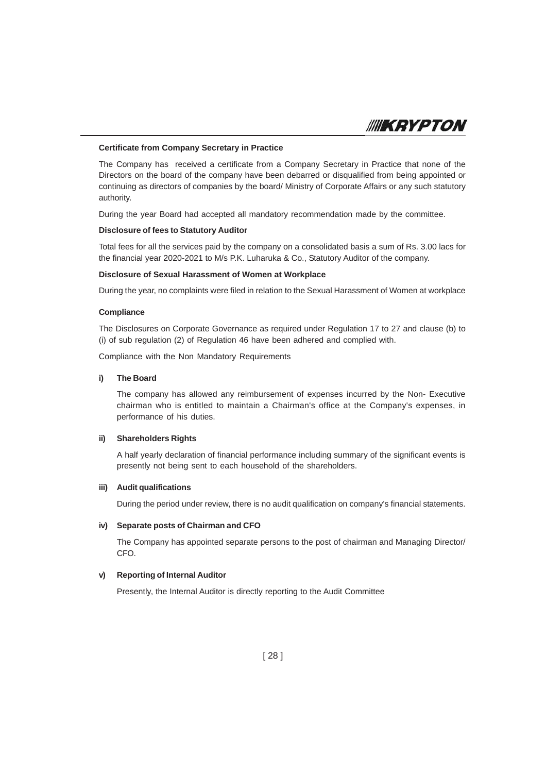

# **Certificate from Company Secretary in Practice**

The Company has received a certificate from a Company Secretary in Practice that none of the Directors on the board of the company have been debarred or disqualified from being appointed or continuing as directors of companies by the board/ Ministry of Corporate Affairs or any such statutory authority.

During the year Board had accepted all mandatory recommendation made by the committee.

#### **Disclosure of fees to Statutory Auditor**

Total fees for all the services paid by the company on a consolidated basis a sum of Rs. 3.00 lacs for the financial year 2020-2021 to M/s P.K. Luharuka & Co., Statutory Auditor of the company.

#### **Disclosure of Sexual Harassment of Women at Workplace**

During the year, no complaints were filed in relation to the Sexual Harassment of Women at workplace

#### **Compliance**

The Disclosures on Corporate Governance as required under Regulation 17 to 27 and clause (b) to (i) of sub regulation (2) of Regulation 46 have been adhered and complied with.

Compliance with the Non Mandatory Requirements

#### **i) The Board**

The company has allowed any reimbursement of expenses incurred by the Non- Executive chairman who is entitled to maintain a Chairman's office at the Company's expenses, in performance of his duties.

#### **ii) Shareholders Rights**

A half yearly declaration of financial performance including summary of the significant events is presently not being sent to each household of the shareholders.

#### **iii) Audit qualifications**

During the period under review, there is no audit qualification on company's financial statements.

#### **iv) Separate posts of Chairman and CFO**

The Company has appointed separate persons to the post of chairman and Managing Director/ CFO.

# **v) Reporting of Internal Auditor**

Presently, the Internal Auditor is directly reporting to the Audit Committee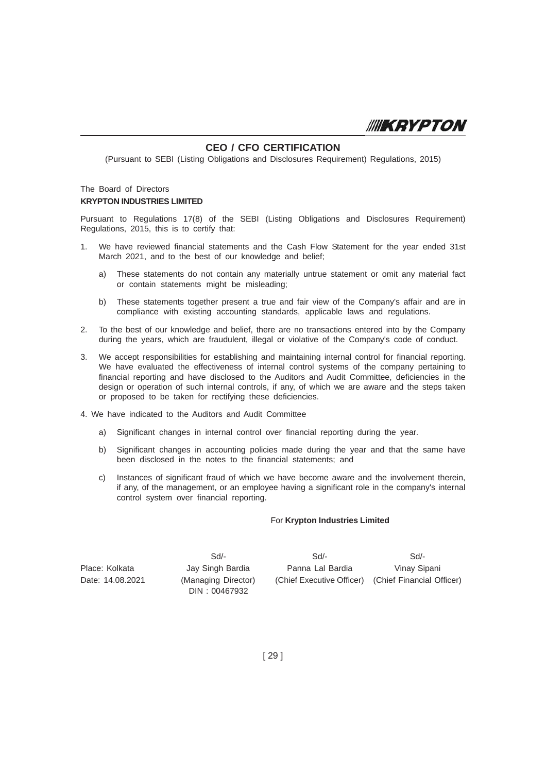**IIIIKRYPTON** 

# **CEO / CFO CERTIFICATION**

(Pursuant to SEBI (Listing Obligations and Disclosures Requirement) Regulations, 2015)

# The Board of Directors **KRYPTON INDUSTRIES LIMITED**

Pursuant to Regulations 17(8) of the SEBI (Listing Obligations and Disclosures Requirement) Regulations, 2015, this is to certify that:

- 1. We have reviewed financial statements and the Cash Flow Statement for the year ended 31st March 2021, and to the best of our knowledge and belief;
	- a) These statements do not contain any materially untrue statement or omit any material fact or contain statements might be misleading;
	- b) These statements together present a true and fair view of the Company's affair and are in compliance with existing accounting standards, applicable laws and regulations.
- 2. To the best of our knowledge and belief, there are no transactions entered into by the Company during the years, which are fraudulent, illegal or violative of the Company's code of conduct.
- 3. We accept responsibilities for establishing and maintaining internal control for financial reporting. We have evaluated the effectiveness of internal control systems of the company pertaining to financial reporting and have disclosed to the Auditors and Audit Committee, deficiencies in the design or operation of such internal controls, if any, of which we are aware and the steps taken or proposed to be taken for rectifying these deficiencies.
- 4. We have indicated to the Auditors and Audit Committee
	- a) Significant changes in internal control over financial reporting during the year.
	- b) Significant changes in accounting policies made during the year and that the same have been disclosed in the notes to the financial statements; and
	- c) Instances of significant fraud of which we have become aware and the involvement therein, if any, of the management, or an employee having a significant role in the company's internal control system over financial reporting.

#### For **Krypton Industries Limited**

|                  | Sd/-                                 | $Sd$ -                    | Sd/-                      |
|------------------|--------------------------------------|---------------------------|---------------------------|
| Place: Kolkata   | Jay Singh Bardia                     | Panna Lal Bardia          | Vinav Sipani              |
| Date: 14.08.2021 | (Managing Director)<br>DIN: 00467932 | (Chief Executive Officer) | (Chief Financial Officer) |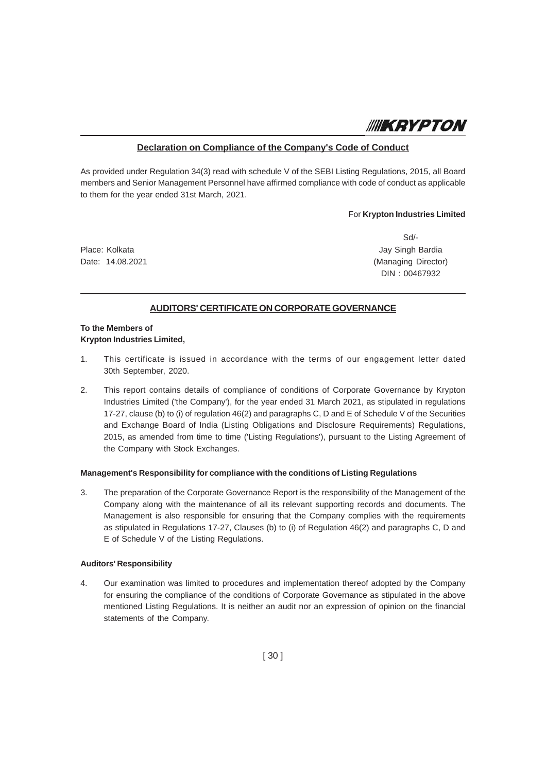**IIIKRYPTON** 

# **Declaration on Compliance of the Company's Code of Conduct**

As provided under Regulation 34(3) read with schedule V of the SEBI Listing Regulations, 2015, all Board members and Senior Management Personnel have affirmed compliance with code of conduct as applicable to them for the year ended 31st March, 2021.

#### For **Krypton Industries Limited**

Sd/- Place: Kolkata Jay Singh Bardia Jay Singh Bardia Date: 14.08.2021 (Managing Director) DIN : 00467932

# **AUDITORS' CERTIFICATE ON CORPORATE GOVERNANCE**

# **To the Members of Krypton Industries Limited,**

- 1. This certificate is issued in accordance with the terms of our engagement letter dated 30th September, 2020.
- 2. This report contains details of compliance of conditions of Corporate Governance by Krypton Industries Limited ('the Company'), for the year ended 31 March 2021, as stipulated in regulations 17-27, clause (b) to (i) of regulation 46(2) and paragraphs C, D and E of Schedule V of the Securities and Exchange Board of India (Listing Obligations and Disclosure Requirements) Regulations, 2015, as amended from time to time ('Listing Regulations'), pursuant to the Listing Agreement of the Company with Stock Exchanges.

#### **Management's Responsibility for compliance with the conditions of Listing Regulations**

3. The preparation of the Corporate Governance Report is the responsibility of the Management of the Company along with the maintenance of all its relevant supporting records and documents. The Management is also responsible for ensuring that the Company complies with the requirements as stipulated in Regulations 17-27, Clauses (b) to (i) of Regulation 46(2) and paragraphs C, D and E of Schedule V of the Listing Regulations.

#### **Auditors' Responsibility**

4. Our examination was limited to procedures and implementation thereof adopted by the Company for ensuring the compliance of the conditions of Corporate Governance as stipulated in the above mentioned Listing Regulations. It is neither an audit nor an expression of opinion on the financial statements of the Company.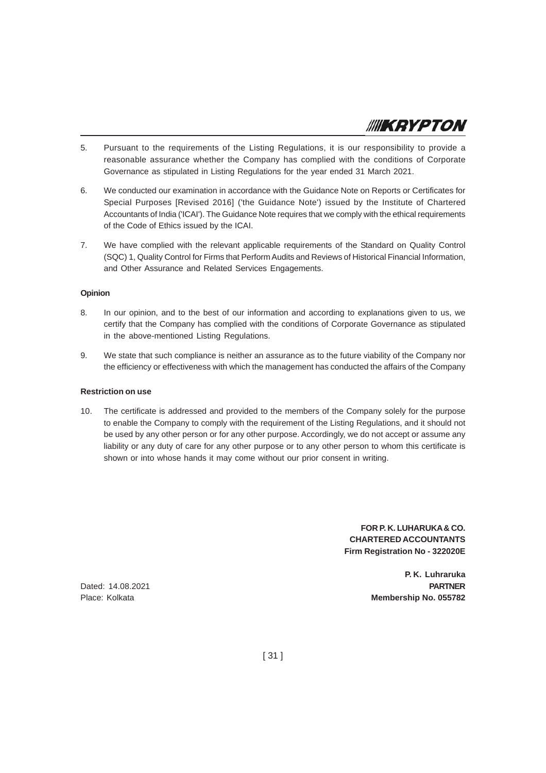

- 5. Pursuant to the requirements of the Listing Regulations, it is our responsibility to provide a reasonable assurance whether the Company has complied with the conditions of Corporate Governance as stipulated in Listing Regulations for the year ended 31 March 2021.
- 6. We conducted our examination in accordance with the Guidance Note on Reports or Certificates for Special Purposes [Revised 2016] ('the Guidance Note') issued by the Institute of Chartered Accountants of India ('ICAI'). The Guidance Note requires that we comply with the ethical requirements of the Code of Ethics issued by the ICAI.
- 7. We have complied with the relevant applicable requirements of the Standard on Quality Control (SQC) 1, Quality Control for Firms that Perform Audits and Reviews of Historical Financial Information, and Other Assurance and Related Services Engagements.

#### **Opinion**

- 8. In our opinion, and to the best of our information and according to explanations given to us, we certify that the Company has complied with the conditions of Corporate Governance as stipulated in the above-mentioned Listing Regulations.
- 9. We state that such compliance is neither an assurance as to the future viability of the Company nor the efficiency or effectiveness with which the management has conducted the affairs of the Company

#### **Restriction on use**

10. The certificate is addressed and provided to the members of the Company solely for the purpose to enable the Company to comply with the requirement of the Listing Regulations, and it should not be used by any other person or for any other purpose. Accordingly, we do not accept or assume any liability or any duty of care for any other purpose or to any other person to whom this certificate is shown or into whose hands it may come without our prior consent in writing.

> **FOR P. K. LUHARUKA & CO. CHARTERED ACCOUNTANTS Firm Registration No - 322020E**

**P. K. Luhraruka** Dated: 14.08.2021 **PARTNER** Place: Kolkata **Membership No. 055782**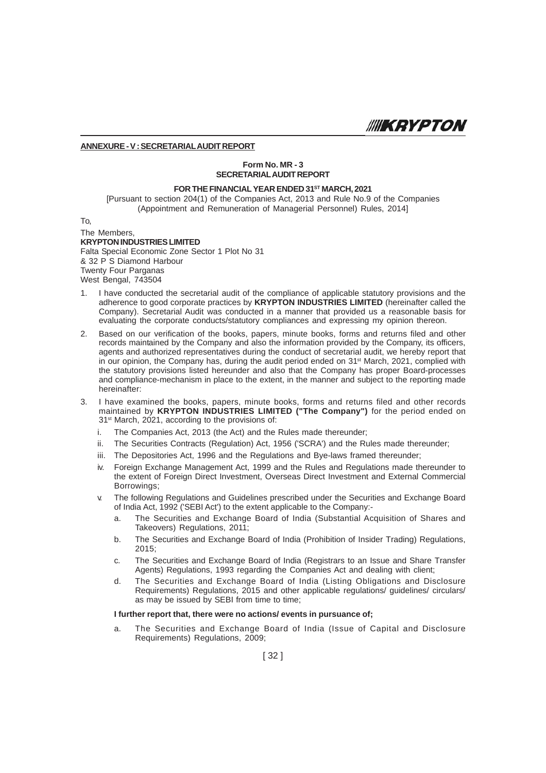#### **ANNEXURE - V : SECRETARIALAUDIT REPORT**

## **Form No. MR - 3 SECRETARIAL AUDIT REPORT**

# **FOR THE FINANCIAL YEAR ENDED 31ST MARCH, 2021**

[Pursuant to section 204(1) of the Companies Act, 2013 and Rule No.9 of the Companies (Appointment and Remuneration of Managerial Personnel) Rules, 2014]

To,

The Members, **KRYPTON INDUSTRIES LIMITED** Falta Special Economic Zone Sector 1 Plot No 31 & 32 P S Diamond Harbour Twenty Four Parganas West Bengal, 743504

- 1. I have conducted the secretarial audit of the compliance of applicable statutory provisions and the adherence to good corporate practices by **KRYPTON INDUSTRIES LIMITED** (hereinafter called the Company). Secretarial Audit was conducted in a manner that provided us a reasonable basis for evaluating the corporate conducts/statutory compliances and expressing my opinion thereon.
- 2. Based on our verification of the books, papers, minute books, forms and returns filed and other records maintained by the Company and also the information provided by the Company, its officers, agents and authorized representatives during the conduct of secretarial audit, we hereby report that in our opinion, the Company has, during the audit period ended on 31st March, 2021, complied with the statutory provisions listed hereunder and also that the Company has proper Board-processes and compliance-mechanism in place to the extent, in the manner and subject to the reporting made hereinafter:
- 3. I have examined the books, papers, minute books, forms and returns filed and other records maintained by **KRYPTON INDUSTRIES LIMITED ("The Company")** for the period ended on 31st March, 2021, according to the provisions of:
	- i. The Companies Act, 2013 (the Act) and the Rules made thereunder;
	- ii. The Securities Contracts (Regulation) Act, 1956 ('SCRA') and the Rules made thereunder;
	- iii. The Depositories Act, 1996 and the Regulations and Bye-laws framed thereunder;
	- iv. Foreign Exchange Management Act, 1999 and the Rules and Regulations made thereunder to the extent of Foreign Direct Investment, Overseas Direct Investment and External Commercial Borrowings;
	- v. The following Regulations and Guidelines prescribed under the Securities and Exchange Board of India Act, 1992 ('SEBI Act') to the extent applicable to the Company:
		- a. The Securities and Exchange Board of India (Substantial Acquisition of Shares and Takeovers) Regulations, 2011;
		- b. The Securities and Exchange Board of India (Prohibition of Insider Trading) Regulations, 2015;
		- c. The Securities and Exchange Board of India (Registrars to an Issue and Share Transfer Agents) Regulations, 1993 regarding the Companies Act and dealing with client;
		- d. The Securities and Exchange Board of India (Listing Obligations and Disclosure Requirements) Regulations, 2015 and other applicable regulations/ guidelines/ circulars/ as may be issued by SEBI from time to time;

#### **I further report that, there were no actions/ events in pursuance of;**

The Securities and Exchange Board of India (Issue of Capital and Disclosure Requirements) Regulations, 2009;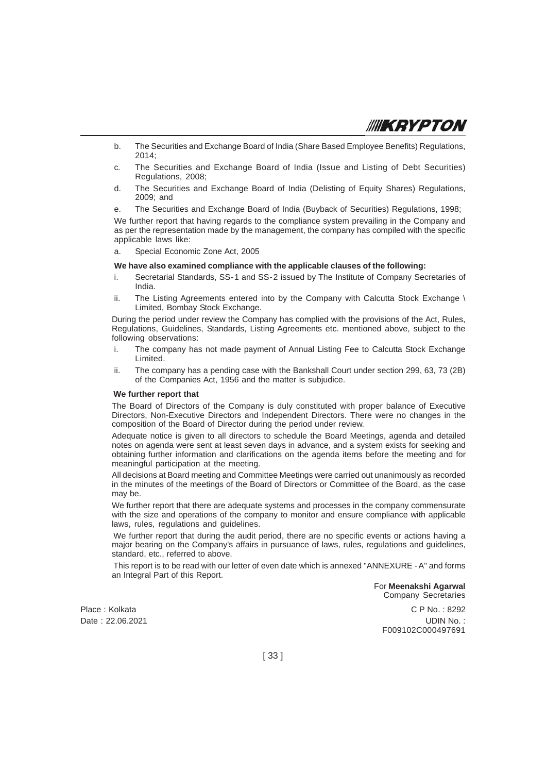- b. The Securities and Exchange Board of India (Share Based Employee Benefits) Regulations, 2014;
- c. The Securities and Exchange Board of India (Issue and Listing of Debt Securities) Regulations, 2008;
- d. The Securities and Exchange Board of India (Delisting of Equity Shares) Regulations, 2009; and
- e. The Securities and Exchange Board of India (Buyback of Securities) Regulations, 1998;

We further report that having regards to the compliance system prevailing in the Company and as per the representation made by the management, the company has compiled with the specific applicable laws like:

a. Special Economic Zone Act, 2005

#### **We have also examined compliance with the applicable clauses of the following:**

- i. Secretarial Standards, SS-1 and SS-2 issued by The Institute of Company Secretaries of India.
- ii. The Listing Agreements entered into by the Company with Calcutta Stock Exchange  $\setminus$ Limited, Bombay Stock Exchange.

During the period under review the Company has complied with the provisions of the Act, Rules, Regulations, Guidelines, Standards, Listing Agreements etc. mentioned above, subject to the following observations:

- i. The company has not made payment of Annual Listing Fee to Calcutta Stock Exchange Limited.
- ii. The company has a pending case with the Bankshall Court under section 299, 63, 73 (2B) of the Companies Act, 1956 and the matter is subjudice.

#### **We further report that**

The Board of Directors of the Company is duly constituted with proper balance of Executive Directors, Non-Executive Directors and Independent Directors. There were no changes in the composition of the Board of Director during the period under review.

Adequate notice is given to all directors to schedule the Board Meetings, agenda and detailed notes on agenda were sent at least seven days in advance, and a system exists for seeking and obtaining further information and clarifications on the agenda items before the meeting and for meaningful participation at the meeting.

All decisions at Board meeting and Committee Meetings were carried out unanimously as recorded in the minutes of the meetings of the Board of Directors or Committee of the Board, as the case may be.

We further report that there are adequate systems and processes in the company commensurate with the size and operations of the company to monitor and ensure compliance with applicable laws, rules, regulations and guidelines.

We further report that during the audit period, there are no specific events or actions having a major bearing on the Company's affairs in pursuance of laws, rules, regulations and guidelines, standard, etc., referred to above.

This report is to be read with our letter of even date which is annexed "ANNEXURE - A" and forms an Integral Part of this Report.

> For **Meenakshi Agarwal** Company Secretaries

Place : Kolkata C P No. : 8292 Date : 22.06.2021 UDIN No. : F009102C000497691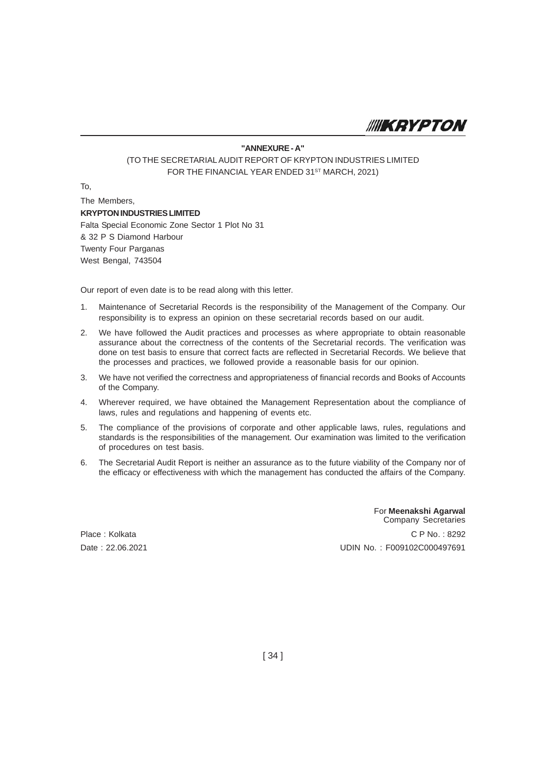

# **"ANNEXURE - A"**

(TO THE SECRETARIAL AUDIT REPORT OF KRYPTON INDUSTRIES LIMITED FOR THE FINANCIAL YEAR ENDED 31ST MARCH, 2021)

To,

The Members, **KRYPTON INDUSTRIES LIMITED** Falta Special Economic Zone Sector 1 Plot No 31 & 32 P S Diamond Harbour Twenty Four Parganas West Bengal, 743504

Our report of even date is to be read along with this letter.

- 1. Maintenance of Secretarial Records is the responsibility of the Management of the Company. Our responsibility is to express an opinion on these secretarial records based on our audit.
- 2. We have followed the Audit practices and processes as where appropriate to obtain reasonable assurance about the correctness of the contents of the Secretarial records. The verification was done on test basis to ensure that correct facts are reflected in Secretarial Records. We believe that the processes and practices, we followed provide a reasonable basis for our opinion.
- 3. We have not verified the correctness and appropriateness of financial records and Books of Accounts of the Company.
- 4. Wherever required, we have obtained the Management Representation about the compliance of laws, rules and regulations and happening of events etc.
- 5. The compliance of the provisions of corporate and other applicable laws, rules, regulations and standards is the responsibilities of the management. Our examination was limited to the verification of procedures on test basis.
- 6. The Secretarial Audit Report is neither an assurance as to the future viability of the Company nor of the efficacy or effectiveness with which the management has conducted the affairs of the Company.

For **Meenakshi Agarwal** Company Secretaries Place : Kolkata C P No. : 8292 Date : 22.06.2021 UDIN No. : F009102C000497691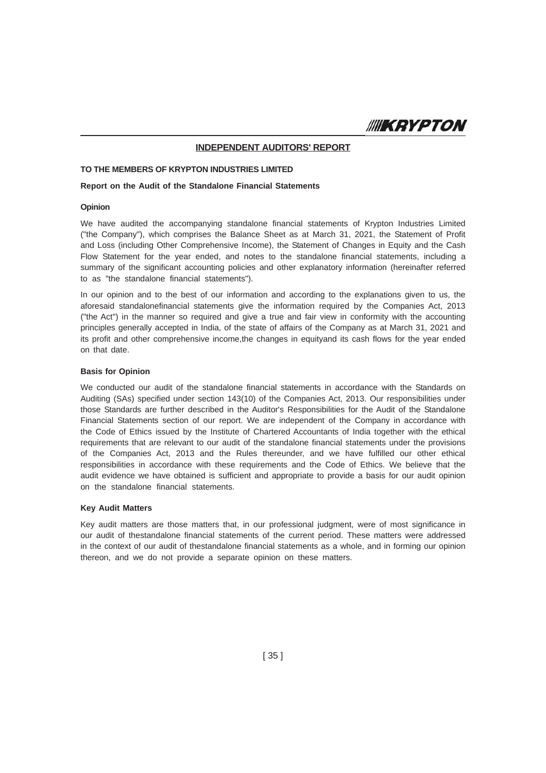WIKRYPTON

# **INDEPENDENT AUDITORS' REPORT**

#### **TO THE MEMBERS OF KRYPTON INDUSTRIES LIMITED**

#### **Report on the Audit of the Standalone Financial Statements**

#### **Opinion**

We have audited the accompanying standalone financial statements of Krypton Industries Limited ("the Company"), which comprises the Balance Sheet as at March 31, 2021, the Statement of Profit and Loss (including Other Comprehensive Income), the Statement of Changes in Equity and the Cash Flow Statement for the year ended, and notes to the standalone financial statements, including a summary of the significant accounting policies and other explanatory information (hereinafter referred to as "the standalone financial statements").

In our opinion and to the best of our information and according to the explanations given to us, the aforesaid standalonefinancial statements give the information required by the Companies Act, 2013 ("the Act") in the manner so required and give a true and fair view in conformity with the accounting principles generally accepted in India, of the state of affairs of the Company as at March 31, 2021 and its profit and other comprehensive income,the changes in equityand its cash flows for the year ended on that date.

#### **Basis for Opinion**

We conducted our audit of the standalone financial statements in accordance with the Standards on Auditing (SAs) specified under section 143(10) of the Companies Act, 2013. Our responsibilities under those Standards are further described in the Auditor's Responsibilities for the Audit of the Standalone Financial Statements section of our report. We are independent of the Company in accordance with the Code of Ethics issued by the Institute of Chartered Accountants of India together with the ethical requirements that are relevant to our audit of the standalone financial statements under the provisions of the Companies Act, 2013 and the Rules thereunder, and we have fulfilled our other ethical responsibilities in accordance with these requirements and the Code of Ethics. We believe that the audit evidence we have obtained is sufficient and appropriate to provide a basis for our audit opinion on the standalone financial statements.

## **Key Audit Matters**

Key audit matters are those matters that, in our professional judgment, were of most significance in our audit of thestandalone financial statements of the current period. These matters were addressed in the context of our audit of thestandalone financial statements as a whole, and in forming our opinion thereon, and we do not provide a separate opinion on these matters.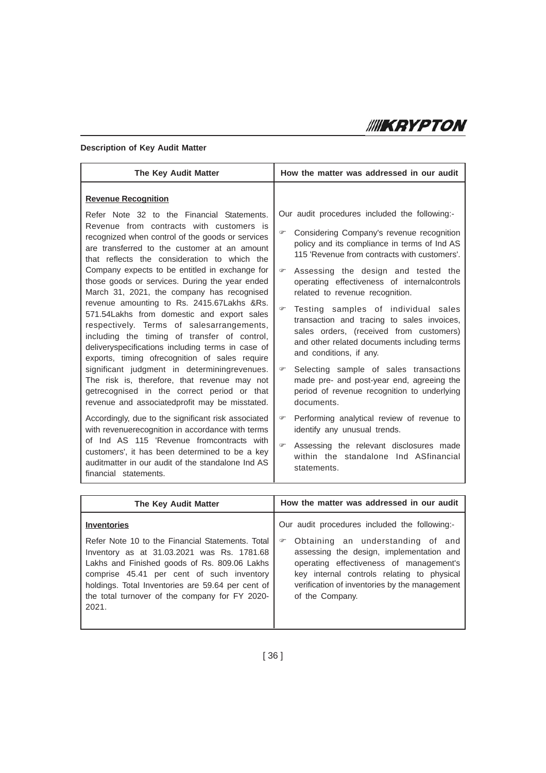

**Description of Key Audit Matter**

| <b>Revenue Recognition</b><br>Our audit procedures included the following:-<br>Refer Note 32 to the Financial Statements.<br>Revenue from contracts with customers is<br>Considering Company's revenue recognition<br>$\mathcal{C}$<br>recognized when control of the goods or services<br>policy and its compliance in terms of Ind AS<br>are transferred to the customer at an amount<br>115 'Revenue from contracts with customers'.<br>that reflects the consideration to which the<br>Company expects to be entitled in exchange for<br><b>P</b><br>Assessing the design and tested the<br>those goods or services. During the year ended<br>operating effectiveness of internalcontrols<br>March 31, 2021, the company has recognised<br>related to revenue recognition.<br>revenue amounting to Rs. 2415.67 Lakhs & Rs.<br>Testing samples of individual sales<br>œ<br>571.54 Lakhs from domestic and export sales<br>transaction and tracing to sales invoices,<br>respectively. Terms of salesarrangements,<br>sales orders, (received from customers)<br>including the timing of transfer of control,<br>and other related documents including terms<br>deliveryspecifications including terms in case of<br>and conditions, if any.<br>exports, timing ofrecognition of sales require<br>significant judgment in determiningrevenues.<br>Selecting sample of sales transactions<br>F<br>The risk is, therefore, that revenue may not<br>made pre- and post-year end, agreeing the<br>getrecognised in the correct period or that<br>period of revenue recognition to underlying<br>revenue and associatedprofit may be misstated.<br>documents.<br>Accordingly, due to the significant risk associated<br>Performing analytical review of revenue to<br>F<br>with revenuerecognition in accordance with terms<br>identify any unusual trends. | The Key Audit Matter                      | How the matter was addressed in our audit |
|----------------------------------------------------------------------------------------------------------------------------------------------------------------------------------------------------------------------------------------------------------------------------------------------------------------------------------------------------------------------------------------------------------------------------------------------------------------------------------------------------------------------------------------------------------------------------------------------------------------------------------------------------------------------------------------------------------------------------------------------------------------------------------------------------------------------------------------------------------------------------------------------------------------------------------------------------------------------------------------------------------------------------------------------------------------------------------------------------------------------------------------------------------------------------------------------------------------------------------------------------------------------------------------------------------------------------------------------------------------------------------------------------------------------------------------------------------------------------------------------------------------------------------------------------------------------------------------------------------------------------------------------------------------------------------------------------------------------------------------------------------------------------------------------------------------------------------------------------------|-------------------------------------------|-------------------------------------------|
|                                                                                                                                                                                                                                                                                                                                                                                                                                                                                                                                                                                                                                                                                                                                                                                                                                                                                                                                                                                                                                                                                                                                                                                                                                                                                                                                                                                                                                                                                                                                                                                                                                                                                                                                                                                                                                                          |                                           |                                           |
|                                                                                                                                                                                                                                                                                                                                                                                                                                                                                                                                                                                                                                                                                                                                                                                                                                                                                                                                                                                                                                                                                                                                                                                                                                                                                                                                                                                                                                                                                                                                                                                                                                                                                                                                                                                                                                                          |                                           |                                           |
|                                                                                                                                                                                                                                                                                                                                                                                                                                                                                                                                                                                                                                                                                                                                                                                                                                                                                                                                                                                                                                                                                                                                                                                                                                                                                                                                                                                                                                                                                                                                                                                                                                                                                                                                                                                                                                                          | of Ind AS 115 'Revenue fromcontracts with |                                           |

| The Key Audit Matter                              | How the matter was addressed in our audit     |
|---------------------------------------------------|-----------------------------------------------|
| <b>Inventories</b>                                | Our audit procedures included the following:- |
| Refer Note 10 to the Financial Statements. Total  | Obtaining an understanding of and             |
| Inventory as at 31.03.2021 was Rs. 1781.68        | assessing the design, implementation and      |
| Lakhs and Finished goods of Rs. 809.06 Lakhs      | operating effectiveness of management's       |
| comprise 45.41 per cent of such inventory         | key internal controls relating to physical    |
| holdings. Total Inventories are 59.64 per cent of | verification of inventories by the management |
| the total turnover of the company for FY 2020-    | of the Company.                               |
| 2021.                                             |                                               |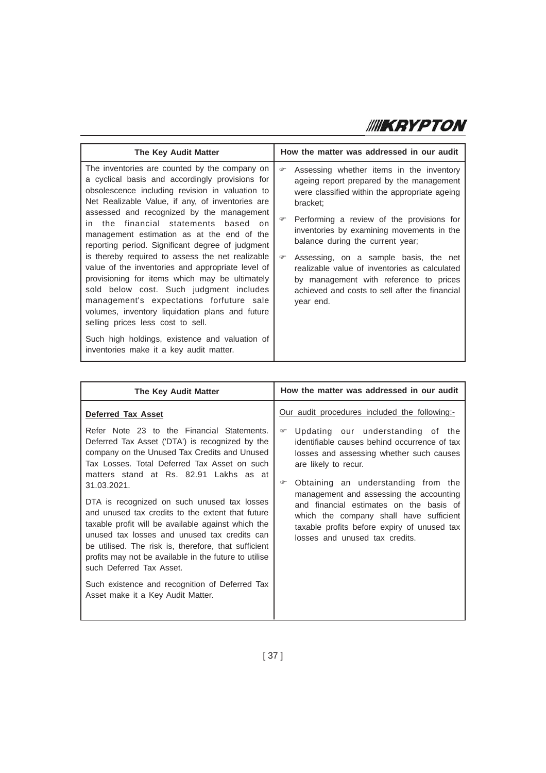# **INIKRYPTON**

| The Key Audit Matter                                                                                                                                                                                                                                                                                                                                                                                                                                                                                                                                                                                                                                                                                                                                                                                                                           | How the matter was addressed in our audit                                                                                                                                                                                                                                                                                                                                                                                                                                                                |
|------------------------------------------------------------------------------------------------------------------------------------------------------------------------------------------------------------------------------------------------------------------------------------------------------------------------------------------------------------------------------------------------------------------------------------------------------------------------------------------------------------------------------------------------------------------------------------------------------------------------------------------------------------------------------------------------------------------------------------------------------------------------------------------------------------------------------------------------|----------------------------------------------------------------------------------------------------------------------------------------------------------------------------------------------------------------------------------------------------------------------------------------------------------------------------------------------------------------------------------------------------------------------------------------------------------------------------------------------------------|
| The inventories are counted by the company on<br>a cyclical basis and accordingly provisions for<br>obsolescence including revision in valuation to<br>Net Realizable Value, if any, of inventories are<br>assessed and recognized by the management<br>in the financial statements based<br>$\cap$ n<br>management estimation as at the end of the<br>reporting period. Significant degree of judgment<br>is thereby required to assess the net realizable<br>value of the inventories and appropriate level of<br>provisioning for items which may be ultimately<br>sold below cost. Such judgment includes<br>management's expectations forfuture sale<br>volumes, inventory liquidation plans and future<br>selling prices less cost to sell.<br>Such high holdings, existence and valuation of<br>inventories make it a key audit matter. | Assessing whether items in the inventory<br>œ<br>ageing report prepared by the management<br>were classified within the appropriate ageing<br>bracket:<br>Performing a review of the provisions for<br>œ<br>inventories by examining movements in the<br>balance during the current year;<br><b>P</b><br>Assessing, on a sample basis, the net<br>realizable value of inventories as calculated<br>by management with reference to prices<br>achieved and costs to sell after the financial<br>year end. |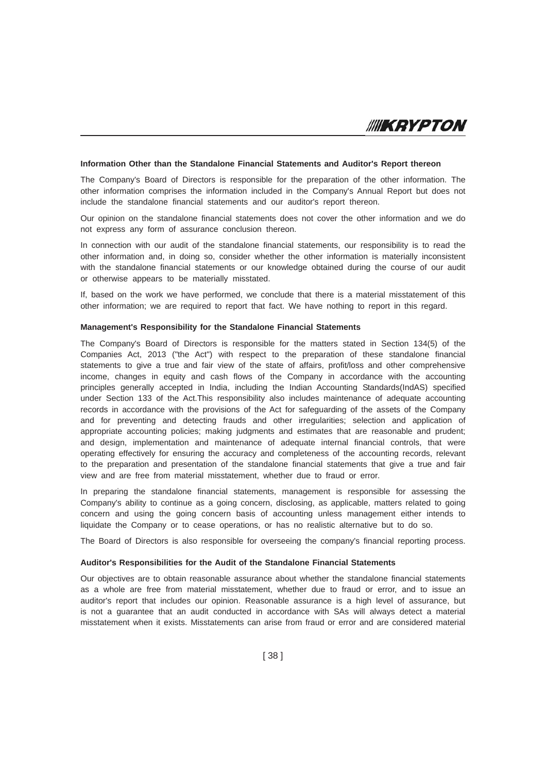#### **Information Other than the Standalone Financial Statements and Auditor's Report thereon**

The Company's Board of Directors is responsible for the preparation of the other information. The other information comprises the information included in the Company's Annual Report but does not include the standalone financial statements and our auditor's report thereon.

Our opinion on the standalone financial statements does not cover the other information and we do not express any form of assurance conclusion thereon.

In connection with our audit of the standalone financial statements, our responsibility is to read the other information and, in doing so, consider whether the other information is materially inconsistent with the standalone financial statements or our knowledge obtained during the course of our audit or otherwise appears to be materially misstated.

If, based on the work we have performed, we conclude that there is a material misstatement of this other information; we are required to report that fact. We have nothing to report in this regard.

# **Management's Responsibility for the Standalone Financial Statements**

The Company's Board of Directors is responsible for the matters stated in Section 134(5) of the Companies Act, 2013 ("the Act") with respect to the preparation of these standalone financial statements to give a true and fair view of the state of affairs, profit/loss and other comprehensive income, changes in equity and cash flows of the Company in accordance with the accounting principles generally accepted in India, including the Indian Accounting Standards(IndAS) specified under Section 133 of the Act.This responsibility also includes maintenance of adequate accounting records in accordance with the provisions of the Act for safeguarding of the assets of the Company and for preventing and detecting frauds and other irregularities; selection and application of appropriate accounting policies; making judgments and estimates that are reasonable and prudent; and design, implementation and maintenance of adequate internal financial controls, that were operating effectively for ensuring the accuracy and completeness of the accounting records, relevant to the preparation and presentation of the standalone financial statements that give a true and fair view and are free from material misstatement, whether due to fraud or error.

In preparing the standalone financial statements, management is responsible for assessing the Company's ability to continue as a going concern, disclosing, as applicable, matters related to going concern and using the going concern basis of accounting unless management either intends to liquidate the Company or to cease operations, or has no realistic alternative but to do so.

The Board of Directors is also responsible for overseeing the company's financial reporting process.

### **Auditor's Responsibilities for the Audit of the Standalone Financial Statements**

Our objectives are to obtain reasonable assurance about whether the standalone financial statements as a whole are free from material misstatement, whether due to fraud or error, and to issue an auditor's report that includes our opinion. Reasonable assurance is a high level of assurance, but is not a guarantee that an audit conducted in accordance with SAs will always detect a material misstatement when it exists. Misstatements can arise from fraud or error and are considered material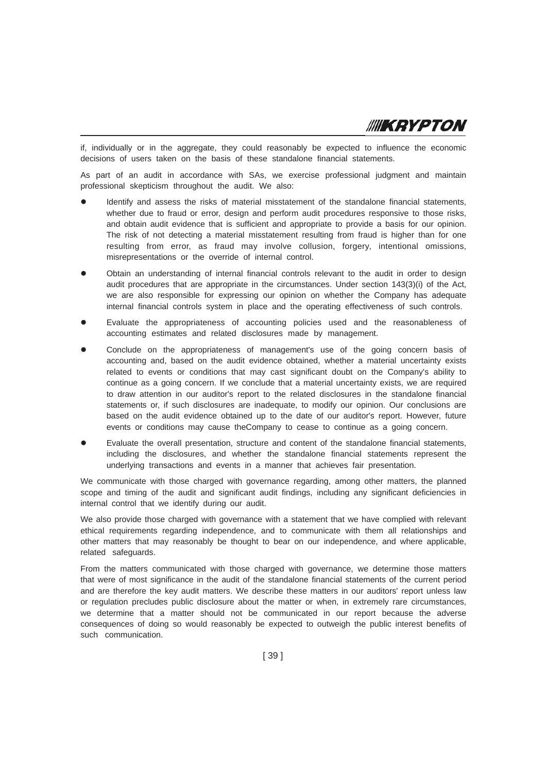if, individually or in the aggregate, they could reasonably be expected to influence the economic decisions of users taken on the basis of these standalone financial statements.

As part of an audit in accordance with SAs, we exercise professional judgment and maintain professional skepticism throughout the audit. We also:

- Identify and assess the risks of material misstatement of the standalone financial statements, whether due to fraud or error, design and perform audit procedures responsive to those risks, and obtain audit evidence that is sufficient and appropriate to provide a basis for our opinion. The risk of not detecting a material misstatement resulting from fraud is higher than for one resulting from error, as fraud may involve collusion, forgery, intentional omissions, misrepresentations or the override of internal control.
- Obtain an understanding of internal financial controls relevant to the audit in order to design audit procedures that are appropriate in the circumstances. Under section 143(3)(i) of the Act, we are also responsible for expressing our opinion on whether the Company has adequate internal financial controls system in place and the operating effectiveness of such controls.
- Evaluate the appropriateness of accounting policies used and the reasonableness of accounting estimates and related disclosures made by management.
- Conclude on the appropriateness of management's use of the going concern basis of accounting and, based on the audit evidence obtained, whether a material uncertainty exists related to events or conditions that may cast significant doubt on the Company's ability to continue as a going concern. If we conclude that a material uncertainty exists, we are required to draw attention in our auditor's report to the related disclosures in the standalone financial statements or, if such disclosures are inadequate, to modify our opinion. Our conclusions are based on the audit evidence obtained up to the date of our auditor's report. However, future events or conditions may cause theCompany to cease to continue as a going concern.
- Evaluate the overall presentation, structure and content of the standalone financial statements, including the disclosures, and whether the standalone financial statements represent the underlying transactions and events in a manner that achieves fair presentation.

We communicate with those charged with governance regarding, among other matters, the planned scope and timing of the audit and significant audit findings, including any significant deficiencies in internal control that we identify during our audit.

We also provide those charged with governance with a statement that we have complied with relevant ethical requirements regarding independence, and to communicate with them all relationships and other matters that may reasonably be thought to bear on our independence, and where applicable, related safeguards.

From the matters communicated with those charged with governance, we determine those matters that were of most significance in the audit of the standalone financial statements of the current period and are therefore the key audit matters. We describe these matters in our auditors' report unless law or regulation precludes public disclosure about the matter or when, in extremely rare circumstances, we determine that a matter should not be communicated in our report because the adverse consequences of doing so would reasonably be expected to outweigh the public interest benefits of such communication.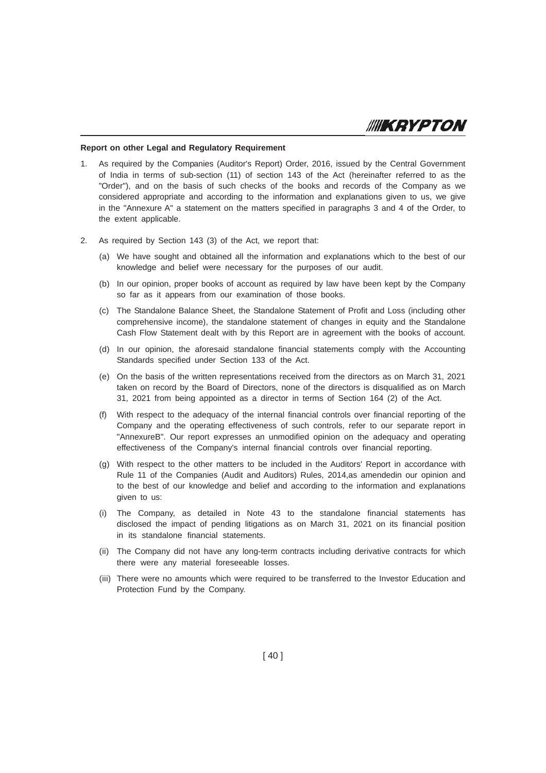# **Report on other Legal and Regulatory Requirement**

- 1. As required by the Companies (Auditor's Report) Order, 2016, issued by the Central Government of India in terms of sub-section (11) of section 143 of the Act (hereinafter referred to as the "Order"), and on the basis of such checks of the books and records of the Company as we considered appropriate and according to the information and explanations given to us, we give in the "Annexure A" a statement on the matters specified in paragraphs 3 and 4 of the Order, to the extent applicable.
- 2. As required by Section 143 (3) of the Act, we report that:
	- (a) We have sought and obtained all the information and explanations which to the best of our knowledge and belief were necessary for the purposes of our audit.
	- (b) In our opinion, proper books of account as required by law have been kept by the Company so far as it appears from our examination of those books.
	- (c) The Standalone Balance Sheet, the Standalone Statement of Profit and Loss (including other comprehensive income), the standalone statement of changes in equity and the Standalone Cash Flow Statement dealt with by this Report are in agreement with the books of account.
	- (d) In our opinion, the aforesaid standalone financial statements comply with the Accounting Standards specified under Section 133 of the Act.
	- (e) On the basis of the written representations received from the directors as on March 31, 2021 taken on record by the Board of Directors, none of the directors is disqualified as on March 31, 2021 from being appointed as a director in terms of Section 164 (2) of the Act.
	- (f) With respect to the adequacy of the internal financial controls over financial reporting of the Company and the operating effectiveness of such controls, refer to our separate report in "AnnexureB". Our report expresses an unmodified opinion on the adequacy and operating effectiveness of the Company's internal financial controls over financial reporting.
	- (g) With respect to the other matters to be included in the Auditors' Report in accordance with Rule 11 of the Companies (Audit and Auditors) Rules, 2014,as amendedin our opinion and to the best of our knowledge and belief and according to the information and explanations given to us:
	- (i) The Company, as detailed in Note 43 to the standalone financial statements has disclosed the impact of pending litigations as on March 31, 2021 on its financial position in its standalone financial statements.
	- (ii) The Company did not have any long-term contracts including derivative contracts for which there were any material foreseeable losses.
	- (iii) There were no amounts which were required to be transferred to the Investor Education and Protection Fund by the Company.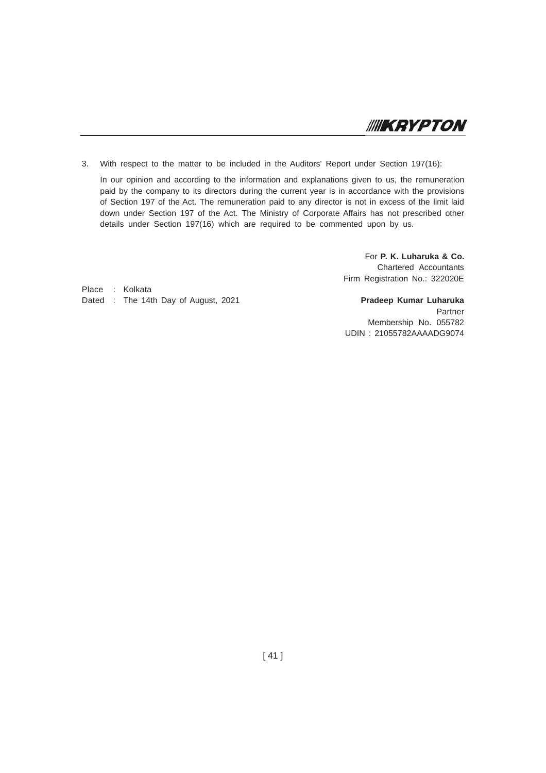3. With respect to the matter to be included in the Auditors' Report under Section 197(16):

In our opinion and according to the information and explanations given to us, the remuneration paid by the company to its directors during the current year is in accordance with the provisions of Section 197 of the Act. The remuneration paid to any director is not in excess of the limit laid down under Section 197 of the Act. The Ministry of Corporate Affairs has not prescribed other details under Section 197(16) which are required to be commented upon by us.

> For **P. K. Luharuka & Co.** Chartered Accountants Firm Registration No.: 322020E

Place : Kolkata Dated : The 14th Day of August, 2021 **Pradeep Kumar Luharuka** 

Partner Membership No. 055782 UDIN : 21055782AAAADG9074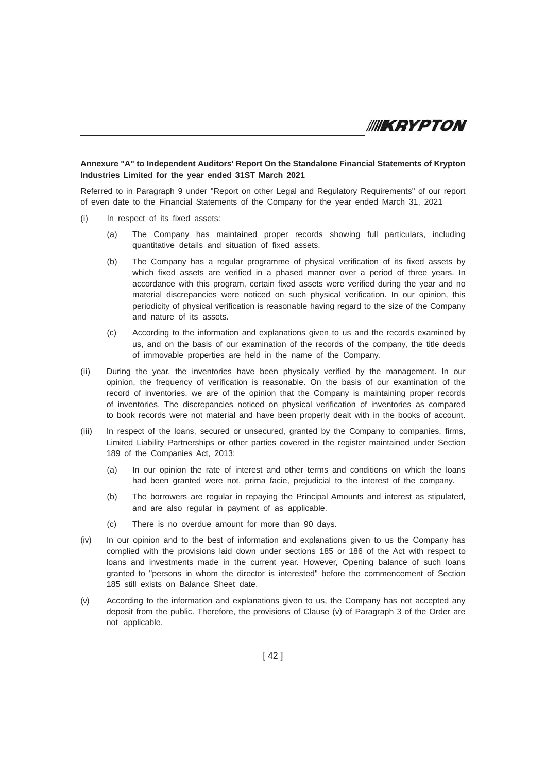# **Annexure "A" to Independent Auditors' Report On the Standalone Financial Statements of Krypton Industries Limited for the year ended 31ST March 2021**

Referred to in Paragraph 9 under "Report on other Legal and Regulatory Requirements" of our report of even date to the Financial Statements of the Company for the year ended March 31, 2021

- (i) In respect of its fixed assets:
	- (a) The Company has maintained proper records showing full particulars, including quantitative details and situation of fixed assets.
	- (b) The Company has a regular programme of physical verification of its fixed assets by which fixed assets are verified in a phased manner over a period of three years. In accordance with this program, certain fixed assets were verified during the year and no material discrepancies were noticed on such physical verification. In our opinion, this periodicity of physical verification is reasonable having regard to the size of the Company and nature of its assets.
	- (c) According to the information and explanations given to us and the records examined by us, and on the basis of our examination of the records of the company, the title deeds of immovable properties are held in the name of the Company.
- (ii) During the year, the inventories have been physically verified by the management. In our opinion, the frequency of verification is reasonable. On the basis of our examination of the record of inventories, we are of the opinion that the Company is maintaining proper records of inventories. The discrepancies noticed on physical verification of inventories as compared to book records were not material and have been properly dealt with in the books of account.
- (iii) In respect of the loans, secured or unsecured, granted by the Company to companies, firms, Limited Liability Partnerships or other parties covered in the register maintained under Section 189 of the Companies Act, 2013:
	- (a) In our opinion the rate of interest and other terms and conditions on which the loans had been granted were not, prima facie, prejudicial to the interest of the company.
	- (b) The borrowers are regular in repaying the Principal Amounts and interest as stipulated, and are also regular in payment of as applicable.
	- (c) There is no overdue amount for more than 90 days.
- (iv) In our opinion and to the best of information and explanations given to us the Company has complied with the provisions laid down under sections 185 or 186 of the Act with respect to loans and investments made in the current year. However, Opening balance of such loans granted to "persons in whom the director is interested" before the commencement of Section 185 still exists on Balance Sheet date.
- (v) According to the information and explanations given to us, the Company has not accepted any deposit from the public. Therefore, the provisions of Clause (v) of Paragraph 3 of the Order are not applicable.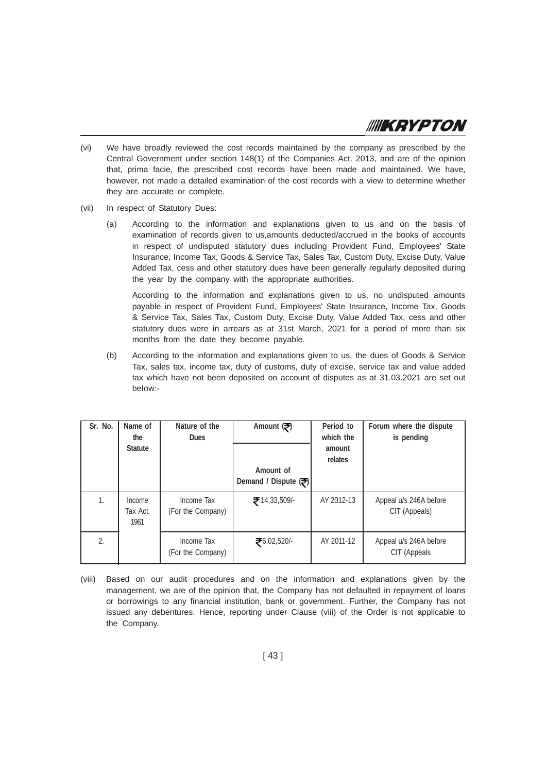- (vi) We have broadly reviewed the cost records maintained by the company as prescribed by the Central Government under section 148(1) of the Companies Act, 2013, and are of the opinion that, prima facie, the prescribed cost records have been made and maintained. We have, however, not made a detailed examination of the cost records with a view to determine whether they are accurate or complete.
- (vii) In respect of Statutory Dues:
	- (a) According to the information and explanations given to us and on the basis of examination of records given to us,amounts deducted/accrued in the books of accounts in respect of undisputed statutory dues including Provident Fund, Employees' State Insurance, Income Tax, Goods & Service Tax, Sales Tax, Custom Duty, Excise Duty, Value Added Tax, cess and other statutory dues have been generally regularly deposited during the year by the company with the appropriate authorities.

According to the information and explanations given to us, no undisputed amounts payable in respect of Provident Fund, Employees' State Insurance, Income Tax, Goods & Service Tax, Sales Tax, Custom Duty, Excise Duty, Value Added Tax, cess and other statutory dues were in arrears as at 31st March, 2021 for a period of more than six months from the date they become payable.

(b) According to the information and explanations given to us, the dues of Goods & Service Tax, sales tax, income tax, duty of customs, duty of excise, service tax and value added tax which have not been deposited on account of disputes as at 31.03.2021 are set out below:-

| Sr. No. | Name of<br>the<br><b>Statute</b> | Nature of the<br><b>Dues</b>    | Amount (ラ)<br>Amount of<br>Demand / Dispute ( $\overline{\overline{C}}$ ) | Period to<br>which the<br>amount<br>relates | Forum where the dispute<br>is pending   |
|---------|----------------------------------|---------------------------------|---------------------------------------------------------------------------|---------------------------------------------|-----------------------------------------|
| 1.      | Income<br>Tax Act.<br>1961       | Income Tax<br>(For the Company) | ₹14,33,509/-                                                              | AY 2012-13                                  | Appeal u/s 246A before<br>CIT (Appeals) |
| 2.      |                                  | Income Tax<br>(For the Company) | ₹6,02,520/-                                                               | AY 2011-12                                  | Appeal u/s 246A before<br>CIT (Appeals  |

(viii) Based on our audit procedures and on the information and explanations given by the management, we are of the opinion that, the Company has not defaulted in repayment of loans or borrowings to any financial institution, bank or government. Further, the Company has not issued any debentures. Hence, reporting under Clause (viii) of the Order is not applicable to the Company.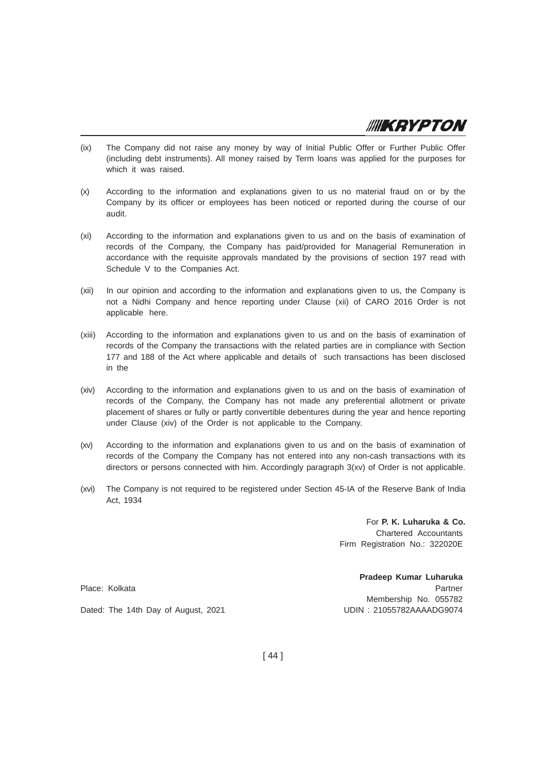

- (ix) The Company did not raise any money by way of Initial Public Offer or Further Public Offer (including debt instruments). All money raised by Term loans was applied for the purposes for which it was raised.
- (x) According to the information and explanations given to us no material fraud on or by the Company by its officer or employees has been noticed or reported during the course of our audit.
- (xi) According to the information and explanations given to us and on the basis of examination of records of the Company, the Company has paid/provided for Managerial Remuneration in accordance with the requisite approvals mandated by the provisions of section 197 read with Schedule V to the Companies Act.
- (xii) In our opinion and according to the information and explanations given to us, the Company is not a Nidhi Company and hence reporting under Clause (xii) of CARO 2016 Order is not applicable here.
- (xiii) According to the information and explanations given to us and on the basis of examination of records of the Company the transactions with the related parties are in compliance with Section 177 and 188 of the Act where applicable and details of such transactions has been disclosed in the
- (xiv) According to the information and explanations given to us and on the basis of examination of records of the Company, the Company has not made any preferential allotment or private placement of shares or fully or partly convertible debentures during the year and hence reporting under Clause (xiv) of the Order is not applicable to the Company.
- (xv) According to the information and explanations given to us and on the basis of examination of records of the Company the Company has not entered into any non-cash transactions with its directors or persons connected with him. Accordingly paragraph 3(xv) of Order is not applicable.
- (xvi) The Company is not required to be registered under Section 45-IA of the Reserve Bank of India Act, 1934

For **P. K. Luharuka & Co.** Chartered Accountants Firm Registration No.: 322020E

**Pradeep Kumar Luharuka** Place: Kolkata Partner Partner Partner Partner Partner Partner Partner Partner Partner Partner Partner Partner Membership No. 055782

Dated: The 14th Day of August, 2021 UDIN : 21055782AAAADG9074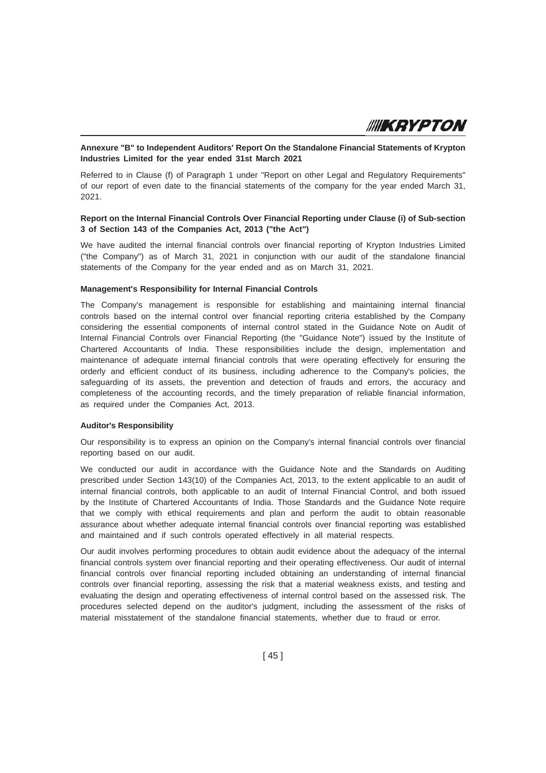

# **Annexure "B" to Independent Auditors' Report On the Standalone Financial Statements of Krypton Industries Limited for the year ended 31st March 2021**

Referred to in Clause (f) of Paragraph 1 under "Report on other Legal and Regulatory Requirements" of our report of even date to the financial statements of the company for the year ended March 31, 2021.

# **Report on the Internal Financial Controls Over Financial Reporting under Clause (i) of Sub-section 3 of Section 143 of the Companies Act, 2013 ("the Act")**

We have audited the internal financial controls over financial reporting of Krypton Industries Limited ("the Company") as of March 31, 2021 in conjunction with our audit of the standalone financial statements of the Company for the year ended and as on March 31, 2021.

# **Management's Responsibility for Internal Financial Controls**

The Company's management is responsible for establishing and maintaining internal financial controls based on the internal control over financial reporting criteria established by the Company considering the essential components of internal control stated in the Guidance Note on Audit of Internal Financial Controls over Financial Reporting (the "Guidance Note") issued by the Institute of Chartered Accountants of India. These responsibilities include the design, implementation and maintenance of adequate internal financial controls that were operating effectively for ensuring the orderly and efficient conduct of its business, including adherence to the Company's policies, the safeguarding of its assets, the prevention and detection of frauds and errors, the accuracy and completeness of the accounting records, and the timely preparation of reliable financial information, as required under the Companies Act, 2013.

# **Auditor's Responsibility**

Our responsibility is to express an opinion on the Company's internal financial controls over financial reporting based on our audit.

We conducted our audit in accordance with the Guidance Note and the Standards on Auditing prescribed under Section 143(10) of the Companies Act, 2013, to the extent applicable to an audit of internal financial controls, both applicable to an audit of Internal Financial Control, and both issued by the Institute of Chartered Accountants of India. Those Standards and the Guidance Note require that we comply with ethical requirements and plan and perform the audit to obtain reasonable assurance about whether adequate internal financial controls over financial reporting was established and maintained and if such controls operated effectively in all material respects.

Our audit involves performing procedures to obtain audit evidence about the adequacy of the internal financial controls system over financial reporting and their operating effectiveness. Our audit of internal financial controls over financial reporting included obtaining an understanding of internal financial controls over financial reporting, assessing the risk that a material weakness exists, and testing and evaluating the design and operating effectiveness of internal control based on the assessed risk. The procedures selected depend on the auditor's judgment, including the assessment of the risks of material misstatement of the standalone financial statements, whether due to fraud or error.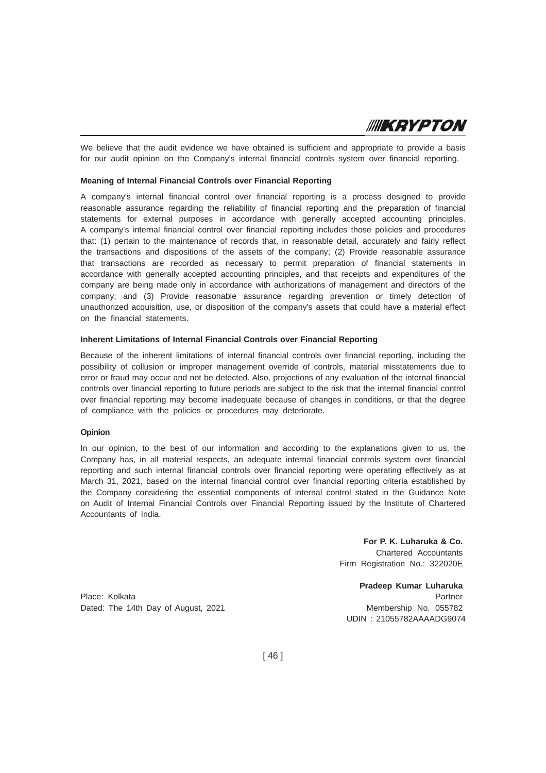We believe that the audit evidence we have obtained is sufficient and appropriate to provide a basis for our audit opinion on the Company's internal financial controls system over financial reporting.

# **Meaning of Internal Financial Controls over Financial Reporting**

A company's internal financial control over financial reporting is a process designed to provide reasonable assurance regarding the reliability of financial reporting and the preparation of financial statements for external purposes in accordance with generally accepted accounting principles. A company's internal financial control over financial reporting includes those policies and procedures that: (1) pertain to the maintenance of records that, in reasonable detail, accurately and fairly reflect the transactions and dispositions of the assets of the company; (2) Provide reasonable assurance that transactions are recorded as necessary to permit preparation of financial statements in accordance with generally accepted accounting principles, and that receipts and expenditures of the company are being made only in accordance with authorizations of management and directors of the company; and (3) Provide reasonable assurance regarding prevention or timely detection of unauthorized acquisition, use, or disposition of the company's assets that could have a material effect on the financial statements.

# **Inherent Limitations of Internal Financial Controls over Financial Reporting**

Because of the inherent limitations of internal financial controls over financial reporting, including the possibility of collusion or improper management override of controls, material misstatements due to error or fraud may occur and not be detected. Also, projections of any evaluation of the internal financial controls over financial reporting to future periods are subject to the risk that the internal financial control over financial reporting may become inadequate because of changes in conditions, or that the degree of compliance with the policies or procedures may deteriorate.

### **Opinion**

In our opinion, to the best of our information and according to the explanations given to us, the Company has, in all material respects, an adequate internal financial controls system over financial reporting and such internal financial controls over financial reporting were operating effectively as at March 31, 2021, based on the internal financial control over financial reporting criteria established by the Company considering the essential components of internal control stated in the Guidance Note on Audit of Internal Financial Controls over Financial Reporting issued by the Institute of Chartered Accountants of India.

> **For P. K. Luharuka & Co.** Chartered Accountants Firm Registration No.: 322020E

Place: Kolkata Partner Dated: The 14th Day of August, 2021 Membership No. 055782

**Pradeep Kumar Luharuka** UDIN : 21055782AAAADG9074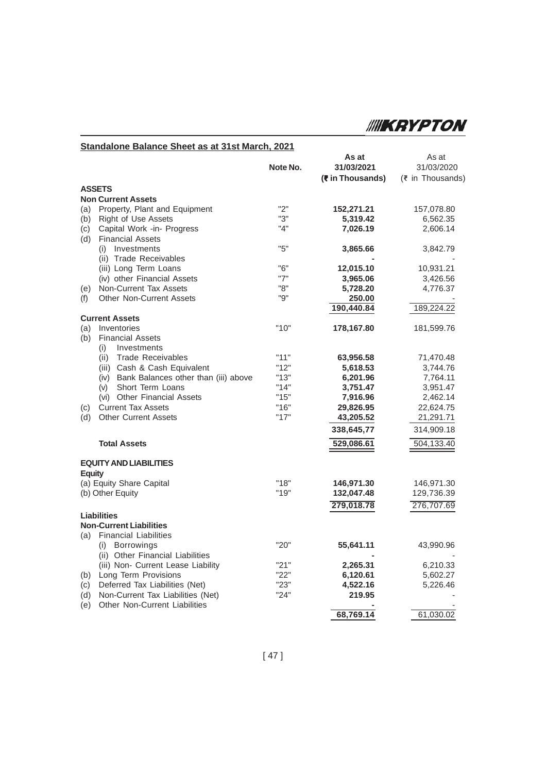# **As at** As at  **Note No. 31/03/2021** 31/03/2020 **(" in Thousands)** (**"** in Thousands) **ASSETS Non Current Assets** (a) Property, Plant and Equipment "2" **152,271.21** 157,078.80 (b) Right of Use Assets "3" **5,319.42** 6,562.35 (c) Capital Work -in- Progress "4" **7,026.19** 2,606.14 (d) Financial Assets (i) Investments "5" **3,865.66** 3,842.79 (ii) Trade Receivables **-** - (iii) Long Term Loans **1978.**<br>
(iv) other Financial Assets **1978** (iv) other Financial Assets "7" **3,965.06** 3,426.56 (e) Non-Current Tax Assets "8" **5,728.20** 4,776.37 (f) Other Non-Current Assets "9" **250.00** - **190,440.84** 189,224.22 **Current Assets** (a) Inventories "10" **178,167.80** 181,599.76 (b) Financial Assets (i) Investments (ii) Trade Receivables "11" **63,956.58** 71,470.48 (iii) Cash & Cash Equivalent  $\begin{array}{ccc}\n\text{(iii)} & \text{Cash 8} \\
\text{(iv)} & \text{Bank Balances other than (iii)}\n\end{array}$  above  $\begin{array}{ccc}\n\text{#12}^{\text{#}} & \text{#5,618.53} \\
\text{#13}^{\text{#}} & \text{#6,201.96}\n\end{array}$  7,764.11 (iv) Bank Balances other than (iii) above "13" **6,201.96** 7,764.11 (v) Short Term Loans (vi) Other Financial Assets "15" **7,916.96** 2,462.14 (c) Current Tax Assets "16" **29,826.95** 22,624.75 (d) Other Current Assets "17" **43,205.52** 21,291.71 **338,645,77** 314,909.18 **Total Assets** 529,086.61 504,133.40 **EQUITY AND LIABILITIES Equity** (a) Equity Share Capital "18" **146,971.30** 146,971.30 (b) Other Equity "19" **132,047.48** 129,736.39 **279,018.78** 276,707.69 **Liabilities Non-Current Liabilities** (a) Financial Liabilities (i) Borrowings "20" **55,641.11** 43,990.96 (ii) Other Financial Liabilities (iii) Non- Current Lease Liability "21" **2,265.31** 6,210.33 (b) Long Term Provisions "22" **6,120.61** 5,602.27 (c) Deferred Tax Liabilities (Net) "23" **4,522.16** 5,226.46 (d) Non-Current Tax Liabilities (Net) "24" **219.95** - (e) Other Non-Current Liabilities **-** -  $68,769.14$

**Standalone Balance Sheet as at 31st March, 2021**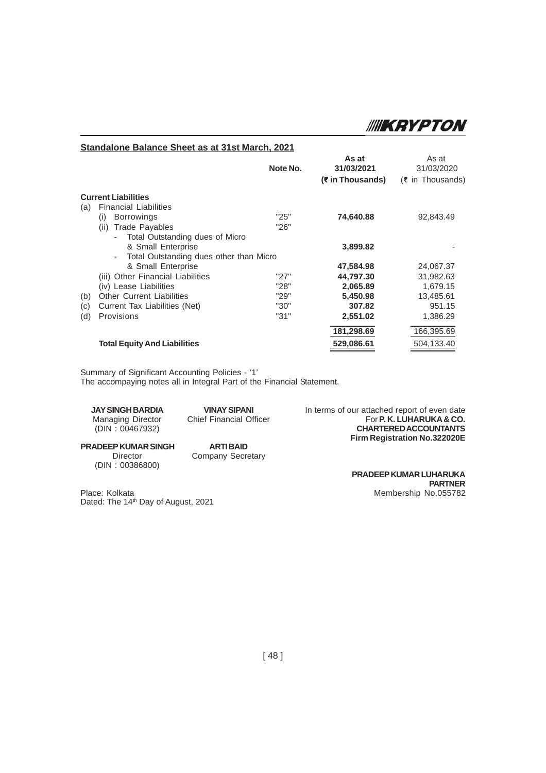# **Standalone Balance Sheet as at 31st March, 2021**

|     |                                         | Note No. | As at<br>31/03/2021 | As at<br>31/03/2020 |
|-----|-----------------------------------------|----------|---------------------|---------------------|
|     |                                         |          | (₹ in Thousands)    | (₹ in Thousands)    |
|     | <b>Current Liabilities</b>              |          |                     |                     |
| (a) | <b>Financial Liabilities</b>            |          |                     |                     |
|     | <b>Borrowings</b><br>(i)                | "25"     | 74,640.88           | 92,843.49           |
|     | <b>Trade Payables</b><br>(ii)           | "26"     |                     |                     |
|     | Total Outstanding dues of Micro         |          |                     |                     |
|     | & Small Enterprise                      |          | 3,899.82            |                     |
|     | Total Outstanding dues other than Micro |          |                     |                     |
|     | & Small Enterprise                      |          | 47,584.98           | 24,067.37           |
|     | (iii) Other Financial Liabilities       | "27"     | 44,797.30           | 31,982.63           |
|     | (iv) Lease Liabilities                  | "28"     | 2,065.89            | 1,679.15            |
| (b) | <b>Other Current Liabilities</b>        | "29"     | 5,450.98            | 13,485.61           |
| (c) | Current Tax Liabilities (Net)           | "30"     | 307.82              | 951.15              |
| (d) | Provisions                              | "31"     | 2,551.02            | 1,386.29            |
|     |                                         |          | 181,298.69          | 166,395.69          |
|     | <b>Total Equity And Liabilities</b>     |          | 529,086.61          | 504,133.40          |

Summary of Significant Accounting Policies - '1' The accompaying notes all in Integral Part of the Financial Statement.

| <b>JAY SINGH BARDIA</b>    | <b>VINAY SIPANI</b>            | In terms of our attached report of even date |
|----------------------------|--------------------------------|----------------------------------------------|
| Managing Director          | <b>Chief Financial Officer</b> | For P. K. LUHARUKA & CO.                     |
| (DIN: 00467932)            |                                | <b>CHARTERED ACCOUNTANTS</b>                 |
|                            |                                | Firm Registration No.322020E                 |
| <b>PRADEEP KUMAR SINGH</b> | <b>ARTIBAID</b>                |                                              |
| Director                   | Company Secretary              |                                              |
| (DIN: 00386800)            |                                | <b>DD A NEED IZI IMA D I I ILIA DI ILZ A</b> |

Place: Kolkata Membership No.055782 Dated: The 14<sup>th</sup> Day of August, 2021

**PRADEEP KUMAR LUHARUKA PARTNER**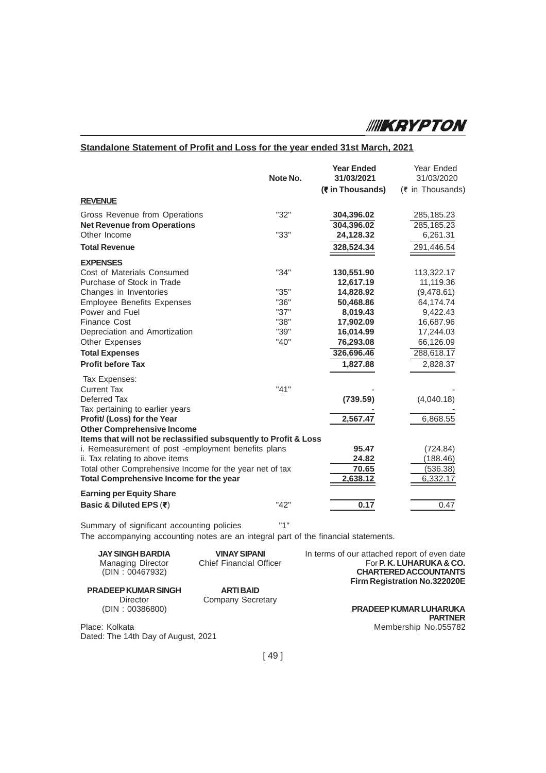# **INKRYPTON**

|                                                                                                                                                                                                                                                                                             | Note No.                                             | <b>Year Ended</b><br>31/03/2021<br>(₹ in Thousands)                                                                            | Year Ended<br>31/03/2020<br>(₹ in Thousands)                                                                                    |
|---------------------------------------------------------------------------------------------------------------------------------------------------------------------------------------------------------------------------------------------------------------------------------------------|------------------------------------------------------|--------------------------------------------------------------------------------------------------------------------------------|---------------------------------------------------------------------------------------------------------------------------------|
| <b>REVENUE</b>                                                                                                                                                                                                                                                                              |                                                      |                                                                                                                                |                                                                                                                                 |
| Gross Revenue from Operations<br><b>Net Revenue from Operations</b><br>Other Income                                                                                                                                                                                                         | "32"<br>"33"                                         | 304,396.02<br>304,396.02<br>24,128.32                                                                                          | 285,185.23<br>285,185.23<br>6,261.31                                                                                            |
|                                                                                                                                                                                                                                                                                             |                                                      |                                                                                                                                |                                                                                                                                 |
| <b>Total Revenue</b>                                                                                                                                                                                                                                                                        |                                                      | 328,524.34                                                                                                                     | 291,446.54                                                                                                                      |
| <b>EXPENSES</b><br>Cost of Materials Consumed<br>Purchase of Stock in Trade<br>Changes in Inventories<br><b>Employee Benefits Expenses</b><br>Power and Fuel<br><b>Finance Cost</b><br>Depreciation and Amortization<br>Other Expenses<br><b>Total Expenses</b><br><b>Profit before Tax</b> | "34"<br>"35"<br>"36"<br>"37"<br>"38"<br>"39"<br>"40" | 130,551.90<br>12,617.19<br>14,828.92<br>50,468.86<br>8,019.43<br>17,902.09<br>16,014.99<br>76,293.08<br>326,696.46<br>1,827.88 | 113,322.17<br>11,119.36<br>(9,478.61)<br>64,174.74<br>9,422.43<br>16,687.96<br>17,244.03<br>66,126.09<br>288,618.17<br>2,828.37 |
| Tax Expenses:<br><b>Current Tax</b><br>Deferred Tax<br>Tax pertaining to earlier years<br>Profit/ (Loss) for the Year<br><b>Other Comprehensive Income</b>                                                                                                                                  | "41"                                                 | (739.59)<br>2,567.47                                                                                                           | (4,040.18)<br>6,868.55                                                                                                          |
| Items that will not be reclassified subsquently to Profit & Loss<br>i. Remeasurement of post -employment benefits plans<br>ii. Tax relating to above items<br>Total other Comprehensive Income for the year net of tax<br>Total Comprehensive Income for the year                           |                                                      | 95.47<br>24.82<br>70.65<br>2,638.12                                                                                            | (724.84)<br>(188.46)<br>(536.38)<br>6,332.17                                                                                    |
| <b>Earning per Equity Share</b><br>Basic & Diluted EPS (₹)                                                                                                                                                                                                                                  | "42"                                                 | 0.17                                                                                                                           | 0.47                                                                                                                            |
| Summary of significant accounting policies                                                                                                                                                                                                                                                  | "1"                                                  |                                                                                                                                |                                                                                                                                 |

# **Standalone Statement of Profit and Loss for the year ended 31st March, 2021**

The accompanying accounting notes are an integral part of the financial statements.

| <b>JAY SINGH BARDIA</b><br><b>Managing Director</b><br>(DIN: 00467932) | <b>VINAY SIPANI</b><br><b>Chief Financial Officer</b> | In terms of our attached report of even date<br>For P. K. LUHARUKA & CO.<br><b>CHARTERED ACCOUNTANTS</b><br>Firm Registration No.322020E |
|------------------------------------------------------------------------|-------------------------------------------------------|------------------------------------------------------------------------------------------------------------------------------------------|
| <b>PRADEEP KUMAR SINGH</b><br>Director<br>(DIN: 00386800)              | <b>ARTIBAID</b><br>Company Secretary                  | <b>PRADEEP KUMAR LUHARUKA</b>                                                                                                            |
| Place: Kolkata<br>Dated: The 14th Day of August, 2021                  |                                                       | <b>PARTNER</b><br>Membership No.055782                                                                                                   |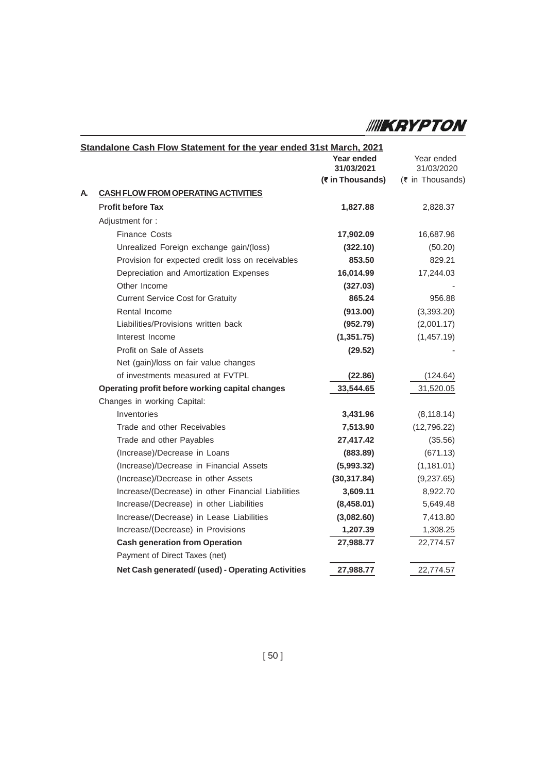# **INIKRYPTON**

|    | Standalone Cash Flow Statement for the year ended 31st March, 2021 | Year ended<br>31/03/2021 | Year ended<br>31/03/2020 |
|----|--------------------------------------------------------------------|--------------------------|--------------------------|
|    |                                                                    | (₹ in Thousands)         | (₹ in Thousands)         |
| А. | <b>CASH FLOW FROM OPERATING ACTIVITIES</b>                         |                          |                          |
|    | <b>Profit before Tax</b>                                           | 1,827.88                 | 2,828.37                 |
|    | Adjustment for:                                                    |                          |                          |
|    | <b>Finance Costs</b>                                               | 17,902.09                | 16,687.96                |
|    | Unrealized Foreign exchange gain/(loss)                            | (322.10)                 | (50.20)                  |
|    | Provision for expected credit loss on receivables                  | 853.50                   | 829.21                   |
|    | Depreciation and Amortization Expenses                             | 16,014.99                | 17,244.03                |
|    | Other Income                                                       | (327.03)                 |                          |
|    | <b>Current Service Cost for Gratuity</b>                           | 865.24                   | 956.88                   |
|    | Rental Income                                                      | (913.00)                 | (3,393.20)               |
|    | Liabilities/Provisions written back                                | (952.79)                 | (2,001.17)               |
|    | Interest Income                                                    | (1, 351.75)              | (1,457.19)               |
|    | Profit on Sale of Assets                                           | (29.52)                  |                          |
|    | Net (gain)/loss on fair value changes                              |                          |                          |
|    | of investments measured at FVTPL                                   | (22.86)                  | (124.64)                 |
|    | Operating profit before working capital changes                    | 33,544.65                | 31,520.05                |
|    | Changes in working Capital:                                        |                          |                          |
|    | Inventories                                                        | 3,431.96                 | (8, 118.14)              |
|    | Trade and other Receivables                                        | 7,513.90                 | (12,796.22)              |
|    | Trade and other Payables                                           | 27,417.42                | (35.56)                  |
|    | (Increase)/Decrease in Loans                                       | (883.89)                 | (671.13)                 |
|    | (Increase)/Decrease in Financial Assets                            | (5,993.32)               | (1, 181.01)              |
|    | (Increase)/Decrease in other Assets                                | (30, 317.84)             | (9,237.65)               |
|    | Increase/(Decrease) in other Financial Liabilities                 | 3,609.11                 | 8,922.70                 |
|    | Increase/(Decrease) in other Liabilities                           | (8,458.01)               | 5,649.48                 |
|    | Increase/(Decrease) in Lease Liabilities                           | (3,082.60)               | 7,413.80                 |
|    | Increase/(Decrease) in Provisions                                  | 1,207.39                 | 1,308.25                 |
|    | <b>Cash generation from Operation</b>                              | 27,988.77                | 22,774.57                |
|    | Payment of Direct Taxes (net)                                      |                          |                          |
|    | Net Cash generated/ (used) - Operating Activities                  | 27,988.77                | 22,774.57                |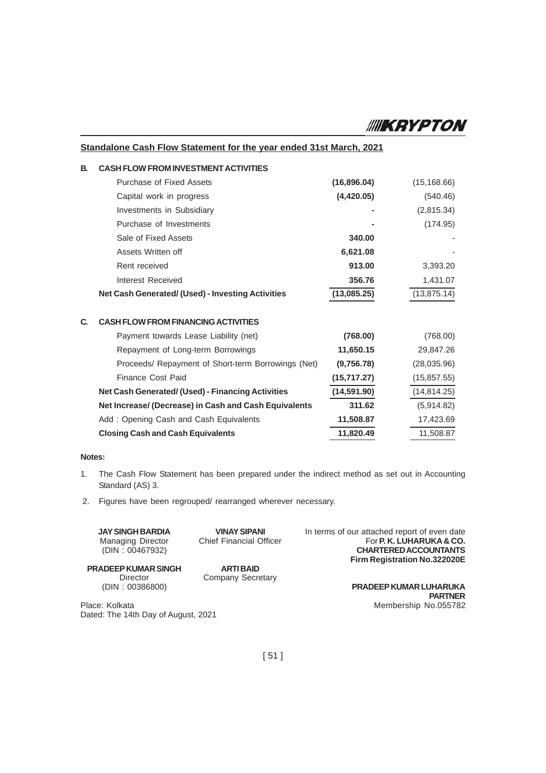# **Standalone Cash Flow Statement for the year ended 31st March, 2021**

# **B. CASH FLOW FROM INVESTMENT ACTIVITIES**

|    | Purchase of Fixed Assets                              | (16,896.04) | (15, 168.66) |
|----|-------------------------------------------------------|-------------|--------------|
|    | Capital work in progress                              | (4,420.05)  | (540.46)     |
|    | Investments in Subsidiary                             |             | (2,815.34)   |
|    | Purchase of Investments                               |             | (174.95)     |
|    | Sale of Fixed Assets                                  | 340.00      |              |
|    | Assets Written off                                    | 6,621.08    |              |
|    | Rent received                                         | 913.00      | 3,393.20     |
|    | Interest Received                                     | 356.76      | 1,431.07     |
|    | Net Cash Generated/ (Used) - Investing Activities     | (13,085.25) | (13, 875.14) |
| C. | <b>CASH FLOW FROM FINANCING ACTIVITIES</b>            |             |              |
|    | Payment towards Lease Liability (net)                 | (768.00)    | (768.00)     |
|    | Repayment of Long-term Borrowings                     | 11,650.15   | 29,847.26    |
|    | Proceeds/ Repayment of Short-term Borrowings (Net)    | (9,756.78)  | (28,035.96)  |
|    | Finance Cost Paid                                     | (15,717.27) | (15, 857.55) |
|    | Net Cash Generated/(Used) - Financing Activities      | (14,591.90) | (14, 814.25) |
|    | Net Increase/ (Decrease) in Cash and Cash Equivalents | 311.62      | (5,914.82)   |
|    | Add: Opening Cash and Cash Equivalents                | 11,508.87   | 17,423.69    |
|    | <b>Closing Cash and Cash Equivalents</b>              | 11,820.49   | 11,508.87    |
|    |                                                       |             |              |

# **Notes:**

- 1. The Cash Flow Statement has been prepared under the indirect method as set out in Accounting Standard (AS) 3.
- 2. Figures have been regrouped/ rearranged wherever necessary.

**JAY SINGH BARDIA VINAY SIPANI** In terms of our attached report of even date<br>Managing Director Chief Financial Officer For P. K. LUHARUKA & CO. Managing Director Chief Financial Officer Function of the For **P. K. LUHARUKA & CO.**<br>(DIN: 00467932) **CHARTERED ACCOUNTANTS** (DIN : 00467932) **CHARTERED ACCOUNTANTS Firm Registration No.322020E**

**PRADEEP KUMAR SINGH ARTI BAID**<br>Director Company Secre Director Company Secretary<br>(DIN: 00386800)

(DIN : 00386800) **PRADEEP KUMAR LUHARUKA PARTNER** Place: Kolkata Membership No.055782

Dated: The 14th Day of August, 2021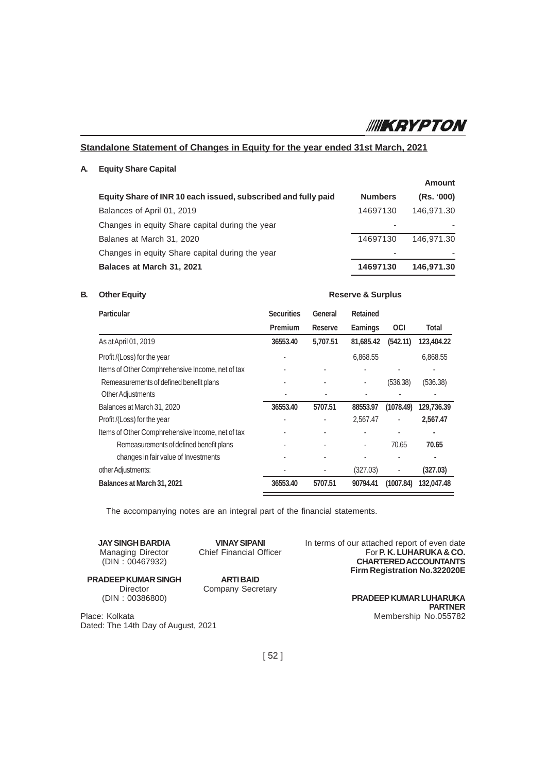# **Standalone Statement of Changes in Equity for the year ended 31st March, 2021**

# **A. Equity Share Capital**

|                                                               |                | <b>Amount</b> |
|---------------------------------------------------------------|----------------|---------------|
| Equity Share of INR 10 each issued, subscribed and fully paid | <b>Numbers</b> | (Rs. '000)    |
| Balances of April 01, 2019                                    | 14697130       | 146.971.30    |
| Changes in equity Share capital during the year               |                |               |
| Balanes at March 31, 2020                                     | 14697130       | 146.971.30    |
| Changes in equity Share capital during the year               | ۰              |               |
| Balaces at March 31, 2021                                     | 14697130       | 146.971.30    |

# **B.** Other Equity **B.** Other Equity **Reserve & Surplus**

| <b>Particular</b>                                | <b>Securities</b> | General  | Retained        |            |            |
|--------------------------------------------------|-------------------|----------|-----------------|------------|------------|
|                                                  | Premium           | Reserve  | <b>Earnings</b> | <b>OCI</b> | Total      |
| As at April 01, 2019                             | 36553.40          | 5.707.51 | 81.685.42       | (542.11)   | 123,404.22 |
| Profit /(Loss) for the year                      |                   |          | 6,868.55        |            | 6,868.55   |
| Items of Other Comphrehensive Income, net of tax |                   |          |                 |            |            |
| Remeasurements of defined benefit plans          |                   |          |                 | (536.38)   | (536.38)   |
| Other Adjustments                                |                   |          |                 |            |            |
| Balances at March 31, 2020                       | 36553.40          | 5707.51  | 88553.97        | (1078.49)  | 129,736.39 |
| Profit /(Loss) for the year                      |                   |          | 2,567.47        |            | 2,567.47   |
| Items of Other Comphrehensive Income, net of tax |                   |          |                 |            |            |
| Remeasurements of defined benefit plans          |                   |          | ٠               | 70.65      | 70.65      |
| changes in fair value of Investments             |                   |          |                 | ٠          |            |
| other Adjustments:                               |                   |          | (327.03)        |            | (327.03)   |
| Balances at March 31, 2021                       | 36553.40          | 5707.51  | 90794.41        | (1007.84)  | 132,047.48 |

The accompanying notes are an integral part of the financial statements.

**PRADEEP KUMAR SINGH ARTI BAID**<br>Director Company Secre Director Company Secretary<br>
(DIN: 00386800)

Place: Kolkata Membership No.055782 Dated: The 14th Day of August, 2021

**JAY SINGH BARDIA VINAY SIPANI** In terms of our attached report of even date Managing Director Chief Financial Officer For **P. K. LUHARUKA & CO.** Managing Director Chief Financial Officer Function of the For **P. K. LUHARUKA & CO.**<br>CHARTERED ACCOUNTANTS (DIN : 00467932) **CHARTERED ACCOUNTANTS Firm Registration No.322020E**

> (DIN : 00386800) **PRADEEP KUMAR LUHARUKA PARTNER**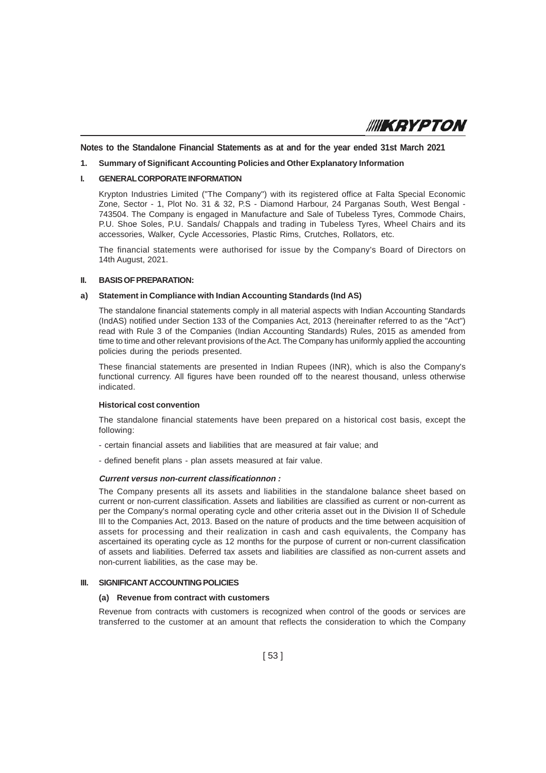

# **1. Summary of Significant Accounting Policies and Other Explanatory Information**

# **I. GENERAL CORPORATE INFORMATION**

Krypton Industries Limited ("The Company") with its registered office at Falta Special Economic Zone, Sector - 1, Plot No. 31 & 32, P.S - Diamond Harbour, 24 Parganas South, West Bengal - 743504. The Company is engaged in Manufacture and Sale of Tubeless Tyres, Commode Chairs, P.U. Shoe Soles, P.U. Sandals/ Chappals and trading in Tubeless Tyres, Wheel Chairs and its accessories, Walker, Cycle Accessories, Plastic Rims, Crutches, Rollators, etc.

The financial statements were authorised for issue by the Company's Board of Directors on 14th August, 2021.

# **II. BASIS OF PREPARATION:**

## **a) Statement in Compliance with Indian Accounting Standards (Ind AS)**

The standalone financial statements comply in all material aspects with Indian Accounting Standards (IndAS) notified under Section 133 of the Companies Act, 2013 (hereinafter referred to as the "Act") read with Rule 3 of the Companies (Indian Accounting Standards) Rules, 2015 as amended from time to time and other relevant provisions of the Act. The Company has uniformly applied the accounting policies during the periods presented.

These financial statements are presented in Indian Rupees (INR), which is also the Company's functional currency. All figures have been rounded off to the nearest thousand, unless otherwise indicated.

### **Historical cost convention**

The standalone financial statements have been prepared on a historical cost basis, except the following:

- certain financial assets and liabilities that are measured at fair value; and
- defined benefit plans plan assets measured at fair value.

#### **Current versus non-current classificationnon :**

The Company presents all its assets and liabilities in the standalone balance sheet based on current or non-current classification. Assets and liabilities are classified as current or non-current as per the Company's normal operating cycle and other criteria asset out in the Division II of Schedule III to the Companies Act, 2013. Based on the nature of products and the time between acquisition of assets for processing and their realization in cash and cash equivalents, the Company has ascertained its operating cycle as 12 months for the purpose of current or non-current classification of assets and liabilities. Deferred tax assets and liabilities are classified as non-current assets and non-current liabilities, as the case may be.

# **III. SIGNIFICANT ACCOUNTING POLICIES**

# **(a) Revenue from contract with customers**

Revenue from contracts with customers is recognized when control of the goods or services are transferred to the customer at an amount that reflects the consideration to which the Company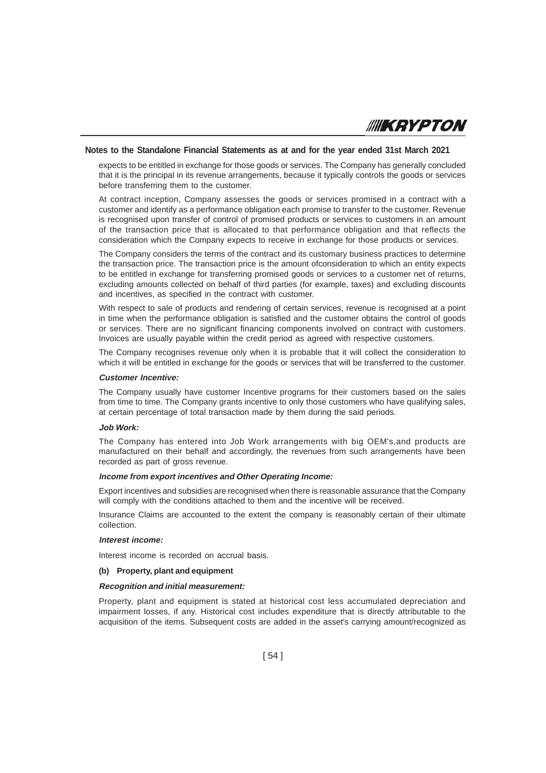### **Notes to the Standalone Financial Statements as at and for the year ended 31st March 2021**

expects to be entitled in exchange for those goods or services. The Company has generally concluded that it is the principal in its revenue arrangements, because it typically controls the goods or services before transferring them to the customer.

At contract inception, Company assesses the goods or services promised in a contract with a customer and identify as a performance obligation each promise to transfer to the customer. Revenue is recognised upon transfer of control of promised products or services to customers in an amount of the transaction price that is allocated to that performance obligation and that reflects the consideration which the Company expects to receive in exchange for those products or services.

The Company considers the terms of the contract and its customary business practices to determine the transaction price. The transaction price is the amount ofconsideration to which an entity expects to be entitled in exchange for transferring promised goods or services to a customer net of returns, excluding amounts collected on behalf of third parties (for example, taxes) and excluding discounts and incentives, as specified in the contract with customer.

With respect to sale of products and rendering of certain services, revenue is recognised at a point in time when the performance obligation is satisfied and the customer obtains the control of goods or services. There are no significant financing components involved on contract with customers. Invoices are usually payable within the credit period as agreed with respective customers.

The Company recognises revenue only when it is probable that it will collect the consideration to which it will be entitled in exchange for the goods or services that will be transferred to the customer.

#### **Customer Incentive:**

The Company usually have customer Incentive programs for their customers based on the sales from time to time. The Company grants incentive to only those customers who have qualifying sales, at certain percentage of total transaction made by them during the said periods.

# **Job Work:**

The Company has entered into Job Work arrangements with big OEM's,and products are manufactured on their behalf and accordingly, the revenues from such arrangements have been recorded as part of gross revenue.

# **Income from export incentives and Other Operating Income:**

Export incentives and subsidies are recognised when there is reasonable assurance that the Company will comply with the conditions attached to them and the incentive will be received.

Insurance Claims are accounted to the extent the company is reasonably certain of their ultimate collection.

### **Interest income:**

Interest income is recorded on accrual basis.

# **(b) Property, plant and equipment**

### **Recognition and initial measurement:**

Property, plant and equipment is stated at historical cost less accumulated depreciation and impairment losses, if any. Historical cost includes expenditure that is directly attributable to the acquisition of the items. Subsequent costs are added in the asset's carrying amount/recognized as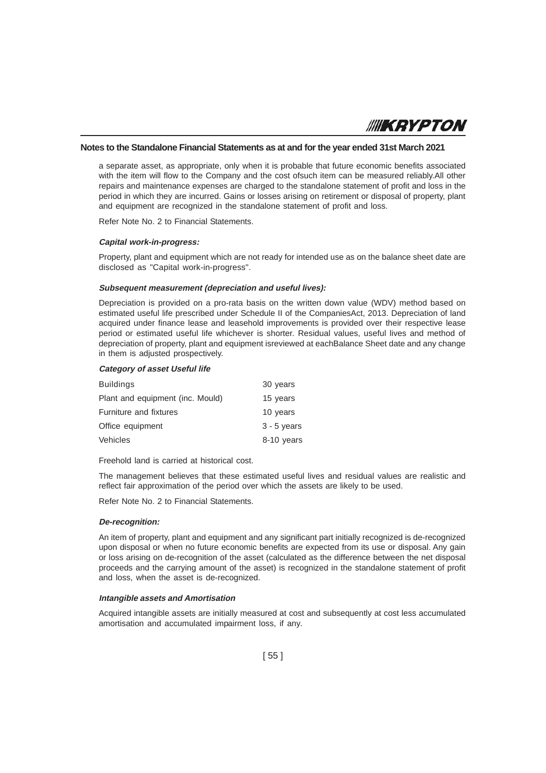

a separate asset, as appropriate, only when it is probable that future economic benefits associated with the item will flow to the Company and the cost ofsuch item can be measured reliably.All other repairs and maintenance expenses are charged to the standalone statement of profit and loss in the period in which they are incurred. Gains or losses arising on retirement or disposal of property, plant and equipment are recognized in the standalone statement of profit and loss.

Refer Note No. 2 to Financial Statements.

### **Capital work-in-progress:**

Property, plant and equipment which are not ready for intended use as on the balance sheet date are disclosed as "Capital work-in-progress".

#### **Subsequent measurement (depreciation and useful lives):**

Depreciation is provided on a pro-rata basis on the written down value (WDV) method based on estimated useful life prescribed under Schedule II of the CompaniesAct, 2013. Depreciation of land acquired under finance lease and leasehold improvements is provided over their respective lease period or estimated useful life whichever is shorter. Residual values, useful lives and method of depreciation of property, plant and equipment isreviewed at eachBalance Sheet date and any change in them is adjusted prospectively.

# **Category of asset Useful life**

| <b>Buildings</b>                 | 30 years      |
|----------------------------------|---------------|
| Plant and equipment (inc. Mould) | 15 years      |
| <b>Furniture and fixtures</b>    | 10 years      |
| Office equipment                 | $3 - 5$ years |
| Vehicles                         | 8-10 years    |

Freehold land is carried at historical cost.

The management believes that these estimated useful lives and residual values are realistic and reflect fair approximation of the period over which the assets are likely to be used.

Refer Note No. 2 to Financial Statements.

# **De-recognition:**

An item of property, plant and equipment and any significant part initially recognized is de-recognized upon disposal or when no future economic benefits are expected from its use or disposal. Any gain or loss arising on de-recognition of the asset (calculated as the difference between the net disposal proceeds and the carrying amount of the asset) is recognized in the standalone statement of profit and loss, when the asset is de-recognized.

# **Intangible assets and Amortisation**

Acquired intangible assets are initially measured at cost and subsequently at cost less accumulated amortisation and accumulated impairment loss, if any.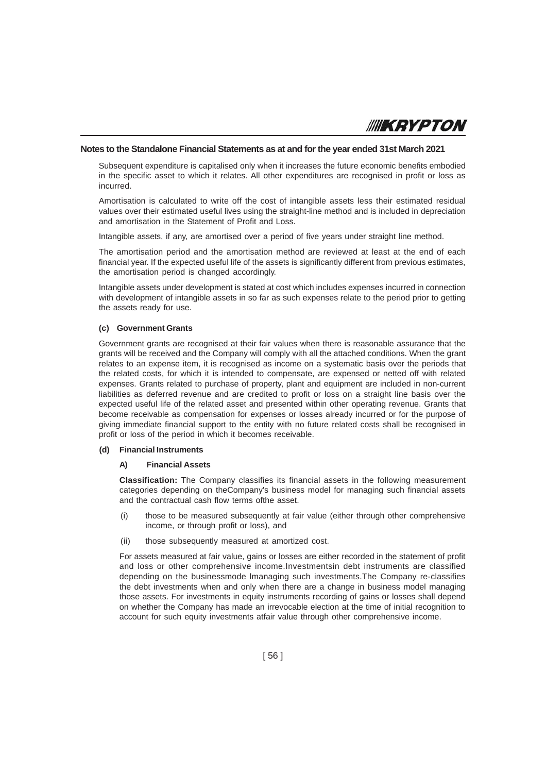## **Notes to the Standalone Financial Statements as at and for the year ended 31st March 2021**

Subsequent expenditure is capitalised only when it increases the future economic benefits embodied in the specific asset to which it relates. All other expenditures are recognised in profit or loss as incurred.

Amortisation is calculated to write off the cost of intangible assets less their estimated residual values over their estimated useful lives using the straight-line method and is included in depreciation and amortisation in the Statement of Profit and Loss.

Intangible assets, if any, are amortised over a period of five years under straight line method.

The amortisation period and the amortisation method are reviewed at least at the end of each financial year. If the expected useful life of the assets is significantly different from previous estimates, the amortisation period is changed accordingly.

Intangible assets under development is stated at cost which includes expenses incurred in connection with development of intangible assets in so far as such expenses relate to the period prior to getting the assets ready for use.

# **(c) Government Grants**

Government grants are recognised at their fair values when there is reasonable assurance that the grants will be received and the Company will comply with all the attached conditions. When the grant relates to an expense item, it is recognised as income on a systematic basis over the periods that the related costs, for which it is intended to compensate, are expensed or netted off with related expenses. Grants related to purchase of property, plant and equipment are included in non-current liabilities as deferred revenue and are credited to profit or loss on a straight line basis over the expected useful life of the related asset and presented within other operating revenue. Grants that become receivable as compensation for expenses or losses already incurred or for the purpose of giving immediate financial support to the entity with no future related costs shall be recognised in profit or loss of the period in which it becomes receivable.

### **(d) Financial Instruments**

# **A) Financial Assets**

**Classification:** The Company classifies its financial assets in the following measurement categories depending on theCompany's business model for managing such financial assets and the contractual cash flow terms ofthe asset.

- (i) those to be measured subsequently at fair value (either through other comprehensive income, or through profit or loss), and
- (ii) those subsequently measured at amortized cost.

For assets measured at fair value, gains or losses are either recorded in the statement of profit and loss or other comprehensive income.Investmentsin debt instruments are classified depending on the businessmode lmanaging such investments.The Company re-classifies the debt investments when and only when there are a change in business model managing those assets. For investments in equity instruments recording of gains or losses shall depend on whether the Company has made an irrevocable election at the time of initial recognition to account for such equity investments atfair value through other comprehensive income.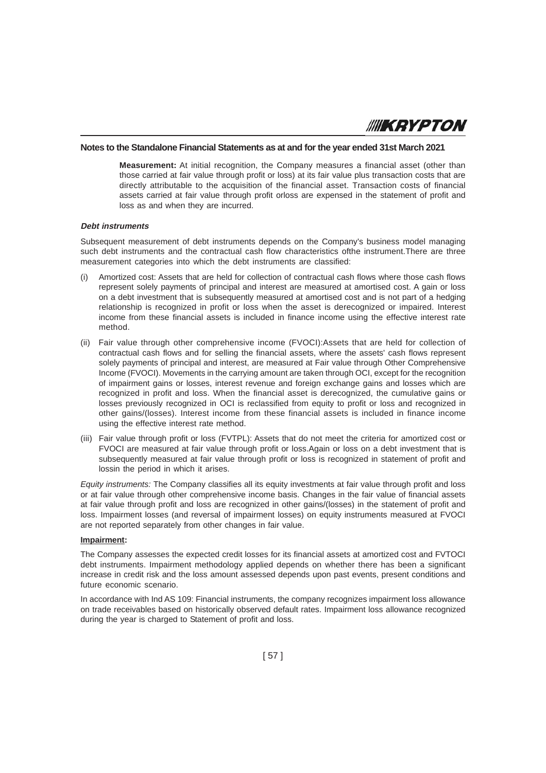**IIIKRYPTON** 

**Measurement:** At initial recognition, the Company measures a financial asset (other than those carried at fair value through profit or loss) at its fair value plus transaction costs that are directly attributable to the acquisition of the financial asset. Transaction costs of financial assets carried at fair value through profit orloss are expensed in the statement of profit and loss as and when they are incurred.

### **Debt instruments**

Subsequent measurement of debt instruments depends on the Company's business model managing such debt instruments and the contractual cash flow characteristics ofthe instrument.There are three measurement categories into which the debt instruments are classified:

- (i) Amortized cost: Assets that are held for collection of contractual cash flows where those cash flows represent solely payments of principal and interest are measured at amortised cost. A gain or loss on a debt investment that is subsequently measured at amortised cost and is not part of a hedging relationship is recognized in profit or loss when the asset is derecognized or impaired. Interest income from these financial assets is included in finance income using the effective interest rate method.
- (ii) Fair value through other comprehensive income (FVOCI):Assets that are held for collection of contractual cash flows and for selling the financial assets, where the assets' cash flows represent solely payments of principal and interest, are measured at Fair value through Other Comprehensive Income (FVOCI). Movements in the carrying amount are taken through OCI, except for the recognition of impairment gains or losses, interest revenue and foreign exchange gains and losses which are recognized in profit and loss. When the financial asset is derecognized, the cumulative gains or losses previously recognized in OCI is reclassified from equity to profit or loss and recognized in other gains/(losses). Interest income from these financial assets is included in finance income using the effective interest rate method.
- (iii) Fair value through profit or loss (FVTPL): Assets that do not meet the criteria for amortized cost or FVOCI are measured at fair value through profit or loss.Again or loss on a debt investment that is subsequently measured at fair value through profit or loss is recognized in statement of profit and lossin the period in which it arises.

Equity instruments: The Company classifies all its equity investments at fair value through profit and loss or at fair value through other comprehensive income basis. Changes in the fair value of financial assets at fair value through profit and loss are recognized in other gains/(losses) in the statement of profit and loss. Impairment losses (and reversal of impairment losses) on equity instruments measured at FVOCI are not reported separately from other changes in fair value.

# **Impairment:**

The Company assesses the expected credit losses for its financial assets at amortized cost and FVTOCI debt instruments. Impairment methodology applied depends on whether there has been a significant increase in credit risk and the loss amount assessed depends upon past events, present conditions and future economic scenario.

In accordance with Ind AS 109: Financial instruments, the company recognizes impairment loss allowance on trade receivables based on historically observed default rates. Impairment loss allowance recognized during the year is charged to Statement of profit and loss.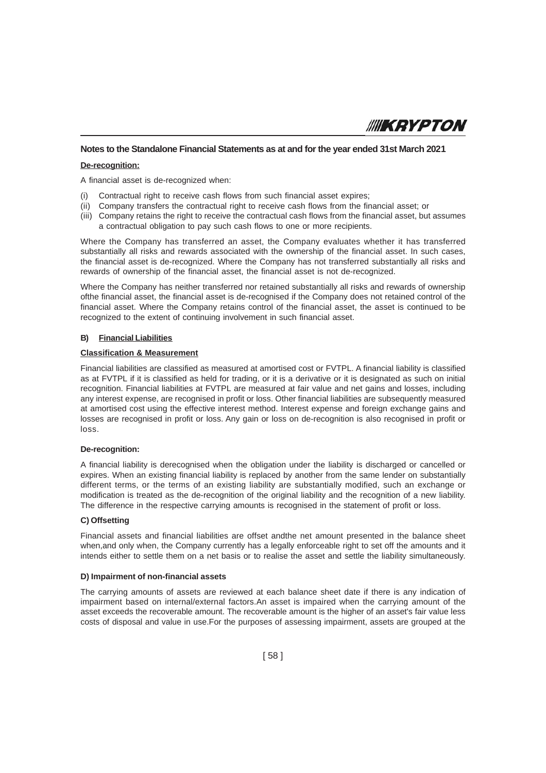

# **De-recognition:**

A financial asset is de-recognized when:

- (i) Contractual right to receive cash flows from such financial asset expires;
- (ii) Company transfers the contractual right to receive cash flows from the financial asset; or
- (iii) Company retains the right to receive the contractual cash flows from the financial asset, but assumes a contractual obligation to pay such cash flows to one or more recipients.

Where the Company has transferred an asset, the Company evaluates whether it has transferred substantially all risks and rewards associated with the ownership of the financial asset. In such cases, the financial asset is de-recognized. Where the Company has not transferred substantially all risks and rewards of ownership of the financial asset, the financial asset is not de-recognized.

Where the Company has neither transferred nor retained substantially all risks and rewards of ownership ofthe financial asset, the financial asset is de-recognised if the Company does not retained control of the financial asset. Where the Company retains control of the financial asset, the asset is continued to be recognized to the extent of continuing involvement in such financial asset.

# **B) Financial Liabilities**

# **Classification & Measurement**

Financial liabilities are classified as measured at amortised cost or FVTPL. A financial liability is classified as at FVTPL if it is classified as held for trading, or it is a derivative or it is designated as such on initial recognition. Financial liabilities at FVTPL are measured at fair value and net gains and losses, including any interest expense, are recognised in profit or loss. Other financial liabilities are subsequently measured at amortised cost using the effective interest method. Interest expense and foreign exchange gains and losses are recognised in profit or loss. Any gain or loss on de-recognition is also recognised in profit or loss.

# **De-recognition:**

A financial liability is derecognised when the obligation under the liability is discharged or cancelled or expires. When an existing financial liability is replaced by another from the same lender on substantially different terms, or the terms of an existing liability are substantially modified, such an exchange or modification is treated as the de-recognition of the original liability and the recognition of a new liability. The difference in the respective carrying amounts is recognised in the statement of profit or loss.

# **C) Offsetting**

Financial assets and financial liabilities are offset andthe net amount presented in the balance sheet when,and only when, the Company currently has a legally enforceable right to set off the amounts and it intends either to settle them on a net basis or to realise the asset and settle the liability simultaneously.

## **D) Impairment of non-financial assets**

The carrying amounts of assets are reviewed at each balance sheet date if there is any indication of impairment based on internal/external factors.An asset is impaired when the carrying amount of the asset exceeds the recoverable amount. The recoverable amount is the higher of an asset's fair value less costs of disposal and value in use.For the purposes of assessing impairment, assets are grouped at the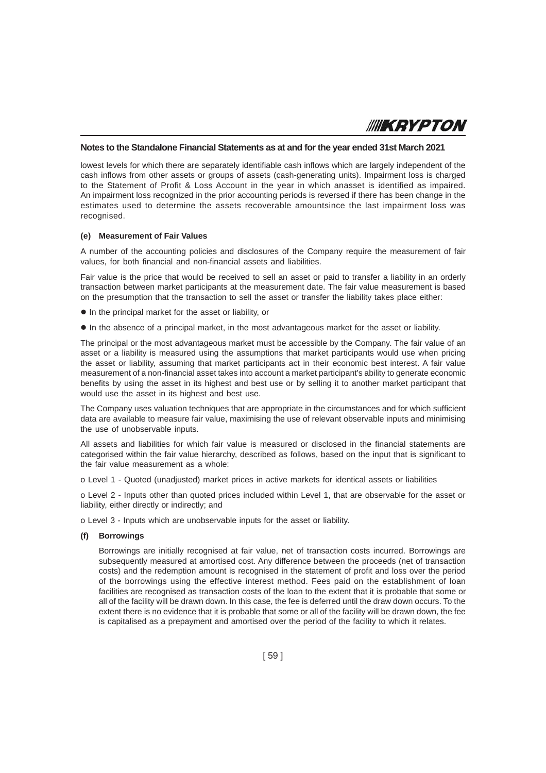

lowest levels for which there are separately identifiable cash inflows which are largely independent of the cash inflows from other assets or groups of assets (cash-generating units). Impairment loss is charged to the Statement of Profit & Loss Account in the year in which anasset is identified as impaired. An impairment loss recognized in the prior accounting periods is reversed if there has been change in the estimates used to determine the assets recoverable amountsince the last impairment loss was recognised.

### **(e) Measurement of Fair Values**

A number of the accounting policies and disclosures of the Company require the measurement of fair values, for both financial and non-financial assets and liabilities.

Fair value is the price that would be received to sell an asset or paid to transfer a liability in an orderly transaction between market participants at the measurement date. The fair value measurement is based on the presumption that the transaction to sell the asset or transfer the liability takes place either:

- In the principal market for the asset or liability, or
- In the absence of a principal market, in the most advantageous market for the asset or liability.

The principal or the most advantageous market must be accessible by the Company. The fair value of an asset or a liability is measured using the assumptions that market participants would use when pricing the asset or liability, assuming that market participants act in their economic best interest. A fair value measurement of a non-financial asset takes into account a market participant's ability to generate economic benefits by using the asset in its highest and best use or by selling it to another market participant that would use the asset in its highest and best use.

The Company uses valuation techniques that are appropriate in the circumstances and for which sufficient data are available to measure fair value, maximising the use of relevant observable inputs and minimising the use of unobservable inputs.

All assets and liabilities for which fair value is measured or disclosed in the financial statements are categorised within the fair value hierarchy, described as follows, based on the input that is significant to the fair value measurement as a whole:

o Level 1 - Quoted (unadjusted) market prices in active markets for identical assets or liabilities

o Level 2 - Inputs other than quoted prices included within Level 1, that are observable for the asset or liability, either directly or indirectly; and

o Level 3 - Inputs which are unobservable inputs for the asset or liability.

# **(f) Borrowings**

Borrowings are initially recognised at fair value, net of transaction costs incurred. Borrowings are subsequently measured at amortised cost. Any difference between the proceeds (net of transaction costs) and the redemption amount is recognised in the statement of profit and loss over the period of the borrowings using the effective interest method. Fees paid on the establishment of loan facilities are recognised as transaction costs of the loan to the extent that it is probable that some or all of the facility will be drawn down. In this case, the fee is deferred until the draw down occurs. To the extent there is no evidence that it is probable that some or all of the facility will be drawn down, the fee is capitalised as a prepayment and amortised over the period of the facility to which it relates.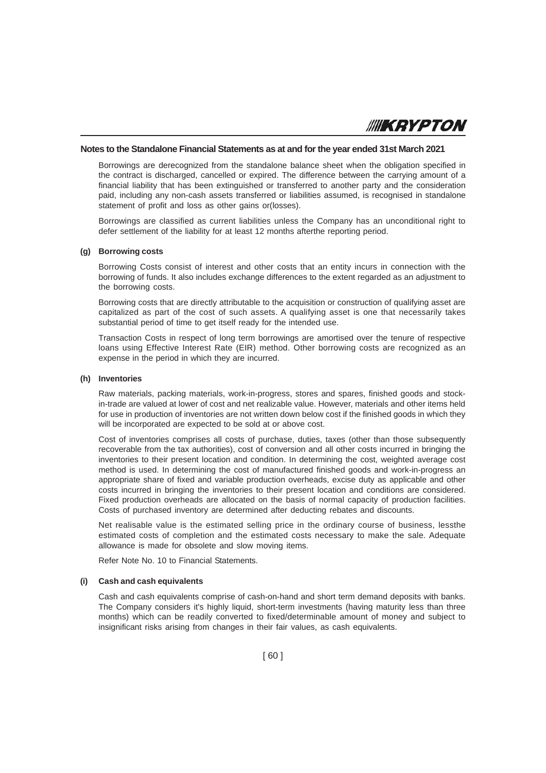### **Notes to the Standalone Financial Statements as at and for the year ended 31st March 2021**

Borrowings are derecognized from the standalone balance sheet when the obligation specified in the contract is discharged, cancelled or expired. The difference between the carrying amount of a financial liability that has been extinguished or transferred to another party and the consideration paid, including any non-cash assets transferred or liabilities assumed, is recognised in standalone statement of profit and loss as other gains or(losses).

Borrowings are classified as current liabilities unless the Company has an unconditional right to defer settlement of the liability for at least 12 months afterthe reporting period.

#### **(g) Borrowing costs**

Borrowing Costs consist of interest and other costs that an entity incurs in connection with the borrowing of funds. It also includes exchange differences to the extent regarded as an adjustment to the borrowing costs.

Borrowing costs that are directly attributable to the acquisition or construction of qualifying asset are capitalized as part of the cost of such assets. A qualifying asset is one that necessarily takes substantial period of time to get itself ready for the intended use.

Transaction Costs in respect of long term borrowings are amortised over the tenure of respective loans using Effective Interest Rate (EIR) method. Other borrowing costs are recognized as an expense in the period in which they are incurred.

# **(h) Inventories**

Raw materials, packing materials, work-in-progress, stores and spares, finished goods and stockin-trade are valued at lower of cost and net realizable value. However, materials and other items held for use in production of inventories are not written down below cost if the finished goods in which they will be incorporated are expected to be sold at or above cost.

Cost of inventories comprises all costs of purchase, duties, taxes (other than those subsequently recoverable from the tax authorities), cost of conversion and all other costs incurred in bringing the inventories to their present location and condition. In determining the cost, weighted average cost method is used. In determining the cost of manufactured finished goods and work-in-progress an appropriate share of fixed and variable production overheads, excise duty as applicable and other costs incurred in bringing the inventories to their present location and conditions are considered. Fixed production overheads are allocated on the basis of normal capacity of production facilities. Costs of purchased inventory are determined after deducting rebates and discounts.

Net realisable value is the estimated selling price in the ordinary course of business, lessthe estimated costs of completion and the estimated costs necessary to make the sale. Adequate allowance is made for obsolete and slow moving items.

Refer Note No. 10 to Financial Statements.

#### **(i) Cash and cash equivalents**

Cash and cash equivalents comprise of cash-on-hand and short term demand deposits with banks. The Company considers it's highly liquid, short-term investments (having maturity less than three months) which can be readily converted to fixed/determinable amount of money and subject to insignificant risks arising from changes in their fair values, as cash equivalents.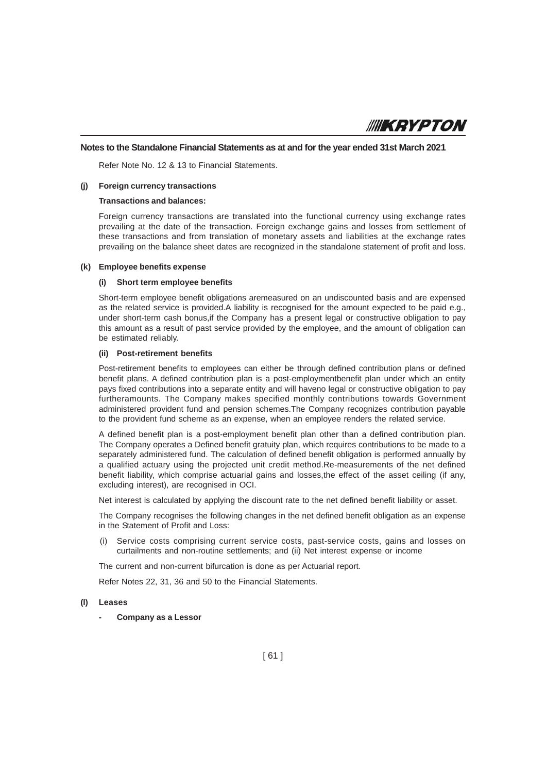

Refer Note No. 12 & 13 to Financial Statements.

# **(j) Foreign currency transactions**

# **Transactions and balances:**

Foreign currency transactions are translated into the functional currency using exchange rates prevailing at the date of the transaction. Foreign exchange gains and losses from settlement of these transactions and from translation of monetary assets and liabilities at the exchange rates prevailing on the balance sheet dates are recognized in the standalone statement of profit and loss.

#### **(k) Employee benefits expense**

# **(i) Short term employee benefits**

Short-term employee benefit obligations aremeasured on an undiscounted basis and are expensed as the related service is provided.A liability is recognised for the amount expected to be paid e.g., under short-term cash bonus,if the Company has a present legal or constructive obligation to pay this amount as a result of past service provided by the employee, and the amount of obligation can be estimated reliably.

### **(ii) Post-retirement benefits**

Post-retirement benefits to employees can either be through defined contribution plans or defined benefit plans. A defined contribution plan is a post-employmentbenefit plan under which an entity pays fixed contributions into a separate entity and will haveno legal or constructive obligation to pay furtheramounts. The Company makes specified monthly contributions towards Government administered provident fund and pension schemes.The Company recognizes contribution payable to the provident fund scheme as an expense, when an employee renders the related service.

A defined benefit plan is a post-employment benefit plan other than a defined contribution plan. The Company operates a Defined benefit gratuity plan, which requires contributions to be made to a separately administered fund. The calculation of defined benefit obligation is performed annually by a qualified actuary using the projected unit credit method.Re-measurements of the net defined benefit liability, which comprise actuarial gains and losses,the effect of the asset ceiling (if any, excluding interest), are recognised in OCI.

Net interest is calculated by applying the discount rate to the net defined benefit liability or asset.

The Company recognises the following changes in the net defined benefit obligation as an expense in the Statement of Profit and Loss:

Service costs comprising current service costs, past-service costs, gains and losses on curtailments and non-routine settlements; and (ii) Net interest expense or income

The current and non-current bifurcation is done as per Actuarial report.

Refer Notes 22, 31, 36 and 50 to the Financial Statements.

# **(l) Leases**

# **- Company as a Lessor**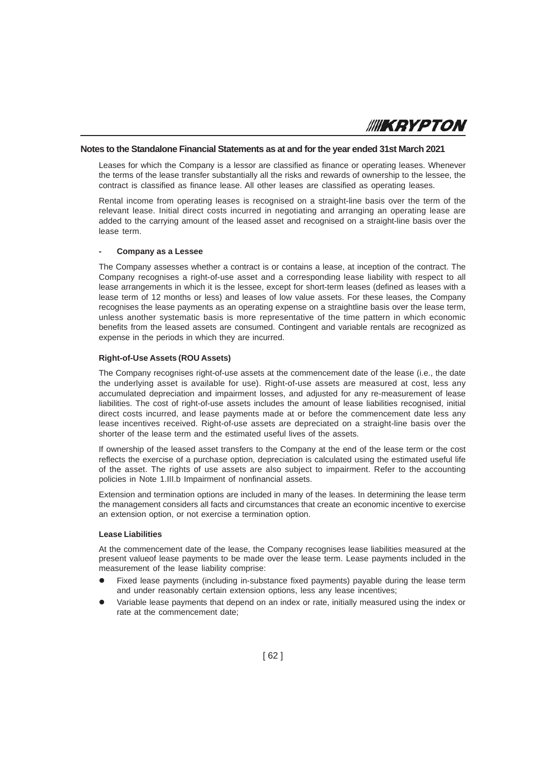Leases for which the Company is a lessor are classified as finance or operating leases. Whenever the terms of the lease transfer substantially all the risks and rewards of ownership to the lessee, the contract is classified as finance lease. All other leases are classified as operating leases.

Rental income from operating leases is recognised on a straight-line basis over the term of the relevant lease. Initial direct costs incurred in negotiating and arranging an operating lease are added to the carrying amount of the leased asset and recognised on a straight-line basis over the lease term.

### **- Company as a Lessee**

The Company assesses whether a contract is or contains a lease, at inception of the contract. The Company recognises a right-of-use asset and a corresponding lease liability with respect to all lease arrangements in which it is the lessee, except for short-term leases (defined as leases with a lease term of 12 months or less) and leases of low value assets. For these leases, the Company recognises the lease payments as an operating expense on a straightline basis over the lease term, unless another systematic basis is more representative of the time pattern in which economic benefits from the leased assets are consumed. Contingent and variable rentals are recognized as expense in the periods in which they are incurred.

# **Right-of-Use Assets (ROU Assets)**

The Company recognises right-of-use assets at the commencement date of the lease (i.e., the date the underlying asset is available for use). Right-of-use assets are measured at cost, less any accumulated depreciation and impairment losses, and adjusted for any re-measurement of lease liabilities. The cost of right-of-use assets includes the amount of lease liabilities recognised, initial direct costs incurred, and lease payments made at or before the commencement date less any lease incentives received. Right-of-use assets are depreciated on a straight-line basis over the shorter of the lease term and the estimated useful lives of the assets.

If ownership of the leased asset transfers to the Company at the end of the lease term or the cost reflects the exercise of a purchase option, depreciation is calculated using the estimated useful life of the asset. The rights of use assets are also subject to impairment. Refer to the accounting policies in Note 1.III.b Impairment of nonfinancial assets.

Extension and termination options are included in many of the leases. In determining the lease term the management considers all facts and circumstances that create an economic incentive to exercise an extension option, or not exercise a termination option.

## **Lease Liabilities**

At the commencement date of the lease, the Company recognises lease liabilities measured at the present valueof lease payments to be made over the lease term. Lease payments included in the measurement of the lease liability comprise:

- Fixed lease payments (including in-substance fixed payments) payable during the lease term and under reasonably certain extension options, less any lease incentives;
- Variable lease payments that depend on an index or rate, initially measured using the index or rate at the commencement date;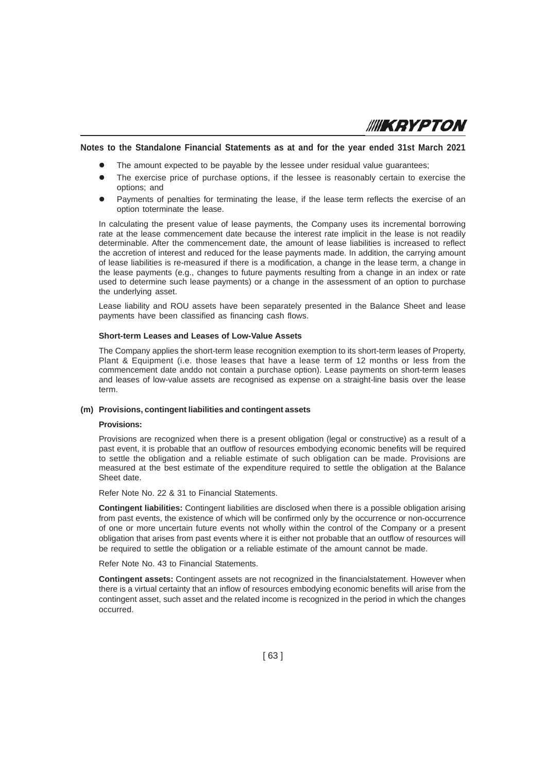- The amount expected to be payable by the lessee under residual value guarantees;
- The exercise price of purchase options, if the lessee is reasonably certain to exercise the options; and
- Payments of penalties for terminating the lease, if the lease term reflects the exercise of an option toterminate the lease.

In calculating the present value of lease payments, the Company uses its incremental borrowing rate at the lease commencement date because the interest rate implicit in the lease is not readily determinable. After the commencement date, the amount of lease liabilities is increased to reflect the accretion of interest and reduced for the lease payments made. In addition, the carrying amount of lease liabilities is re-measured if there is a modification, a change in the lease term, a change in the lease payments (e.g., changes to future payments resulting from a change in an index or rate used to determine such lease payments) or a change in the assessment of an option to purchase the underlying asset.

Lease liability and ROU assets have been separately presented in the Balance Sheet and lease payments have been classified as financing cash flows.

# **Short-term Leases and Leases of Low-Value Assets**

The Company applies the short-term lease recognition exemption to its short-term leases of Property, Plant & Equipment (i.e. those leases that have a lease term of 12 months or less from the commencement date anddo not contain a purchase option). Lease payments on short-term leases and leases of low-value assets are recognised as expense on a straight-line basis over the lease term.

## **(m) Provisions, contingent liabilities and contingent assets**

#### **Provisions:**

Provisions are recognized when there is a present obligation (legal or constructive) as a result of a past event, it is probable that an outflow of resources embodying economic benefits will be required to settle the obligation and a reliable estimate of such obligation can be made. Provisions are measured at the best estimate of the expenditure required to settle the obligation at the Balance Sheet date.

Refer Note No. 22 & 31 to Financial Statements.

**Contingent liabilities:** Contingent liabilities are disclosed when there is a possible obligation arising from past events, the existence of which will be confirmed only by the occurrence or non-occurrence of one or more uncertain future events not wholly within the control of the Company or a present obligation that arises from past events where it is either not probable that an outflow of resources will be required to settle the obligation or a reliable estimate of the amount cannot be made.

Refer Note No. 43 to Financial Statements.

**Contingent assets:** Contingent assets are not recognized in the financialstatement. However when there is a virtual certainty that an inflow of resources embodying economic benefits will arise from the contingent asset, such asset and the related income is recognized in the period in which the changes occurred.

[ 63 ]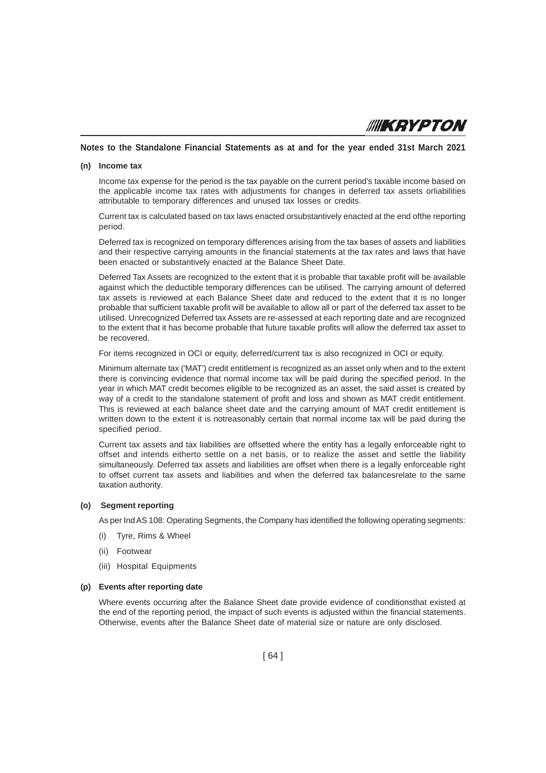

# **(n) Income tax**

Income tax expense for the period is the tax payable on the current period's taxable income based on the applicable income tax rates with adjustments for changes in deferred tax assets orliabilities attributable to temporary differences and unused tax losses or credits.

Current tax is calculated based on tax laws enacted orsubstantively enacted at the end ofthe reporting period.

Deferred tax is recognized on temporary differences arising from the tax bases of assets and liabilities and their respective carrying amounts in the financial statements at the tax rates and laws that have been enacted or substantively enacted at the Balance Sheet Date.

Deferred Tax Assets are recognized to the extent that it is probable that taxable profit will be available against which the deductible temporary differences can be utilised. The carrying amount of deferred tax assets is reviewed at each Balance Sheet date and reduced to the extent that it is no longer probable that sufficient taxable profit will be available to allow all or part of the deferred tax asset to be utilised. Unrecognized Deferred tax Assets are re-assessed at each reporting date and are recognized to the extent that it has become probable that future taxable profits will allow the deferred tax asset to be recovered.

For items recognized in OCI or equity, deferred/current tax is also recognized in OCI or equity.

Minimum alternate tax ('MAT') credit entitlement is recognized as an asset only when and to the extent there is convincing evidence that normal income tax will be paid during the specified period. In the year in which MAT credit becomes eligible to be recognized as an asset, the said asset is created by way of a credit to the standalone statement of profit and loss and shown as MAT credit entitlement. This is reviewed at each balance sheet date and the carrying amount of MAT credit entitlement is written down to the extent it is notreasonably certain that normal income tax will be paid during the specified period.

Current tax assets and tax liabilities are offsetted where the entity has a legally enforceable right to offset and intends eitherto settle on a net basis, or to realize the asset and settle the liability simultaneously. Deferred tax assets and liabilities are offset when there is a legally enforceable right to offset current tax assets and liabilities and when the deferred tax balancesrelate to the same taxation authority.

# **(o) Segment reporting**

As per Ind AS 108: Operating Segments, the Company has identified the following operating segments:

- (i) Tyre, Rims & Wheel
- (ii) Footwear
- (iii) Hospital Equipments

### **(p) Events after reporting date**

Where events occurring after the Balance Sheet date provide evidence of conditionsthat existed at the end of the reporting period, the impact of such events is adjusted within the financial statements. Otherwise, events after the Balance Sheet date of material size or nature are only disclosed.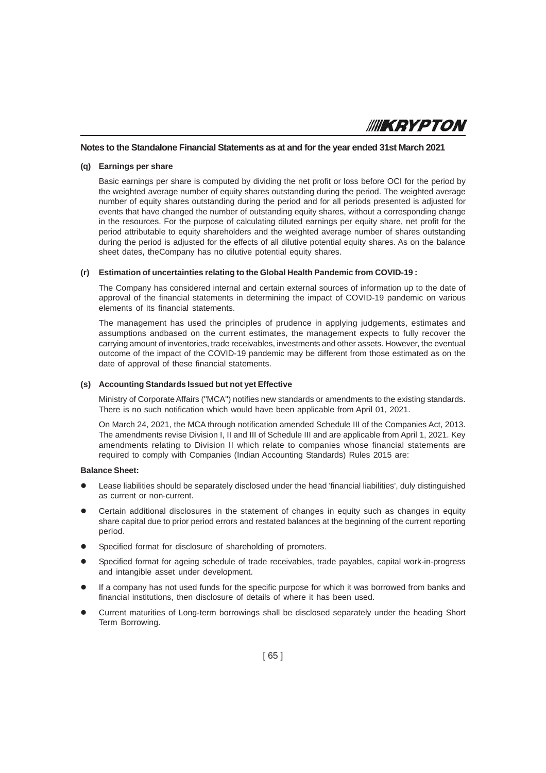

# **(q) Earnings per share**

Basic earnings per share is computed by dividing the net profit or loss before OCI for the period by the weighted average number of equity shares outstanding during the period. The weighted average number of equity shares outstanding during the period and for all periods presented is adjusted for events that have changed the number of outstanding equity shares, without a corresponding change in the resources. For the purpose of calculating diluted earnings per equity share, net profit for the period attributable to equity shareholders and the weighted average number of shares outstanding during the period is adjusted for the effects of all dilutive potential equity shares. As on the balance sheet dates, theCompany has no dilutive potential equity shares.

#### **(r) Estimation of uncertainties relating to the Global Health Pandemic from COVID-19 :**

The Company has considered internal and certain external sources of information up to the date of approval of the financial statements in determining the impact of COVID-19 pandemic on various elements of its financial statements.

The management has used the principles of prudence in applying judgements, estimates and assumptions andbased on the current estimates, the management expects to fully recover the carrying amount of inventories, trade receivables, investments and other assets. However, the eventual outcome of the impact of the COVID-19 pandemic may be different from those estimated as on the date of approval of these financial statements.

### **(s) Accounting Standards Issued but not yet Effective**

Ministry of Corporate Affairs ("MCA") notifies new standards or amendments to the existing standards. There is no such notification which would have been applicable from April 01, 2021.

On March 24, 2021, the MCA through notification amended Schedule III of the Companies Act, 2013. The amendments revise Division I, II and III of Schedule III and are applicable from April 1, 2021. Key amendments relating to Division II which relate to companies whose financial statements are required to comply with Companies (Indian Accounting Standards) Rules 2015 are:

#### **Balance Sheet:**

- Lease liabilities should be separately disclosed under the head 'financial liabilities', duly distinguished as current or non-current.
- Certain additional disclosures in the statement of changes in equity such as changes in equity share capital due to prior period errors and restated balances at the beginning of the current reporting period.
- Specified format for disclosure of shareholding of promoters.
- Specified format for ageing schedule of trade receivables, trade payables, capital work-in-progress and intangible asset under development.
- If a company has not used funds for the specific purpose for which it was borrowed from banks and financial institutions, then disclosure of details of where it has been used.
- Current maturities of Long-term borrowings shall be disclosed separately under the heading Short Term Borrowing.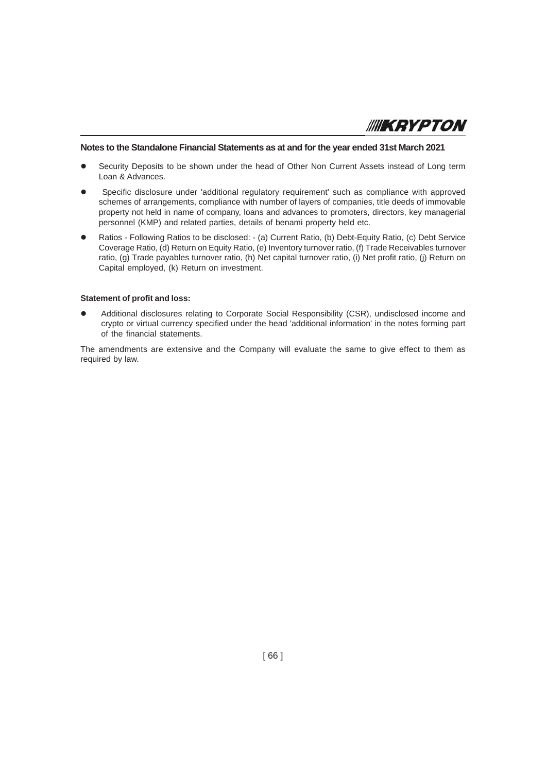

- Security Deposits to be shown under the head of Other Non Current Assets instead of Long term Loan & Advances.
- Specific disclosure under 'additional regulatory requirement' such as compliance with approved schemes of arrangements, compliance with number of layers of companies, title deeds of immovable property not held in name of company, loans and advances to promoters, directors, key managerial personnel (KMP) and related parties, details of benami property held etc.
- Ratios Following Ratios to be disclosed: (a) Current Ratio, (b) Debt-Equity Ratio, (c) Debt Service Coverage Ratio, (d) Return on Equity Ratio, (e) Inventory turnover ratio, (f) Trade Receivables turnover ratio, (g) Trade payables turnover ratio, (h) Net capital turnover ratio, (i) Net profit ratio, (j) Return on Capital employed, (k) Return on investment.

### **Statement of profit and loss:**

 Additional disclosures relating to Corporate Social Responsibility (CSR), undisclosed income and crypto or virtual currency specified under the head 'additional information' in the notes forming part of the financial statements.

The amendments are extensive and the Company will evaluate the same to give effect to them as required by law.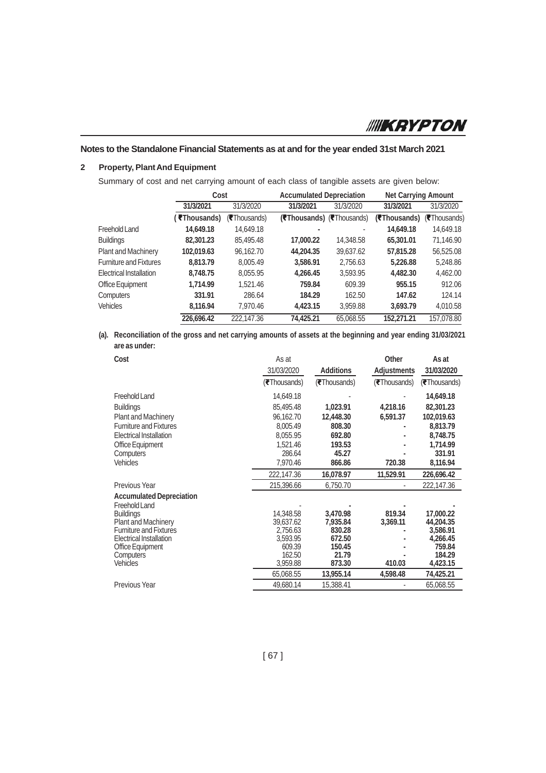# **INIKRYPTON**

# **Notes to the Standalone Financial Statements as at and for the year ended 31st March 2021**

# **2 Property, Plant And Equipment**

Summary of cost and net carrying amount of each class of tangible assets are given below:

|                                | Cost         |              | <b>Accumulated Depreciation</b> |           | <b>Net Carrying Amount</b> |              |  |
|--------------------------------|--------------|--------------|---------------------------------|-----------|----------------------------|--------------|--|
|                                | 31/3/2021    | 31/3/2020    | 31/3/2021                       | 31/3/2020 | 31/3/2021                  | 31/3/2020    |  |
|                                | (₹Thousands) | (₹Thousands) | (₹Thousands) (₹Thousands)       |           | (₹Thousands)               | (₹Thousands) |  |
| Freehold Land                  | 14,649.18    | 14,649.18    |                                 |           | 14,649.18                  | 14,649.18    |  |
| Buildings                      | 82,301.23    | 85,495.48    | 17,000.22                       | 14,348.58 | 65,301.01                  | 71,146.90    |  |
| <b>Plant and Machinery</b>     | 102.019.63   | 96,162.70    | 44,204.35                       | 39,637.62 | 57.815.28                  | 56,525.08    |  |
| <b>Furniture and Fixtures</b>  | 8.813.79     | 8.005.49     | 3,586.91                        | 2,756.63  | 5,226.88                   | 5,248.86     |  |
| <b>Electrical Installation</b> | 8.748.75     | 8.055.95     | 4.266.45                        | 3.593.95  | 4.482.30                   | 4,462.00     |  |
| Office Equipment               | 1.714.99     | 1,521.46     | 759.84                          | 609.39    | 955.15                     | 912.06       |  |
| Computers                      | 331.91       | 286.64       | 184.29                          | 162.50    | 147.62                     | 124.14       |  |
| <b>Vehicles</b>                | 8.116.94     | 7.970.46     | 4,423.15                        | 3.959.88  | 3,693.79                   | 4,010.58     |  |
|                                | 226.696.42   | 222.147.36   | 74,425.21                       | 65.068.55 | 152.271.21                 | 157.078.80   |  |

# **(a). Reconciliation of the gross and net carrying amounts of assets at the beginning and year ending 31/03/2021 are as under:**

| Cost                                    | As at        |                  | <b>Other</b>       | As at        |
|-----------------------------------------|--------------|------------------|--------------------|--------------|
|                                         | 31/03/2020   | <b>Additions</b> | <b>Adjustments</b> | 31/03/2020   |
|                                         | (₹Thousands) | (₹Thousands)     | (₹Thousands)       | (₹Thousands) |
| <b>Freehold Land</b>                    | 14,649.18    |                  |                    | 14,649.18    |
| <b>Buildings</b>                        | 85,495.48    | 1,023.91         | 4,218.16           | 82,301.23    |
| <b>Plant and Machinery</b>              | 96.162.70    | 12,448.30        | 6,591.37           | 102,019.63   |
| <b>Furniture and Fixtures</b>           | 8,005.49     | 808.30           |                    | 8,813.79     |
| <b>Electrical Installation</b>          | 8,055.95     | 692.80           |                    | 8,748.75     |
| Office Equipment                        | 1,521.46     | 193.53           |                    | 1,714.99     |
| Computers                               | 286.64       | 45.27            |                    | 331.91       |
| Vehicles                                | 7,970.46     | 866.86           | 720.38             | 8,116.94     |
|                                         | 222,147.36   | 16,078.97        | 11,529.91          | 226,696.42   |
| <b>Previous Year</b>                    | 215,396.66   | 6,750.70         |                    | 222,147.36   |
| <b>Accumulated Depreciation</b>         |              |                  |                    |              |
| <b>Freehold Land</b>                    | 14.348.58    | 3.470.98         | 819.34             | 17.000.22    |
| <b>Buildings</b><br>Plant and Machinery | 39,637.62    | 7,935.84         | 3,369.11           | 44,204.35    |
| <b>Furniture and Fixtures</b>           | 2,756.63     | 830.28           |                    | 3,586.91     |
| <b>Electrical Installation</b>          | 3,593.95     | 672.50           |                    | 4,266.45     |
| Office Equipment                        | 609.39       | 150.45           |                    | 759.84       |
| Computers                               | 162.50       | 21.79            |                    | 184.29       |
| <b>Vehicles</b>                         | 3,959.88     | 873.30           | 410.03             | 4,423.15     |
|                                         | 65,068.55    | 13,955.14        | 4,598.48           | 74,425.21    |
| Previous Year                           | 49,680.14    | 15,388.41        |                    | 65,068.55    |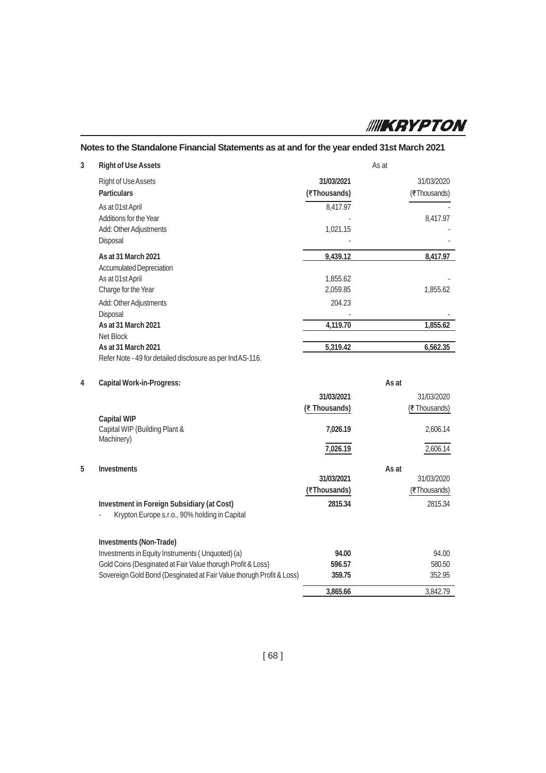# **INIKRYPTON**

**Notes to the Standalone Financial Statements as at and for the year ended 31st March 2021**

| 3<br><b>Right of Use Assets</b>                            | As at        |              |
|------------------------------------------------------------|--------------|--------------|
| <b>Right of Use Assets</b>                                 | 31/03/2021   | 31/03/2020   |
| <b>Particulars</b>                                         | (₹Thousands) | (₹Thousands) |
| As at 01st April                                           | 8,417.97     |              |
| Additions for the Year                                     |              | 8,417.97     |
| Add: Other Adjustments                                     | 1,021.15     |              |
| <b>Disposal</b>                                            |              |              |
| As at 31 March 2021                                        | 9,439.12     | 8,417.97     |
| <b>Accumulated Depreciation</b>                            |              |              |
| As at 01st April                                           | 1,855.62     |              |
| Charge for the Year                                        | 2,059.85     | 1,855.62     |
| Add: Other Adjustments                                     | 204.23       |              |
| <b>Disposal</b>                                            |              |              |
| <b>As at 31 March 2021</b>                                 | 4,119.70     | 1,855.62     |
| Net Block                                                  |              |              |
| As at 31 March 2021                                        | 5,319.42     | 6,562.35     |
| Refer Note - 49 for detailed disclosure as per Ind AS-116. |              |              |

| 4 | <b>Capital Work-in-Progress:</b>                                     |               | As at |               |
|---|----------------------------------------------------------------------|---------------|-------|---------------|
|   |                                                                      | 31/03/2021    |       | 31/03/2020    |
|   |                                                                      | (₹ Thousands) |       | (₹ Thousands) |
|   | <b>Capital WIP</b>                                                   |               |       |               |
|   | Capital WIP (Building Plant &                                        | 7,026.19      |       | 2,606.14      |
|   | Machinery)                                                           |               |       |               |
|   |                                                                      | 7,026.19      |       | 2,606.14      |
| 5 | <b>Investments</b>                                                   |               | As at |               |
|   |                                                                      | 31/03/2021    |       | 31/03/2020    |
|   |                                                                      | (₹Thousands)  |       | (₹Thousands)  |
|   | Investment in Foreign Subsidiary (at Cost)                           | 2815.34       |       | 2815.34       |
|   | Krypton Europe s.r.o., 90% holding in Capital                        |               |       |               |
|   |                                                                      |               |       |               |
|   | Investments (Non-Trade)                                              |               |       |               |
|   | Investments in Equity Instruments (Unquoted) (a)                     | 94.00         |       | 94.00         |
|   | Gold Coins (Desginated at Fair Value thorugh Profit & Loss)          | 596.57        |       | 580.50        |
|   | Sovereign Gold Bond (Desginated at Fair Value thorugh Profit & Loss) | 359.75        |       | 352.95        |
|   |                                                                      | 3,865.66      |       | 3,842.79      |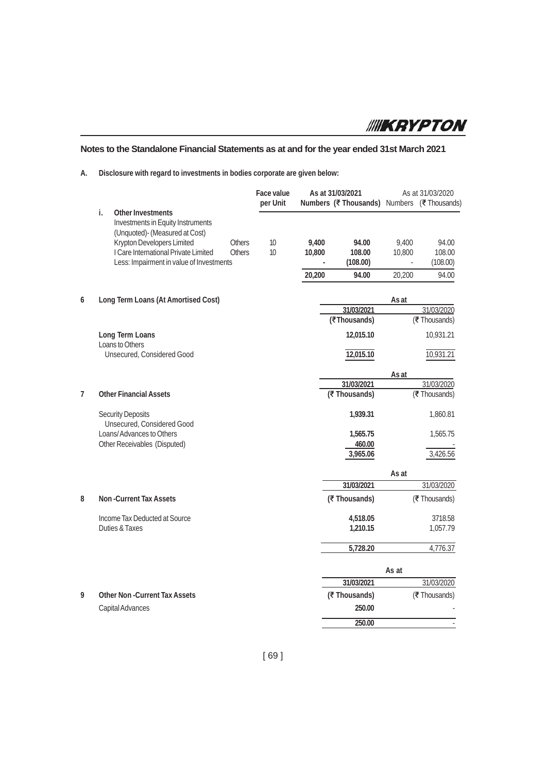**A. Disclosure with regard to investments in bodies corporate are given below:**

|   |    |                                                                                                                                                                                                                   |                         | Face value<br>per Unit |                           | As at 31/03/2021<br>Numbers (₹ Thousands) Numbers (₹ Thousands) |                           | As at 31/03/2020                     |
|---|----|-------------------------------------------------------------------------------------------------------------------------------------------------------------------------------------------------------------------|-------------------------|------------------------|---------------------------|-----------------------------------------------------------------|---------------------------|--------------------------------------|
|   | i. | <b>Other Investments</b><br>Investments in Equity Instruments<br>(Unquoted)- (Measured at Cost)<br>Krypton Developers Limited<br>I Care International Private Limited<br>Less: Impairment in value of Investments | Others<br><b>Others</b> | 10<br>10 <sup>10</sup> | 9,400<br>10,800<br>20,200 | 94.00<br>108.00<br>(108.00)<br>94.00                            | 9,400<br>10,800<br>20,200 | 94.00<br>108.00<br>(108.00)<br>94.00 |
| 6 |    | Long Term Loans (At Amortised Cost)                                                                                                                                                                               |                         |                        |                           |                                                                 | As at                     |                                      |
|   |    |                                                                                                                                                                                                                   |                         |                        |                           | 31/03/2021<br>(₹Thousands)                                      |                           | 31/03/2020<br>(₹ Thousands)          |
|   |    |                                                                                                                                                                                                                   |                         |                        |                           |                                                                 |                           |                                      |
|   |    | <b>Long Term Loans</b><br>Loans to Others                                                                                                                                                                         |                         |                        |                           | 12,015.10                                                       |                           | 10,931.21                            |
|   |    | Unsecured, Considered Good                                                                                                                                                                                        |                         |                        |                           | 12,015.10                                                       |                           | 10,931.21                            |
|   |    |                                                                                                                                                                                                                   |                         |                        |                           |                                                                 | As at                     |                                      |
| 7 |    | <b>Other Financial Assets</b>                                                                                                                                                                                     |                         |                        |                           | 31/03/2021<br>(₹ Thousands)                                     |                           | 31/03/2020<br>(₹ Thousands)          |
|   |    |                                                                                                                                                                                                                   |                         |                        |                           |                                                                 |                           |                                      |
|   |    | <b>Security Deposits</b><br>Unsecured, Considered Good                                                                                                                                                            |                         |                        |                           | 1,939.31                                                        |                           | 1,860.81                             |
|   |    | Loans/Advances to Others                                                                                                                                                                                          |                         |                        |                           | 1,565.75                                                        |                           | 1,565.75                             |
|   |    | Other Receivables (Disputed)                                                                                                                                                                                      |                         |                        |                           | 460.00                                                          |                           |                                      |
|   |    |                                                                                                                                                                                                                   |                         |                        |                           | 3,965.06                                                        |                           | 3,426.56                             |
|   |    |                                                                                                                                                                                                                   |                         |                        |                           |                                                                 | As at                     |                                      |
|   |    |                                                                                                                                                                                                                   |                         |                        |                           | 31/03/2021                                                      |                           | 31/03/2020                           |
| 8 |    | <b>Non-Current Tax Assets</b>                                                                                                                                                                                     |                         |                        |                           | (₹ Thousands)                                                   |                           | (₹ Thousands)                        |
|   |    | Income Tax Deducted at Source                                                                                                                                                                                     |                         |                        |                           | 4,518.05                                                        |                           | 3718.58                              |
|   |    | Duties & Taxes                                                                                                                                                                                                    |                         |                        |                           | 1,210.15                                                        |                           | 1,057.79                             |
|   |    |                                                                                                                                                                                                                   |                         |                        |                           | 5,728.20                                                        |                           | 4,776.37                             |
|   |    |                                                                                                                                                                                                                   |                         |                        |                           |                                                                 | As at                     |                                      |
|   |    |                                                                                                                                                                                                                   |                         |                        |                           | 31/03/2021                                                      |                           | 31/03/2020                           |
| 9 |    | <b>Other Non-Current Tax Assets</b>                                                                                                                                                                               |                         |                        |                           | (₹ Thousands)                                                   |                           | (₹ Thousands)                        |
|   |    | Capital Advances                                                                                                                                                                                                  |                         |                        |                           | 250.00                                                          |                           |                                      |
|   |    |                                                                                                                                                                                                                   |                         |                        |                           | 250.00                                                          |                           |                                      |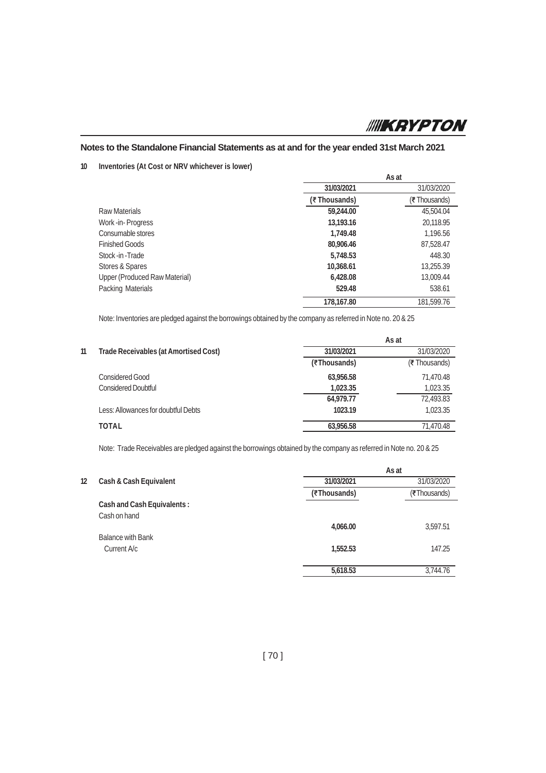# **Notes to the Standalone Financial Statements as at and for the year ended 31st March 2021**

**10 Inventories (At Cost or NRV whichever is lower)**

|                               |               | As at         |
|-------------------------------|---------------|---------------|
|                               | 31/03/2021    | 31/03/2020    |
|                               | (₹ Thousands) | (₹ Thousands) |
| Raw Materials                 | 59,244.00     | 45.504.04     |
| Work -in-Progress             | 13,193.16     | 20,118.95     |
| Consumable stores             | 1,749.48      | 1.196.56      |
| <b>Finished Goods</b>         | 80,906.46     | 87,528.47     |
| Stock -in -Trade              | 5,748.53      | 448.30        |
| Stores & Spares               | 10,368.61     | 13,255.39     |
| Upper (Produced Raw Material) | 6,428.08      | 13,009.44     |
| Packing Materials             | 529.48        | 538.61        |
|                               | 178.167.80    | 181.599.76    |

Note: Inventories are pledged against the borrowings obtained by the company as referred in Note no. 20 & 25

|    |                                       |              | As at         |
|----|---------------------------------------|--------------|---------------|
| 11 | Trade Receivables (at Amortised Cost) | 31/03/2021   | 31/03/2020    |
|    |                                       | (₹Thousands) | (₹ Thousands) |
|    | Considered Good                       | 63,956.58    | 71,470.48     |
|    | <b>Considered Doubtful</b>            | 1,023.35     | 1,023.35      |
|    |                                       | 64,979.77    | 72,493.83     |
|    | Less: Allowances for doubtful Debts   | 1023.19      | 1,023.35      |
|    | <b>TOTAL</b>                          | 63,956.58    | 71,470.48     |

Note: Trade Receivables are pledged against the borrowings obtained by the company as referred in Note no. 20 & 25

|    |                            |              | As at        |
|----|----------------------------|--------------|--------------|
| 12 | Cash & Cash Equivalent     | 31/03/2021   | 31/03/2020   |
|    |                            | (₹Thousands) | (₹Thousands) |
|    | Cash and Cash Equivalents: |              |              |
|    | Cash on hand               |              |              |
|    |                            | 4,066.00     | 3,597.51     |
|    | <b>Balance with Bank</b>   |              |              |
|    | Current A/c                | 1,552.53     | 147.25       |
|    |                            |              |              |
|    |                            | 5,618.53     | 3.744.76     |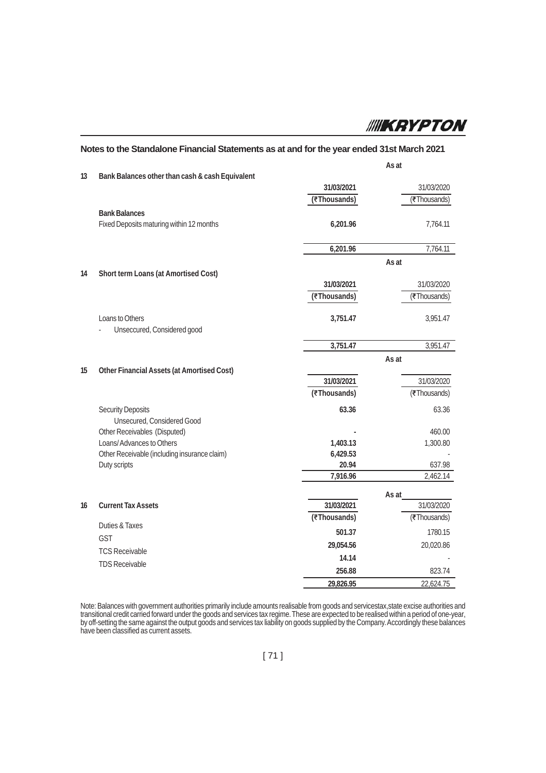# **INIKRYPTON**

# **Notes to the Standalone Financial Statements as at and for the year ended 31st March 2021**

|    |                                                   |              | As at        |
|----|---------------------------------------------------|--------------|--------------|
| 13 | Bank Balances other than cash & cash Equivalent   |              |              |
|    |                                                   | 31/03/2021   | 31/03/2020   |
|    |                                                   | (₹Thousands) | (₹Thousands) |
|    | <b>Bank Balances</b>                              |              |              |
|    | Fixed Deposits maturing within 12 months          | 6,201.96     | 7,764.11     |
|    |                                                   |              |              |
|    |                                                   | 6,201.96     | 7,764.11     |
|    |                                                   |              | As at        |
| 14 | Short term Loans (at Amortised Cost)              |              |              |
|    |                                                   | 31/03/2021   | 31/03/2020   |
|    |                                                   | (₹Thousands) | (₹Thousands) |
|    |                                                   |              |              |
|    | Loans to Others                                   | 3,751.47     | 3,951.47     |
|    | Unseccured, Considered good                       |              |              |
|    |                                                   | 3,751.47     | 3,951.47     |
|    |                                                   |              | As at        |
| 15 | <b>Other Financial Assets (at Amortised Cost)</b> |              |              |
|    |                                                   | 31/03/2021   | 31/03/2020   |
|    |                                                   | (₹Thousands) | (₹Thousands) |
|    | <b>Security Deposits</b>                          | 63.36        | 63.36        |
|    | Unsecured, Considered Good                        |              |              |
|    | Other Receivables (Disputed)                      |              | 460.00       |
|    | Loans/Advances to Others                          | 1,403.13     | 1,300.80     |
|    | Other Receivable (including insurance claim)      | 6,429.53     |              |
|    | Duty scripts                                      | 20.94        | 637.98       |
|    |                                                   | 7,916.96     | 2,462.14     |
|    |                                                   |              | As at        |
| 16 | <b>Current Tax Assets</b>                         | 31/03/2021   | 31/03/2020   |
|    |                                                   | (₹Thousands) | (₹Thousands) |
|    | <b>Duties &amp; Taxes</b>                         | 501.37       | 1780.15      |
|    | <b>GST</b>                                        |              |              |
|    | <b>TCS Receivable</b>                             | 29,054.56    | 20,020.86    |
|    | <b>TDS Receivable</b>                             | 14.14        |              |
|    |                                                   | 256.88       | 823.74       |
|    |                                                   | 29,826.95    | 22,624.75    |

Note: Balances with government authorities primarily include amounts realisable from goods and servicestax,state excise authorities and transitional credit carried forward under the goods and services tax regime. These are expected to be realised within a period of one-year, by off-setting the same against the output goods and services tax liability on goods supplied by the Company. Accordingly these balances have been classified as current assets.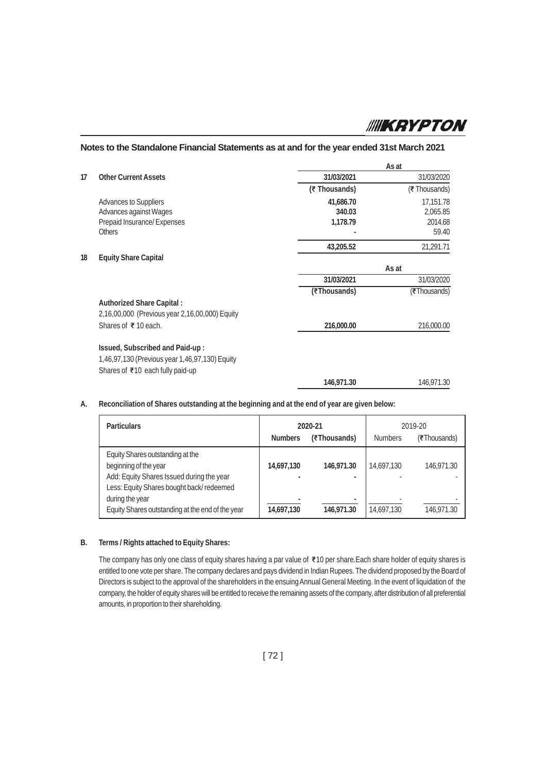# **Notes to the Standalone Financial Statements as at and for the year ended 31st March 2021**

|    |                                                |               | As at         |
|----|------------------------------------------------|---------------|---------------|
| 17 | <b>Other Current Assets</b>                    | 31/03/2021    | 31/03/2020    |
|    |                                                | (₹ Thousands) | (₹ Thousands) |
|    | <b>Advances to Suppliers</b>                   | 41,686.70     | 17,151.78     |
|    | Advances against Wages                         | 340.03        | 2,065.85      |
|    | Prepaid Insurance/ Expenses                    | 1,178.79      | 2014.68       |
|    | <b>Others</b>                                  |               | 59.40         |
|    |                                                | 43,205.52     | 21,291.71     |
| 18 | <b>Equity Share Capital</b>                    |               |               |
|    |                                                |               | As at         |
|    |                                                | 31/03/2021    | 31/03/2020    |
|    |                                                | (₹Thousands)  | (₹Thousands)  |
|    | <b>Authorized Share Capital:</b>               |               |               |
|    | 2,16,00,000 (Previous year 2,16,00,000) Equity |               |               |
|    | Shares of ₹10 each.                            | 216,000.00    | 216,000.00    |
|    | Issued, Subscribed and Paid-up:                |               |               |
|    | 1,46,97,130 (Previous year 1,46,97,130) Equity |               |               |
|    | Shares of ₹10 each fully paid-up               |               |               |
|    |                                                | 146,971.30    | 146,971.30    |
|    |                                                |               |               |

### **A. Reconciliation of Shares outstanding at the beginning and at the end of year are given below:**

| <b>Particulars</b>                                                                                                                                 |                | 2020-21      |                | 2019-20      |
|----------------------------------------------------------------------------------------------------------------------------------------------------|----------------|--------------|----------------|--------------|
|                                                                                                                                                    | <b>Numbers</b> | (₹Thousands) | <b>Numbers</b> | (₹Thousands) |
| Equity Shares outstanding at the<br>beginning of the year<br>Add: Equity Shares Issued during the year<br>Less: Equity Shares bought back/redeemed | 14,697,130     | 146.971.30   | 14,697,130     | 146.971.30   |
| during the year<br>Equity Shares outstanding at the end of the year                                                                                | 14,697,130     | 146,971.30   | 14,697,130     | 146.971.30   |

## **B. Terms / Rights attached to Equity Shares:**

The company has only one class of equity shares having a par value of **"**10 per share.Each share holder of equity shares is entitled to one vote per share. The company declares and pays dividend in Indian Rupees. The dividend proposed by the Board of Directors is subject to the approval of the shareholders in the ensuing Annual General Meeting. In the event of liquidation of the company, the holder of equity shares will be entitled to receive the remaining assets of the company, after distribution of all preferential amounts, in proportion to their shareholding.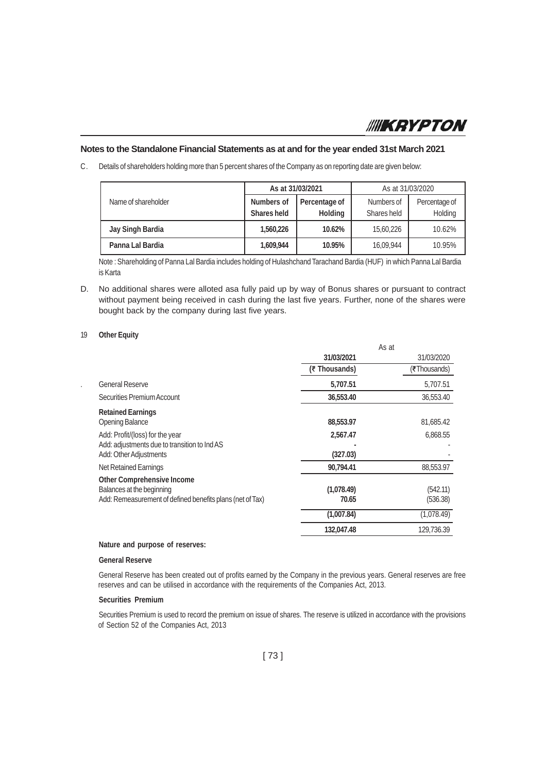

C. Details of shareholders holding more than 5 percent shares of the Company as on reporting date are given below:

|                     | As at 31/03/2021   |               | As at 31/03/2020 |               |
|---------------------|--------------------|---------------|------------------|---------------|
| Name of shareholder | Numbers of         | Percentage of | Numbers of       | Percentage of |
|                     | <b>Shares held</b> | Holding       | Shares held      | Holding       |
| Jay Singh Bardia    | 1.560.226          | 10.62%        | 15,60,226        | 10.62%        |
| Panna Lal Bardia    | 1.609.944          | 10.95%        | 16,09,944        | 10.95%        |

Note : Shareholding of Panna Lal Bardia includes holding of Hulashchand Tarachand Bardia (HUF) in which Panna Lal Bardia is Karta

D. No additional shares were alloted asa fully paid up by way of Bonus shares or pursuant to contract without payment being received in cash during the last five years. Further, none of the shares were bought back by the company during last five years.

#### 19 **Other Equity**

|                                   |                                                           |               | As at        |
|-----------------------------------|-----------------------------------------------------------|---------------|--------------|
|                                   |                                                           | 31/03/2021    | 31/03/2020   |
|                                   |                                                           | (₹ Thousands) | (₹Thousands) |
| <b>General Reserve</b>            |                                                           | 5,707.51      | 5,707.51     |
| Securities Premium Account        |                                                           | 36,553.40     | 36,553.40    |
| <b>Retained Earnings</b>          |                                                           |               |              |
| <b>Opening Balance</b>            |                                                           | 88,553.97     | 81,685.42    |
| Add: Profit/(loss) for the year   |                                                           | 2,567.47      | 6,868.55     |
|                                   | Add: adjustments due to transition to Ind AS              |               |              |
| Add: Other Adjustments            |                                                           | (327.03)      |              |
| Net Retained Earnings             |                                                           | 90,794.41     | 88,553.97    |
| <b>Other Comprehensive Income</b> |                                                           |               |              |
| Balances at the beginning         |                                                           | (1,078.49)    | (542.11)     |
|                                   | Add: Remeasurement of defined benefits plans (net of Tax) | 70.65         | (536.38)     |
|                                   |                                                           | (1,007.84)    | (1,078.49)   |
|                                   |                                                           | 132,047.48    | 129,736.39   |
|                                   |                                                           |               |              |

#### **Nature and purpose of reserves:**

### **General Reserve**

General Reserve has been created out of profits earned by the Company in the previous years. General reserves are free reserves and can be utilised in accordance with the requirements of the Companies Act, 2013.

#### **Securities Premium**

Securities Premium is used to record the premium on issue of shares. The reserve is utilized in accordance with the provisions of Section 52 of the Companies Act, 2013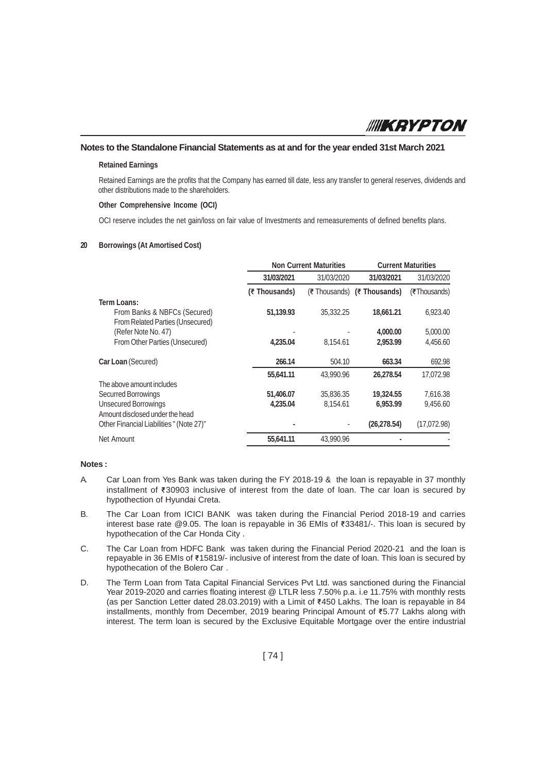### **Notes to the Standalone Financial Statements as at and for the year ended 31st March 2021**

### **Retained Earnings**

Retained Earnings are the profits that the Company has earned till date, less any transfer to general reserves, dividends and other distributions made to the shareholders.

## **Other Comprehensive Income (OCI)**

OCI reserve includes the net gain/loss on fair value of Investments and remeasurements of defined benefits plans.

### **20 Borrowings (At Amortised Cost)**

|                                                                  |               | <b>Non Current Maturities</b> | <b>Current Maturities</b>   |              |
|------------------------------------------------------------------|---------------|-------------------------------|-----------------------------|--------------|
|                                                                  | 31/03/2021    | 31/03/2020                    | 31/03/2021                  | 31/03/2020   |
|                                                                  | (₹ Thousands) |                               | (₹ Thousands) (₹ Thousands) | (₹Thousands) |
| Term Loans:                                                      |               |                               |                             |              |
| From Banks & NBFCs (Secured)<br>From Related Parties (Unsecured) | 51,139.93     | 35,332.25                     | 18,661.21                   | 6,923.40     |
| (Refer Note No. 47)                                              |               |                               | 4,000.00                    | 5,000.00     |
| From Other Parties (Unsecured)                                   | 4,235.04      | 8,154.61                      | 2,953.99                    | 4,456.60     |
| Car Loan (Secured)                                               | 266.14        | 504.10                        | 663.34                      | 692.98       |
|                                                                  | 55,641.11     | 43,990.96                     | 26.278.54                   | 17,072.98    |
| The above amount includes                                        |               |                               |                             |              |
| <b>Securred Borrowings</b>                                       | 51,406.07     | 35,836.35                     | 19,324.55                   | 7,616.38     |
| <b>Unsecured Borrowings</b>                                      | 4,235.04      | 8,154.61                      | 6,953.99                    | 9,456.60     |
| Amount disclosed under the head                                  |               |                               |                             |              |
| Other Financial Liabilities " (Note 27)"                         |               |                               | (26, 278.54)                | (17,072.98)  |
| Net Amount                                                       | 55,641.11     | 43.990.96                     |                             |              |

#### **Notes :**

- A. Car Loan from Yes Bank was taken during the FY 2018-19 & the loan is repayable in 37 monthly installment of **"**30903 inclusive of interest from the date of loan. The car loan is secured by hypothection of Hyundai Creta.
- B. The Car Loan from ICICI BANK was taken during the Financial Period 2018-19 and carries interest base rate @9.05. The loan is repayable in 36 EMIs of **"**33481/-. This loan is secured by hypothecation of the Car Honda City .
- C. The Car Loan from HDFC Bank was taken during the Financial Period 2020-21 and the loan is repayable in 36 EMIs of **"**15819/- inclusive of interest from the date of loan. This loan is secured by hypothecation of the Bolero Car .
- D. The Term Loan from Tata Capital Financial Services Pvt Ltd. was sanctioned during the Financial Year 2019-2020 and carries floating interest @ LTLR less 7.50% p.a. i.e 11.75% with monthly rests (as per Sanction Letter dated 28.03.2019) with a Limit of **"**450 Lakhs. The loan is repayable in 84 installments, monthly from December, 2019 bearing Principal Amount of **"**5.77 Lakhs along with interest. The term loan is secured by the Exclusive Equitable Mortgage over the entire industrial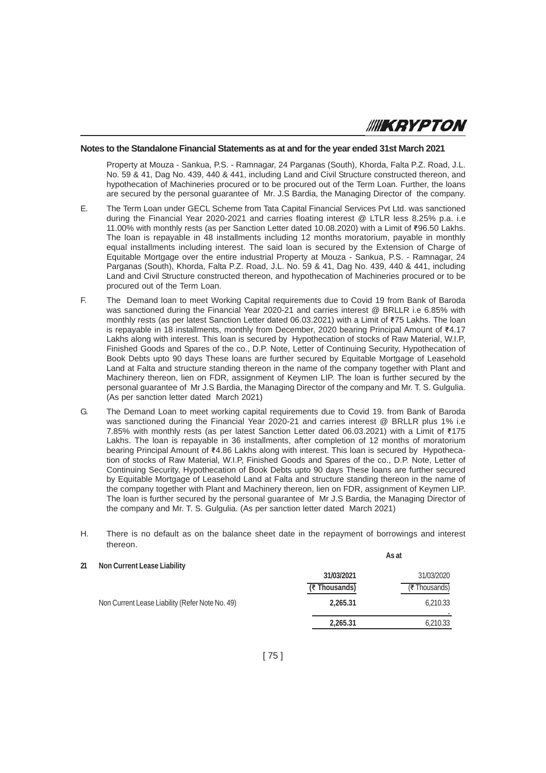**As at**

#### **Notes to the Standalone Financial Statements as at and for the year ended 31st March 2021**

Property at Mouza - Sankua, P.S. - Ramnagar, 24 Parganas (South), Khorda, Falta P.Z. Road, J.L. No. 59 & 41, Dag No. 439, 440 & 441, including Land and Civil Structure constructed thereon, and hypothecation of Machineries procured or to be procured out of the Term Loan. Further, the loans are secured by the personal guarantee of Mr. J.S Bardia, the Managing Director of the company.

- E. The Term Loan under GECL Scheme from Tata Capital Financial Services Pvt Ltd. was sanctioned during the Financial Year 2020-2021 and carries floating interest @ LTLR less 8.25% p.a. i.e 11.00% with monthly rests (as per Sanction Letter dated 10.08.2020) with a Limit of **"**96.50 Lakhs. The loan is repayable in 48 installments including 12 months moratorium, payable in monthly equal installments including interest. The said loan is secured by the Extension of Charge of Equitable Mortgage over the entire industrial Property at Mouza - Sankua, P.S. - Ramnagar, 24 Parganas (South), Khorda, Falta P.Z. Road, J.L. No. 59 & 41, Dag No. 439, 440 & 441, including Land and Civil Structure constructed thereon, and hypothecation of Machineries procured or to be procured out of the Term Loan.
- F. The Demand loan to meet Working Capital requirements due to Covid 19 from Bank of Baroda was sanctioned during the Financial Year 2020-21 and carries interest @ BRLLR i.e 6.85% with monthly rests (as per latest Sanction Letter dated 06.03.2021) with a Limit of **"**75 Lakhs. The loan is repayable in 18 installments, monthly from December, 2020 bearing Principal Amount of **"**4.17 Lakhs along with interest. This loan is secured by Hypothecation of stocks of Raw Material, W.I.P, Finished Goods and Spares of the co., D.P. Note, Letter of Continuing Security, Hypothecation of Book Debts upto 90 days These loans are further secured by Equitable Mortgage of Leasehold Land at Falta and structure standing thereon in the name of the company together with Plant and Machinery thereon, lien on FDR, assignment of Keymen LIP. The loan is further secured by the personal guarantee of Mr J.S Bardia, the Managing Director of the company and Mr. T. S. Gulgulia. (As per sanction letter dated March 2021)
- G. The Demand Loan to meet working capital requirements due to Covid 19. from Bank of Baroda was sanctioned during the Financial Year 2020-21 and carries interest @ BRLLR plus 1% i.e 7.85% with monthly rests (as per latest Sanction Letter dated 06.03.2021) with a Limit of **"**175 Lakhs. The loan is repayable in 36 installments, after completion of 12 months of moratorium bearing Principal Amount of **"**4.86 Lakhs along with interest. This loan is secured by Hypothecation of stocks of Raw Material, W.I.P, Finished Goods and Spares of the co., D.P. Note, Letter of Continuing Security, Hypothecation of Book Debts upto 90 days These loans are further secured by Equitable Mortgage of Leasehold Land at Falta and structure standing thereon in the name of the company together with Plant and Machinery thereon, lien on FDR, assignment of Keymen LIP. The loan is further secured by the personal guarantee of Mr J.S Bardia, the Managing Director of the company and Mr. T. S. Gulgulia. (As per sanction letter dated March 2021)
- H. There is no default as on the balance sheet date in the repayment of borrowings and interest thereon.
- **21 Non Current Lease Liability**

| Non Current Lease Liability                     |               |               |
|-------------------------------------------------|---------------|---------------|
|                                                 | 31/03/2021    | 31/03/2020    |
|                                                 | (₹ Thousands) | (₹ Thousands) |
| Non Current Lease Liability (Refer Note No. 49) | 2.265.31      | 6.210.33      |
|                                                 | 2,265.31      | 6,210.33      |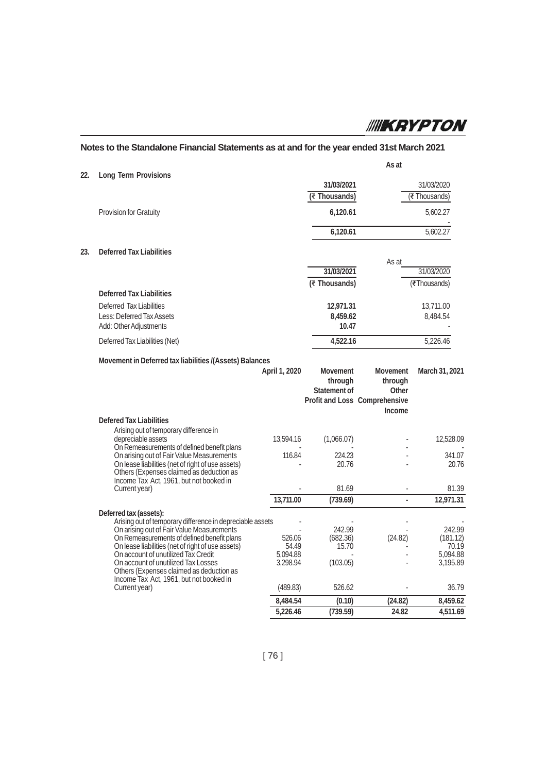# **Notes to the Standalone Financial Statements as at and for the year ended 31st March 2021**

|     |                                                         |                            | As at                         |                |
|-----|---------------------------------------------------------|----------------------------|-------------------------------|----------------|
| 22. | <b>Long Term Provisions</b>                             | 31/03/2021                 |                               | 31/03/2020     |
|     |                                                         | (₹ Thousands)              |                               | (₹ Thousands)  |
|     | <b>Provision for Gratuity</b>                           | 6,120.61                   |                               | 5,602.27       |
|     |                                                         | 6,120.61                   |                               | 5,602.27       |
| 23. | <b>Deferred Tax Liabilities</b>                         |                            |                               |                |
|     |                                                         | 31/03/2021                 | As at                         | 31/03/2020     |
|     |                                                         | (₹ Thousands)              |                               | (₹Thousands)   |
|     | <b>Deferred Tax Liabilities</b>                         |                            |                               |                |
|     | Deferred Tax Liabilities                                | 12,971.31                  |                               | 13,711.00      |
|     | Less: Deferred Tax Assets                               | 8,459.62                   |                               | 8,484.54       |
|     | Add: Other Adjustments                                  | 10.47                      |                               |                |
|     | Deferred Tax Liabilities (Net)                          | 4,522.16                   |                               | 5,226.46       |
|     | Movement in Deferred tax liabilities /(Assets) Balances |                            |                               |                |
|     | April 1, 2020                                           | <b>Movement</b><br>through | <b>Movement</b><br>$th$ rough | March 31, 2021 |

|                                                                                                                                                                                                                                                                                                                                                               |                                         | through<br>Statement of                 | through<br>Other<br><b>Profit and Loss Comprehensive</b><br>Income |                                                     |
|---------------------------------------------------------------------------------------------------------------------------------------------------------------------------------------------------------------------------------------------------------------------------------------------------------------------------------------------------------------|-----------------------------------------|-----------------------------------------|--------------------------------------------------------------------|-----------------------------------------------------|
| <b>Defered Tax Liabilities</b>                                                                                                                                                                                                                                                                                                                                |                                         |                                         |                                                                    |                                                     |
| Arising out of temporary difference in<br>depreciable assets                                                                                                                                                                                                                                                                                                  | 13,594.16                               | (1,066.07)                              |                                                                    | 12,528.09                                           |
| On Remeasurements of defined benefit plans<br>On arising out of Fair Value Measurements<br>On lease liabilities (net of right of use assets)<br>Others (Expenses claimed as deduction as                                                                                                                                                                      | 116.84                                  | 224.23<br>20.76                         |                                                                    | 341.07<br>20.76                                     |
| Income Tax Act, 1961, but not booked in<br>Current year)                                                                                                                                                                                                                                                                                                      |                                         | 81.69                                   |                                                                    | 81.39                                               |
|                                                                                                                                                                                                                                                                                                                                                               | 13,711.00                               | (739.69)                                |                                                                    | 12,971.31                                           |
| Deferred tax (assets):<br>Arising out of temporary difference in depreciable assets<br>On arising out of Fair Value Measurements<br>On Remeasurements of defined benefit plans<br>On lease liabilities (net of right of use assets)<br>On account of unutilized Tax Credit<br>On account of unutilized Tax Losses<br>Others (Expenses claimed as deduction as | 526.06<br>54.49<br>5,094.88<br>3,298.94 | 242.99<br>(682.36)<br>15.70<br>(103.05) | (24.82)                                                            | 242.99<br>(181.12)<br>70.19<br>5,094.88<br>3,195.89 |
| Income Tax Act, 1961, but not booked in<br>Current year)                                                                                                                                                                                                                                                                                                      | (489.83)                                | 526.62                                  |                                                                    | 36.79                                               |
|                                                                                                                                                                                                                                                                                                                                                               | 8,484.54                                | (0.10)                                  | (24.82)                                                            | 8,459.62                                            |
|                                                                                                                                                                                                                                                                                                                                                               | 5,226.46                                | (739.59)                                | 24.82                                                              | 4,511.69                                            |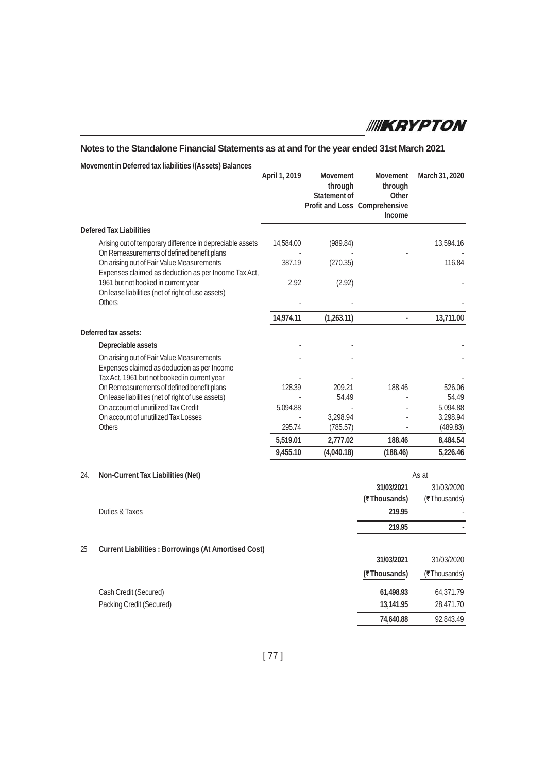# **Notes to the Standalone Financial Statements as at and for the year ended 31st March 2021**

**Movement in Deferred tax liabilities /(Assets) Balances**

|                                                                                                         | April 1, 2019 | <b>Movement</b><br>through<br><b>Statement of</b> | <b>Movement</b><br>through<br>Other<br>Profit and Loss Comprehensive<br>Income | March 31, 2020    |
|---------------------------------------------------------------------------------------------------------|---------------|---------------------------------------------------|--------------------------------------------------------------------------------|-------------------|
| <b>Defered Tax Liabilities</b>                                                                          |               |                                                   |                                                                                |                   |
| Arising out of temporary difference in depreciable assets<br>On Remeasurements of defined benefit plans | 14,584.00     | (989.84)                                          |                                                                                | 13,594.16         |
| On arising out of Fair Value Measurements<br>Expenses claimed as deduction as per Income Tax Act,       | 387.19        | (270.35)                                          |                                                                                | 116.84            |
| 1961 but not booked in current year<br>On lease liabilities (net of right of use assets)                | 2.92          | (2.92)                                            |                                                                                |                   |
| <b>Others</b>                                                                                           |               |                                                   |                                                                                |                   |
|                                                                                                         | 14,974.11     | (1,263.11)                                        |                                                                                | 13,711.00         |
| Deferred tax assets:                                                                                    |               |                                                   |                                                                                |                   |
| Depreciable assets                                                                                      |               |                                                   |                                                                                |                   |
| On arising out of Fair Value Measurements<br>Expenses claimed as deduction as per Income                |               |                                                   |                                                                                |                   |
| Tax Act, 1961 but not booked in current year                                                            |               |                                                   |                                                                                |                   |
| On Remeasurements of defined benefit plans                                                              | 128.39        | 209.21                                            | 188.46                                                                         | 526.06            |
| On lease liabilities (net of right of use assets)<br>On account of unutilized Tax Credit                | 5,094.88      | 54.49                                             |                                                                                | 54.49<br>5,094.88 |
| On account of unutilized Tax Losses                                                                     |               | 3.298.94                                          |                                                                                | 3,298.94          |
| <b>Others</b>                                                                                           | 295.74        | (785.57)                                          |                                                                                | (489.83)          |
|                                                                                                         | 5,519.01      | 2,777.02                                          | 188.46                                                                         | 8,484.54          |
|                                                                                                         | 9,455.10      | (4,040.18)                                        | (188.46)                                                                       | 5,226.46          |
|                                                                                                         |               |                                                   |                                                                                |                   |

# 24. **Non-Current Tax Liabilities (Net)** As at As at As at As at As at As at As at As at As at As at As at As at As at As at As at As at As  $\alpha$ **31/03/2021** 31/03/2020 **("Thousands)** (**"**Thousands) **Duties & Taxes 219.95 -** 25 **Current Liabilities : Borrowings (At Amortised Cost) 31/03/2021** 31/03/2020 **("Thousands)** (**"**Thousands) Cash Credit (Secured) **61,498.93** 64,371.79 Packing Credit (Secured) **13,141.95** 28,471.70 **74,640.88** 92,843.49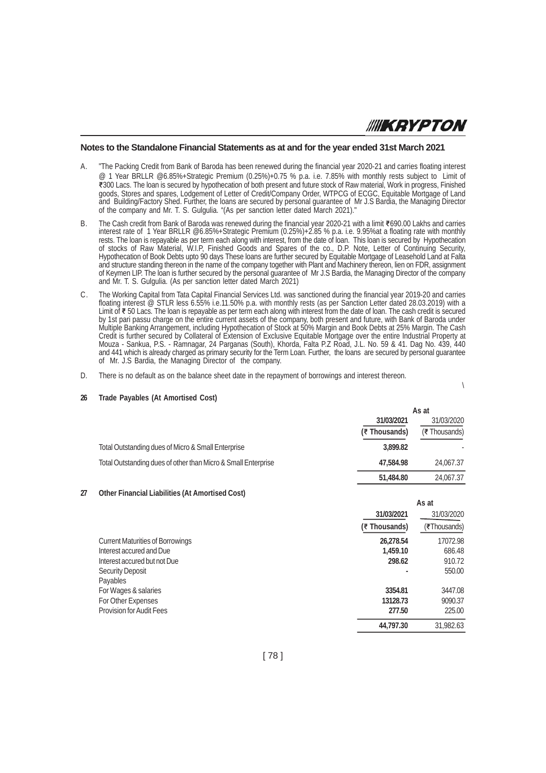

 $\sqrt{2}$ 

**As at**

#### **Notes to the Standalone Financial Statements as at and for the year ended 31st March 2021**

- A. "The Packing Credit from Bank of Baroda has been renewed during the financial year 2020-21 and carries floating interest @ 1 Year BRLLR @6.85%+Strategic Premium (0.25%)+0.75 % p.a. i.e. 7.85% with monthly rests subject to Limit of **"**300 Lacs. The loan is secured by hypothecation of both present and future stock of Raw material, Work in progress, Finished goods, Stores and spares, Lodgement of Letter of Credit/Company Order, WTPCG of ECGC, Equitable Mortgage of Land and Building/Factory Shed. Further, the loans are secured by personal guarantee of Mr J.S Bardia, the Managing Director of the company and Mr. T. S. Gulgulia. "(As per sanction letter dated March 2021)."
- B. The Cash credit from Bank of Baroda was renewed during the financial year 2020-21 with a limit **"**690.00 Lakhs and carries interest rate of 1 Year BRLLR @6.85%+Strategic Premium (0.25%)+2.85 % p.a. i.e. 9.95%at a floating rate with monthly rests. The loan is repayable as per term each along with interest, from the date of loan. This loan is secured by Hypothecation of stocks of Raw Material, W.I.P, Finished Goods and Spares of the co., D.P. Note, Letter of Continuing Security, Hypothecation of Book Debts upto 90 days These loans are further secured by Equitable Mortgage of Leasehold Land at Falta and structure standing thereon in the name of the company together with Plant and Machinery thereon, lien on FDR, assignment of Keymen LIP. The loan is further secured by the personal guarantee of Mr J.S Bardia, the Managing Director of the company and Mr. T. S. Gulgulia. (As per sanction letter dated March 2021)
- C. The Working Capital from Tata Capital Financial Services Ltd. was sanctioned during the financial year 2019-20 and carries floating interest @ STLR less 6.55% i.e.11.50% p.a. with monthly rests (as per Sanction Letter d Limit of **"** 50 Lacs. The loan is repayable as per term each along with interest from the date of loan. The cash credit is secured by 1st pari passu charge on the entire current assets of the company, both present and future, with Bank of Baroda under Multiple Banking Arrangement, including Hypothecation of Stock at 50% Margin and Book Debts at 25% Margin. The Cash Credit is further secured by Collateral of Extension of Exclusive Equitable Mortgage over the entire Industrial Property at Mouza - Sankua, P.S. - Ramnagar, 24 Parganas (South), Khorda, Falta P.Z Road, J.L. No. 59 & 41. Dag No. 439, 440 and 441 which is already charged as primary security for the Term Loan. Further, the loans are secured by personal guarantee of Mr. J.S Bardia, the Managing Director of the company.
- D. There is no default as on the balance sheet date in the repayment of borrowings and interest thereon.

#### **26 Trade Payables (At Amortised Cost)**

|                                                               | As at                    |               |
|---------------------------------------------------------------|--------------------------|---------------|
|                                                               | 31/03/2021<br>31/03/2020 |               |
|                                                               | (₹ Thousands)            | (₹ Thousands) |
| Total Outstanding dues of Micro & Small Enterprise            | 3.899.82                 |               |
| Total Outstanding dues of other than Micro & Small Enterprise | 47.584.98                | 24,067.37     |
|                                                               | 51,484.80                | 24,067.37     |

#### **27 Other Financial Liabilities (At Amortised Cost)**

|                                         | , ww          |              |
|-----------------------------------------|---------------|--------------|
|                                         | 31/03/2021    | 31/03/2020   |
|                                         | (₹ Thousands) | (₹Thousands) |
| <b>Current Maturities of Borrowings</b> | 26,278.54     | 17072.98     |
| Interest accured and Due                | 1,459.10      | 686.48       |
| Interest accured but not Due            | 298.62        | 910.72       |
| <b>Security Deposit</b>                 |               | 550.00       |
| Payables                                |               |              |
| For Wages & salaries                    | 3354.81       | 3447.08      |
| For Other Expenses                      | 13128.73      | 9090.37      |
| <b>Provision for Audit Fees</b>         | 277.50        | 225.00       |
|                                         | 44,797.30     | 31,982.63    |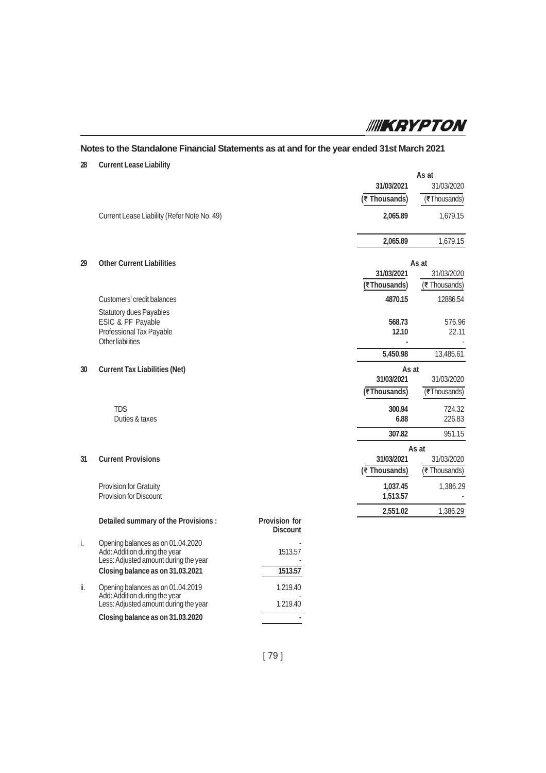#### **Notes to the Standalone Financial Statements as at and for the year ended 31st March 2021**

**28 Current Lease Liability As at 31/03/2021** 31/03/2020 **(" Thousands)** (**"**Thousands) Current Lease Liability (Refer Note No. 49) **2,065.89** 1,679.15 **2,065.89** 1,679.15 **29** Other Current Liabilities As at<br>31/03/2021  **31/03/2021** 31/03/2020 **("Thousands)** (**"** Thousands) Customers' credit balances **4870.15** 12886.54 Statutory dues Payables ESIC & PF Payable **568.73** 576.96 Professional Tax Payable **12.10** 22.11 **Other liabilities 5,450.98** 13,485.61 **30 Current Tax Liabilities (Net)** As at<br>31/03/2021 **31/03/2021** 31/03/2020 **("Thousands)** (**"**Thousands) TDS **300.94** 724.32 Duties & taxes **6.88** 226.83 **307.82** 951.15 **As at**<br>31/03/2021 **31 Current Provisions 31/03/2021** 31/03/2020 **(" Thousands)** (**"** Thousands) Provision for Gratuity **1,037.45** 1,386.29 Provision for Discount **1,513.57** - **2,551.02** 1,386.29 **Detailed summary of the Provisions : Provision for Discount** i. Opening balances as on 01.04.2020<br>Add: Addition during the year and the state of the 1513.57 Add: Addition during the year 1513.57 Less: Adjusted amount during the year - **Closing balance as on 31.03.2021 1513.57** ii. Opening balances as on  $01.04.2019$  1,219.40 Add: Addition during the year<br>
Less: Adjusted amount during the year 1.219.40 Less: Adjusted amount during the year

**Closing balance as on 31.03.2020 -**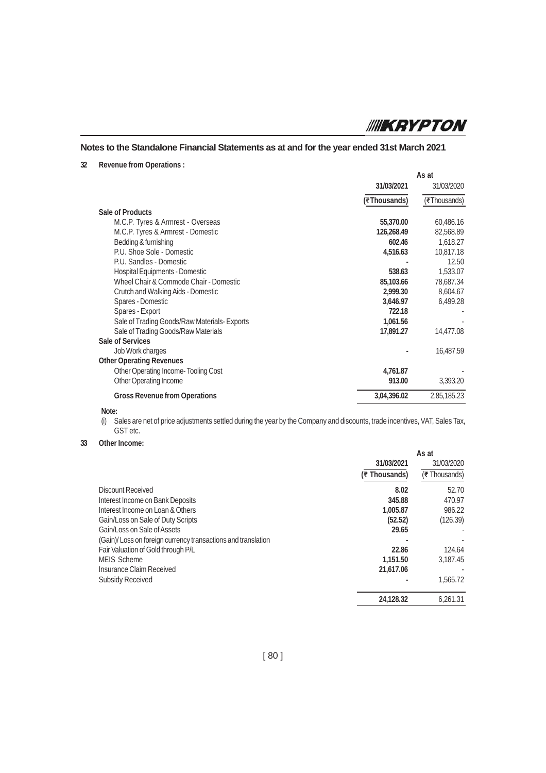# **Notes to the Standalone Financial Statements as at and for the year ended 31st March 2021**

**32 Revenue from Operations :**

|                                             |              | As at        |
|---------------------------------------------|--------------|--------------|
|                                             | 31/03/2021   | 31/03/2020   |
|                                             | (₹Thousands) | (₹Thousands) |
| Sale of Products                            |              |              |
| M.C.P. Tyres & Armrest - Overseas           | 55,370.00    | 60,486.16    |
| M.C.P. Tyres & Armrest - Domestic           | 126,268.49   | 82,568.89    |
| Bedding & furnishing                        | 602.46       | 1,618.27     |
| P.U. Shoe Sole - Domestic                   | 4,516.63     | 10,817.18    |
| P.U. Sandles - Domestic                     |              | 12.50        |
| <b>Hospital Equipments - Domestic</b>       | 538.63       | 1,533.07     |
| Wheel Chair & Commode Chair - Domestic      | 85,103.66    | 78,687.34    |
| Crutch and Walking Aids - Domestic          | 2,999.30     | 8,604.67     |
| Spares - Domestic                           | 3,646.97     | 6,499.28     |
| Spares - Export                             | 722.18       |              |
| Sale of Trading Goods/Raw Materials-Exports | 1,061.56     |              |
| Sale of Trading Goods/Raw Materials         | 17,891.27    | 14,477.08    |
| <b>Sale of Services</b>                     |              |              |
| Job Work charges                            |              | 16,487.59    |
| <b>Other Operating Revenues</b>             |              |              |
| Other Operating Income-Tooling Cost         | 4,761.87     |              |
| Other Operating Income                      | 913.00       | 3,393.20     |
| <b>Gross Revenue from Operations</b>        | 3,04,396.02  | 2,85,185.23  |
|                                             |              |              |

# **Note:**

(i) Sales are net of price adjustments settled during the year by the Company and discounts, trade incentives, VAT, Sales Tax, GST etc.

#### **33 Other Income:**

|                                                              | 31/03/2021<br>(₹ Thousands) | As at<br>31/03/2020<br>(₹ Thousands) |
|--------------------------------------------------------------|-----------------------------|--------------------------------------|
| <b>Discount Received</b>                                     | 8.02                        | 52.70                                |
| Interest Income on Bank Deposits                             | 345.88                      | 470.97                               |
| Interest Income on Loan & Others                             | 1.005.87                    | 986.22                               |
| Gain/Loss on Sale of Duty Scripts                            | (52.52)                     | (126.39)                             |
| Gain/Loss on Sale of Assets                                  | 29.65                       |                                      |
| (Gain)/Loss on foreign currency transactions and translation |                             |                                      |
| Fair Valuation of Gold through P/L                           | 22.86                       | 124.64                               |
| MEIS Scheme                                                  | 1.151.50                    | 3.187.45                             |
| Insurance Claim Received                                     | 21.617.06                   |                                      |
| <b>Subsidy Received</b>                                      |                             | 1,565.72                             |
|                                                              | 24.128.32                   | 6.261.31                             |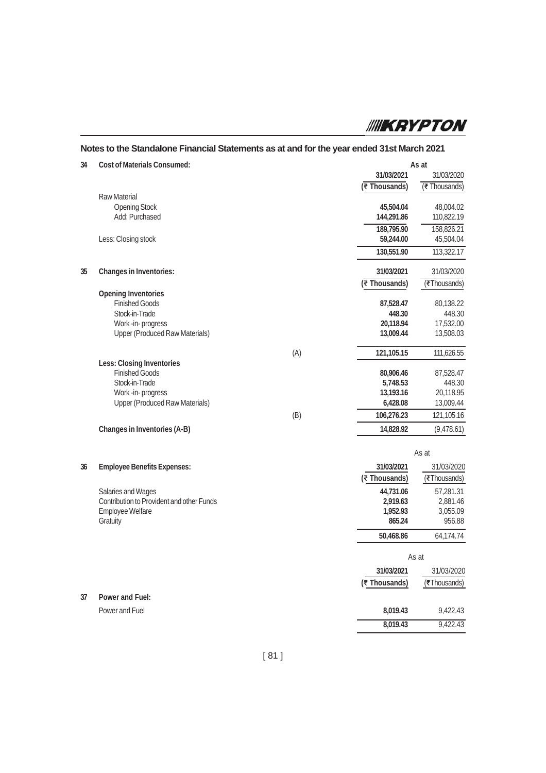| 34 | <b>Cost of Materials Consumed:</b>                          |     |                         | As at                   |
|----|-------------------------------------------------------------|-----|-------------------------|-------------------------|
|    |                                                             |     | 31/03/2021              | 31/03/2020              |
|    |                                                             |     | (₹ Thousands)           | (₹ Thousands)           |
|    | Raw Material                                                |     |                         |                         |
|    | <b>Opening Stock</b><br>Add: Purchased                      |     | 45,504.04<br>144,291.86 | 48,004.02<br>110,822.19 |
|    |                                                             |     |                         |                         |
|    |                                                             |     | 189,795.90<br>59,244.00 | 158,826.21<br>45,504.04 |
|    | Less: Closing stock                                         |     | 130,551.90              | 113,322.17              |
|    |                                                             |     |                         |                         |
| 35 | <b>Changes in Inventories:</b>                              |     | 31/03/2021              | 31/03/2020              |
|    |                                                             |     | (₹ Thousands)           | (₹Thousands)            |
|    | <b>Opening Inventories</b>                                  |     |                         |                         |
|    | <b>Finished Goods</b>                                       |     | 87,528.47               | 80,138.22               |
|    | Stock-in-Trade                                              |     | 448.30                  | 448.30                  |
|    | Work -in- progress                                          |     | 20,118.94               | 17,532.00               |
|    | <b>Upper (Produced Raw Materials)</b>                       |     | 13,009.44               | 13,508.03               |
|    |                                                             | (A) | 121,105.15              | 111,626.55              |
|    | <b>Less: Closing Inventories</b>                            |     |                         |                         |
|    | <b>Finished Goods</b>                                       |     | 80,906.46               | 87,528.47               |
|    | Stock-in-Trade                                              |     | 5,748.53                | 448.30                  |
|    | Work -in- progress<br><b>Upper (Produced Raw Materials)</b> |     | 13,193.16<br>6,428.08   | 20,118.95<br>13,009.44  |
|    |                                                             | (B) | 106,276.23              | 121,105.16              |
|    |                                                             |     |                         |                         |
|    | Changes in Inventories (A-B)                                |     | 14,828.92               | (9,478.61)              |
|    |                                                             |     |                         | As at                   |
| 36 | <b>Employee Benefits Expenses:</b>                          |     | 31/03/2021              | 31/03/2020              |
|    |                                                             |     | (₹ Thousands)           | (₹Thousands)            |
|    | Salaries and Wages                                          |     | 44,731.06               | 57,281.31               |
|    | Contribution to Provident and other Funds                   |     | 2,919.63                | 2,881.46                |
|    | Employee Welfare                                            |     | 1,952.93                | 3,055.09                |
|    | Gratuity                                                    |     | 865.24                  | 956.88                  |
|    |                                                             |     | 50,468.86               | 64,174.74               |
|    |                                                             |     |                         | As at                   |
|    |                                                             |     | 31/03/2021              | 31/03/2020              |
|    |                                                             |     | (₹ Thousands)           | (₹Thousands)            |
| 37 | <b>Power and Fuel:</b>                                      |     |                         |                         |
|    | Power and Fuel                                              |     | 8,019.43                | 9,422.43                |
|    |                                                             |     | 8,019.43                | 9,422.43                |
|    |                                                             |     |                         |                         |

**Notes to the Standalone Financial Statements as at and for the year ended 31st March 2021**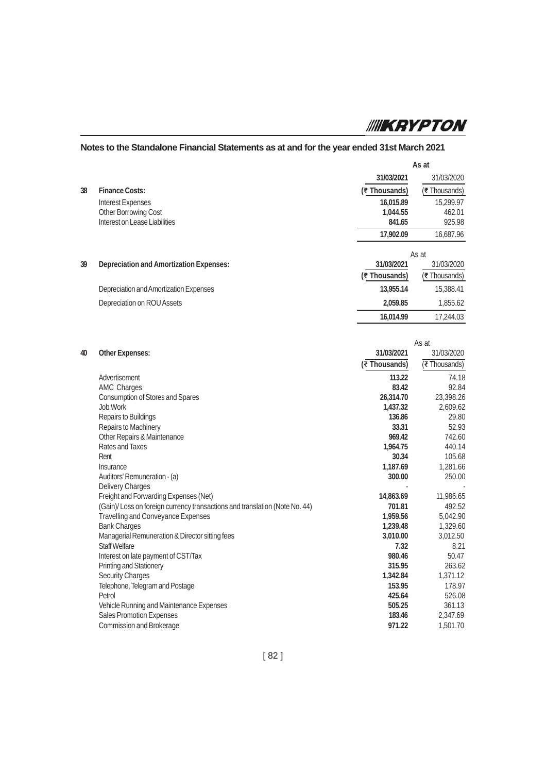|    |                                                         | As at               |                      |  |
|----|---------------------------------------------------------|---------------------|----------------------|--|
|    |                                                         | 31/03/2021          | 31/03/2020           |  |
| 38 | <b>Finance Costs:</b>                                   | (₹ Thousands)       | (₹ Thousands)        |  |
|    | <b>Interest Expenses</b>                                | 16,015.89           | 15,299.97            |  |
|    | Other Borrowing Cost                                    | 1,044.55            | 462.01               |  |
|    | Interest on Lease Liabilities                           | 841.65              | 925.98               |  |
|    |                                                         | 17,902.09           | 16,687.96            |  |
|    |                                                         |                     | As at                |  |
| 39 | <b>Depreciation and Amortization Expenses:</b>          | 31/03/2021          | 31/03/2020           |  |
|    |                                                         | (₹ Thousands)       | (₹ Thousands)        |  |
|    | Depreciation and Amortization Expenses                  | 13,955.14           | 15,388.41            |  |
|    | Depreciation on ROU Assets                              | 2,059.85            | 1,855.62             |  |
|    |                                                         | 16,014.99           | 17,244.03            |  |
|    |                                                         |                     |                      |  |
|    |                                                         |                     | As at                |  |
| 40 | <b>Other Expenses:</b>                                  | 31/03/2021          | 31/03/2020           |  |
|    |                                                         | (₹ Thousands)       | (₹ Thousands)        |  |
|    | Advertisement                                           | 113.22              | 74.18                |  |
|    | AMC Charges                                             | 83.42               | 92.84                |  |
|    | <b>Consumption of Stores and Spares</b><br>. . <i>.</i> | 26,314.70<br>1.0700 | 23,398.26<br>0,00,00 |  |
|    |                                                         |                     |                      |  |

# **Notes to the Standalone Financial Statements as at and for the year ended 31st March 2021**

| <b>Other Expenses:</b>                                                     | 31/03/2021    | 31/03/2020    |
|----------------------------------------------------------------------------|---------------|---------------|
|                                                                            | (₹ Thousands) | (₹ Thousands) |
| Advertisement                                                              | 113.22        | 74.18         |
| <b>AMC Charges</b>                                                         | 83.42         | 92.84         |
| <b>Consumption of Stores and Spares</b>                                    | 26,314.70     | 23,398.26     |
| Job Work                                                                   | 1,437.32      | 2,609.62      |
| Repairs to Buildings                                                       | 136.86        | 29.80         |
| Repairs to Machinery                                                       | 33.31         | 52.93         |
| Other Repairs & Maintenance                                                | 969.42        | 742.60        |
| Rates and Taxes                                                            | 1,964.75      | 440.14        |
| Rent                                                                       | 30.34         | 105.68        |
| Insurance                                                                  | 1,187.69      | 1,281.66      |
| Auditors' Remuneration - (a)                                               | 300.00        | 250.00        |
| Delivery Charges                                                           |               |               |
| Freight and Forwarding Expenses (Net)                                      | 14,863.69     | 11,986.65     |
| (Gain)/Loss on foreign currency transactions and translation (Note No. 44) | 701.81        | 492.52        |
| <b>Travelling and Conveyance Expenses</b>                                  | 1.959.56      | 5,042.90      |
| <b>Bank Charges</b>                                                        | 1,239.48      | 1,329.60      |
| Managerial Remuneration & Director sitting fees                            | 3,010.00      | 3,012.50      |
| <b>Staff Welfare</b>                                                       | 7.32          | 8.21          |
| Interest on late payment of CST/Tax                                        | 980.46        | 50.47         |
| <b>Printing and Stationery</b>                                             | 315.95        | 263.62        |
| <b>Security Charges</b>                                                    | 1,342.84      | 1,371.12      |
| Telephone, Telegram and Postage                                            | 153.95        | 178.97        |
| Petrol                                                                     | 425.64        | 526.08        |
| Vehicle Running and Maintenance Expenses                                   | 505.25        | 361.13        |
| <b>Sales Promotion Expenses</b>                                            | 183.46        | 2,347.69      |
| Commission and Brokerage                                                   | 971.22        | 1,501.70      |
|                                                                            |               |               |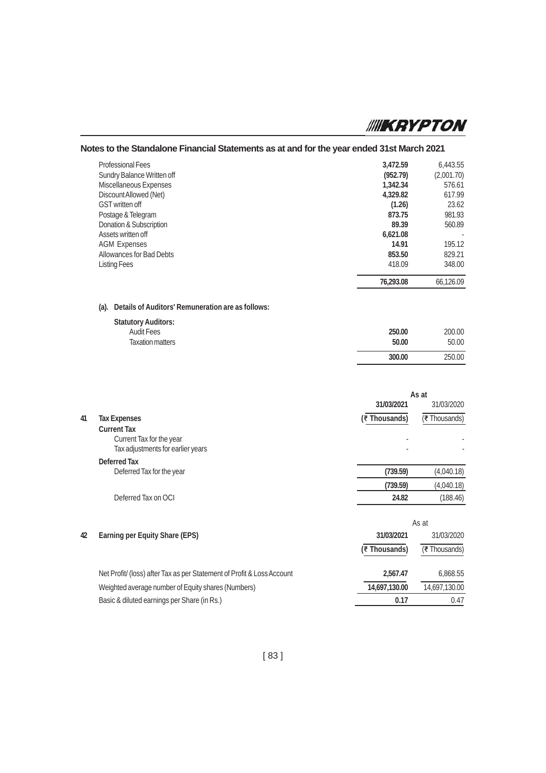|    | Notes to the Standalone Financial Statements as at and for the year ended 31st March 2021                                                                                                                                                                                      |                                                                                                                    |                                                                                                       |
|----|--------------------------------------------------------------------------------------------------------------------------------------------------------------------------------------------------------------------------------------------------------------------------------|--------------------------------------------------------------------------------------------------------------------|-------------------------------------------------------------------------------------------------------|
|    | <b>Professional Fees</b><br>Sundry Balance Written off<br>Miscellaneous Expenses<br>Discount Allowed (Net)<br>GST written off<br>Postage & Telegram<br>Donation & Subscription<br>Assets written off<br><b>AGM Expenses</b><br>Allowances for Bad Debts<br><b>Listing Fees</b> | 3,472.59<br>(952.79)<br>1,342.34<br>4,329.82<br>(1.26)<br>873.75<br>89.39<br>6,621.08<br>14.91<br>853.50<br>418.09 | 6.443.55<br>(2,001.70)<br>576.61<br>617.99<br>23.62<br>981.93<br>560.89<br>195.12<br>829.21<br>348.00 |
|    |                                                                                                                                                                                                                                                                                | 76,293.08                                                                                                          | 66,126.09                                                                                             |
|    | (a). Details of Auditors' Remuneration are as follows:                                                                                                                                                                                                                         |                                                                                                                    |                                                                                                       |
|    | <b>Statutory Auditors:</b><br><b>Audit Fees</b><br><b>Taxation matters</b>                                                                                                                                                                                                     | 250.00<br>50.00                                                                                                    | 200.00<br>50.00                                                                                       |
|    |                                                                                                                                                                                                                                                                                | 300.00                                                                                                             | 250.00                                                                                                |
|    |                                                                                                                                                                                                                                                                                |                                                                                                                    | As at                                                                                                 |
|    |                                                                                                                                                                                                                                                                                | 31/03/2021                                                                                                         | 31/03/2020                                                                                            |
| 41 | <b>Tax Expenses</b><br><b>Current Tax</b><br>Current Tax for the year<br>Tax adjustments for earlier years                                                                                                                                                                     | (₹ Thousands)                                                                                                      | $\overline{\text{F}}$ Thousands)                                                                      |
|    | <b>Deferred Tax</b>                                                                                                                                                                                                                                                            |                                                                                                                    |                                                                                                       |
|    | Deferred Tax for the year                                                                                                                                                                                                                                                      | (739.59)                                                                                                           | (4,040.18)                                                                                            |
|    | Deferred Tax on OCI                                                                                                                                                                                                                                                            | (739.59)<br>24.82                                                                                                  | (4,040.18)<br>(188.46)                                                                                |
|    |                                                                                                                                                                                                                                                                                |                                                                                                                    |                                                                                                       |
|    |                                                                                                                                                                                                                                                                                |                                                                                                                    | As at                                                                                                 |
| 42 | Earning per Equity Share (EPS)                                                                                                                                                                                                                                                 | 31/03/2021                                                                                                         | 31/03/2020                                                                                            |
|    |                                                                                                                                                                                                                                                                                | (₹ Thousands)                                                                                                      | (₹ Thousands)                                                                                         |
|    | Net Profit/ (loss) after Tax as per Statement of Profit & Loss Account                                                                                                                                                                                                         | 2,567.47                                                                                                           | 6,868.55                                                                                              |
|    | Weighted average number of Equity shares (Numbers)                                                                                                                                                                                                                             | 14,697,130.00                                                                                                      | 14,697,130.00                                                                                         |
|    | Basic & diluted earnings per Share (in Rs.)                                                                                                                                                                                                                                    | 0.17                                                                                                               | 0.47                                                                                                  |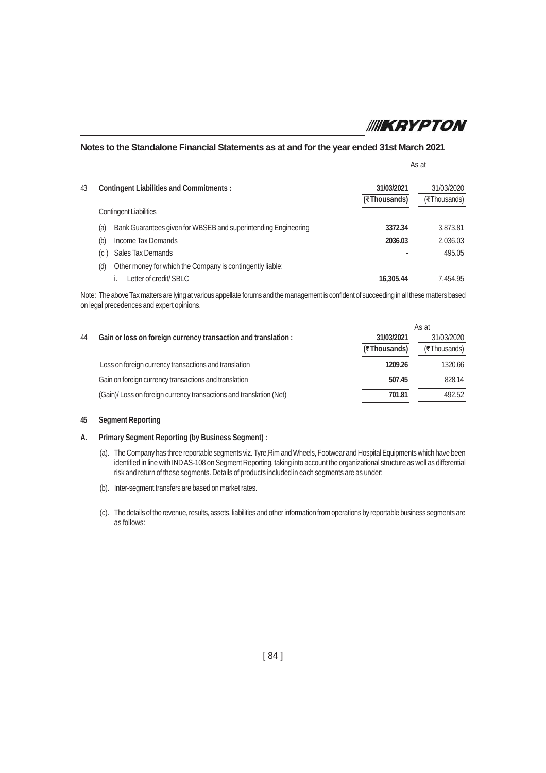# **Notes to the Standalone Financial Statements as at and for the year ended 31st March 2021**

As at

| 43 | <b>Contingent Liabilities and Commitments:</b> |                                                                | 31/03/2021   | 31/03/2020   |  |
|----|------------------------------------------------|----------------------------------------------------------------|--------------|--------------|--|
|    |                                                |                                                                | (₹Thousands) | (₹Thousands) |  |
|    |                                                | <b>Contingent Liabilities</b>                                  |              |              |  |
|    | (a)                                            | Bank Guarantees given for WBSEB and superintending Engineering | 3372.34      | 3.873.81     |  |
|    | (b)                                            | Income Tax Demands                                             | 2036.03      | 2.036.03     |  |
|    | (C )                                           | Sales Tax Demands                                              |              | 495.05       |  |
|    | (d)                                            | Other money for which the Company is contingently liable:      |              |              |  |
|    |                                                | Letter of credit/ SBLC                                         | 16,305.44    | 7.454.95     |  |

Note: The above Tax matters are lying at various appellate forums and the management is confident of succeeding in all these matters based on legal precedences and expert opinions.

|    |                                                                    |              | As at        |
|----|--------------------------------------------------------------------|--------------|--------------|
| 44 | Gain or loss on foreign currency transaction and translation :     | 31/03/2021   | 31/03/2020   |
|    |                                                                    | (₹Thousands) | (₹Thousands) |
|    | Loss on foreign currency transactions and translation              | 1209.26      | 1320.66      |
|    | Gain on foreign currency transactions and translation              | 507.45       | 828.14       |
|    | (Gain)/Loss on foreign currency transactions and translation (Net) | 701.81       | 492.52       |

# **45 Segment Reporting**

# **A. Primary Segment Reporting (by Business Segment) :**

- (a). The Company has three reportable segments viz. Tyre,Rim and Wheels, Footwear and Hospital Equipments which have been identified in line with IND AS-108 on Segment Reporting, taking into account the organizational structure as well as differential risk and return of these segments. Details of products included in each segments are as under:
- (b). Inter-segment transfers are based on market rates.
- (c). The details of the revenue, results, assets, liabilities and other information from operations by reportable business segments are as follows: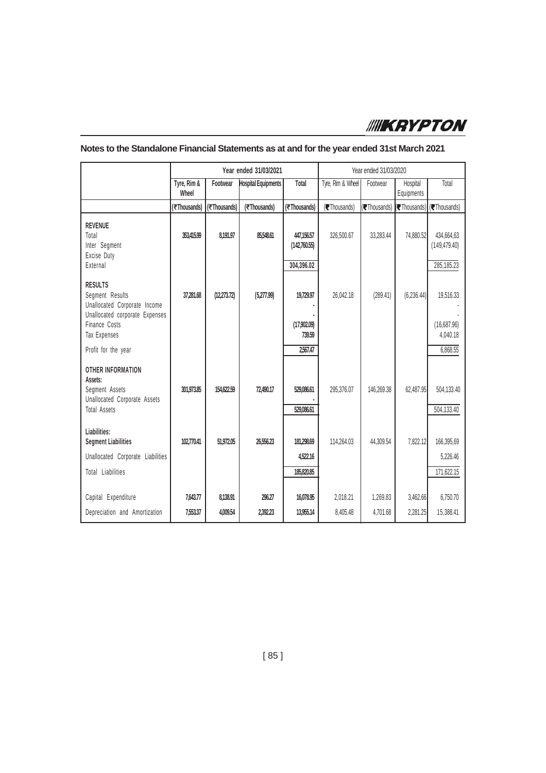

|                                                                                                                                                    | Year ended 31/03/2021 |              | Year ended 31/03/2020      |                                          |                   |              |                        |                                             |
|----------------------------------------------------------------------------------------------------------------------------------------------------|-----------------------|--------------|----------------------------|------------------------------------------|-------------------|--------------|------------------------|---------------------------------------------|
|                                                                                                                                                    | Tyre, Rim &<br>Wheel  | Footwear     | <b>Hospital Equipments</b> | Total                                    | Tyre, Rim & Wheel | Footwear     | Hospital<br>Equipments | Total                                       |
|                                                                                                                                                    | (₹Thousands)          | (₹Thousands) | (₹Thousands)               | (₹Thousands)                             | (Thousands)       | (₹Thousands) | (₹Thousands)           | (Thousands)                                 |
| <b>REVENUE</b><br>Total<br>Inter Segment<br>Excise Duty<br>External                                                                                | 353,415.99            | 8,191.97     | 85548.61                   | 447.156.57<br>(142,760.55)<br>304,396.02 | 326,500.67        | 33,283.44    | 74.880.52              | 434,664,63<br>(149, 479.40)<br>285, 185. 23 |
| <b>RESULTS</b><br>Segment Results<br>Unallocated Corporate Income<br>Unallocated corporate Expenses<br><b>Finance Costs</b><br><b>Tax Expenses</b> | 37,281.68             | (12,273.72)  | (5,277.99)                 | 19,729.97<br>(17,902.09)<br>739.59       | 26,042.18         | (289.41)     | (6, 236.44)            | 19,516.33<br>(16,687.96)<br>4.040.18        |
| Profit for the year                                                                                                                                |                       |              |                            | 2,567.47                                 |                   |              |                        | 6,868.55                                    |
| <b>OTHER INFORMATION</b><br>Assets:<br>Segment Assets<br>Unallocated Corporate Assets<br><b>Total Assets</b>                                       | 301,973.85            | 154,622.59   | 72,490.17                  | 529,086.61<br>529,086.61                 | 295,376.07        | 146,269.38   | 62.487.95              | 504,133.40<br>504,133.40                    |
| Liabilities:<br><b>Segment Liabilities</b><br>Unallocated Corporate Liabilities<br><b>Total Liabilities</b>                                        | 102,770.41            | 51,972.05    | 26,556.23                  | 181,298.69<br>4,522.16<br>185,820.85     | 114,264.03        | 44,309.54    | 7,822.12               | 166,395,69<br>5,226.46<br>171,622.15        |
| Capital Expenditure                                                                                                                                | 7.643.77              | 8,138.91     | 296.27                     | 16,078.95                                | 2,018.21          | 1,269.83     | 3,462.66               | 6,750.70                                    |
| Depreciation and Amortization                                                                                                                      | 7,553.37              | 4,009.54     | 2,392.23                   | 13,955.14                                | 8,405.48          | 4,701.68     | 2,281.25               | 15,388.41                                   |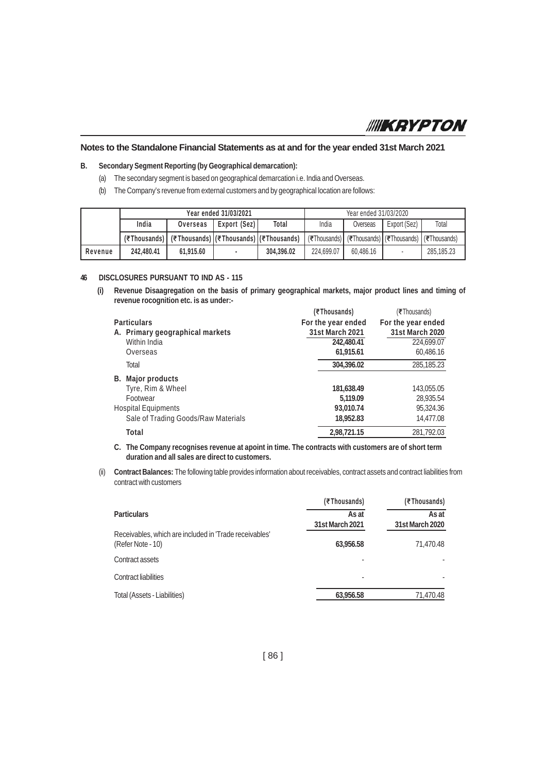

# **B. Secondary Segment Reporting (by Geographical demarcation):**

- (a) The secondary segment is based on geographical demarcation i.e. India and Overseas.
- (b) The Company's revenue from external customers and by geographical location are follows:

|         | Year ended 31/03/2021 |           |              |                                                           |            | Year ended 31/03/2020                                     |              |            |
|---------|-----------------------|-----------|--------------|-----------------------------------------------------------|------------|-----------------------------------------------------------|--------------|------------|
|         | India                 | Overseas  | Export (Sez) | Total                                                     | India      | Overseas                                                  | Export (Sez) | Total      |
|         |                       |           |              | (₹Thousands)   (₹Thousands)   (₹Thousands)   (₹Thousands) |            | (₹Thousands)   (₹Thousands)   (₹Thousands)   (₹Thousands) |              |            |
| Revenue | 242,480.41            | 61.915.60 |              | 304.396.02                                                | 224.699.07 | 60.486.16                                                 |              | 285,185,23 |

# **46 DISCLOSURES PURSUANT TO IND AS - 115**

**(i) Revenue Disaagregation on the basis of primary geographical markets, major product lines and timing of revenue rocognition etc. is as under:-**

|                                     | (₹Thousands)           | (₹Thousands)       |
|-------------------------------------|------------------------|--------------------|
| <b>Particulars</b>                  | For the year ended     | For the year ended |
| A. Primary geographical markets     | <b>31st March 2021</b> | 31st March 2020    |
| Within India                        | 242,480.41             | 224,699.07         |
| Overseas                            | 61,915.61              | 60,486.16          |
| Total                               | 304,396.02             | 285,185.23         |
| <b>B.</b> Major products            |                        |                    |
| Tyre, Rim & Wheel                   | 181,638.49             | 143.055.05         |
| Footwear                            | 5,119.09               | 28,935.54          |
| <b>Hospital Equipments</b>          | 93,010.74              | 95,324.36          |
| Sale of Trading Goods/Raw Materials | 18,952.83              | 14,477.08          |
| Total                               | 2,98,721.15            | 281.792.03         |

**C. The Company recognises revenue at apoint in time. The contracts with customers are of short term duration and all sales are direct to customers.**

(ii) **Contract Balances:** The following table provides information about receivables, contract assets and contract liabilities from contract with customers

|                                                                             | (₹Thousands)                    | (₹Thousands)             |
|-----------------------------------------------------------------------------|---------------------------------|--------------------------|
| <b>Particulars</b>                                                          | As at<br><b>31st March 2021</b> | As at<br>31st March 2020 |
| Receivables, which are included in 'Trade receivables'<br>(Refer Note - 10) | 63.956.58                       | 71,470.48                |
| Contract assets                                                             |                                 |                          |
| Contract liabilities                                                        |                                 |                          |
| Total (Assets - Liabilities)                                                | 63,956.58                       | 71,470.48                |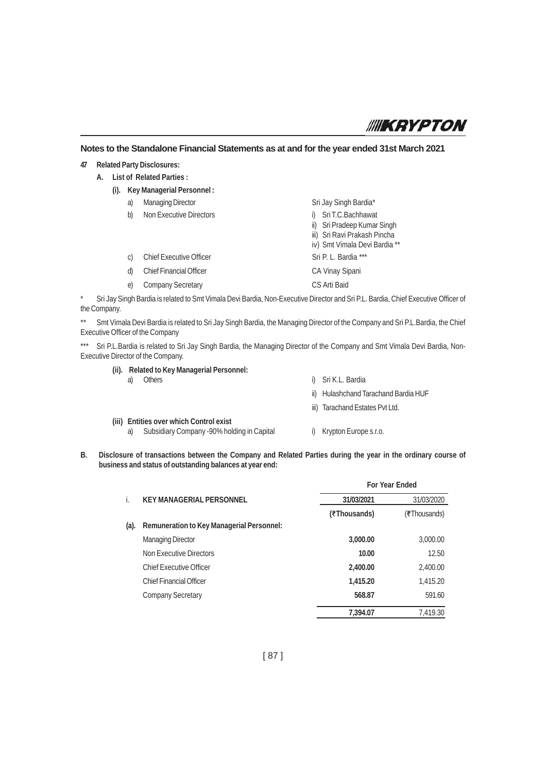

i) Sri T.C.Bachhawat ii) Sri Pradeep Kumar Singh

## **Notes to the Standalone Financial Statements as at and for the year ended 31st March 2021**

- **47 Related Party Disclosures:**
	- **A. List of Related Parties :**
		- **(i). Key Managerial Personnel :**
			- a) Managing Director Sri Jay Singh Bardia\*

| b) | <b>Non Executive Directors</b> |
|----|--------------------------------|
|    |                                |

|         |          |                                | iii) Sri Ravi Prakash Pincha                                                                                                      |
|---------|----------|--------------------------------|-----------------------------------------------------------------------------------------------------------------------------------|
|         |          |                                | iv) Smt Vimala Devi Bardia **                                                                                                     |
|         |          | <b>Chief Executive Officer</b> | Sri P. L. Bardia ***                                                                                                              |
|         |          | <b>Chief Financial Officer</b> | CA Vinay Sipani                                                                                                                   |
|         | $\Theta$ | <b>Company Secretary</b>       | CS Arti Baid                                                                                                                      |
| $\star$ |          |                                | Sri Jay Singh Bardia is related to Smt Vimala Devi Bardia, Non-Executive Director and Sri P.L. Bardia, Chief Executive Officer of |

the Company.

\*\* Smt Vimala Devi Bardia is related to Sri Jay Singh Bardia, the Managing Director of the Company and Sri P.L.Bardia, the Chief Executive Officer of the Company

\*\*\* Sri P.L.Bardia is related to Sri Jay Singh Bardia, the Managing Director of the Company and Smt Vimala Devi Bardia, Non-Executive Director of the Company.

| (ii). |    | <b>Related to Key Managerial Personnel:</b> |                                      |
|-------|----|---------------------------------------------|--------------------------------------|
|       | a) | <b>Others</b>                               | i) Sri K.L. Bardia                   |
|       |    |                                             | ii) Hulashchand Tarachand Bardia HUF |
|       |    |                                             | iii) Tarachand Estates Pvt Ltd.      |
|       |    | (iii) Entities over which Control exist     |                                      |
|       | a) | Subsidiary Company -90% holding in Capital  | Krypton Europe s.r.o.                |

**B. Disclosure of transactions between the Company and Related Parties during the year in the ordinary course of business and status of outstanding balances at year end:**

|      |                                                  | <b>For Year Ended</b> |              |  |  |
|------|--------------------------------------------------|-----------------------|--------------|--|--|
|      | <b>KEY MANAGERIAL PERSONNEL</b>                  | 31/03/2021            | 31/03/2020   |  |  |
|      |                                                  | (₹Thousands)          | (₹Thousands) |  |  |
| (a). | <b>Remuneration to Key Managerial Personnel:</b> |                       |              |  |  |
|      | <b>Managing Director</b>                         | 3.000.00              | 3,000.00     |  |  |
|      | Non Executive Directors                          | 10.00                 | 12.50        |  |  |
|      | <b>Chief Executive Officer</b>                   | 2.400.00              | 2,400.00     |  |  |
|      | <b>Chief Financial Officer</b>                   | 1,415.20              | 1,415.20     |  |  |
|      | <b>Company Secretary</b>                         | 568.87                | 591.60       |  |  |
|      |                                                  | 7.394.07              | 7.419.30     |  |  |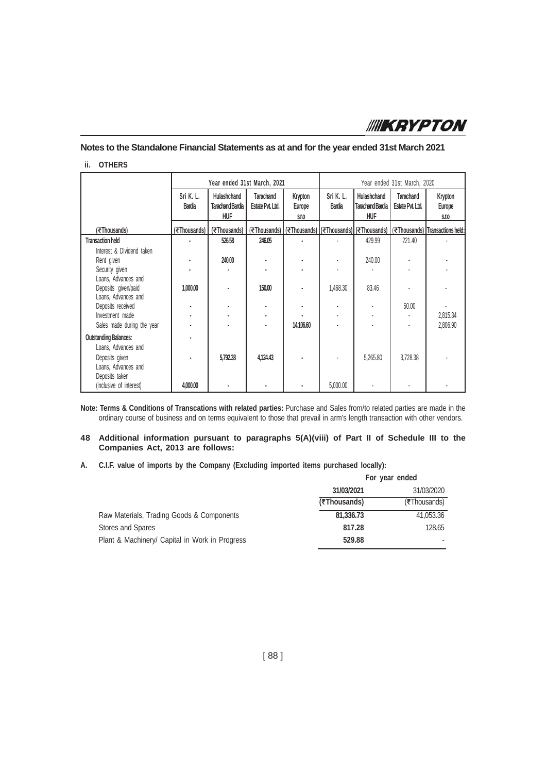

### **ii. OTHERS**

|                                                                                                                |                     |                                        | Year ended 31st March, 2021          |                            | Year ended 31st March, 2020 |                                        |                                      |                                                                                               |
|----------------------------------------------------------------------------------------------------------------|---------------------|----------------------------------------|--------------------------------------|----------------------------|-----------------------------|----------------------------------------|--------------------------------------|-----------------------------------------------------------------------------------------------|
|                                                                                                                | Sri K. L.<br>Bardia | Hulashchand<br>Tarachand Bardia<br>huf | <b>Tarachand</b><br>Estate Pvt. Ltd. | Krypton<br>Europe<br>S.I.0 | Sri K. L.<br><b>Bardia</b>  | Hulashchand<br>Tarachand Bardia<br>HUF | <b>Tarachand</b><br>Estate Pvt. Ltd. | Krypton<br>Europe<br>SIO                                                                      |
| (₹Thousands)                                                                                                   | (₹Thousands)        | (₹Thousands)                           |                                      |                            |                             |                                        |                                      | (₹Thousands)   (₹Thousands)   (₹Thousands)   (₹Thousands)   (₹Thousands)   Transactions held: |
| <b>Transaction held</b>                                                                                        |                     | 526.58                                 | 246.05                               |                            |                             | 429.99                                 | 221.40                               |                                                                                               |
| Interest & Dividend taken<br>Rent given                                                                        |                     | 240.00                                 |                                      |                            |                             | 240.00                                 |                                      |                                                                                               |
| Security given                                                                                                 |                     |                                        |                                      |                            |                             |                                        |                                      |                                                                                               |
| Loans, Advances and<br>Deposits given/paid<br>Loans, Advances and                                              | 1,000.00            |                                        | 150.00                               |                            | 1,468.30                    | 83.46                                  |                                      |                                                                                               |
| Deposits received                                                                                              |                     |                                        |                                      |                            |                             |                                        | 50.00                                |                                                                                               |
| Investment made                                                                                                |                     |                                        |                                      |                            |                             |                                        |                                      | 2,815.34                                                                                      |
| Sales made during the year                                                                                     |                     |                                        |                                      | 14,106.60                  |                             |                                        |                                      | 2,806.90                                                                                      |
| <b>Outstanding Balances:</b><br>Loans, Advances and<br>Deposits given<br>Loans, Advances and<br>Deposits taken |                     | 5.792.38                               | 4,124.43                             |                            |                             | 5.265.80                               | 3,728.38                             |                                                                                               |
| (inclusive of interest)                                                                                        | 4.000.00            |                                        |                                      |                            | 5,000.00                    |                                        |                                      |                                                                                               |

**Note: Terms & Conditions of Transcations with related parties:** Purchase and Sales from/to related parties are made in the ordinary course of business and on terms equivalent to those that prevail in arm's length transaction with other vendors.

### **48 Additional information pursuant to paragraphs 5(A)(viii) of Part II of Schedule III to the Companies Act, 2013 are follows:**

**A. C.I.F. value of imports by the Company (Excluding imported items purchased locally):**

|                                                |              | For year ended |
|------------------------------------------------|--------------|----------------|
|                                                | 31/03/2021   | 31/03/2020     |
|                                                | (₹Thousands) | (₹Thousands)   |
| Raw Materials, Trading Goods & Components      | 81,336.73    | 41,053.36      |
| <b>Stores and Spares</b>                       | 817.28       | 128.65         |
| Plant & Machinery/ Capital in Work in Progress | 529.88       |                |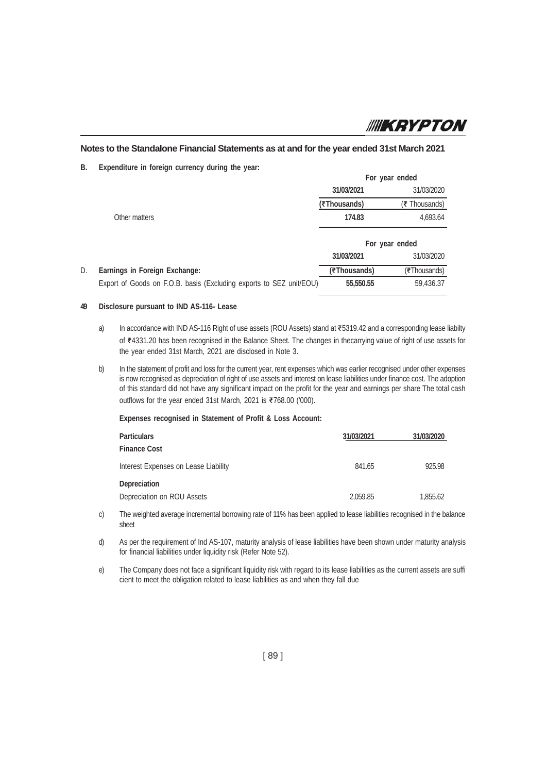

**B. Expenditure in foreign currency during the year:**

|    |                                                                     |              | For year ended |
|----|---------------------------------------------------------------------|--------------|----------------|
|    |                                                                     | 31/03/2021   | 31/03/2020     |
|    |                                                                     | (₹Thousands) | (₹ Thousands)  |
|    | Other matters                                                       | 174.83       | 4,693.64       |
|    |                                                                     |              | For year ended |
|    |                                                                     | 31/03/2021   | 31/03/2020     |
| D. | Earnings in Foreign Exchange:                                       | (₹Thousands) | (₹Thousands)   |
|    | Export of Goods on F.O.B. basis (Excluding exports to SEZ unit/EOU) | 55,550.55    | 59,436.37      |

# **49 Disclosure pursuant to IND AS-116- Lease**

- a) In accordance with IND AS-116 Right of use assets (ROU Assets) stand at **"**5319.42 and a corresponding lease liabilty of **"**4331.20 has been recognised in the Balance Sheet. The changes in thecarrying value of right of use assets for the year ended 31st March, 2021 are disclosed in Note 3.
- b) In the statement of profit and loss for the current year, rent expenses which was earlier recognised under other expenses is now recognised as depreciation of right of use assets and interest on lease liabilities under finance cost. The adoption of this standard did not have any significant impact on the profit for the year and earnings per share The total cash outflows for the year ended 31st March, 2021 is ₹768.00 ('000).

### **Expenses recognised in Statement of Profit & Loss Account:**

| <b>Particulars</b><br><b>Finance Cost</b> | 31/03/2021 | 31/03/2020 |
|-------------------------------------------|------------|------------|
| Interest Expenses on Lease Liability      | 841.65     | 925.98     |
| Depreciation                              |            |            |
| Depreciation on ROU Assets                | 2.059.85   | 1.855.62   |

- c) The weighted average incremental borrowing rate of 11% has been applied to lease liabilities recognised in the balance sheet
- d) As per the requirement of Ind AS-107, maturity analysis of lease liabilities have been shown under maturity analysis for financial liabilities under liquidity risk (Refer Note 52).
- e) The Company does not face a significant liquidity risk with regard to its lease liabilities as the current assets are suffi cient to meet the obligation related to lease liabilities as and when they fall due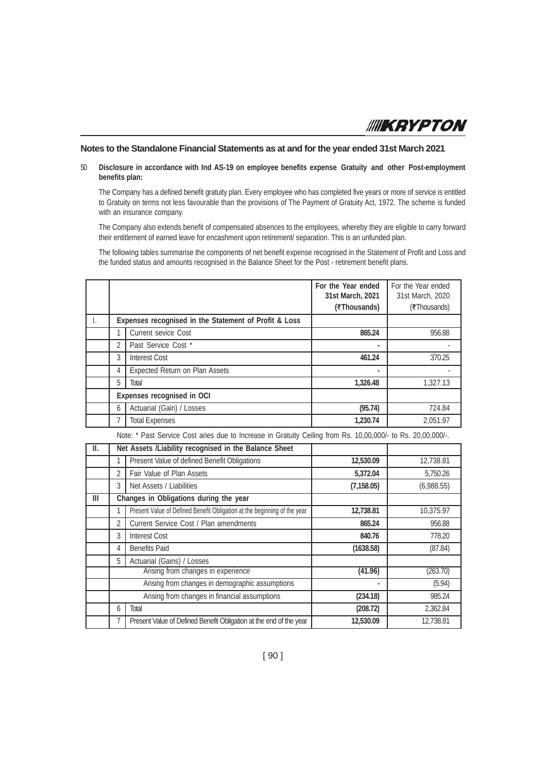

50 **Disclosure in accordance with Ind AS-19 on employee benefits expense Gratuity and other Post-employment benefits plan:**

The Company has a defined benefit gratuity plan. Every employee who has completed five years or more of service is entitled to Gratuity on terms not less favourable than the provisions of The Payment of Gratuity Act, 1972. The scheme is funded with an insurance company.

The Company also extends benefit of compensated absences to the employees, whereby they are eligible to carry forward their entitlement of earned leave for encashment upon retirement/ separation. This is an unfunded plan.

The following tables summarise the components of net benefit expense recognised in the Statement of Profit and Loss and the funded status and amounts recognised in the Balance Sheet for the Post - retirement benefit plans.

|    |                                                       |                                       | For the Year ended<br>31st March, 2021<br>(₹Thousands) | For the Year ended<br>31st March, 2020<br>(₹Thousands) |
|----|-------------------------------------------------------|---------------------------------------|--------------------------------------------------------|--------------------------------------------------------|
| Ι. | Expenses recognised in the Statement of Profit & Loss |                                       |                                                        |                                                        |
|    |                                                       | Current sevice Cost                   | 865.24                                                 | 956.88                                                 |
|    | 2                                                     | Past Service Cost *                   |                                                        |                                                        |
|    | 3                                                     | Interest Cost                         | 461.24                                                 | 370.25                                                 |
|    | 4                                                     | <b>Expected Return on Plan Assets</b> | $\blacksquare$                                         |                                                        |
|    | 5                                                     | Total                                 | 1,326.48                                               | 1,327.13                                               |
|    |                                                       | Expenses recognised in OCI            |                                                        |                                                        |
|    | 6                                                     | Actuarial (Gain) / Losses             | (95.74)                                                | 724.84                                                 |
|    |                                                       | <b>Total Expenses</b>                 | 1,230.74                                               | 2,051.97                                               |

Note: \* Past Service Cost aries due to Increase in Gratuity Ceiling from Rs. 10,00,000/- to Rs. 20,00,000/-.

| Ш. |                                               | Net Assets /Liability recognised in the Balance Sheet                    |                |            |
|----|-----------------------------------------------|--------------------------------------------------------------------------|----------------|------------|
|    |                                               | Present Value of defined Benefit Obligations                             | 12,530.09      | 12,738.81  |
|    | 2                                             | Fair Value of Plan Assets                                                | 5,372.04       | 5,750.26   |
|    | 3                                             | Net Assets / Liabilities                                                 | (7, 158.05)    | (6,988.55) |
| Ш  |                                               | Changes in Obligations during the year                                   |                |            |
|    |                                               | Present Value of Defined Benefit Obligation at the beginning of the year | 12,738.81      | 10,375.97  |
|    | 2                                             | Current Service Cost / Plan amendments                                   | 865.24         | 956.88     |
|    | 3                                             | Interest Cost                                                            | 840.76         | 778.20     |
|    | 4                                             | <b>Benefits Paid</b>                                                     | (1638.58)      | (87.84)    |
|    | 5                                             | Actuarial (Gains) / Losses                                               |                |            |
|    |                                               | Arising from changes in experience                                       | (41.96)        | (263.70)   |
|    |                                               | Arising from changes in demographic assumptions                          | $\overline{a}$ | (5.94)     |
|    | Arising from changes in financial assumptions |                                                                          | (234.18)       | 985.24     |
|    | 6                                             | Total                                                                    | (208.72)       | 2,362.84   |
|    | 7                                             | Present Value of Defined Benefit Obligation at the end of the year       | 12.530.09      | 12.738.81  |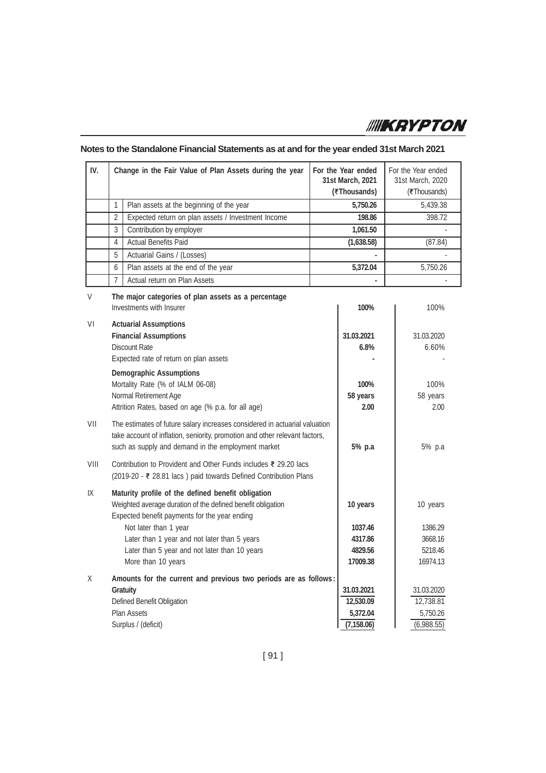| IV.  |                    | Change in the Fair Value of Plan Assets during the year                                                                                                                                                         | For the Year ended<br>31st March, 2021<br>(₹Thousands) | For the Year ended<br>31st March, 2020<br>(₹Thousands) |
|------|--------------------|-----------------------------------------------------------------------------------------------------------------------------------------------------------------------------------------------------------------|--------------------------------------------------------|--------------------------------------------------------|
|      | $\mathbf{1}$       | Plan assets at the beginning of the year                                                                                                                                                                        | 5,750.26                                               | 5,439.38                                               |
|      | $\overline{2}$     | Expected return on plan assets / Investment Income                                                                                                                                                              | 198.86                                                 | 398.72                                                 |
|      | 3                  | Contribution by employer                                                                                                                                                                                        | 1,061.50                                               |                                                        |
|      | $\overline{4}$     | <b>Actual Benefits Paid</b>                                                                                                                                                                                     | (1,638.58)                                             | (87.84)                                                |
|      | 5                  | Actuarial Gains / (Losses)                                                                                                                                                                                      |                                                        |                                                        |
|      | 6                  | Plan assets at the end of the year                                                                                                                                                                              | 5,372.04                                               | 5,750.26                                               |
|      | $\overline{7}$     | Actual return on Plan Assets                                                                                                                                                                                    |                                                        |                                                        |
| V    |                    | The major categories of plan assets as a percentage<br>Investments with Insurer                                                                                                                                 | 100%                                                   | 100%                                                   |
| VI   |                    | <b>Actuarial Assumptions</b><br><b>Financial Assumptions</b><br><b>Discount Rate</b><br>Expected rate of return on plan assets                                                                                  | 31.03.2021<br>6.8%                                     | 31.03.2020<br>6.60%                                    |
|      |                    | <b>Demographic Assumptions</b><br>Mortality Rate (% of IALM 06-08)<br>Normal Retirement Age<br>Attrition Rates, based on age (% p.a. for all age)                                                               | 100%<br>58 years<br>2.00                               | 100%<br>58 years<br>2.00                               |
| VII  |                    | The estimates of future salary increases considered in actuarial valuation<br>take account of inflation, seniority, promotion and other relevant factors,<br>such as supply and demand in the employment market | 5% p.a                                                 | 5% p.a                                                 |
| VIII |                    | Contribution to Provident and Other Funds includes ₹ 29.20 lacs<br>(2019-20 - ₹ 28.81 lacs) paid towards Defined Contribution Plans                                                                             |                                                        |                                                        |
| IX   |                    | Maturity profile of the defined benefit obligation<br>Weighted average duration of the defined benefit obligation<br>Expected benefit payments for the year ending                                              | 10 years                                               | 10 years                                               |
|      |                    | Not later than 1 year                                                                                                                                                                                           | 1037.46                                                | 1386.29                                                |
|      |                    | Later than 1 year and not later than 5 years                                                                                                                                                                    | 4317.86                                                | 3668.16                                                |
|      |                    | Later than 5 year and not later than 10 years                                                                                                                                                                   | 4829.56                                                | 5218.46                                                |
|      |                    | More than 10 years                                                                                                                                                                                              | 17009.38                                               | 16974.13                                               |
| X    |                    | Amounts for the current and previous two periods are as follows:                                                                                                                                                |                                                        |                                                        |
|      | Gratuity           |                                                                                                                                                                                                                 | 31.03.2021                                             | 31.03.2020                                             |
|      |                    | Defined Benefit Obligation                                                                                                                                                                                      | 12,530.09                                              | 12,738.81                                              |
|      | <b>Plan Assets</b> |                                                                                                                                                                                                                 | 5,372.04                                               | 5,750.26                                               |
|      |                    | Surplus / (deficit)                                                                                                                                                                                             | (7, 158.06)                                            | (6,988.55)                                             |

# **Notes to the Standalone Financial Statements as at and for the year ended 31st March 2021**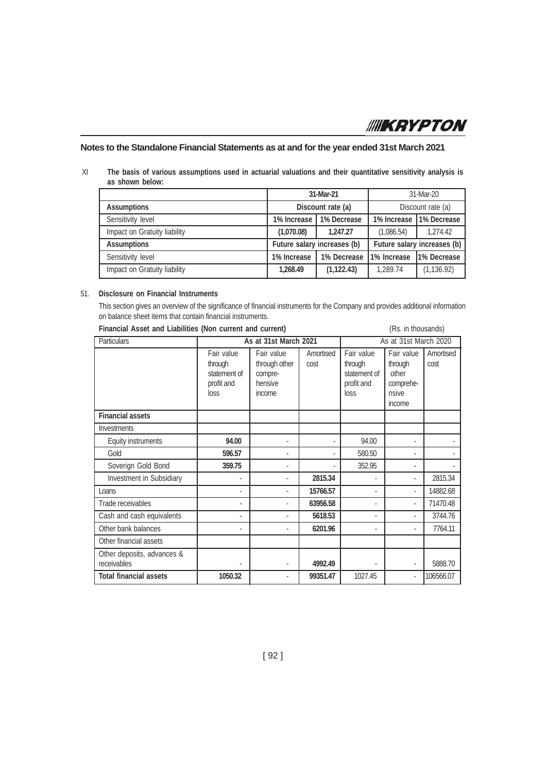# **Notes to the Standalone Financial Statements as at and for the year ended 31st March 2021**

XI **The basis of various assumptions used in actuarial valuations and their quantitative sensitivity analysis is as shown below:**

|                                         | 31-Mar-21                   |             | 31-Mar-20                   |                   |
|-----------------------------------------|-----------------------------|-------------|-----------------------------|-------------------|
| Discount rate (a)<br><b>Assumptions</b> |                             |             |                             | Discount rate (a) |
| Sensitivity level                       | 1% Increase                 | 1% Decrease |                             | 1% Decrease       |
| Impact on Gratuity liability            | (1,070.08)<br>1.247.27      |             | (1,086.54)                  | 1,274.42          |
| <b>Assumptions</b>                      | Future salary increases (b) |             | Future salary increases (b) |                   |
| Sensitivity level                       | 1% Increase                 | 1% Decrease | 1% Increase                 | 1% Decrease       |
| Impact on Gratuity liability            | 1.268.49                    | (1, 122.43) | 1.289.74                    | (1, 136.92)       |

# 51. **Disclosure on Financial Instruments**

This section gives an overview of the significance of financial instruments for the Company and provides additional information on balance sheet items that contain financial instruments.

| <b>Particulars</b>                        | As at 31st March 2021                                       |                                                             |                   | As at 31st March 2020                                       |                                                                |                   |
|-------------------------------------------|-------------------------------------------------------------|-------------------------------------------------------------|-------------------|-------------------------------------------------------------|----------------------------------------------------------------|-------------------|
|                                           | Fair value<br>through<br>statement of<br>profit and<br>loss | Fair value<br>through other<br>compre-<br>hensive<br>income | Amortised<br>cost | Fair value<br>through<br>statement of<br>profit and<br>loss | Fair value<br>through<br>other<br>comprehe-<br>nsive<br>income | Amortised<br>cost |
| <b>Financial assets</b>                   |                                                             |                                                             |                   |                                                             |                                                                |                   |
| Investments                               |                                                             |                                                             |                   |                                                             |                                                                |                   |
| <b>Equity instruments</b>                 | 94.00                                                       |                                                             |                   | 94.00                                                       | ÷                                                              |                   |
| Gold                                      | 596.57                                                      |                                                             |                   | 580.50                                                      |                                                                |                   |
| Soverign Gold Bond                        | 359.75                                                      |                                                             |                   | 352.95                                                      |                                                                |                   |
| <b>Investment in Subsidiary</b>           |                                                             |                                                             | 2815.34           |                                                             |                                                                | 2815.34           |
| Loans                                     |                                                             |                                                             | 15766.57          | ٠                                                           | ٠                                                              | 14882.68          |
| Trade receivables                         |                                                             |                                                             | 63956.58          | ٠                                                           | $\overline{\phantom{a}}$                                       | 71470.48          |
| Cash and cash equivalents                 |                                                             |                                                             | 5618.53           | ä,                                                          |                                                                | 3744.76           |
| Other bank balances                       |                                                             |                                                             | 6201.96           | ٠                                                           |                                                                | 7764.11           |
| Other financial assets                    |                                                             |                                                             |                   |                                                             |                                                                |                   |
| Other deposits, advances &<br>receivables |                                                             |                                                             | 4992.49           |                                                             |                                                                | 5888.70           |
| <b>Total financial assets</b>             | 1050.32                                                     |                                                             | 99351.47          | 1027.45                                                     | $\overline{\phantom{a}}$                                       | 106566.07         |

**Financial Asset and Liabilities (Non current and current)** (Rs. in thousands)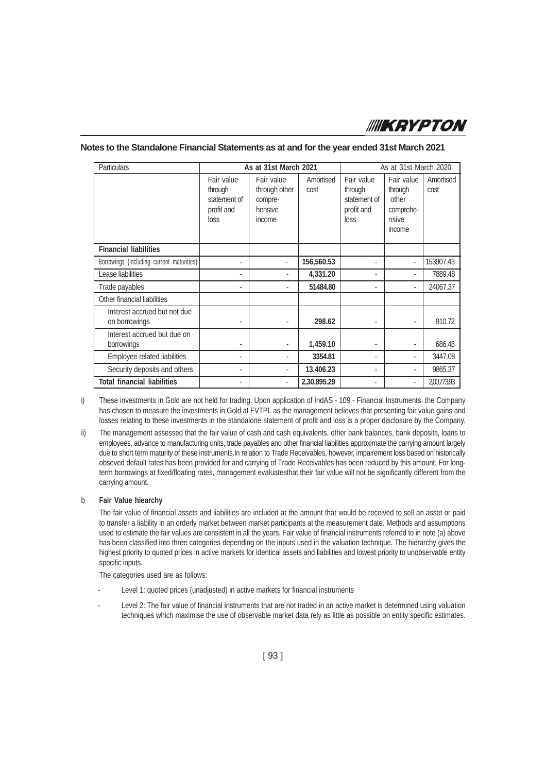| Particulars                                   |                                                             | As at 31st March 2021                                       |                   | As at 31st March 2020                                       |                                                                |                   |
|-----------------------------------------------|-------------------------------------------------------------|-------------------------------------------------------------|-------------------|-------------------------------------------------------------|----------------------------------------------------------------|-------------------|
|                                               | Fair value<br>through<br>statement of<br>profit and<br>loss | Fair value<br>through other<br>compre-<br>hensive<br>income | Amortised<br>cost | Fair value<br>through<br>statement of<br>profit and<br>loss | Fair value<br>through<br>other<br>comprehe-<br>nsive<br>income | Amortised<br>cost |
| <b>Financial liabilities</b>                  |                                                             |                                                             |                   |                                                             |                                                                |                   |
| Borrowings (including current maturities)     |                                                             |                                                             | 156,560.53        |                                                             | ä,                                                             | 153907.43         |
| Lease liabilities                             |                                                             |                                                             | 4,331.20          |                                                             |                                                                | 7889.48           |
| Trade payables                                |                                                             |                                                             | 51484.80          |                                                             |                                                                | 24067.37          |
| Other financial liabilities                   |                                                             |                                                             |                   |                                                             |                                                                |                   |
| Interest accrued but not due<br>on borrowings |                                                             |                                                             | 298.62            |                                                             |                                                                | 910.72            |
| Interest accrued but due on<br>borrowings     |                                                             |                                                             | 1,459.10          |                                                             |                                                                | 686.48            |
| Employee related liabilities                  |                                                             |                                                             | 3354.81           |                                                             |                                                                | 3447.08           |
| Security deposits and others                  |                                                             |                                                             | 13,406.23         |                                                             |                                                                | 9865.37           |
| <b>Total financial liabilities</b>            |                                                             |                                                             | 2,30,895.29       |                                                             |                                                                | 200,773.93        |

# **Notes to the Standalone Financial Statements as at and for the year ended 31st March 2021**

i) These investments in Gold are not held for trading. Upon application of IndAS - 109 - Financial Instruments, the Company has chosen to measure the investments in Gold at FVTPL as the management believes that presenting fair value gains and losses relating to these investments in the standalone statement of profit and loss is a proper disclosure by the Company.

ii) The management assessed that the fair value of cash and cash equivalents, other bank balances, bank deposits, loans to employees, advance to manufacturing units, trade payables and other financial liabilities approximate the carrying amount largely due to short term maturity of these instruments.In relation to Trade Receivables, however, impairement loss based on historically obseved default rates has been provided for and carrying of Trade Receivables has been reduced by this amount. For longterm borrowings at fixed/floating rates, management evaluatesthat their fair value will not be significantly different from the carrying amount.

### b **Fair Value hiearchy**

The fair value of financial assets and liabilities are included at the amount that would be received to sell an asset or paid to transfer a liability in an orderly market between market participants at the measurement date. Methods and assumptions used to estimate the fair values are consistent in all the years. Fair value of financial instruments referred to in note (a) above has been classified into three categories depending on the inputs used in the valuation technique. The hierarchy gives the highest priority to quoted prices in active markets for identical assets and liabilities and lowest priority to unobservable entity specific inputs.

The categories used are as follows:

- Level 1: quoted prices (unadjusted) in active markets for financial instruments
- Level 2: The fair value of financial instruments that are not traded in an active market is determined using valuation techniques which maximise the use of observable market data rely as little as possible on entity specific estimates.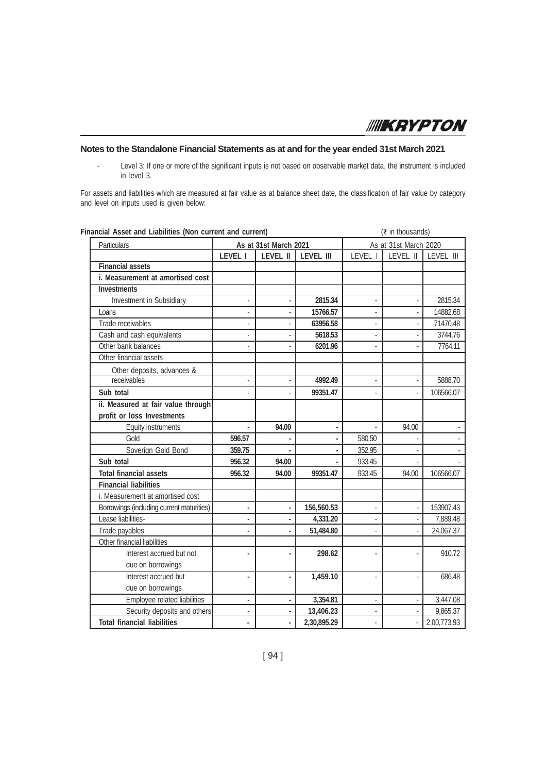# **Notes to the Standalone Financial Statements as at and for the year ended 31st March 2021**

- Level 3: If one or more of the significant inputs is not based on observable market data, the instrument is included in level 3.

For assets and liabilities which are measured at fair value as at balance sheet date, the classification of fair value by category and level on inputs used is given below:

| Financial Asset and Liabilities (Non current and current) |                          |                          |                  | (₹ in thousands)         |                       |             |  |
|-----------------------------------------------------------|--------------------------|--------------------------|------------------|--------------------------|-----------------------|-------------|--|
| Particulars                                               |                          | As at 31st March 2021    |                  |                          | As at 31st March 2020 |             |  |
|                                                           | LEVEL I                  | LEVEL II                 | <b>LEVEL III</b> | LEVEL I                  | LEVEL II              | LEVEL III   |  |
| <b>Financial assets</b>                                   |                          |                          |                  |                          |                       |             |  |
| i. Measurement at amortised cost                          |                          |                          |                  |                          |                       |             |  |
| <b>Investments</b>                                        |                          |                          |                  |                          |                       |             |  |
| Investment in Subsidiary                                  | ÷,                       | ä,                       | 2815.34          | ÷,                       |                       | 2815.34     |  |
| Loans                                                     |                          |                          | 15766.57         | $\overline{a}$           |                       | 14882.68    |  |
| Trade receivables                                         |                          |                          | 63956.58         |                          |                       | 71470.48    |  |
| Cash and cash equivalents                                 | ä,                       |                          | 5618.53          |                          |                       | 3744.76     |  |
| Other bank balances                                       | L.                       |                          | 6201.96          |                          |                       | 7764.11     |  |
| Other financial assets                                    |                          |                          |                  |                          |                       |             |  |
| Other deposits, advances &                                |                          |                          |                  |                          |                       |             |  |
| receivables                                               | $\overline{\phantom{a}}$ | ÷,                       | 4992.49          | $\overline{\phantom{a}}$ | ÷,                    | 5888.70     |  |
| Sub total                                                 |                          |                          | 99351.47         |                          |                       | 106566.07   |  |
| ii. Measured at fair value through                        |                          |                          |                  |                          |                       |             |  |
| profit or loss Investments                                |                          |                          |                  |                          |                       |             |  |
| Equity instruments                                        |                          | 94.00                    |                  |                          | 94.00                 |             |  |
| Gold                                                      | 596.57                   |                          |                  | 580.50                   |                       |             |  |
| Soverign Gold Bond                                        | 359.75                   |                          |                  | 352.95                   |                       |             |  |
| Sub total                                                 | 956.32                   | 94.00                    |                  | 933.45                   |                       |             |  |
| <b>Total financial assets</b>                             | 956.32                   | 94.00                    | 99351.47         | 933.45                   | 94.00                 | 106566.07   |  |
| <b>Financial liabilities</b>                              |                          |                          |                  |                          |                       |             |  |
| i. Measurement at amortised cost                          |                          |                          |                  |                          |                       |             |  |
| Borrowings (including current maturities)                 | $\frac{1}{2}$            |                          | 156,560.53       | ÷,                       |                       | 153907.43   |  |
| Lease liabilities-                                        | $\overline{a}$           |                          | 4,331.20         | $\frac{1}{2}$            |                       | 7,889.48    |  |
| Trade payables                                            | $\overline{\phantom{a}}$ | $\overline{\phantom{a}}$ | 51,484.80        | ä,                       |                       | 24,067.37   |  |
| Other financial liabilities                               |                          |                          |                  |                          |                       |             |  |
| Interest accrued but not                                  | ÷                        |                          | 298.62           |                          |                       | 910.72      |  |
| due on borrowings                                         |                          |                          |                  |                          |                       |             |  |
| Interest accrued but                                      | $\overline{a}$           |                          | 1,459.10         |                          |                       | 686.48      |  |
| due on borrowings                                         |                          |                          |                  |                          |                       |             |  |
| Employee related liabilities                              | $\overline{\phantom{a}}$ | ÷,                       | 3,354.81         | L,                       |                       | 3,447.08    |  |
| Security deposits and others                              | $\overline{\phantom{a}}$ | $\overline{\phantom{a}}$ | 13,406.23        | $\overline{\phantom{a}}$ |                       | 9,865.37    |  |
| <b>Total financial liabilities</b>                        | Ĭ.                       | $\overline{\phantom{0}}$ | 2,30,895.29      |                          |                       | 2,00,773.93 |  |
|                                                           |                          |                          |                  |                          |                       |             |  |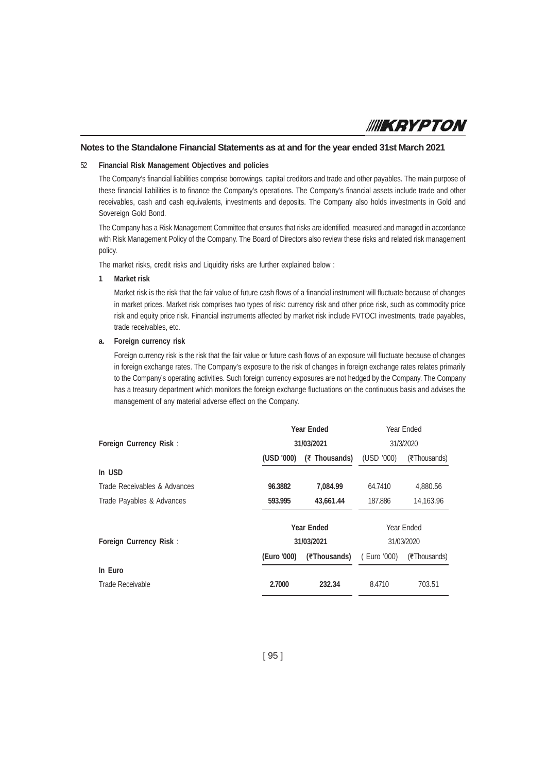

## 52 **Financial Risk Management Objectives and policies**

The Company's financial liabilities comprise borrowings, capital creditors and trade and other payables. The main purpose of these financial liabilities is to finance the Company's operations. The Company's financial assets include trade and other receivables, cash and cash equivalents, investments and deposits. The Company also holds investments in Gold and Sovereign Gold Bond.

The Company has a Risk Management Committee that ensures that risks are identified, measured and managed in accordance with Risk Management Policy of the Company. The Board of Directors also review these risks and related risk management policy.

The market risks, credit risks and Liquidity risks are further explained below :

# **1 Market risk**

Market risk is the risk that the fair value of future cash flows of a financial instrument will fluctuate because of changes in market prices. Market risk comprises two types of risk: currency risk and other price risk, such as commodity price risk and equity price risk. Financial instruments affected by market risk include FVTOCI investments, trade payables, trade receivables, etc.

### **a. Foreign currency risk**

Foreign currency risk is the risk that the fair value or future cash flows of an exposure will fluctuate because of changes in foreign exchange rates. The Company's exposure to the risk of changes in foreign exchange rates relates primarily to the Company's operating activities. Such foreign currency exposures are not hedged by the Company. The Company has a treasury department which monitors the foreign exchange fluctuations on the continuous basis and advises the management of any material adverse effect on the Company.

|                              | <b>Year Ended</b><br>31/03/2021 |                                     |             | Year Ended   |
|------------------------------|---------------------------------|-------------------------------------|-------------|--------------|
| Foreign Currency Risk:       |                                 |                                     | 31/3/2020   |              |
|                              |                                 | (USD '000) $(\bar{\tau}$ Thousands) | (USD '000)  | (₹Thousands) |
| In USD                       |                                 |                                     |             |              |
| Trade Receivables & Advances | 96.3882                         | 7,084.99                            | 64.7410     | 4,880.56     |
| Trade Payables & Advances    | 593.995                         | 43,661.44                           | 187.886     | 14,163.96    |
|                              |                                 | <b>Year Ended</b>                   |             | Year Ended   |
| Foreign Currency Risk:       | 31/03/2021                      |                                     |             | 31/03/2020   |
|                              | (Euro '000)                     | (₹Thousands)                        | (Euro '000) | (₹Thousands) |
| In Euro                      |                                 |                                     |             |              |
| Trade Receivable             | 2.7000                          | 232.34                              | 8.4710      | 703.51       |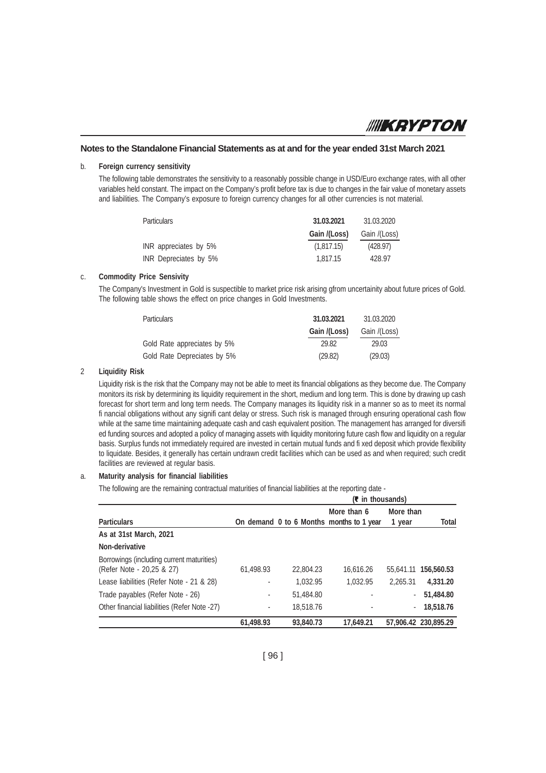

#### b. **Foreign currency sensitivity**

The following table demonstrates the sensitivity to a reasonably possible change in USD/Euro exchange rates, with all other variables held constant. The impact on the Company's profit before tax is due to changes in the fair value of monetary assets and liabilities. The Company's exposure to foreign currency changes for all other currencies is not material.

| <b>Particulars</b>    | 31.03.2021   | 31.03.2020   |
|-----------------------|--------------|--------------|
|                       | Gain /(Loss) | Gain /(Loss) |
| INR appreciates by 5% | (1,817.15)   | (428.97)     |
| INR Depreciates by 5% | 1.817.15     | 428.97       |

# c. **Commodity Price Sensivity**

The Company's Investment in Gold is suspectible to market price risk arising gfrom uncertainity about future prices of Gold. The following table shows the effect on price changes in Gold Investments.

| <b>Particulars</b>          | 31.03.2021   | 31.03.2020   |
|-----------------------------|--------------|--------------|
|                             | Gain /(Loss) | Gain /(Loss) |
| Gold Rate appreciates by 5% | 29.82        | 29.03        |
| Gold Rate Depreciates by 5% | (29.82)      | (29.03)      |

# 2 **Liquidity Risk**

Liquidity risk is the risk that the Company may not be able to meet its financial obligations as they become due. The Company monitors its risk by determining its liquidity requirement in the short, medium and long term. This is done by drawing up cash forecast for short term and long term needs. The Company manages its liquidity risk in a manner so as to meet its normal fi nancial obligations without any signifi cant delay or stress. Such risk is managed through ensuring operational cash flow while at the same time maintaining adequate cash and cash equivalent position. The management has arranged for diversifi ed funding sources and adopted a policy of managing assets with liquidity monitoring future cash flow and liquidity on a regular basis. Surplus funds not immediately required are invested in certain mutual funds and fi xed deposit which provide flexibility to liquidate. Besides, it generally has certain undrawn credit facilities which can be used as and when required; such credit facilities are reviewed at regular basis.

#### a. **Maturity analysis for financial liabilities**

The following are the remaining contractual maturities of financial liabilities at the reporting date -

|                                                                        |           |           | $(\epsilon$ in thousands)                               |                     |                      |
|------------------------------------------------------------------------|-----------|-----------|---------------------------------------------------------|---------------------|----------------------|
| <b>Particulars</b>                                                     |           |           | More than 6<br>On demand 0 to 6 Months months to 1 year | More than<br>1 year | <b>Total</b>         |
| As at 31st March, 2021                                                 |           |           |                                                         |                     |                      |
| Non-derivative                                                         |           |           |                                                         |                     |                      |
| Borrowings (including current maturities)<br>(Refer Note - 20,25 & 27) | 61.498.93 | 22,804.23 | 16.616.26                                               |                     | 55,641.11 156,560.53 |
| Lease liabilities (Refer Note - 21 & 28)                               |           | 1.032.95  | 1.032.95                                                | 2.265.31            | 4.331.20             |
| Trade payables (Refer Note - 26)                                       | ۰.        | 51,484.80 |                                                         |                     | 51,484.80            |
| Other financial liabilities (Refer Note -27)                           |           | 18,518.76 |                                                         |                     | 18,518.76            |
|                                                                        | 61.498.93 | 93.840.73 | 17,649.21                                               |                     | 57.906.42 230.895.29 |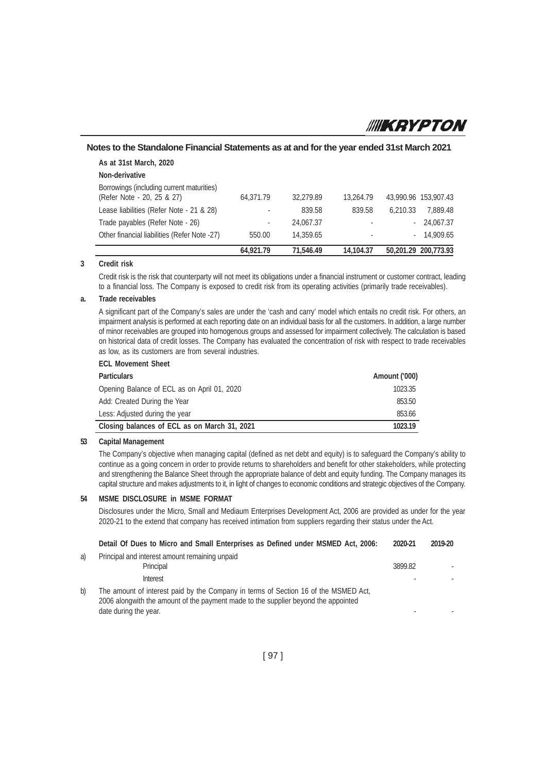|           | 71.546.49 | 14.104.37 |          | 50.201.29 200.773.93               |
|-----------|-----------|-----------|----------|------------------------------------|
| 550.00    | 14.359.65 |           |          | 14,909.65                          |
| ٠         | 24.067.37 |           |          | 24,067.37                          |
| ۰         | 839.58    | 839.58    | 6.210.33 | 7.889.48                           |
| 64.371.79 | 32.279.89 | 13,264.79 |          | 43.990.96 153.907.43               |
|           |           |           |          |                                    |
|           |           |           |          |                                    |
|           | 64.921.79 |           |          | $\overline{\phantom{a}}$<br>$\sim$ |

# **Notes to the Standalone Financial Statements as at and for the year ended 31st March 2021**

#### **3 Credit risk**

Credit risk is the risk that counterparty will not meet its obligations under a financial instrument or customer contract, leading to a financial loss. The Company is exposed to credit risk from its operating activities (primarily trade receivables).

#### **a. Trade receivables**

A significant part of the Company's sales are under the 'cash and carry' model which entails no credit risk. For others, an impairment analysis is performed at each reporting date on an individual basis for all the customers. In addition, a large number of minor receivables are grouped into homogenous groups and assessed for impairment collectively. The calculation is based on historical data of credit losses. The Company has evaluated the concentration of risk with respect to trade receivables as low, as its customers are from several industries.

#### **ECL Movement Sheet**

| <b>Particulars</b>                           | Amount ('000) |
|----------------------------------------------|---------------|
| Opening Balance of ECL as on April 01, 2020  | 1023.35       |
| Add: Created During the Year                 | 853.50        |
| Less: Adjusted during the year               | 853.66        |
| Closing balances of ECL as on March 31, 2021 | 1023.19       |

### **53 Capital Management**

The Company's objective when managing capital (defined as net debt and equity) is to safeguard the Company's ability to continue as a going concern in order to provide returns to shareholders and benefit for other stakeholders, while protecting and strengthening the Balance Sheet through the appropriate balance of debt and equity funding. The Company manages its capital structure and makes adjustments to it, in light of changes to economic conditions and strategic objectives of the Company.

# **54 MSME DISCLOSURE in MSME FORMAT**

Disclosures under the Micro, Small and Mediaum Enterprises Development Act, 2006 are provided as under for the year 2020-21 to the extend that company has received intimation from suppliers regarding their status under the Act.

|    | Detail Of Dues to Micro and Small Enterprises as Defined under MSMED Act, 2006:                                                                                                                    | 2020-21 | 2019-20 |
|----|----------------------------------------------------------------------------------------------------------------------------------------------------------------------------------------------------|---------|---------|
| a) | Principal and interest amount remaining unpaid<br>Principal                                                                                                                                        | 3899.82 |         |
|    | Interest                                                                                                                                                                                           |         |         |
| b) | The amount of interest paid by the Company in terms of Section 16 of the MSMED Act,<br>2006 alongwith the amount of the payment made to the supplier beyond the appointed<br>date during the year. |         |         |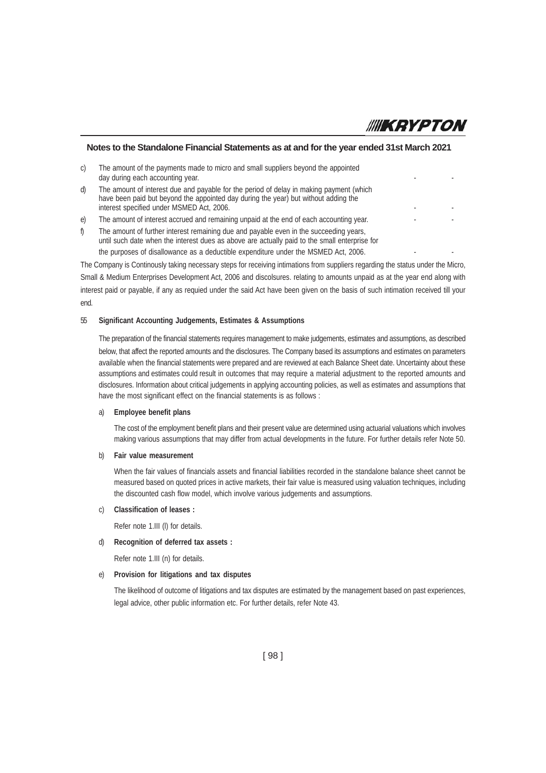|          | <u>NULLES LO LITE STANDAIGHE FINANCIAL STATENTS AS AL ANU I DI THE YEAR ENGEL STSL MAIGH ZUZ I</u>                                                                                                                          |  |
|----------|-----------------------------------------------------------------------------------------------------------------------------------------------------------------------------------------------------------------------------|--|
| C)       | The amount of the payments made to micro and small suppliers beyond the appointed<br>day during each accounting year.                                                                                                       |  |
| d)       | The amount of interest due and payable for the period of delay in making payment (which<br>have been paid but beyond the appointed day during the year) but without adding the<br>interest specified under MSMED Act, 2006. |  |
| $\Theta$ | The amount of interest accrued and remaining unpaid at the end of each accounting year.                                                                                                                                     |  |
|          | The americal of further interest remediates due and nouable curso in the cuses eding uses                                                                                                                                   |  |

**Notes to the Standalone Financial Statements as at and for the year ended 31st March 2021**

f) The amount of further interest remaining due and payable even in the succeeding years, until such date when the interest dues as above are actually paid to the small enterprise for the purposes of disallowance as a deductible expenditure under the MSMED Act, 2006.

The Company is Continously taking necessary steps for receiving intimations from suppliers regarding the status under the Micro, Small & Medium Enterprises Development Act, 2006 and discolsures. relating to amounts unpaid as at the year end along with interest paid or payable, if any as requied under the said Act have been given on the basis of such intimation received till your end.

#### 55 **Significant Accounting Judgements, Estimates & Assumptions**

The preparation of the financial statements requires management to make judgements, estimates and assumptions, as described below, that affect the reported amounts and the disclosures. The Company based its assumptions and estimates on parameters available when the financial statements were prepared and are reviewed at each Balance Sheet date. Uncertainty about these assumptions and estimates could result in outcomes that may require a material adjustment to the reported amounts and disclosures. Information about critical judgements in applying accounting policies, as well as estimates and assumptions that have the most significant effect on the financial statements is as follows :

#### a) **Employee benefit plans**

The cost of the employment benefit plans and their present value are determined using actuarial valuations which involves making various assumptions that may differ from actual developments in the future. For further details refer Note 50.

#### b) **Fair value measurement**

When the fair values of financials assets and financial liabilities recorded in the standalone balance sheet cannot be measured based on quoted prices in active markets, their fair value is measured using valuation techniques, including the discounted cash flow model, which involve various judgements and assumptions.

### c) **Classification of leases :**

Refer note 1.III (l) for details.

d) **Recognition of deferred tax assets :**

Refer note 1.III (n) for details.

### e) **Provision for litigations and tax disputes**

The likelihood of outcome of litigations and tax disputes are estimated by the management based on past experiences, legal advice, other public information etc. For further details, refer Note 43.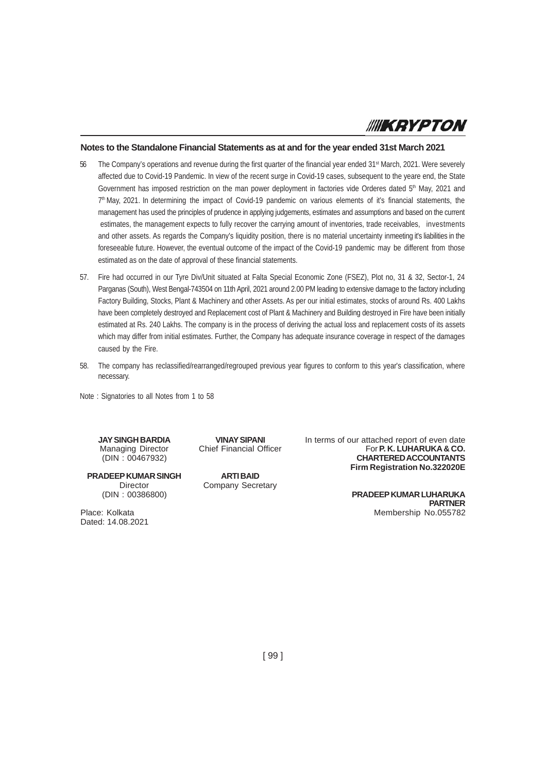### **Notes to the Standalone Financial Statements as at and for the year ended 31st March 2021**

- 56 The Company's operations and revenue during the first quarter of the financial year ended 31<sup>st</sup> March, 2021. Were severely affected due to Covid-19 Pandemic. In view of the recent surge in Covid-19 cases, subsequent to the yeare end, the State Government has imposed restriction on the man power deployment in factories vide Orderes dated  $5<sup>th</sup>$  May, 2021 and 7th May, 2021. In determining the impact of Covid-19 pandemic on various elements of it's financial statements, the management has used the principles of prudence in applying judgements, estimates and assumptions and based on the current estimates, the management expects to fully recover the carrying amount of inventories, trade receivables, investments and other assets. As regards the Company's liquidity position, there is no material uncertainty inmeeting it's liabilities in the foreseeable future. However, the eventual outcome of the impact of the Covid-19 pandemic may be different from those estimated as on the date of approval of these financial statements.
- 57. Fire had occurred in our Tyre Div/Unit situated at Falta Special Economic Zone (FSEZ), Plot no, 31 & 32, Sector-1, 24 Parganas (South), West Bengal-743504 on 11th April, 2021 around 2.00 PM leading to extensive damage to the factory including Factory Building, Stocks, Plant & Machinery and other Assets. As per our initial estimates, stocks of around Rs. 400 Lakhs have been completely destroyed and Replacement cost of Plant & Machinery and Building destroyed in Fire have been initially estimated at Rs. 240 Lakhs. The company is in the process of deriving the actual loss and replacement costs of its assets which may differ from initial estimates. Further, the Company has adequate insurance coverage in respect of the damages caused by the Fire.
- 58. The company has reclassified/rearranged/regrouped previous year figures to conform to this year's classification, where necessary.
- Note : Signatories to all Notes from 1 to 58

**PRADEEP KUMAR SINGH ARTI BAID** 

Dated: 14.08.2021

Director Company Secretary

**JAY SINGH BARDIA VINAY SIPANI** In terms of our attached report of even date<br>Managing Director Chief Financial Officer For P. K. LUHARUKA & CO. Managing Director Chief Financial Officer For **P. K. LUHARUKA & CO.** (DIN : 00467932) **CHARTERED ACCOUNTANTS Firm Registration No.322020E**

(DIN : 00386800) **PRADEEP KUMAR LUHARUKA PARTNER** Place: Kolkata Membership No.055782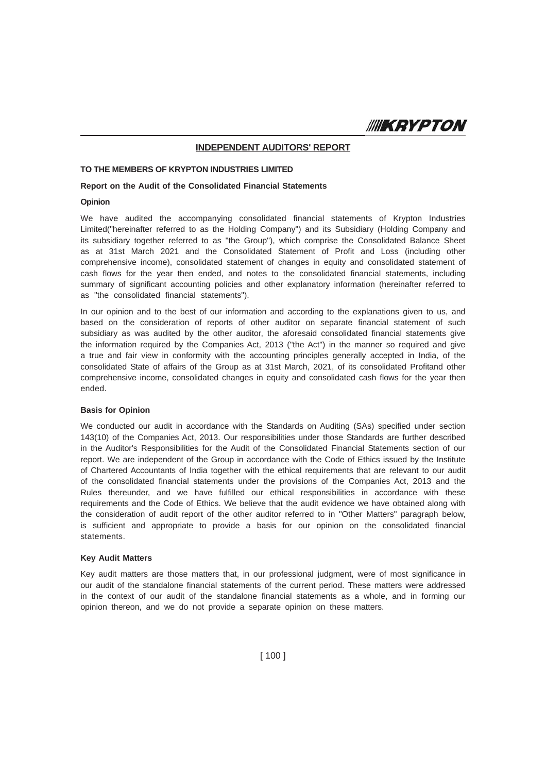# **INDEPENDENT AUDITORS' REPORT**

#### **TO THE MEMBERS OF KRYPTON INDUSTRIES LIMITED**

### **Report on the Audit of the Consolidated Financial Statements**

#### **Opinion**

We have audited the accompanying consolidated financial statements of Krypton Industries Limited("hereinafter referred to as the Holding Company") and its Subsidiary (Holding Company and its subsidiary together referred to as "the Group"), which comprise the Consolidated Balance Sheet as at 31st March 2021 and the Consolidated Statement of Profit and Loss (including other comprehensive income), consolidated statement of changes in equity and consolidated statement of cash flows for the year then ended, and notes to the consolidated financial statements, including summary of significant accounting policies and other explanatory information (hereinafter referred to as "the consolidated financial statements").

In our opinion and to the best of our information and according to the explanations given to us, and based on the consideration of reports of other auditor on separate financial statement of such subsidiary as was audited by the other auditor, the aforesaid consolidated financial statements give the information required by the Companies Act, 2013 ("the Act") in the manner so required and give a true and fair view in conformity with the accounting principles generally accepted in India, of the consolidated State of affairs of the Group as at 31st March, 2021, of its consolidated Profitand other comprehensive income, consolidated changes in equity and consolidated cash flows for the year then ended.

#### **Basis for Opinion**

We conducted our audit in accordance with the Standards on Auditing (SAs) specified under section 143(10) of the Companies Act, 2013. Our responsibilities under those Standards are further described in the Auditor's Responsibilities for the Audit of the Consolidated Financial Statements section of our report. We are independent of the Group in accordance with the Code of Ethics issued by the Institute of Chartered Accountants of India together with the ethical requirements that are relevant to our audit of the consolidated financial statements under the provisions of the Companies Act, 2013 and the Rules thereunder, and we have fulfilled our ethical responsibilities in accordance with these requirements and the Code of Ethics. We believe that the audit evidence we have obtained along with the consideration of audit report of the other auditor referred to in "Other Matters" paragraph below, is sufficient and appropriate to provide a basis for our opinion on the consolidated financial statements.

#### **Key Audit Matters**

Key audit matters are those matters that, in our professional judgment, were of most significance in our audit of the standalone financial statements of the current period. These matters were addressed in the context of our audit of the standalone financial statements as a whole, and in forming our opinion thereon, and we do not provide a separate opinion on these matters.

[ 100 ]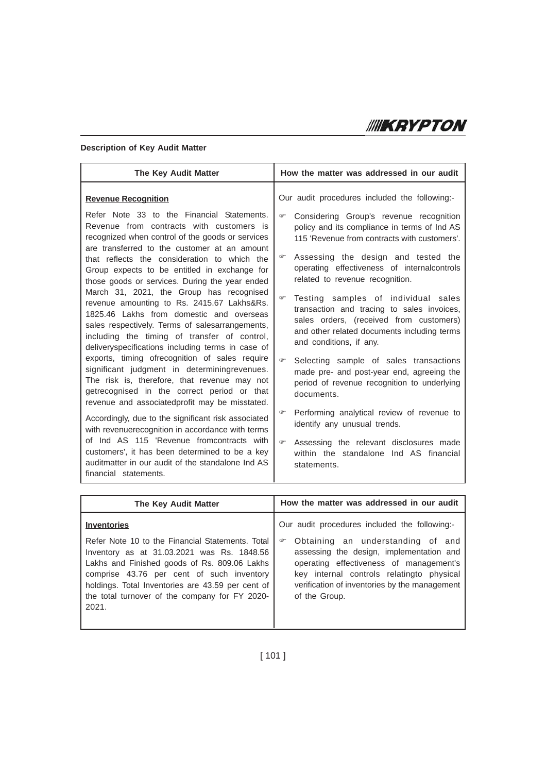

**Description of Key Audit Matter**

| The Key Audit Matter                                                                                                                                                                                                                                                                                        | How the matter was addressed in our audit                                                                                                                                                                                               |
|-------------------------------------------------------------------------------------------------------------------------------------------------------------------------------------------------------------------------------------------------------------------------------------------------------------|-----------------------------------------------------------------------------------------------------------------------------------------------------------------------------------------------------------------------------------------|
| <b>Inventories</b>                                                                                                                                                                                                                                                                                          | Our audit procedures included the following:-                                                                                                                                                                                           |
| Refer Note 10 to the Financial Statements. Total<br>Inventory as at 31.03.2021 was Rs. 1848.56<br>Lakhs and Finished goods of Rs. 809.06 Lakhs<br>comprise 43.76 per cent of such inventory<br>holdings. Total Inventories are 43.59 per cent of<br>the total turnover of the company for FY 2020-<br>2021. | Obtaining an understanding of and<br>assessing the design, implementation and<br>operating effectiveness of management's<br>key internal controls relatingto physical<br>verification of inventories by the management<br>of the Group. |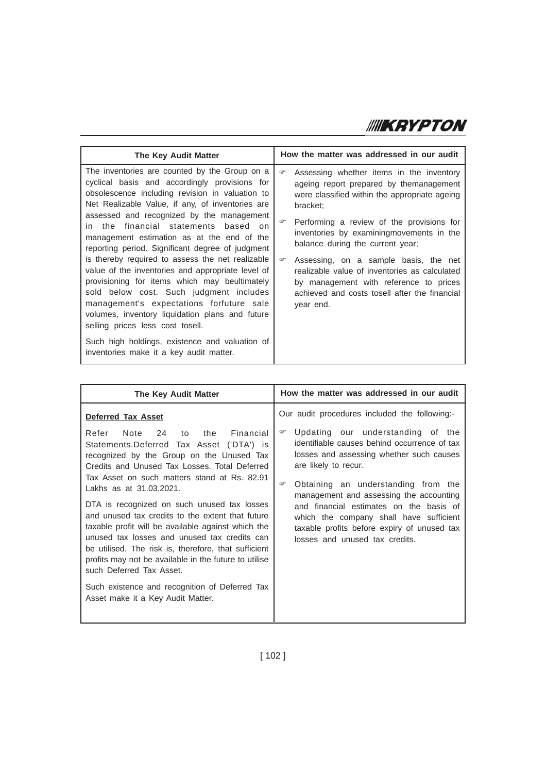| The Key Audit Matter                                                                                                                                                                                                                                                                                                                                                                                                                                                                                                                                                                                                                                                                                                                                                                                                                                           | How the matter was addressed in our audit                                                                                                                                                                                                                                                                                                                                                                                                                                        |
|----------------------------------------------------------------------------------------------------------------------------------------------------------------------------------------------------------------------------------------------------------------------------------------------------------------------------------------------------------------------------------------------------------------------------------------------------------------------------------------------------------------------------------------------------------------------------------------------------------------------------------------------------------------------------------------------------------------------------------------------------------------------------------------------------------------------------------------------------------------|----------------------------------------------------------------------------------------------------------------------------------------------------------------------------------------------------------------------------------------------------------------------------------------------------------------------------------------------------------------------------------------------------------------------------------------------------------------------------------|
| The inventories are counted by the Group on a<br>œ<br>cyclical basis and accordingly provisions for<br>obsolescence including revision in valuation to<br>Net Realizable Value, if any, of inventories are<br>assessed and recognized by the management<br><b>P</b><br>in the financial statements based on<br>management estimation as at the end of the<br>reporting period. Significant degree of judgment<br>is thereby required to assess the net realizable<br>$\sigma$<br>value of the inventories and appropriate level of<br>provisioning for items which may beultimately<br>sold below cost. Such judgment includes<br>management's expectations forfuture sale<br>volumes, inventory liquidation plans and future<br>selling prices less cost tosell.<br>Such high holdings, existence and valuation of<br>inventories make it a key audit matter. | Assessing whether items in the inventory<br>ageing report prepared by themanagement<br>were classified within the appropriate ageing<br>bracket:<br>Performing a review of the provisions for<br>inventories by examining movements in the<br>balance during the current year;<br>Assessing, on a sample basis, the net<br>realizable value of inventories as calculated<br>by management with reference to prices<br>achieved and costs tosell after the financial<br>year end. |

| The Key Audit Matter                                                                                                                                                                                                                                                                                                                                                                                                                                                                                                                                                                                                                                                                                                                   | How the matter was addressed in our audit                                                                                                                                                                                                                                                                                                                                                                                                                                        |
|----------------------------------------------------------------------------------------------------------------------------------------------------------------------------------------------------------------------------------------------------------------------------------------------------------------------------------------------------------------------------------------------------------------------------------------------------------------------------------------------------------------------------------------------------------------------------------------------------------------------------------------------------------------------------------------------------------------------------------------|----------------------------------------------------------------------------------------------------------------------------------------------------------------------------------------------------------------------------------------------------------------------------------------------------------------------------------------------------------------------------------------------------------------------------------------------------------------------------------|
| <b>Deferred Tax Asset</b><br>Note 24 to<br>the<br>Financial<br>Refer<br>Statements.Deferred Tax Asset ('DTA') is<br>recognized by the Group on the Unused Tax<br>Credits and Unused Tax Losses. Total Deferred<br>Tax Asset on such matters stand at Rs. 82.91<br>Lakhs as at 31.03.2021.<br>DTA is recognized on such unused tax losses<br>and unused tax credits to the extent that future<br>taxable profit will be available against which the<br>unused tax losses and unused tax credits can<br>be utilised. The risk is, therefore, that sufficient<br>profits may not be available in the future to utilise<br>such Deferred Tax Asset.<br>Such existence and recognition of Deferred Tax<br>Asset make it a Key Audit Matter. | Our audit procedures included the following:-<br>Updating our understanding of the<br>☞<br>identifiable causes behind occurrence of tax<br>losses and assessing whether such causes<br>are likely to recur.<br>Obtaining an understanding from the<br><b>P</b><br>management and assessing the accounting<br>and financial estimates on the basis of<br>which the company shall have sufficient<br>taxable profits before expiry of unused tax<br>losses and unused tax credits. |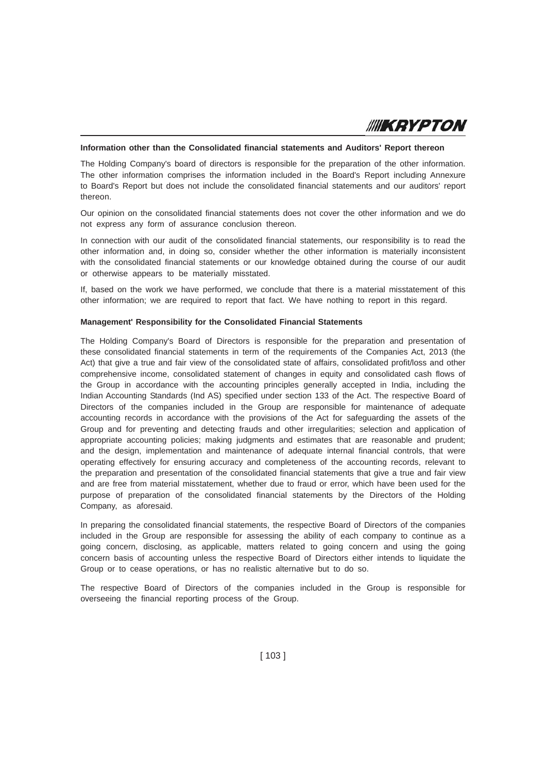#### **Information other than the Consolidated financial statements and Auditors' Report thereon**

The Holding Company's board of directors is responsible for the preparation of the other information. The other information comprises the information included in the Board's Report including Annexure to Board's Report but does not include the consolidated financial statements and our auditors' report thereon.

Our opinion on the consolidated financial statements does not cover the other information and we do not express any form of assurance conclusion thereon.

In connection with our audit of the consolidated financial statements, our responsibility is to read the other information and, in doing so, consider whether the other information is materially inconsistent with the consolidated financial statements or our knowledge obtained during the course of our audit or otherwise appears to be materially misstated.

If, based on the work we have performed, we conclude that there is a material misstatement of this other information; we are required to report that fact. We have nothing to report in this regard.

#### **Management' Responsibility for the Consolidated Financial Statements**

The Holding Company's Board of Directors is responsible for the preparation and presentation of these consolidated financial statements in term of the requirements of the Companies Act, 2013 (the Act) that give a true and fair view of the consolidated state of affairs, consolidated profit/loss and other comprehensive income, consolidated statement of changes in equity and consolidated cash flows of the Group in accordance with the accounting principles generally accepted in India, including the Indian Accounting Standards (Ind AS) specified under section 133 of the Act. The respective Board of Directors of the companies included in the Group are responsible for maintenance of adequate accounting records in accordance with the provisions of the Act for safeguarding the assets of the Group and for preventing and detecting frauds and other irregularities; selection and application of appropriate accounting policies; making judgments and estimates that are reasonable and prudent; and the design, implementation and maintenance of adequate internal financial controls, that were operating effectively for ensuring accuracy and completeness of the accounting records, relevant to the preparation and presentation of the consolidated financial statements that give a true and fair view and are free from material misstatement, whether due to fraud or error, which have been used for the purpose of preparation of the consolidated financial statements by the Directors of the Holding Company, as aforesaid.

In preparing the consolidated financial statements, the respective Board of Directors of the companies included in the Group are responsible for assessing the ability of each company to continue as a going concern, disclosing, as applicable, matters related to going concern and using the going concern basis of accounting unless the respective Board of Directors either intends to liquidate the Group or to cease operations, or has no realistic alternative but to do so.

The respective Board of Directors of the companies included in the Group is responsible for overseeing the financial reporting process of the Group.

[ 103 ]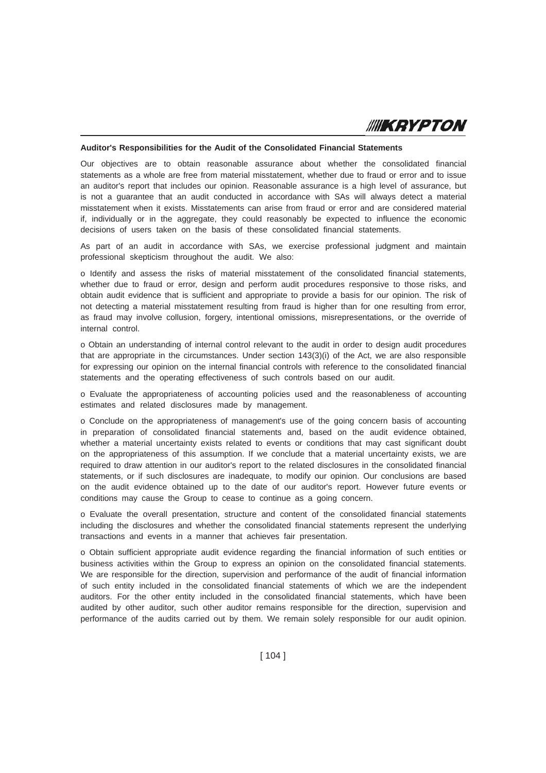**IIIKRYPTON** 

#### **Auditor's Responsibilities for the Audit of the Consolidated Financial Statements**

Our objectives are to obtain reasonable assurance about whether the consolidated financial statements as a whole are free from material misstatement, whether due to fraud or error and to issue an auditor's report that includes our opinion. Reasonable assurance is a high level of assurance, but is not a guarantee that an audit conducted in accordance with SAs will always detect a material misstatement when it exists. Misstatements can arise from fraud or error and are considered material if, individually or in the aggregate, they could reasonably be expected to influence the economic decisions of users taken on the basis of these consolidated financial statements.

As part of an audit in accordance with SAs, we exercise professional judgment and maintain professional skepticism throughout the audit. We also:

o Identify and assess the risks of material misstatement of the consolidated financial statements, whether due to fraud or error, design and perform audit procedures responsive to those risks, and obtain audit evidence that is sufficient and appropriate to provide a basis for our opinion. The risk of not detecting a material misstatement resulting from fraud is higher than for one resulting from error, as fraud may involve collusion, forgery, intentional omissions, misrepresentations, or the override of internal control.

o Obtain an understanding of internal control relevant to the audit in order to design audit procedures that are appropriate in the circumstances. Under section 143(3)(i) of the Act, we are also responsible for expressing our opinion on the internal financial controls with reference to the consolidated financial statements and the operating effectiveness of such controls based on our audit.

o Evaluate the appropriateness of accounting policies used and the reasonableness of accounting estimates and related disclosures made by management.

o Conclude on the appropriateness of management's use of the going concern basis of accounting in preparation of consolidated financial statements and, based on the audit evidence obtained, whether a material uncertainty exists related to events or conditions that may cast significant doubt on the appropriateness of this assumption. If we conclude that a material uncertainty exists, we are required to draw attention in our auditor's report to the related disclosures in the consolidated financial statements, or if such disclosures are inadequate, to modify our opinion. Our conclusions are based on the audit evidence obtained up to the date of our auditor's report. However future events or conditions may cause the Group to cease to continue as a going concern.

o Evaluate the overall presentation, structure and content of the consolidated financial statements including the disclosures and whether the consolidated financial statements represent the underlying transactions and events in a manner that achieves fair presentation.

o Obtain sufficient appropriate audit evidence regarding the financial information of such entities or business activities within the Group to express an opinion on the consolidated financial statements. We are responsible for the direction, supervision and performance of the audit of financial information of such entity included in the consolidated financial statements of which we are the independent auditors. For the other entity included in the consolidated financial statements, which have been audited by other auditor, such other auditor remains responsible for the direction, supervision and performance of the audits carried out by them. We remain solely responsible for our audit opinion.

[ 104 ]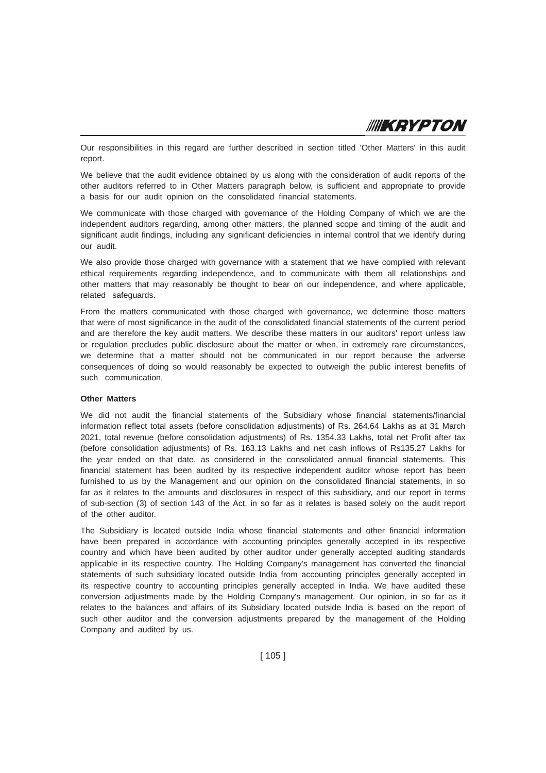Our responsibilities in this regard are further described in section titled 'Other Matters' in this audit report.

We believe that the audit evidence obtained by us along with the consideration of audit reports of the other auditors referred to in Other Matters paragraph below, is sufficient and appropriate to provide a basis for our audit opinion on the consolidated financial statements.

We communicate with those charged with governance of the Holding Company of which we are the independent auditors regarding, among other matters, the planned scope and timing of the audit and significant audit findings, including any significant deficiencies in internal control that we identify during our audit.

We also provide those charged with governance with a statement that we have complied with relevant ethical requirements regarding independence, and to communicate with them all relationships and other matters that may reasonably be thought to bear on our independence, and where applicable, related safeguards.

From the matters communicated with those charged with governance, we determine those matters that were of most significance in the audit of the consolidated financial statements of the current period and are therefore the key audit matters. We describe these matters in our auditors' report unless law or regulation precludes public disclosure about the matter or when, in extremely rare circumstances, we determine that a matter should not be communicated in our report because the adverse consequences of doing so would reasonably be expected to outweigh the public interest benefits of such communication.

### **Other Matters**

We did not audit the financial statements of the Subsidiary whose financial statements/financial information reflect total assets (before consolidation adjustments) of Rs. 264.64 Lakhs as at 31 March 2021, total revenue (before consolidation adjustments) of Rs. 1354.33 Lakhs, total net Profit after tax (before consolidation adjustments) of Rs. 163.13 Lakhs and net cash inflows of Rs135.27 Lakhs for the year ended on that date, as considered in the consolidated annual financial statements. This financial statement has been audited by its respective independent auditor whose report has been furnished to us by the Management and our opinion on the consolidated financial statements, in so far as it relates to the amounts and disclosures in respect of this subsidiary, and our report in terms of sub-section (3) of section 143 of the Act, in so far as it relates is based solely on the audit report of the other auditor.

The Subsidiary is located outside India whose financial statements and other financial information have been prepared in accordance with accounting principles generally accepted in its respective country and which have been audited by other auditor under generally accepted auditing standards applicable in its respective country. The Holding Company's management has converted the financial statements of such subsidiary located outside India from accounting principles generally accepted in its respective country to accounting principles generally accepted in India. We have audited these conversion adjustments made by the Holding Company's management. Our opinion, in so far as it relates to the balances and affairs of its Subsidiary located outside India is based on the report of such other auditor and the conversion adjustments prepared by the management of the Holding Company and audited by us.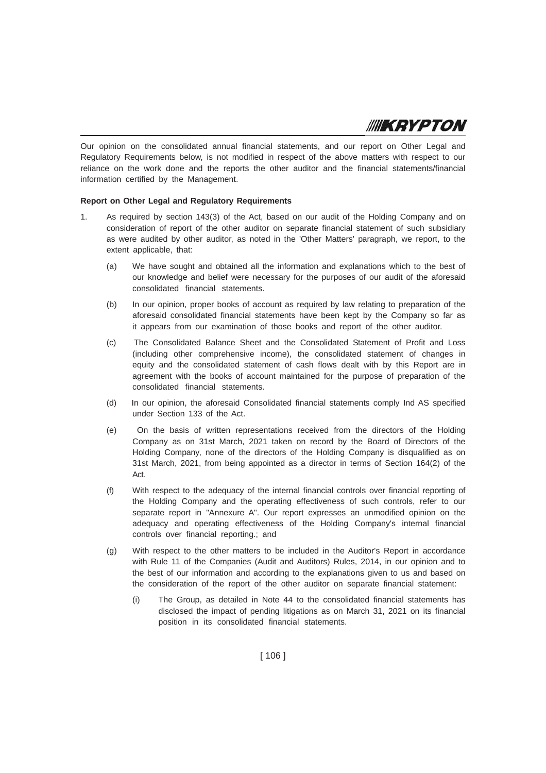Our opinion on the consolidated annual financial statements, and our report on Other Legal and Regulatory Requirements below, is not modified in respect of the above matters with respect to our reliance on the work done and the reports the other auditor and the financial statements/financial information certified by the Management.

### **Report on Other Legal and Regulatory Requirements**

- 1. As required by section 143(3) of the Act, based on our audit of the Holding Company and on consideration of report of the other auditor on separate financial statement of such subsidiary as were audited by other auditor, as noted in the 'Other Matters' paragraph, we report, to the extent applicable, that:
	- (a) We have sought and obtained all the information and explanations which to the best of our knowledge and belief were necessary for the purposes of our audit of the aforesaid consolidated financial statements.
	- (b) In our opinion, proper books of account as required by law relating to preparation of the aforesaid consolidated financial statements have been kept by the Company so far as it appears from our examination of those books and report of the other auditor.
	- (c) The Consolidated Balance Sheet and the Consolidated Statement of Profit and Loss (including other comprehensive income), the consolidated statement of changes in equity and the consolidated statement of cash flows dealt with by this Report are in agreement with the books of account maintained for the purpose of preparation of the consolidated financial statements.
	- (d) In our opinion, the aforesaid Consolidated financial statements comply Ind AS specified under Section 133 of the Act.
	- (e) On the basis of written representations received from the directors of the Holding Company as on 31st March, 2021 taken on record by the Board of Directors of the Holding Company, none of the directors of the Holding Company is disqualified as on 31st March, 2021, from being appointed as a director in terms of Section 164(2) of the Act.
	- (f) With respect to the adequacy of the internal financial controls over financial reporting of the Holding Company and the operating effectiveness of such controls, refer to our separate report in "Annexure A". Our report expresses an unmodified opinion on the adequacy and operating effectiveness of the Holding Company's internal financial controls over financial reporting.; and
	- (g) With respect to the other matters to be included in the Auditor's Report in accordance with Rule 11 of the Companies (Audit and Auditors) Rules, 2014, in our opinion and to the best of our information and according to the explanations given to us and based on the consideration of the report of the other auditor on separate financial statement:
		- (i) The Group, as detailed in Note 44 to the consolidated financial statements has disclosed the impact of pending litigations as on March 31, 2021 on its financial position in its consolidated financial statements.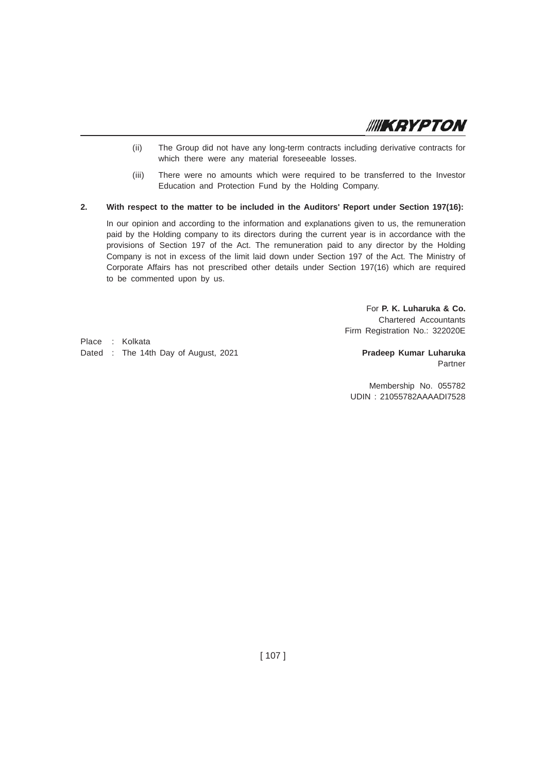**IIIKRYPTON** 

- (ii) The Group did not have any long-term contracts including derivative contracts for which there were any material foreseeable losses.
- (iii) There were no amounts which were required to be transferred to the Investor Education and Protection Fund by the Holding Company.

### **2. With respect to the matter to be included in the Auditors' Report under Section 197(16):**

In our opinion and according to the information and explanations given to us, the remuneration paid by the Holding company to its directors during the current year is in accordance with the provisions of Section 197 of the Act. The remuneration paid to any director by the Holding Company is not in excess of the limit laid down under Section 197 of the Act. The Ministry of Corporate Affairs has not prescribed other details under Section 197(16) which are required to be commented upon by us.

> For **P. K. Luharuka & Co.** Chartered Accountants Firm Registration No.: 322020E

Place : Kolkata Dated : The 14th Day of August, 2021 **Pradeep Kumar Luharuka**

Partner

Membership No. 055782 UDIN : 21055782AAAADI7528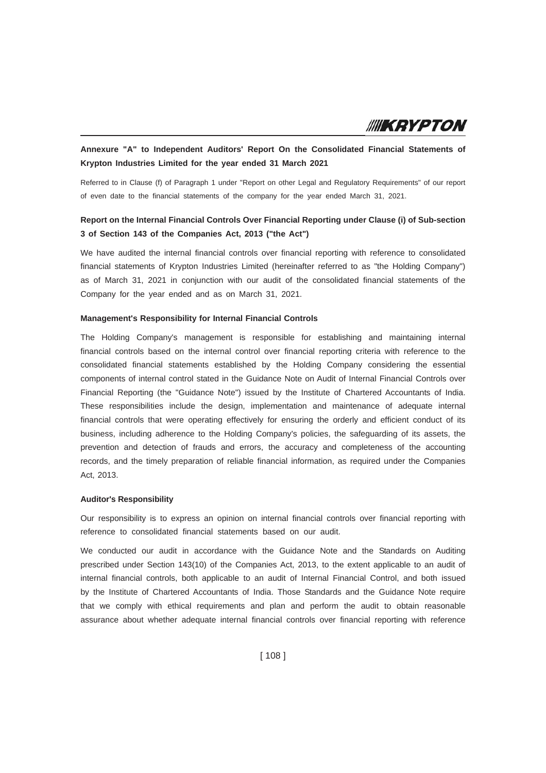### **Annexure "A" to Independent Auditors' Report On the Consolidated Financial Statements of Krypton Industries Limited for the year ended 31 March 2021**

Referred to in Clause (f) of Paragraph 1 under "Report on other Legal and Regulatory Requirements" of our report of even date to the financial statements of the company for the year ended March 31, 2021.

### **Report on the Internal Financial Controls Over Financial Reporting under Clause (i) of Sub-section 3 of Section 143 of the Companies Act, 2013 ("the Act")**

We have audited the internal financial controls over financial reporting with reference to consolidated financial statements of Krypton Industries Limited (hereinafter referred to as "the Holding Company") as of March 31, 2021 in conjunction with our audit of the consolidated financial statements of the Company for the year ended and as on March 31, 2021.

#### **Management's Responsibility for Internal Financial Controls**

The Holding Company's management is responsible for establishing and maintaining internal financial controls based on the internal control over financial reporting criteria with reference to the consolidated financial statements established by the Holding Company considering the essential components of internal control stated in the Guidance Note on Audit of Internal Financial Controls over Financial Reporting (the "Guidance Note") issued by the Institute of Chartered Accountants of India. These responsibilities include the design, implementation and maintenance of adequate internal financial controls that were operating effectively for ensuring the orderly and efficient conduct of its business, including adherence to the Holding Company's policies, the safeguarding of its assets, the prevention and detection of frauds and errors, the accuracy and completeness of the accounting records, and the timely preparation of reliable financial information, as required under the Companies Act, 2013.

#### **Auditor's Responsibility**

Our responsibility is to express an opinion on internal financial controls over financial reporting with reference to consolidated financial statements based on our audit.

We conducted our audit in accordance with the Guidance Note and the Standards on Auditing prescribed under Section 143(10) of the Companies Act, 2013, to the extent applicable to an audit of internal financial controls, both applicable to an audit of Internal Financial Control, and both issued by the Institute of Chartered Accountants of India. Those Standards and the Guidance Note require that we comply with ethical requirements and plan and perform the audit to obtain reasonable assurance about whether adequate internal financial controls over financial reporting with reference

[ 108 ]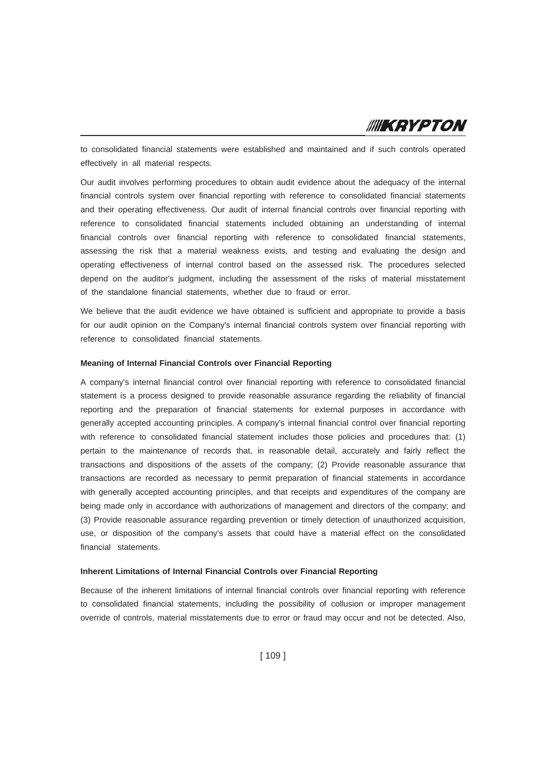to consolidated financial statements were established and maintained and if such controls operated effectively in all material respects.

Our audit involves performing procedures to obtain audit evidence about the adequacy of the internal financial controls system over financial reporting with reference to consolidated financial statements and their operating effectiveness. Our audit of internal financial controls over financial reporting with reference to consolidated financial statements included obtaining an understanding of internal financial controls over financial reporting with reference to consolidated financial statements, assessing the risk that a material weakness exists, and testing and evaluating the design and operating effectiveness of internal control based on the assessed risk. The procedures selected depend on the auditor's judgment, including the assessment of the risks of material misstatement of the standalone financial statements, whether due to fraud or error.

We believe that the audit evidence we have obtained is sufficient and appropriate to provide a basis for our audit opinion on the Company's internal financial controls system over financial reporting with reference to consolidated financial statements.

#### **Meaning of Internal Financial Controls over Financial Reporting**

A company's internal financial control over financial reporting with reference to consolidated financial statement is a process designed to provide reasonable assurance regarding the reliability of financial reporting and the preparation of financial statements for external purposes in accordance with generally accepted accounting principles. A company's internal financial control over financial reporting with reference to consolidated financial statement includes those policies and procedures that: (1) pertain to the maintenance of records that, in reasonable detail, accurately and fairly reflect the transactions and dispositions of the assets of the company; (2) Provide reasonable assurance that transactions are recorded as necessary to permit preparation of financial statements in accordance with generally accepted accounting principles, and that receipts and expenditures of the company are being made only in accordance with authorizations of management and directors of the company; and (3) Provide reasonable assurance regarding prevention or timely detection of unauthorized acquisition, use, or disposition of the company's assets that could have a material effect on the consolidated financial statements.

#### **Inherent Limitations of Internal Financial Controls over Financial Reporting**

Because of the inherent limitations of internal financial controls over financial reporting with reference to consolidated financial statements, including the possibility of collusion or improper management override of controls, material misstatements due to error or fraud may occur and not be detected. Also,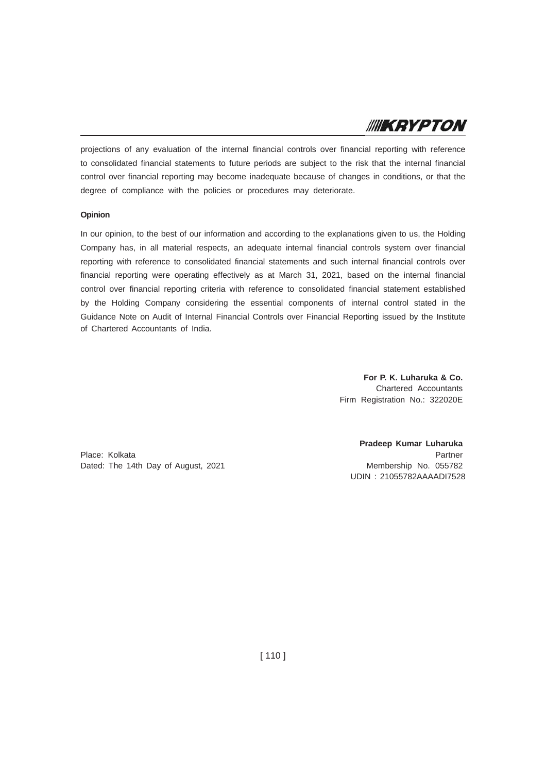projections of any evaluation of the internal financial controls over financial reporting with reference to consolidated financial statements to future periods are subject to the risk that the internal financial control over financial reporting may become inadequate because of changes in conditions, or that the degree of compliance with the policies or procedures may deteriorate.

#### **Opinion**

In our opinion, to the best of our information and according to the explanations given to us, the Holding Company has, in all material respects, an adequate internal financial controls system over financial reporting with reference to consolidated financial statements and such internal financial controls over financial reporting were operating effectively as at March 31, 2021, based on the internal financial control over financial reporting criteria with reference to consolidated financial statement established by the Holding Company considering the essential components of internal control stated in the Guidance Note on Audit of Internal Financial Controls over Financial Reporting issued by the Institute of Chartered Accountants of India.

> **For P. K. Luharuka & Co.** Chartered Accountants Firm Registration No.: 322020E

Place: Kolkata Partner Partner Partner Partner Partner Partner Partner Partner Partner Dated: The 14th Day of August, 2021 Membership No. 055782

**Pradeep Kumar Luharuka** UDIN : 21055782AAAADI7528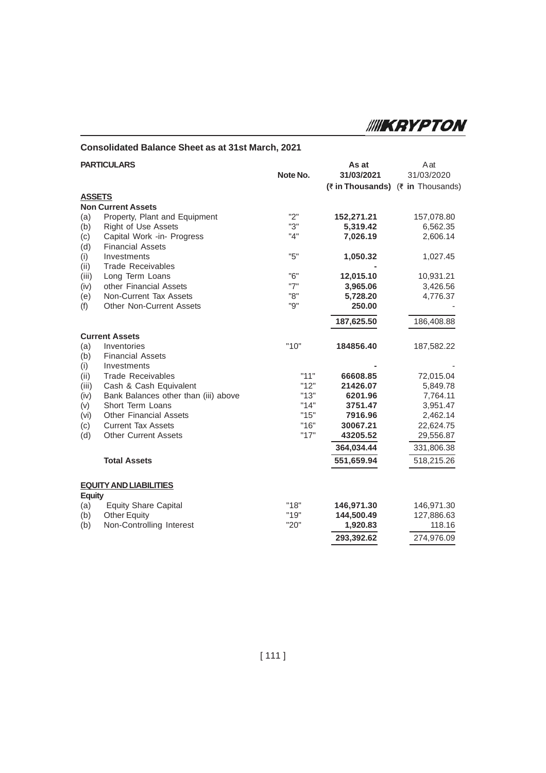|               | <b>PARTICULARS</b>                   | Note No.     | As at<br>31/03/2021 | Aat<br>31/03/2020<br>(₹ in Thousands) (₹ in Thousands) |
|---------------|--------------------------------------|--------------|---------------------|--------------------------------------------------------|
| <b>ASSETS</b> |                                      |              |                     |                                                        |
|               | <b>Non Current Assets</b>            |              |                     |                                                        |
| (a)           | Property, Plant and Equipment        | "2"          | 152,271.21          | 157,078.80                                             |
| (b)           | <b>Right of Use Assets</b>           | "3"          | 5,319.42            | 6,562.35                                               |
| (c)           | Capital Work -in- Progress           | "4"          | 7,026.19            | 2,606.14                                               |
| (d)           | <b>Financial Assets</b>              |              |                     |                                                        |
| (i)           | Investments                          | "5"          | 1,050.32            | 1,027.45                                               |
| (ii)          | <b>Trade Receivables</b>             |              |                     |                                                        |
| (iii)         | Long Term Loans                      | "6"          | 12,015.10           | 10,931.21                                              |
| (iv)          | other Financial Assets               | "7"          | 3,965.06            | 3,426.56                                               |
| (e)           | Non-Current Tax Assets               | "8"          | 5,728.20            | 4,776.37                                               |
| (f)           | <b>Other Non-Current Assets</b>      | "9"          | 250.00              |                                                        |
|               |                                      |              | 187,625.50          | 186,408.88                                             |
|               | <b>Current Assets</b>                |              |                     |                                                        |
|               | Inventories                          | "10"         | 184856.40           | 187,582.22                                             |
| (a)<br>(b)    | <b>Financial Assets</b>              |              |                     |                                                        |
| (i)           | Investments                          |              |                     |                                                        |
| (ii)          | <b>Trade Receivables</b>             | "11"         | 66608.85            | 72,015.04                                              |
| (iii)         | Cash & Cash Equivalent               | "12"         | 21426.07            | 5,849.78                                               |
| (iv)          | Bank Balances other than (iii) above | "13"         | 6201.96             | 7,764.11                                               |
| (v)           | Short Term Loans                     | "14"         | 3751.47             | 3,951.47                                               |
| (vi)          | <b>Other Financial Assets</b>        | "15"         | 7916.96             | 2,462.14                                               |
| (c)           | <b>Current Tax Assets</b>            | "16"         | 30067.21            | 22,624.75                                              |
| (d)           | <b>Other Current Assets</b>          | "17"         | 43205.52            | 29,556.87                                              |
|               |                                      |              | 364,034.44          | 331,806.38                                             |
|               | <b>Total Assets</b>                  |              | 551,659.94          | 518,215.26                                             |
|               |                                      |              |                     |                                                        |
|               | <b>EQUITY AND LIABILITIES</b>        |              |                     |                                                        |
| <b>Equity</b> |                                      |              |                     |                                                        |
| (a)           | <b>Equity Share Capital</b>          | "18"<br>"19" | 146,971.30          | 146,971.30                                             |
| (b)           | <b>Other Equity</b>                  |              | 144,500.49          | 127,886.63                                             |
| (b)           | Non-Controlling Interest             | "20"         | 1,920.83            | 118.16                                                 |
|               |                                      |              | 293,392.62          | 274,976.09                                             |

### **Consolidated Balance Sheet as at 31st March, 2021**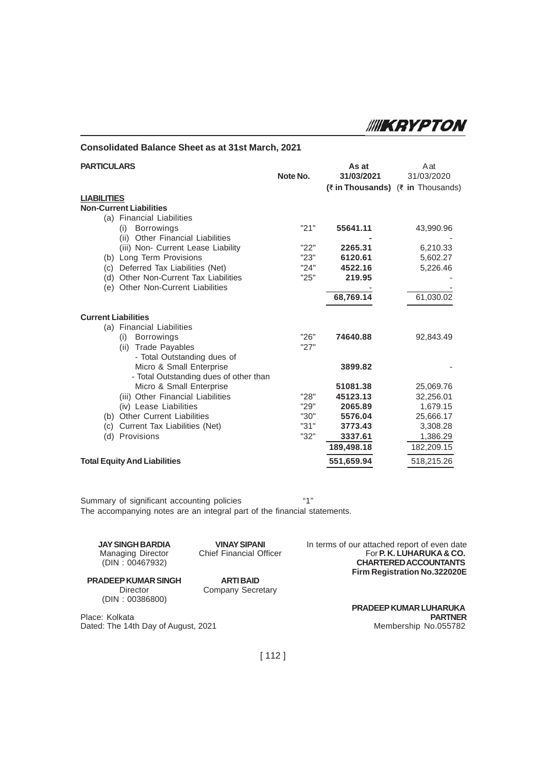#### **Consolidated Balance Sheet as at 31st March, 2021 PARTICULARS As at** A at **Note No. 31/03/2021** 31/03/2020 **(" in Thousands)** (**" in** Thousands) **LIABILITIES Non-Current Liabilities** (a) Financial Liabilities (i) Borrowings "21" **55641.11** 43,990.96 (ii) Other Financial Liabilities<br>
(iii) Non- Current Lease Liability<br> **2265.31** 6.210.33 (iii) Non- Current Lease Liability (b) Long Term Provisions "23" **6120.61** 5,602.27 (c) Deferred Tax Liabilities (Net) "24" **4522.16** 5,226.46 (d) Other Non-Current Tax Liabilities  $"25"$  219.95 (e) Other Non-Current Liabilities  $\frac{1}{68.769.14}$   $\frac{1}{61.030.02}$  $68,769,14$ **Current Liabilities** (a) Financial Liabilities (i) Borrowings "26" **74640.88** 92,843.49  $(iii)$  Trade Payables - Total Outstanding dues of Micro & Small Enterprise **3899.82** - - Total Outstanding dues of other than Micro & Small Enterprise **51081.38** 25,069.76 (iii) Other Financial Liabilities "28" **45123.13** 32,256.01 (iv) Lease Liabilities "29" **2065.89** 1,679.15 (b) Other Current Liabilities (b) Other Current Liabilities (b) **5576.04** 25,666.17<br>
(c) Current Tax Liabilities (Net) **1998** 3773.43 3.308.28 (c) Current Tax Liabilities (Net) **3773.43** (d) Provisions "32" **3337.61** 1,386.29 **189,498.18** 182,209.15 **Total Equity And Liabilities 551,659.94** 518,215.26

Summary of significant accounting policies "1"

The accompanying notes are an integral part of the financial statements.

Company Secretary

**JAY SINGH BARDIA VINAY SIPANI** In terms of our attached report of even date<br>Managing Director Chief Financial Officer For**P.K.LUHARUKA&CO.** Managing Director Chief Financial Officer For **P. K. LUHARUKA & CO.** (DIN : 00467932) **CHARTERED ACCOUNTANTS Firm Registration No.322020E**

**PRADEEP KUMAR SINGH ARTI BAID**<br>Director Company Secre (DIN : 00386800)

Place: Kolkata **PARTNER**<br>Dated: The 14th Day of August, 2021 **PARTNER** Dated: The 14th Day of August, 2021

**PRADEEP KUMAR LUHARUKA**

[ 112 ]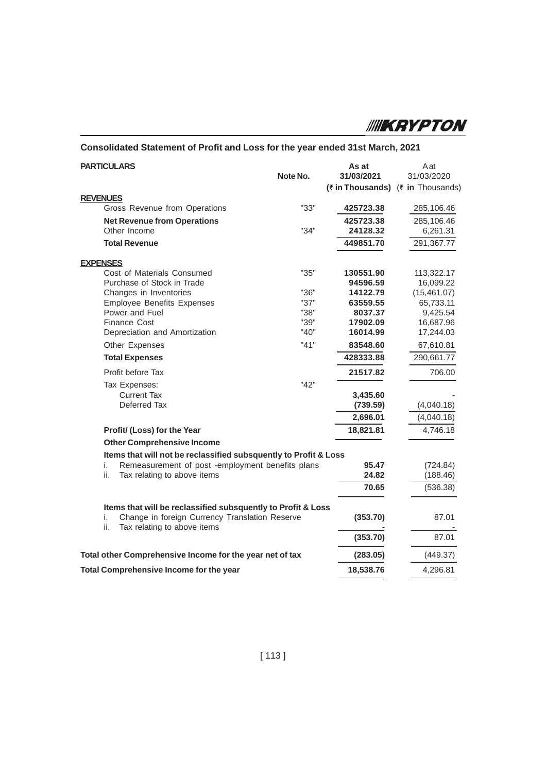| <b>PARTICULARS</b>                                                                                                                                               | Note No.             | As at<br>31/03/2021                | Aat<br>31/03/2020<br>(₹ in Thousands) (₹ in Thousands) |
|------------------------------------------------------------------------------------------------------------------------------------------------------------------|----------------------|------------------------------------|--------------------------------------------------------|
| <b>REVENUES</b><br>Gross Revenue from Operations<br><b>Net Revenue from Operations</b><br>Other Income                                                           | "33"<br>"34"         | 425723.38<br>425723.38<br>24128.32 | 285,106.46<br>285,106.46<br>6,261.31                   |
| <b>Total Revenue</b>                                                                                                                                             |                      | 449851.70                          | 291,367.77                                             |
| <b>EXPENSES</b>                                                                                                                                                  |                      |                                    |                                                        |
| Cost of Materials Consumed<br>Purchase of Stock in Trade                                                                                                         | "35"                 | 130551.90<br>94596.59              | 113,322.17<br>16,099.22                                |
| Changes in Inventories<br><b>Employee Benefits Expenses</b><br>Power and Fuel                                                                                    | "36"<br>"37"<br>"38" | 14122.79<br>63559.55<br>8037.37    | (15, 461.07)<br>65,733.11<br>9,425.54                  |
| <b>Finance Cost</b><br>Depreciation and Amortization                                                                                                             | "39"<br>"40"         | 17902.09<br>16014.99               | 16,687.96<br>17,244.03                                 |
| <b>Other Expenses</b><br><b>Total Expenses</b>                                                                                                                   | "41"                 | 83548.60<br>428333.88              | 67,610.81<br>290,661.77                                |
| Profit before Tax<br>Tax Expenses:<br><b>Current Tax</b><br>Deferred Tax                                                                                         | "42"                 | 21517.82<br>3,435.60<br>(739.59)   | 706.00<br>(4,040.18)                                   |
| Profit/ (Loss) for the Year                                                                                                                                      |                      | 2,696.01<br>18,821.81              | (4,040.18)<br>4,746.18                                 |
| <b>Other Comprehensive Income</b>                                                                                                                                |                      |                                    |                                                        |
| Items that will not be reclassified subsquently to Profit & Loss<br>i.<br>Remeasurement of post -employment benefits plans<br>ii.<br>Tax relating to above items |                      | 95.47<br>24.82<br>70.65            | (724.84)<br>(188.46)<br>(536.38)                       |
| Items that will be reclassified subsquently to Profit & Loss<br>i.<br>Change in foreign Currency Translation Reserve<br>ii.<br>Tax relating to above items       |                      | (353.70)                           | 87.01                                                  |
|                                                                                                                                                                  |                      | (353.70)                           | 87.01                                                  |
| Total other Comprehensive Income for the year net of tax                                                                                                         |                      | (283.05)                           | (449.37)                                               |
| Total Comprehensive Income for the year                                                                                                                          |                      | 18,538.76                          | 4,296.81                                               |

### **Consolidated Statement of Profit and Loss for the year ended 31st March, 2021**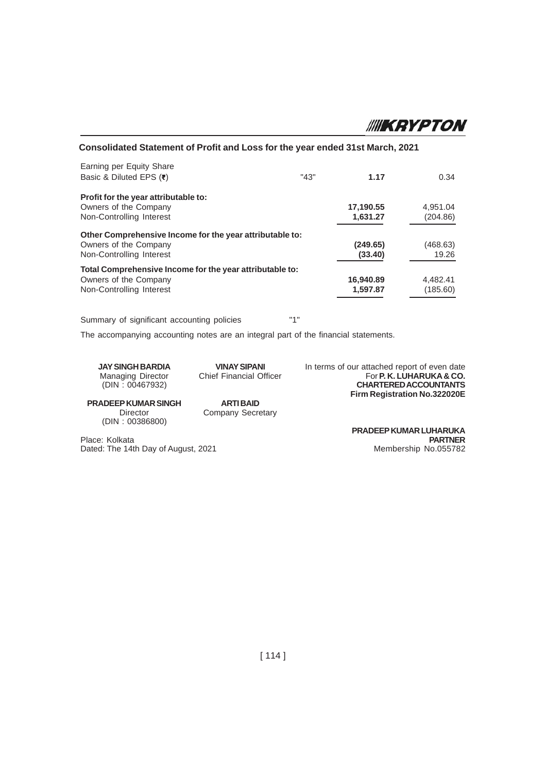## WIKRYPTON

### Earning per Equity Share **Basic & Diluted EPS (\*)**  $\bullet$  **1.17** 0.34 **Profit for the year attributable to:** Owners of the Company **17,190.55** 4,951.04 Non-Controlling Interest **1,631.27** (204.86) **Other Comprehensive Income for the year attributable to:** Owners of the Company **(249.65)** (468.63) Non-Controlling Interest **(33.40)** 19.26 **Total Comprehensive Income for the year attributable to:** Owners of the Company **16,940.89** 4,482.41 Non-Controlling Interest **1,597.87** (185.60)

**Consolidated Statement of Profit and Loss for the year ended 31st March, 2021**

Summary of significant accounting policies "1"

The accompanying accounting notes are an integral part of the financial statements.

**JAY SINGH BARDIA VINAY SIPANI** In terms of our attached report of even date<br>Managing Director Chief Financial Officer For P. K. LUHARUKA & CO. For **P. K. LUHARUKA & CO.** (DIN : 00467932) **CHARTERED ACCOUNTANTS Firm Registration No.322020E**

**PRADEEP KUMAR SINGH ARTI BAID**<br>Director Company Secre (DIN : 00386800)

Company Secretary

**PRADEEP KUMAR LUHARUKA**

Place: Kolkata **PARTNER**<br>Dated: The 14th Day of August, 2021 **PARTNER Partners PARTNER** Dated: The 14th Day of August, 2021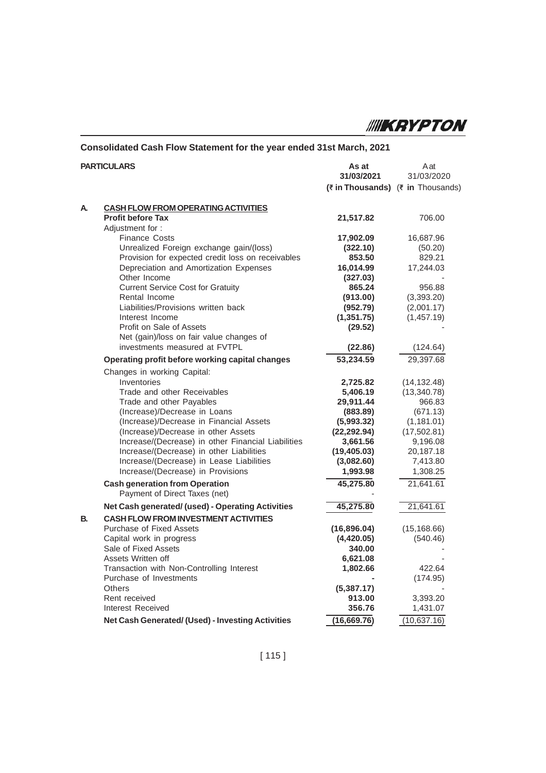|    | <b>PARTICULARS</b>                                   | As at<br>31/03/2021<br>(₹ in Thousands) (₹ in Thousands) | Aat<br>31/03/2020            |
|----|------------------------------------------------------|----------------------------------------------------------|------------------------------|
| А. | <b>CASH FLOW FROM OPERATING ACTIVITIES</b>           |                                                          |                              |
|    | <b>Profit before Tax</b>                             | 21,517.82                                                | 706.00                       |
|    | Adjustment for:                                      |                                                          |                              |
|    | <b>Finance Costs</b>                                 | 17,902.09                                                | 16,687.96                    |
|    | Unrealized Foreign exchange gain/(loss)              | (322.10)                                                 | (50.20)                      |
|    | Provision for expected credit loss on receivables    | 853.50                                                   | 829.21                       |
|    | Depreciation and Amortization Expenses               | 16,014.99                                                | 17,244.03                    |
|    | Other Income                                         | (327.03)                                                 |                              |
|    | <b>Current Service Cost for Gratuity</b>             | 865.24                                                   | 956.88                       |
|    | Rental Income<br>Liabilities/Provisions written back | (913.00)                                                 | (3,393.20)                   |
|    | Interest Income                                      | (952.79)<br>(1, 351.75)                                  | (2,001.17)<br>(1,457.19)     |
|    | Profit on Sale of Assets                             | (29.52)                                                  |                              |
|    | Net (gain)/loss on fair value changes of             |                                                          |                              |
|    | investments measured at FVTPL                        | (22.86)                                                  | (124.64)                     |
|    | Operating profit before working capital changes      | 53,234.59                                                | 29,397.68                    |
|    |                                                      |                                                          |                              |
|    | Changes in working Capital:<br>Inventories           |                                                          |                              |
|    | Trade and other Receivables                          | 2,725.82<br>5,406.19                                     | (14, 132.48)<br>(13, 340.78) |
|    | Trade and other Payables                             | 29,911.44                                                | 966.83                       |
|    | (Increase)/Decrease in Loans                         | (883.89)                                                 | (671.13)                     |
|    | (Increase)/Decrease in Financial Assets              | (5,993.32)                                               | (1, 181.01)                  |
|    | (Increase)/Decrease in other Assets                  | (22, 292.94)                                             | (17,502.81)                  |
|    | Increase/(Decrease) in other Financial Liabilities   | 3,661.56                                                 | 9,196.08                     |
|    | Increase/(Decrease) in other Liabilities             | (19, 405.03)                                             | 20,187.18                    |
|    | Increase/(Decrease) in Lease Liabilities             | (3,082.60)                                               | 7,413.80                     |
|    | Increase/(Decrease) in Provisions                    | 1,993.98                                                 | 1,308.25                     |
|    | <b>Cash generation from Operation</b>                | 45,275.80                                                | 21,641.61                    |
|    | Payment of Direct Taxes (net)                        |                                                          |                              |
|    | Net Cash generated/ (used) - Operating Activities    | 45,275.80                                                | 21,641.61                    |
| В. | <b>CASH FLOW FROM INVESTMENT ACTIVITIES</b>          |                                                          |                              |
|    | Purchase of Fixed Assets                             | (16,896.04)                                              | (15, 168.66)                 |
|    | Capital work in progress                             | (4,420.05)                                               | (540.46)                     |
|    | Sale of Fixed Assets                                 | 340.00                                                   |                              |
|    | Assets Written off                                   | 6,621.08                                                 |                              |
|    | Transaction with Non-Controlling Interest            | 1,802.66                                                 | 422.64                       |
|    | Purchase of Investments                              |                                                          | (174.95)                     |
|    | <b>Others</b>                                        | (5,387.17)                                               |                              |
|    | Rent received                                        | 913.00                                                   | 3,393.20                     |
|    | Interest Received                                    | 356.76                                                   | 1,431.07                     |
|    | Net Cash Generated/ (Used) - Investing Activities    | (16,669.76)                                              | (10,637.16)                  |

## **Consolidated Cash Flow Statement for the year ended 31st March, 2021**

[ 115 ]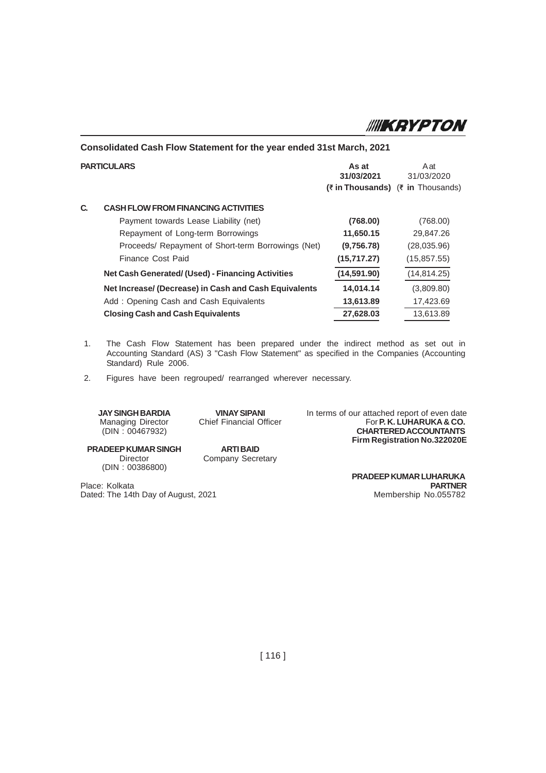#### **Consolidated Cash Flow Statement for the year ended 31st March, 2021**

|    | <b>PARTICULARS</b>                                    | As at<br>31/03/2021 | Aat<br>31/03/2020<br>$(\bar{\tau}$ in Thousands) $(\bar{\tau}$ in Thousands) |
|----|-------------------------------------------------------|---------------------|------------------------------------------------------------------------------|
| C. | <b>CASH FLOW FROM FINANCING ACTIVITIES</b>            |                     |                                                                              |
|    | Payment towards Lease Liability (net)                 | (768.00)            | (768.00)                                                                     |
|    | Repayment of Long-term Borrowings                     | 11,650.15           | 29,847.26                                                                    |
|    | Proceeds/ Repayment of Short-term Borrowings (Net)    | (9,756.78)          | (28,035.96)                                                                  |
|    | Finance Cost Paid                                     | (15,717.27)         | (15, 857.55)                                                                 |
|    | Net Cash Generated/ (Used) - Financing Activities     | (14,591.90)         | (14, 814.25)                                                                 |
|    | Net Increase/ (Decrease) in Cash and Cash Equivalents | 14.014.14           | (3,809.80)                                                                   |
|    | Add: Opening Cash and Cash Equivalents                | 13,613.89           | 17,423.69                                                                    |
|    | <b>Closing Cash and Cash Equivalents</b>              | 27,628.03           | 13,613.89                                                                    |

#### 1. The Cash Flow Statement has been prepared under the indirect method as set out in Accounting Standard (AS) 3 "Cash Flow Statement" as specified in the Companies (Accounting Standard) Rule 2006.

2. Figures have been regrouped/ rearranged wherever necessary.

**JAY SINGH BARDIA VINAY SIPANI** In terms of our attached report of even date Managing Director Chief Financial Officer For **P. K. LUHARUKA & CO.**<br>(DIN: 00467932) **CHARTERED ACCOUNTANTS** (DIN : 00467932) **CHARTERED ACCOUNTANTS Firm Registration No.322020E**

**PRADEEP KUMAR SINGH ARTI BAID**<br>Director Company Secre (DIN : 00386800)

Company Secretary

Place: Kolkata **PARTNER**<br>Dated: The 14th Day of August, 2021 **PARTNER** Dated: The 14th Day of August, 2021

**PRADEEP KUMAR LUHARUKA**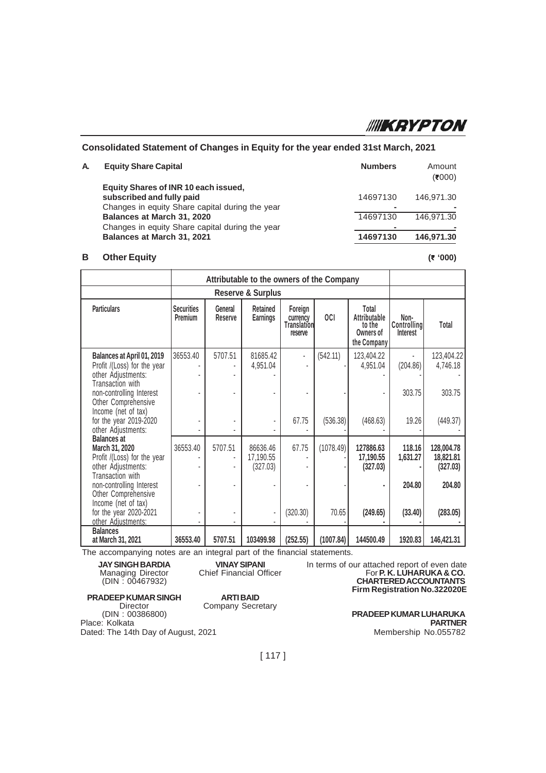### **Consolidated Statement of Changes in Equity for the year ended 31st March, 2021**

| А. | <b>Equity Share Capital</b>                     | <b>Numbers</b> | Amount<br>$($ ₹000) |
|----|-------------------------------------------------|----------------|---------------------|
|    | Equity Shares of INR 10 each issued,            |                |                     |
|    | subscribed and fully paid                       | 14697130       | 146.971.30          |
|    | Changes in equity Share capital during the year |                |                     |
|    | Balances at March 31, 2020                      | 14697130       | 146.971.30          |
|    | Changes in equity Share capital during the year |                |                     |
|    | Balances at March 31, 2021                      | 14697130       | 146.971.30          |

### **B Other Equity (" '000)**

|                                                                                                               | Attributable to the owners of the Company |                           |                                   |                                                      |           |                                                             |                                               |                                     |
|---------------------------------------------------------------------------------------------------------------|-------------------------------------------|---------------------------|-----------------------------------|------------------------------------------------------|-----------|-------------------------------------------------------------|-----------------------------------------------|-------------------------------------|
|                                                                                                               |                                           |                           | <b>Reserve &amp; Surplus</b>      |                                                      |           |                                                             |                                               |                                     |
| <b>Particulars</b>                                                                                            | <b>Securities</b><br>Premium              | General<br><b>Reserve</b> | Retained<br><b>Earnings</b>       | Foreign<br>currency<br><b>Translation</b><br>reserve | OCI       | Total<br>Attributable<br>to the<br>Owners of<br>the Company | Non-<br><b>Controlling</b><br><b>Interest</b> | Total                               |
| Balances at April 01, 2019<br>Profit /(Loss) for the year<br>other Adjustments:                               | 36553.40                                  | 5707.51                   | 81685.42<br>4,951.04              |                                                      | (542.11)  | 123,404.22<br>4,951.04                                      | (204.86)                                      | 123,404.22<br>4,746.18              |
| Transaction with<br>non-controlling Interest<br>Other Comprehensive<br>Income (net of tax)                    |                                           |                           |                                   |                                                      |           |                                                             | 303.75                                        | 303.75                              |
| for the year 2019-2020<br>other Adjustments:                                                                  |                                           |                           |                                   | 67.75                                                | (536.38)  | (468.63)                                                    | 19.26                                         | (449.37)                            |
| <b>Balances at</b><br>March 31, 2020<br>Profit /(Loss) for the year<br>other Adjustments:<br>Transaction with | 36553.40                                  | 5707.51                   | 86636.46<br>17,190.55<br>(327.03) | 67.75                                                | (1078.49) | 127886.63<br>17,190.55<br>(327.03)                          | 118.16<br>1,631.27                            | 128,004.78<br>18,821.81<br>(327.03) |
| non-controlling Interest<br>Other Comprehensive                                                               |                                           |                           |                                   |                                                      |           |                                                             | 204.80                                        | 204.80                              |
| Income (net of tax)<br>for the year 2020-2021<br>other Adjustments:                                           |                                           |                           |                                   | (320.30)                                             | 70.65     | (249.65)                                                    | (33.40)                                       | (283.05)                            |
| <b>Balances</b><br>at March 31, 2021                                                                          | 36553.40                                  | 5707.51                   | 103499.98                         | (252.55)                                             | (1007.84) | 144500.49                                                   | 1920.83                                       | 146,421.31                          |

The accompanying notes are an integral part of the financial statements.

**JAY SINGH BARDIA VINAY SIPANI** In terms of our attached report of even date Managing Director Chief Financial Officer **For P. K. LUHARUKA & CO.** (DIN : 00467932) **CHARTERED ACCOUNTANTS Firm Registration No.322020E**

Company Secretary

**PRADEEP KUMAR SINGH ARTI BAID**<br>Director Company Secre<br>(DIN : 00386800) (DIN : 00386800) **PRADEEP KUMAR LUHARUKA** Place: Kolkata **PARTNER** Dated: The 14th Day of August, 2021 Membership No.055782

[ 117 ]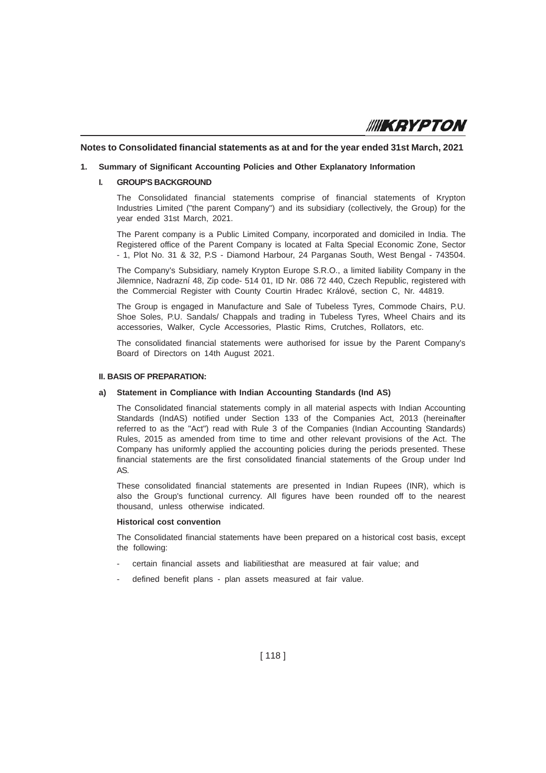

#### **1. Summary of Significant Accounting Policies and Other Explanatory Information**

#### **I. GROUP'S BACKGROUND**

The Consolidated financial statements comprise of financial statements of Krypton Industries Limited ("the parent Company") and its subsidiary (collectively, the Group) for the year ended 31st March, 2021.

The Parent company is a Public Limited Company, incorporated and domiciled in India. The Registered office of the Parent Company is located at Falta Special Economic Zone, Sector - 1, Plot No. 31 & 32, P.S - Diamond Harbour, 24 Parganas South, West Bengal - 743504.

The Company's Subsidiary, namely Krypton Europe S.R.O., a limited liability Company in the Jilemnice, Nadrazní 48, Zip code- 514 01, ID Nr. 086 72 440, Czech Republic, registered with the Commercial Register with County Courtin Hradec Králové, section C, Nr. 44819.

The Group is engaged in Manufacture and Sale of Tubeless Tyres, Commode Chairs, P.U. Shoe Soles, P.U. Sandals/ Chappals and trading in Tubeless Tyres, Wheel Chairs and its accessories, Walker, Cycle Accessories, Plastic Rims, Crutches, Rollators, etc.

The consolidated financial statements were authorised for issue by the Parent Company's Board of Directors on 14th August 2021.

#### **II. BASIS OF PREPARATION:**

#### **a) Statement in Compliance with Indian Accounting Standards (Ind AS)**

The Consolidated financial statements comply in all material aspects with Indian Accounting Standards (IndAS) notified under Section 133 of the Companies Act, 2013 (hereinafter referred to as the "Act") read with Rule 3 of the Companies (Indian Accounting Standards) Rules, 2015 as amended from time to time and other relevant provisions of the Act. The Company has uniformly applied the accounting policies during the periods presented. These financial statements are the first consolidated financial statements of the Group under Ind  $\Delta$ 

These consolidated financial statements are presented in Indian Rupees (INR), which is also the Group's functional currency. All figures have been rounded off to the nearest thousand, unless otherwise indicated.

#### **Historical cost convention**

The Consolidated financial statements have been prepared on a historical cost basis, except the following:

- certain financial assets and liabilitiesthat are measured at fair value; and
- defined benefit plans plan assets measured at fair value.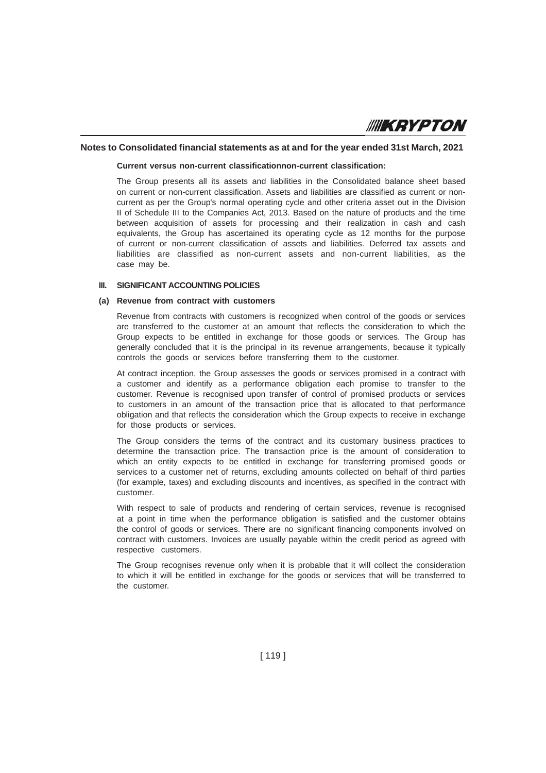#### **Current versus non-current classificationnon-current classification:**

The Group presents all its assets and liabilities in the Consolidated balance sheet based on current or non-current classification. Assets and liabilities are classified as current or noncurrent as per the Group's normal operating cycle and other criteria asset out in the Division II of Schedule III to the Companies Act, 2013. Based on the nature of products and the time between acquisition of assets for processing and their realization in cash and cash equivalents, the Group has ascertained its operating cycle as 12 months for the purpose of current or non-current classification of assets and liabilities. Deferred tax assets and liabilities are classified as non-current assets and non-current liabilities, as the case may be.

#### **III. SIGNIFICANT ACCOUNTING POLICIES**

#### **(a) Revenue from contract with customers**

Revenue from contracts with customers is recognized when control of the goods or services are transferred to the customer at an amount that reflects the consideration to which the Group expects to be entitled in exchange for those goods or services. The Group has generally concluded that it is the principal in its revenue arrangements, because it typically controls the goods or services before transferring them to the customer.

At contract inception, the Group assesses the goods or services promised in a contract with a customer and identify as a performance obligation each promise to transfer to the customer. Revenue is recognised upon transfer of control of promised products or services to customers in an amount of the transaction price that is allocated to that performance obligation and that reflects the consideration which the Group expects to receive in exchange for those products or services.

The Group considers the terms of the contract and its customary business practices to determine the transaction price. The transaction price is the amount of consideration to which an entity expects to be entitled in exchange for transferring promised goods or services to a customer net of returns, excluding amounts collected on behalf of third parties (for example, taxes) and excluding discounts and incentives, as specified in the contract with customer.

With respect to sale of products and rendering of certain services, revenue is recognised at a point in time when the performance obligation is satisfied and the customer obtains the control of goods or services. There are no significant financing components involved on contract with customers. Invoices are usually payable within the credit period as agreed with respective customers.

The Group recognises revenue only when it is probable that it will collect the consideration to which it will be entitled in exchange for the goods or services that will be transferred to the customer.

[ 119 ]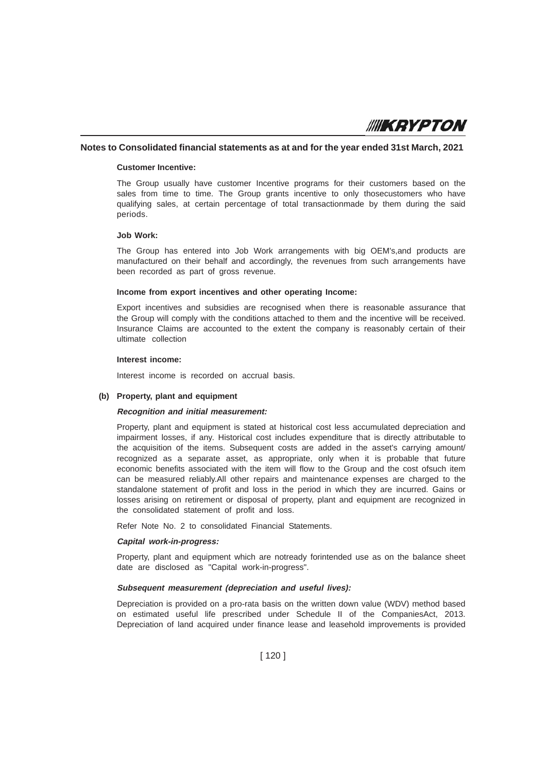

#### **Customer Incentive:**

The Group usually have customer Incentive programs for their customers based on the sales from time to time. The Group grants incentive to only thosecustomers who have qualifying sales, at certain percentage of total transactionmade by them during the said periods.

#### **Job Work:**

The Group has entered into Job Work arrangements with big OEM's,and products are manufactured on their behalf and accordingly, the revenues from such arrangements have been recorded as part of gross revenue.

#### **Income from export incentives and other operating Income:**

Export incentives and subsidies are recognised when there is reasonable assurance that the Group will comply with the conditions attached to them and the incentive will be received. Insurance Claims are accounted to the extent the company is reasonably certain of their ultimate collection

#### **Interest income:**

Interest income is recorded on accrual basis.

#### **(b) Property, plant and equipment**

#### **Recognition and initial measurement:**

Property, plant and equipment is stated at historical cost less accumulated depreciation and impairment losses, if any. Historical cost includes expenditure that is directly attributable to the acquisition of the items. Subsequent costs are added in the asset's carrying amount/ recognized as a separate asset, as appropriate, only when it is probable that future economic benefits associated with the item will flow to the Group and the cost ofsuch item can be measured reliably.All other repairs and maintenance expenses are charged to the standalone statement of profit and loss in the period in which they are incurred. Gains or losses arising on retirement or disposal of property, plant and equipment are recognized in the consolidated statement of profit and loss.

Refer Note No. 2 to consolidated Financial Statements.

#### **Capital work-in-progress:**

Property, plant and equipment which are notready forintended use as on the balance sheet date are disclosed as "Capital work-in-progress".

#### **Subsequent measurement (depreciation and useful lives):**

Depreciation is provided on a pro-rata basis on the written down value (WDV) method based on estimated useful life prescribed under Schedule II of the CompaniesAct, 2013. Depreciation of land acquired under finance lease and leasehold improvements is provided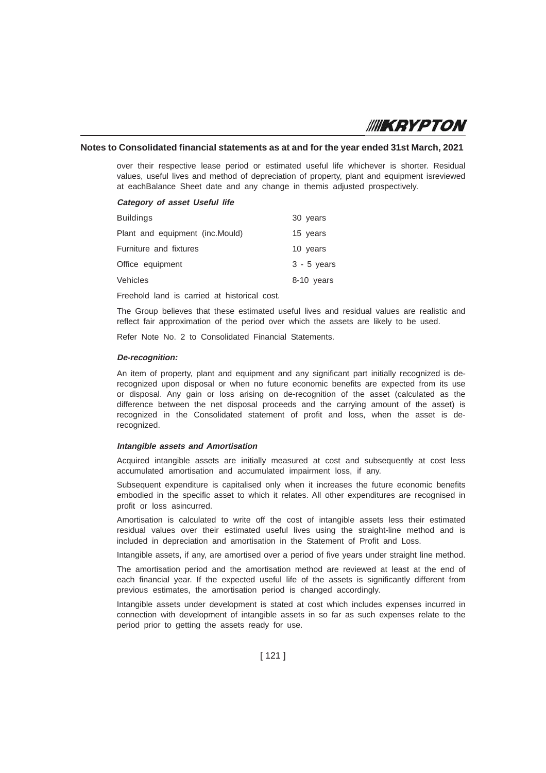#### **Notes to Consolidated financial statements as at and for the year ended 31st March, 2021**

over their respective lease period or estimated useful life whichever is shorter. Residual values, useful lives and method of depreciation of property, plant and equipment isreviewed at eachBalance Sheet date and any change in themis adjusted prospectively.

#### **Category of asset Useful life**

| Buildings                       | 30 years      |
|---------------------------------|---------------|
| Plant and equipment (inc.Mould) | 15 years      |
| Furniture and fixtures          | 10 years      |
| Office equipment                | $3 - 5$ years |
| Vehicles                        | 8-10 years    |

Freehold land is carried at historical cost.

The Group believes that these estimated useful lives and residual values are realistic and reflect fair approximation of the period over which the assets are likely to be used.

Refer Note No. 2 to Consolidated Financial Statements.

#### **De-recognition:**

An item of property, plant and equipment and any significant part initially recognized is derecognized upon disposal or when no future economic benefits are expected from its use or disposal. Any gain or loss arising on de-recognition of the asset (calculated as the difference between the net disposal proceeds and the carrying amount of the asset) is recognized in the Consolidated statement of profit and loss, when the asset is derecognized.

#### **Intangible assets and Amortisation**

Acquired intangible assets are initially measured at cost and subsequently at cost less accumulated amortisation and accumulated impairment loss, if any.

Subsequent expenditure is capitalised only when it increases the future economic benefits embodied in the specific asset to which it relates. All other expenditures are recognised in profit or loss asincurred.

Amortisation is calculated to write off the cost of intangible assets less their estimated residual values over their estimated useful lives using the straight-line method and is included in depreciation and amortisation in the Statement of Profit and Loss.

Intangible assets, if any, are amortised over a period of five years under straight line method.

The amortisation period and the amortisation method are reviewed at least at the end of each financial year. If the expected useful life of the assets is significantly different from previous estimates, the amortisation period is changed accordingly.

Intangible assets under development is stated at cost which includes expenses incurred in connection with development of intangible assets in so far as such expenses relate to the period prior to getting the assets ready for use.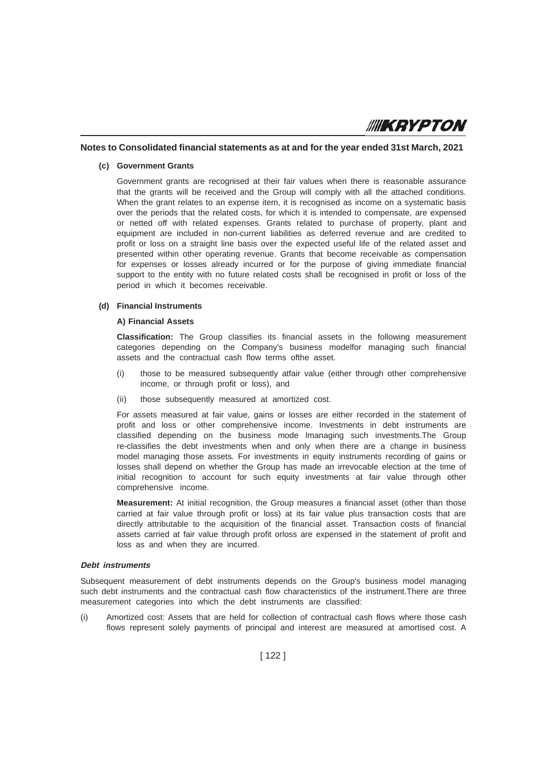#### **Notes to Consolidated financial statements as at and for the year ended 31st March, 2021**

#### **(c) Government Grants**

Government grants are recognised at their fair values when there is reasonable assurance that the grants will be received and the Group will comply with all the attached conditions. When the grant relates to an expense item, it is recognised as income on a systematic basis over the periods that the related costs, for which it is intended to compensate, are expensed or netted off with related expenses. Grants related to purchase of property, plant and equipment are included in non-current liabilities as deferred revenue and are credited to profit or loss on a straight line basis over the expected useful life of the related asset and presented within other operating revenue. Grants that become receivable as compensation for expenses or losses already incurred or for the purpose of giving immediate financial support to the entity with no future related costs shall be recognised in profit or loss of the period in which it becomes receivable.

#### **(d) Financial Instruments**

#### **A) Financial Assets**

**Classification:** The Group classifies its financial assets in the following measurement categories depending on the Company's business modelfor managing such financial assets and the contractual cash flow terms ofthe asset.

- (i) those to be measured subsequently atfair value (either through other comprehensive income, or through profit or loss), and
- (ii) those subsequently measured at amortized cost.

For assets measured at fair value, gains or losses are either recorded in the statement of profit and loss or other comprehensive income. Investments in debt instruments are classified depending on the business mode lmanaging such investments.The Group re-classifies the debt investments when and only when there are a change in business model managing those assets. For investments in equity instruments recording of gains or losses shall depend on whether the Group has made an irrevocable election at the time of initial recognition to account for such equity investments at fair value through other comprehensive income.

**Measurement:** At initial recognition, the Group measures a financial asset (other than those carried at fair value through profit or loss) at its fair value plus transaction costs that are directly attributable to the acquisition of the financial asset. Transaction costs of financial assets carried at fair value through profit orloss are expensed in the statement of profit and loss as and when they are incurred.

#### **Debt instruments**

Subsequent measurement of debt instruments depends on the Group's business model managing such debt instruments and the contractual cash flow characteristics of the instrument. There are three measurement categories into which the debt instruments are classified:

(i) Amortized cost: Assets that are held for collection of contractual cash flows where those cash flows represent solely payments of principal and interest are measured at amortised cost. A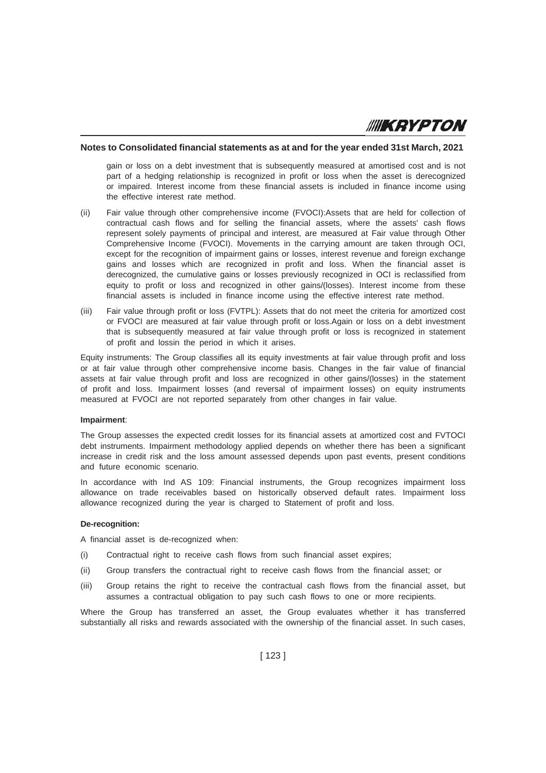#### **Notes to Consolidated financial statements as at and for the year ended 31st March, 2021**

gain or loss on a debt investment that is subsequently measured at amortised cost and is not part of a hedging relationship is recognized in profit or loss when the asset is derecognized or impaired. Interest income from these financial assets is included in finance income using the effective interest rate method.

- (ii) Fair value through other comprehensive income (FVOCI):Assets that are held for collection of contractual cash flows and for selling the financial assets, where the assets' cash flows represent solely payments of principal and interest, are measured at Fair value through Other Comprehensive Income (FVOCI). Movements in the carrying amount are taken through OCI, except for the recognition of impairment gains or losses, interest revenue and foreign exchange gains and losses which are recognized in profit and loss. When the financial asset is derecognized, the cumulative gains or losses previously recognized in OCI is reclassified from equity to profit or loss and recognized in other gains/(losses). Interest income from these financial assets is included in finance income using the effective interest rate method.
- (iii) Fair value through profit or loss (FVTPL): Assets that do not meet the criteria for amortized cost or FVOCI are measured at fair value through profit or loss.Again or loss on a debt investment that is subsequently measured at fair value through profit or loss is recognized in statement of profit and lossin the period in which it arises.

Equity instruments: The Group classifies all its equity investments at fair value through profit and loss or at fair value through other comprehensive income basis. Changes in the fair value of financial assets at fair value through profit and loss are recognized in other gains/(losses) in the statement of profit and loss. Impairment losses (and reversal of impairment losses) on equity instruments measured at FVOCI are not reported separately from other changes in fair value.

#### **Impairment**:

The Group assesses the expected credit losses for its financial assets at amortized cost and FVTOCI debt instruments. Impairment methodology applied depends on whether there has been a significant increase in credit risk and the loss amount assessed depends upon past events, present conditions and future economic scenario.

In accordance with Ind AS 109: Financial instruments, the Group recognizes impairment loss allowance on trade receivables based on historically observed default rates. Impairment loss allowance recognized during the year is charged to Statement of profit and loss.

#### **De-recognition:**

A financial asset is de-recognized when:

- (i) Contractual right to receive cash flows from such financial asset expires;
- (ii) Group transfers the contractual right to receive cash flows from the financial asset; or
- (iii) Group retains the right to receive the contractual cash flows from the financial asset, but assumes a contractual obligation to pay such cash flows to one or more recipients.

Where the Group has transferred an asset, the Group evaluates whether it has transferred substantially all risks and rewards associated with the ownership of the financial asset. In such cases,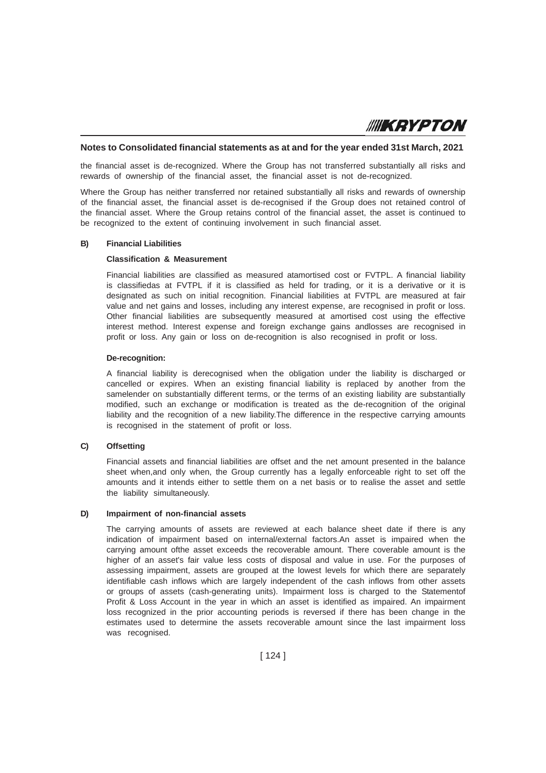

the financial asset is de-recognized. Where the Group has not transferred substantially all risks and rewards of ownership of the financial asset, the financial asset is not de-recognized.

Where the Group has neither transferred nor retained substantially all risks and rewards of ownership of the financial asset, the financial asset is de-recognised if the Group does not retained control of the financial asset. Where the Group retains control of the financial asset, the asset is continued to be recognized to the extent of continuing involvement in such financial asset.

#### **B) Financial Liabilities**

#### **Classification & Measurement**

Financial liabilities are classified as measured atamortised cost or FVTPL. A financial liability is classifiedas at FVTPL if it is classified as held for trading, or it is a derivative or it is designated as such on initial recognition. Financial liabilities at FVTPL are measured at fair value and net gains and losses, including any interest expense, are recognised in profit or loss. Other financial liabilities are subsequently measured at amortised cost using the effective interest method. Interest expense and foreign exchange gains andlosses are recognised in profit or loss. Any gain or loss on de-recognition is also recognised in profit or loss.

#### **De-recognition:**

A financial liability is derecognised when the obligation under the liability is discharged or cancelled or expires. When an existing financial liability is replaced by another from the samelender on substantially different terms, or the terms of an existing liability are substantially modified, such an exchange or modification is treated as the de-recognition of the original liability and the recognition of a new liability.The difference in the respective carrying amounts is recognised in the statement of profit or loss.

### **C) Offsetting**

Financial assets and financial liabilities are offset and the net amount presented in the balance sheet when,and only when, the Group currently has a legally enforceable right to set off the amounts and it intends either to settle them on a net basis or to realise the asset and settle the liability simultaneously.

#### **D) Impairment of non-financial assets**

The carrying amounts of assets are reviewed at each balance sheet date if there is any indication of impairment based on internal/external factors.An asset is impaired when the carrying amount ofthe asset exceeds the recoverable amount. There coverable amount is the higher of an asset's fair value less costs of disposal and value in use. For the purposes of assessing impairment, assets are grouped at the lowest levels for which there are separately identifiable cash inflows which are largely independent of the cash inflows from other assets or groups of assets (cash-generating units). Impairment loss is charged to the Statementof Profit & Loss Account in the year in which an asset is identified as impaired. An impairment loss recognized in the prior accounting periods is reversed if there has been change in the estimates used to determine the assets recoverable amount since the last impairment loss was recognised.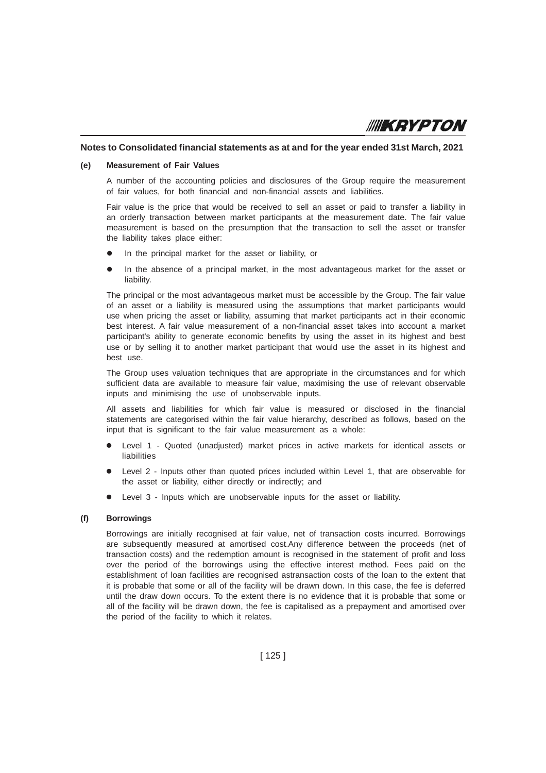#### **(e) Measurement of Fair Values**

A number of the accounting policies and disclosures of the Group require the measurement of fair values, for both financial and non-financial assets and liabilities.

Fair value is the price that would be received to sell an asset or paid to transfer a liability in an orderly transaction between market participants at the measurement date. The fair value measurement is based on the presumption that the transaction to sell the asset or transfer the liability takes place either:

- In the principal market for the asset or liability, or
- In the absence of a principal market, in the most advantageous market for the asset or liability.

The principal or the most advantageous market must be accessible by the Group. The fair value of an asset or a liability is measured using the assumptions that market participants would use when pricing the asset or liability, assuming that market participants act in their economic best interest. A fair value measurement of a non-financial asset takes into account a market participant's ability to generate economic benefits by using the asset in its highest and best use or by selling it to another market participant that would use the asset in its highest and best use.

The Group uses valuation techniques that are appropriate in the circumstances and for which sufficient data are available to measure fair value, maximising the use of relevant observable inputs and minimising the use of unobservable inputs.

All assets and liabilities for which fair value is measured or disclosed in the financial statements are categorised within the fair value hierarchy, described as follows, based on the input that is significant to the fair value measurement as a whole:

- Level 1 Quoted (unadjusted) market prices in active markets for identical assets or liabilities
- Level 2 Inputs other than quoted prices included within Level 1, that are observable for the asset or liability, either directly or indirectly; and
- Level 3 Inputs which are unobservable inputs for the asset or liability.

#### **(f) Borrowings**

Borrowings are initially recognised at fair value, net of transaction costs incurred. Borrowings are subsequently measured at amortised cost.Any difference between the proceeds (net of transaction costs) and the redemption amount is recognised in the statement of profit and loss over the period of the borrowings using the effective interest method. Fees paid on the establishment of loan facilities are recognised astransaction costs of the loan to the extent that it is probable that some or all of the facility will be drawn down. In this case, the fee is deferred until the draw down occurs. To the extent there is no evidence that it is probable that some or all of the facility will be drawn down, the fee is capitalised as a prepayment and amortised over the period of the facility to which it relates.

[ 125 ]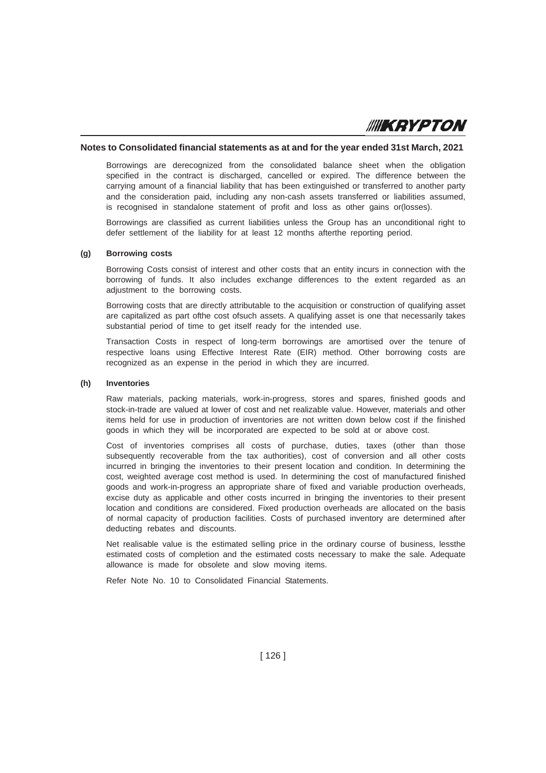#### **Notes to Consolidated financial statements as at and for the year ended 31st March, 2021**

Borrowings are derecognized from the consolidated balance sheet when the obligation specified in the contract is discharged, cancelled or expired. The difference between the carrying amount of a financial liability that has been extinguished or transferred to another party and the consideration paid, including any non-cash assets transferred or liabilities assumed, is recognised in standalone statement of profit and loss as other gains or(losses).

Borrowings are classified as current liabilities unless the Group has an unconditional right to defer settlement of the liability for at least 12 months afterthe reporting period.

#### **(g) Borrowing costs**

Borrowing Costs consist of interest and other costs that an entity incurs in connection with the borrowing of funds. It also includes exchange differences to the extent regarded as an adiustment to the borrowing costs.

Borrowing costs that are directly attributable to the acquisition or construction of qualifying asset are capitalized as part ofthe cost ofsuch assets. A qualifying asset is one that necessarily takes substantial period of time to get itself ready for the intended use.

Transaction Costs in respect of long-term borrowings are amortised over the tenure of respective loans using Effective Interest Rate (EIR) method. Other borrowing costs are recognized as an expense in the period in which they are incurred.

#### **(h) Inventories**

Raw materials, packing materials, work-in-progress, stores and spares, finished goods and stock-in-trade are valued at lower of cost and net realizable value. However, materials and other items held for use in production of inventories are not written down below cost if the finished goods in which they will be incorporated are expected to be sold at or above cost.

Cost of inventories comprises all costs of purchase, duties, taxes (other than those subsequently recoverable from the tax authorities), cost of conversion and all other costs incurred in bringing the inventories to their present location and condition. In determining the cost, weighted average cost method is used. In determining the cost of manufactured finished goods and work-in-progress an appropriate share of fixed and variable production overheads, excise duty as applicable and other costs incurred in bringing the inventories to their present location and conditions are considered. Fixed production overheads are allocated on the basis of normal capacity of production facilities. Costs of purchased inventory are determined after deducting rebates and discounts.

Net realisable value is the estimated selling price in the ordinary course of business, lessthe estimated costs of completion and the estimated costs necessary to make the sale. Adequate allowance is made for obsolete and slow moving items.

Refer Note No. 10 to Consolidated Financial Statements.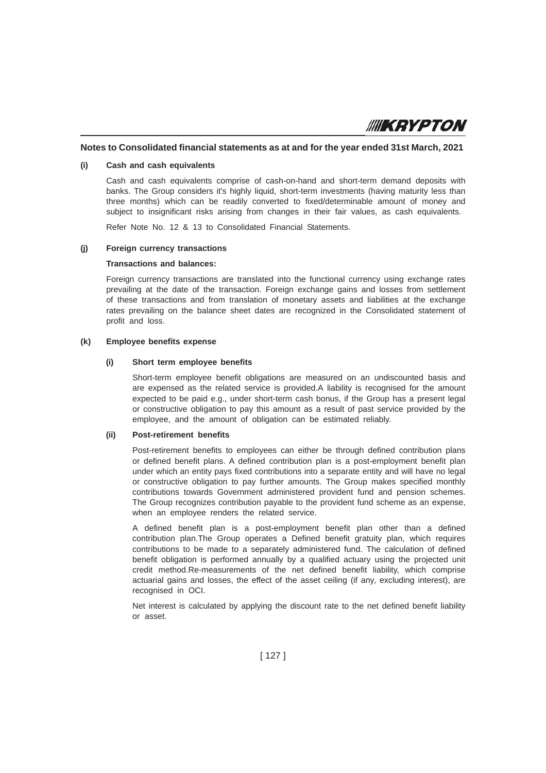

#### **(i) Cash and cash equivalents**

Cash and cash equivalents comprise of cash-on-hand and short-term demand deposits with banks. The Group considers it's highly liquid, short-term investments (having maturity less than three months) which can be readily converted to fixed/determinable amount of money and subject to insignificant risks arising from changes in their fair values, as cash equivalents.

Refer Note No. 12 & 13 to Consolidated Financial Statements.

#### **(j) Foreign currency transactions**

#### **Transactions and balances:**

Foreign currency transactions are translated into the functional currency using exchange rates prevailing at the date of the transaction. Foreign exchange gains and losses from settlement of these transactions and from translation of monetary assets and liabilities at the exchange rates prevailing on the balance sheet dates are recognized in the Consolidated statement of profit and loss.

#### **(k) Employee benefits expense**

#### **(i) Short term employee benefits**

Short-term employee benefit obligations are measured on an undiscounted basis and are expensed as the related service is provided.A liability is recognised for the amount expected to be paid e.g., under short-term cash bonus, if the Group has a present legal or constructive obligation to pay this amount as a result of past service provided by the employee, and the amount of obligation can be estimated reliably.

#### **(ii) Post-retirement benefits**

Post-retirement benefits to employees can either be through defined contribution plans or defined benefit plans. A defined contribution plan is a post-employment benefit plan under which an entity pays fixed contributions into a separate entity and will have no legal or constructive obligation to pay further amounts. The Group makes specified monthly contributions towards Government administered provident fund and pension schemes. The Group recognizes contribution payable to the provident fund scheme as an expense, when an employee renders the related service.

A defined benefit plan is a post-employment benefit plan other than a defined contribution plan.The Group operates a Defined benefit gratuity plan, which requires contributions to be made to a separately administered fund. The calculation of defined benefit obligation is performed annually by a qualified actuary using the projected unit credit method.Re-measurements of the net defined benefit liability, which comprise actuarial gains and losses, the effect of the asset ceiling (if any, excluding interest), are recognised in OCI.

Net interest is calculated by applying the discount rate to the net defined benefit liability or asset.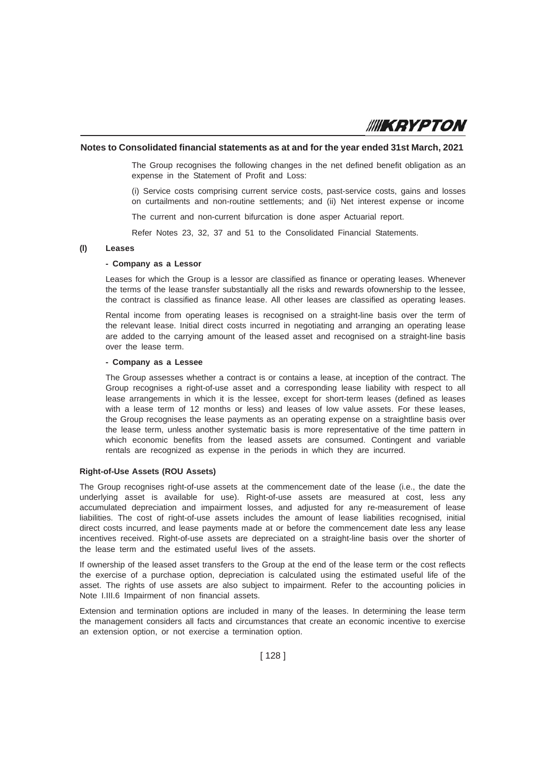#### **Notes to Consolidated financial statements as at and for the year ended 31st March, 2021**

The Group recognises the following changes in the net defined benefit obligation as an expense in the Statement of Profit and Loss:

(i) Service costs comprising current service costs, past-service costs, gains and losses on curtailments and non-routine settlements; and (ii) Net interest expense or income

The current and non-current bifurcation is done asper Actuarial report.

Refer Notes 23, 32, 37 and 51 to the Consolidated Financial Statements.

#### **(l) Leases**

#### **- Company as a Lessor**

Leases for which the Group is a lessor are classified as finance or operating leases. Whenever the terms of the lease transfer substantially all the risks and rewards ofownership to the lessee, the contract is classified as finance lease. All other leases are classified as operating leases.

Rental income from operating leases is recognised on a straight-line basis over the term of the relevant lease. Initial direct costs incurred in negotiating and arranging an operating lease are added to the carrying amount of the leased asset and recognised on a straight-line basis over the lease term.

#### **- Company as a Lessee**

The Group assesses whether a contract is or contains a lease, at inception of the contract. The Group recognises a right-of-use asset and a corresponding lease liability with respect to all lease arrangements in which it is the lessee, except for short-term leases (defined as leases with a lease term of 12 months or less) and leases of low value assets. For these leases, the Group recognises the lease payments as an operating expense on a straightline basis over the lease term, unless another systematic basis is more representative of the time pattern in which economic benefits from the leased assets are consumed. Contingent and variable rentals are recognized as expense in the periods in which they are incurred.

#### **Right-of-Use Assets (ROU Assets)**

The Group recognises right-of-use assets at the commencement date of the lease (i.e., the date the underlying asset is available for use). Right-of-use assets are measured at cost, less any accumulated depreciation and impairment losses, and adjusted for any re-measurement of lease liabilities. The cost of right-of-use assets includes the amount of lease liabilities recognised, initial direct costs incurred, and lease payments made at or before the commencement date less any lease incentives received. Right-of-use assets are depreciated on a straight-line basis over the shorter of the lease term and the estimated useful lives of the assets.

If ownership of the leased asset transfers to the Group at the end of the lease term or the cost reflects the exercise of a purchase option, depreciation is calculated using the estimated useful life of the asset. The rights of use assets are also subject to impairment. Refer to the accounting policies in Note I.III.6 Impairment of non financial assets.

Extension and termination options are included in many of the leases. In determining the lease term the management considers all facts and circumstances that create an economic incentive to exercise an extension option, or not exercise a termination option.

[ 128 ]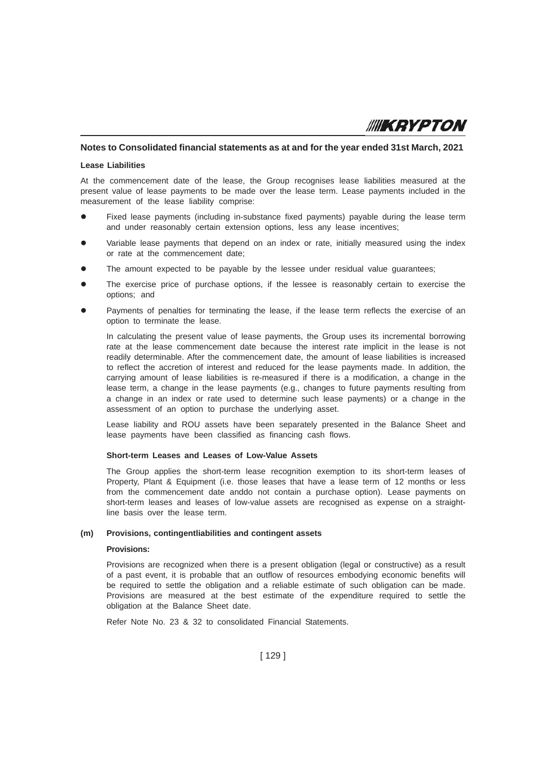

#### **Lease Liabilities**

At the commencement date of the lease, the Group recognises lease liabilities measured at the present value of lease payments to be made over the lease term. Lease payments included in the measurement of the lease liability comprise:

- Fixed lease payments (including in-substance fixed payments) payable during the lease term and under reasonably certain extension options, less any lease incentives;
- Variable lease payments that depend on an index or rate, initially measured using the index or rate at the commencement date;
- The amount expected to be payable by the lessee under residual value guarantees;
- The exercise price of purchase options, if the lessee is reasonably certain to exercise the options; and
- Payments of penalties for terminating the lease, if the lease term reflects the exercise of an option to terminate the lease.

In calculating the present value of lease payments, the Group uses its incremental borrowing rate at the lease commencement date because the interest rate implicit in the lease is not readily determinable. After the commencement date, the amount of lease liabilities is increased to reflect the accretion of interest and reduced for the lease payments made. In addition, the carrying amount of lease liabilities is re-measured if there is a modification, a change in the lease term, a change in the lease payments (e.g., changes to future payments resulting from a change in an index or rate used to determine such lease payments) or a change in the assessment of an option to purchase the underlying asset.

Lease liability and ROU assets have been separately presented in the Balance Sheet and lease payments have been classified as financing cash flows.

#### **Short-term Leases and Leases of Low-Value Assets**

The Group applies the short-term lease recognition exemption to its short-term leases of Property, Plant & Equipment (i.e. those leases that have a lease term of 12 months or less from the commencement date anddo not contain a purchase option). Lease payments on short-term leases and leases of low-value assets are recognised as expense on a straightline basis over the lease term.

#### **(m) Provisions, contingentliabilities and contingent assets**

#### **Provisions:**

Provisions are recognized when there is a present obligation (legal or constructive) as a result of a past event, it is probable that an outflow of resources embodying economic benefits will be required to settle the obligation and a reliable estimate of such obligation can be made. Provisions are measured at the best estimate of the expenditure required to settle the obligation at the Balance Sheet date.

Refer Note No. 23 & 32 to consolidated Financial Statements.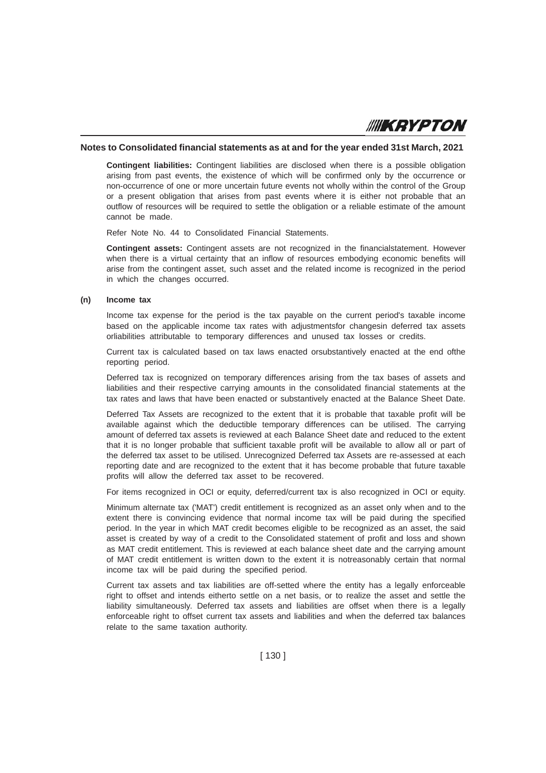**Contingent liabilities:** Contingent liabilities are disclosed when there is a possible obligation arising from past events, the existence of which will be confirmed only by the occurrence or non-occurrence of one or more uncertain future events not wholly within the control of the Group or a present obligation that arises from past events where it is either not probable that an outflow of resources will be required to settle the obligation or a reliable estimate of the amount cannot be made.

Refer Note No. 44 to Consolidated Financial Statements.

**Contingent assets:** Contingent assets are not recognized in the financialstatement. However when there is a virtual certainty that an inflow of resources embodying economic benefits will arise from the contingent asset, such asset and the related income is recognized in the period in which the changes occurred.

#### **(n) Income tax**

Income tax expense for the period is the tax payable on the current period's taxable income based on the applicable income tax rates with adjustmentsfor changesin deferred tax assets orliabilities attributable to temporary differences and unused tax losses or credits.

Current tax is calculated based on tax laws enacted orsubstantively enacted at the end ofthe reporting period.

Deferred tax is recognized on temporary differences arising from the tax bases of assets and liabilities and their respective carrying amounts in the consolidated financial statements at the tax rates and laws that have been enacted or substantively enacted at the Balance Sheet Date.

Deferred Tax Assets are recognized to the extent that it is probable that taxable profit will be available against which the deductible temporary differences can be utilised. The carrying amount of deferred tax assets is reviewed at each Balance Sheet date and reduced to the extent that it is no longer probable that sufficient taxable profit will be available to allow all or part of the deferred tax asset to be utilised. Unrecognized Deferred tax Assets are re-assessed at each reporting date and are recognized to the extent that it has become probable that future taxable profits will allow the deferred tax asset to be recovered.

For items recognized in OCI or equity, deferred/current tax is also recognized in OCI or equity.

Minimum alternate tax ('MAT') credit entitlement is recognized as an asset only when and to the extent there is convincing evidence that normal income tax will be paid during the specified period. In the year in which MAT credit becomes eligible to be recognized as an asset, the said asset is created by way of a credit to the Consolidated statement of profit and loss and shown as MAT credit entitlement. This is reviewed at each balance sheet date and the carrying amount of MAT credit entitlement is written down to the extent it is notreasonably certain that normal income tax will be paid during the specified period.

Current tax assets and tax liabilities are off-setted where the entity has a legally enforceable right to offset and intends eitherto settle on a net basis, or to realize the asset and settle the liability simultaneously. Deferred tax assets and liabilities are offset when there is a legally enforceable right to offset current tax assets and liabilities and when the deferred tax balances relate to the same taxation authority.

[ 130 ]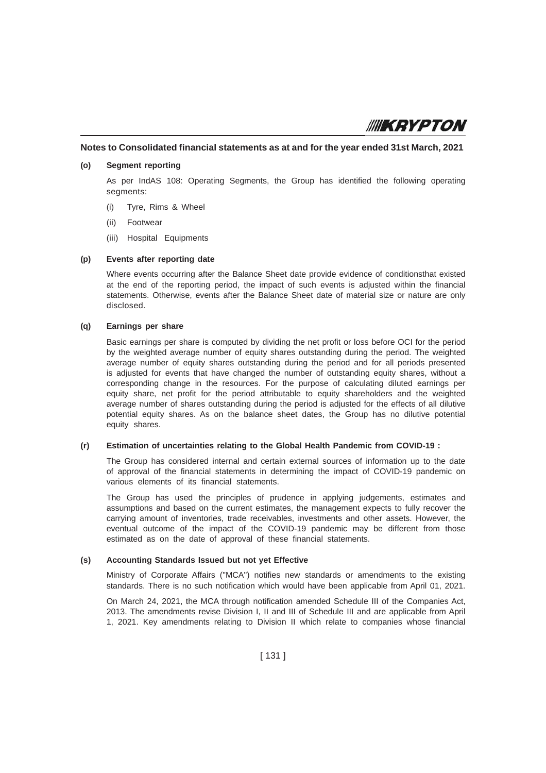#### **Notes to Consolidated financial statements as at and for the year ended 31st March, 2021**

#### **(o) Segment reporting**

As per IndAS 108: Operating Segments, the Group has identified the following operating segments:

- (i) Tyre, Rims & Wheel
- (ii) Footwear
- (iii) Hospital Equipments

#### **(p) Events after reporting date**

Where events occurring after the Balance Sheet date provide evidence of conditionsthat existed at the end of the reporting period, the impact of such events is adjusted within the financial statements. Otherwise, events after the Balance Sheet date of material size or nature are only disclosed.

#### **(q) Earnings per share**

Basic earnings per share is computed by dividing the net profit or loss before OCI for the period by the weighted average number of equity shares outstanding during the period. The weighted average number of equity shares outstanding during the period and for all periods presented is adjusted for events that have changed the number of outstanding equity shares, without a corresponding change in the resources. For the purpose of calculating diluted earnings per equity share, net profit for the period attributable to equity shareholders and the weighted average number of shares outstanding during the period is adjusted for the effects of all dilutive potential equity shares. As on the balance sheet dates, the Group has no dilutive potential equity shares.

#### **(r) Estimation of uncertainties relating to the Global Health Pandemic from COVID-19 :**

The Group has considered internal and certain external sources of information up to the date of approval of the financial statements in determining the impact of COVID-19 pandemic on various elements of its financial statements.

The Group has used the principles of prudence in applying judgements, estimates and assumptions and based on the current estimates, the management expects to fully recover the carrying amount of inventories, trade receivables, investments and other assets. However, the eventual outcome of the impact of the COVID-19 pandemic may be different from those estimated as on the date of approval of these financial statements.

#### **(s) Accounting Standards Issued but not yet Effective**

Ministry of Corporate Affairs ("MCA") notifies new standards or amendments to the existing standards. There is no such notification which would have been applicable from April 01, 2021.

On March 24, 2021, the MCA through notification amended Schedule III of the Companies Act, 2013. The amendments revise Division I, II and III of Schedule III and are applicable from April 1, 2021. Key amendments relating to Division II which relate to companies whose financial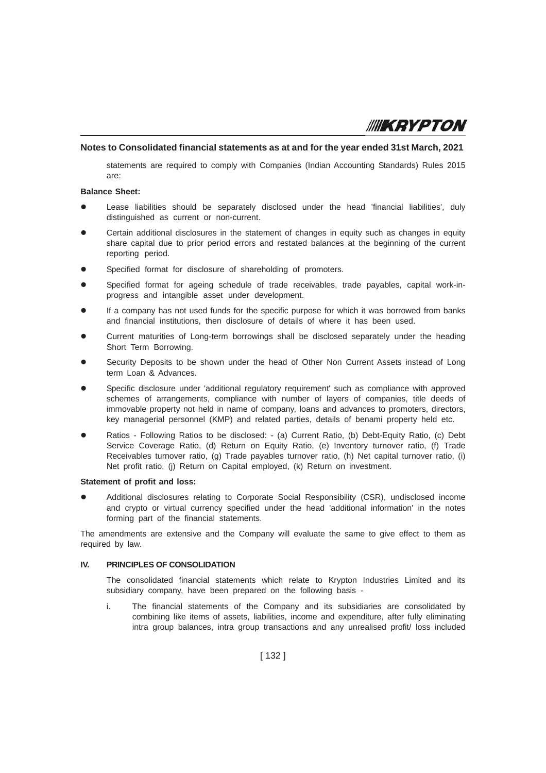#### **Notes to Consolidated financial statements as at and for the year ended 31st March, 2021**

statements are required to comply with Companies (Indian Accounting Standards) Rules 2015 are:

#### **Balance Sheet:**

- Lease liabilities should be separately disclosed under the head 'financial liabilities', duly distinguished as current or non-current.
- Certain additional disclosures in the statement of changes in equity such as changes in equity share capital due to prior period errors and restated balances at the beginning of the current reporting period.
- Specified format for disclosure of shareholding of promoters.
- Specified format for ageing schedule of trade receivables, trade payables, capital work-inprogress and intangible asset under development.
- If a company has not used funds for the specific purpose for which it was borrowed from banks and financial institutions, then disclosure of details of where it has been used.
- Current maturities of Long-term borrowings shall be disclosed separately under the heading Short Term Borrowing.
- Security Deposits to be shown under the head of Other Non Current Assets instead of Long term Loan & Advances.
- Specific disclosure under 'additional regulatory requirement' such as compliance with approved schemes of arrangements, compliance with number of layers of companies, title deeds of immovable property not held in name of company, loans and advances to promoters, directors, key managerial personnel (KMP) and related parties, details of benami property held etc.
- Ratios Following Ratios to be disclosed: (a) Current Ratio, (b) Debt-Equity Ratio, (c) Debt Service Coverage Ratio, (d) Return on Equity Ratio, (e) Inventory turnover ratio, (f) Trade Receivables turnover ratio, (g) Trade payables turnover ratio, (h) Net capital turnover ratio, (i) Net profit ratio, (j) Return on Capital employed, (k) Return on investment.

#### **Statement of profit and loss:**

 Additional disclosures relating to Corporate Social Responsibility (CSR), undisclosed income and crypto or virtual currency specified under the head 'additional information' in the notes forming part of the financial statements.

The amendments are extensive and the Company will evaluate the same to give effect to them as required by law.

#### **IV. PRINCIPLES OF CONSOLIDATION**

The consolidated financial statements which relate to Krypton Industries Limited and its subsidiary company, have been prepared on the following basis -

i. The financial statements of the Company and its subsidiaries are consolidated by combining like items of assets, liabilities, income and expenditure, after fully eliminating intra group balances, intra group transactions and any unrealised profit/ loss included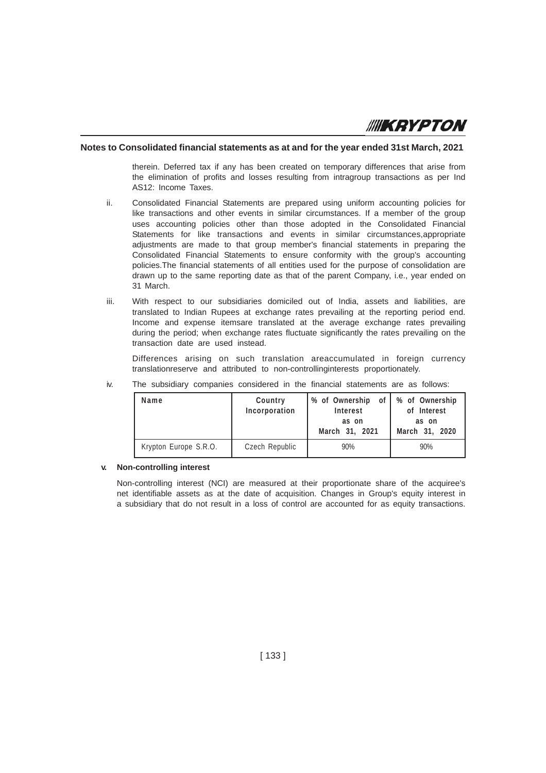#### **Notes to Consolidated financial statements as at and for the year ended 31st March, 2021**

therein. Deferred tax if any has been created on temporary differences that arise from the elimination of profits and losses resulting from intragroup transactions as per Ind AS12: Income Taxes.

- ii. Consolidated Financial Statements are prepared using uniform accounting policies for like transactions and other events in similar circumstances. If a member of the group uses accounting policies other than those adopted in the Consolidated Financial Statements for like transactions and events in similar circumstances,appropriate adjustments are made to that group member's financial statements in preparing the Consolidated Financial Statements to ensure conformity with the group's accounting policies.The financial statements of all entities used for the purpose of consolidation are drawn up to the same reporting date as that of the parent Company, i.e., year ended on 31 March.
- iii. With respect to our subsidiaries domiciled out of India, assets and liabilities, are translated to Indian Rupees at exchange rates prevailing at the reporting period end. Income and expense itemsare translated at the average exchange rates prevailing during the period; when exchange rates fluctuate significantly the rates prevailing on the transaction date are used instead.

Differences arising on such translation areaccumulated in foreign currency translationreserve and attributed to non-controllinginterests proportionately.

| Name                  | Country<br>Incorporation | % of Ownership of<br>Interest<br>as on<br>March 31, 2021 | % of Ownership<br>Interest<br>٥f<br>as on<br>March 31, 2020 |
|-----------------------|--------------------------|----------------------------------------------------------|-------------------------------------------------------------|
| Krypton Europe S.R.O. | Czech Republic           | 90%                                                      | 90%                                                         |

iv. The subsidiary companies considered in the financial statements are as follows:

#### **v. Non-controlling interest**

Non-controlling interest (NCI) are measured at their proportionate share of the acquiree's net identifiable assets as at the date of acquisition. Changes in Group's equity interest in a subsidiary that do not result in a loss of control are accounted for as equity transactions.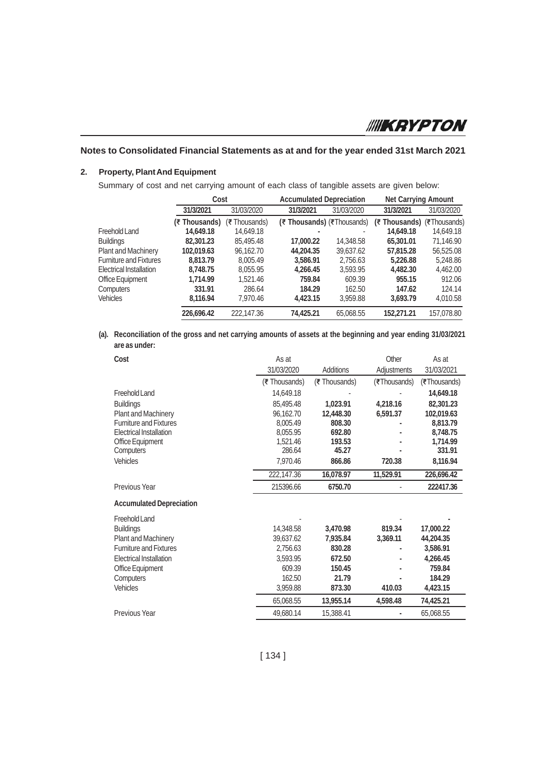### **2. Property, Plant And Equipment**

Summary of cost and net carrying amount of each class of tangible assets are given below:

|                               | Cost          |                  | <b>Accumulated Depreciation</b> |            | <b>Net Carrying Amount</b>  |            |
|-------------------------------|---------------|------------------|---------------------------------|------------|-----------------------------|------------|
|                               | 31/3/2021     | 31/03/2020       | 31/3/2021                       | 31/03/2020 | 31/3/2021                   | 31/03/2020 |
|                               | (₹ Thousands) | Thousands)<br>(₹ | (₹ Thousands) (₹ Thousands)     |            | (₹ Thousands) (₹ Thousands) |            |
| Freehold Land                 | 14.649.18     | 14,649.18        |                                 |            | 14.649.18                   | 14,649.18  |
| <b>Buildings</b>              | 82,301.23     | 85,495.48        | 17,000.22                       | 14,348.58  | 65,301.01                   | 71.146.90  |
| <b>Plant and Machinery</b>    | 102.019.63    | 96.162.70        | 44,204.35                       | 39.637.62  | 57.815.28                   | 56.525.08  |
| <b>Furniture and Fixtures</b> | 8.813.79      | 8.005.49         | 3,586.91                        | 2,756.63   | 5,226.88                    | 5,248.86   |
| Electrical Installation       | 8.748.75      | 8.055.95         | 4.266.45                        | 3.593.95   | 4.482.30                    | 4.462.00   |
| Office Equipment              | 1.714.99      | 1,521.46         | 759.84                          | 609.39     | 955.15                      | 912.06     |
| Computers                     | 331.91        | 286.64           | 184.29                          | 162.50     | 147.62                      | 124.14     |
| Vehicles                      | 8.116.94      | 7.970.46         | 4.423.15                        | 3.959.88   | 3.693.79                    | 4.010.58   |
|                               | 226.696.42    | 222,147.36       | 74.425.21                       | 65.068.55  | 152.271.21                  | 157.078.80 |

#### **(a). Reconciliation of the gross and net carrying amounts of assets at the beginning and year ending 31/03/2021 are as under:**

| Cost                            | As at         |               | Other        | As at        |
|---------------------------------|---------------|---------------|--------------|--------------|
|                                 | 31/03/2020    | Additions     | Adjustments  | 31/03/2021   |
|                                 | (₹ Thousands) | (₹ Thousands) | (₹Thousands) | (₹Thousands) |
| Freehold Land                   | 14,649.18     |               |              | 14,649.18    |
| <b>Buildings</b>                | 85,495.48     | 1,023.91      | 4,218.16     | 82.301.23    |
| Plant and Machinery             | 96,162.70     | 12,448.30     | 6,591.37     | 102,019.63   |
| <b>Furniture and Fixtures</b>   | 8,005.49      | 808.30        |              | 8,813.79     |
| <b>Electrical Installation</b>  | 8,055.95      | 692.80        |              | 8,748.75     |
| Office Equipment                | 1,521.46      | 193.53        |              | 1,714.99     |
| Computers                       | 286.64        | 45.27         |              | 331.91       |
| <b>Vehicles</b>                 | 7,970.46      | 866.86        | 720.38       | 8,116.94     |
|                                 | 222,147.36    | 16,078.97     | 11,529.91    | 226,696.42   |
| Previous Year                   | 215396.66     | 6750.70       |              | 222417.36    |
| <b>Accumulated Depreciation</b> |               |               |              |              |
| <b>Freehold Land</b>            |               |               |              |              |
| <b>Buildings</b>                | 14,348.58     | 3,470.98      | 819.34       | 17,000.22    |
| <b>Plant and Machinery</b>      | 39.637.62     | 7.935.84      | 3,369.11     | 44,204.35    |
| <b>Furniture and Fixtures</b>   | 2,756.63      | 830.28        |              | 3,586.91     |
| <b>Electrical Installation</b>  | 3,593.95      | 672.50        |              | 4,266.45     |
| Office Equipment                | 609.39        | 150.45        |              | 759.84       |
| Computers                       | 162.50        | 21.79         |              | 184.29       |
| <b>Vehicles</b>                 | 3,959.88      | 873.30        | 410.03       | 4,423.15     |
|                                 | 65,068.55     | 13,955.14     | 4,598.48     | 74,425.21    |
| Previous Year                   | 49,680.14     | 15,388.41     |              | 65,068.55    |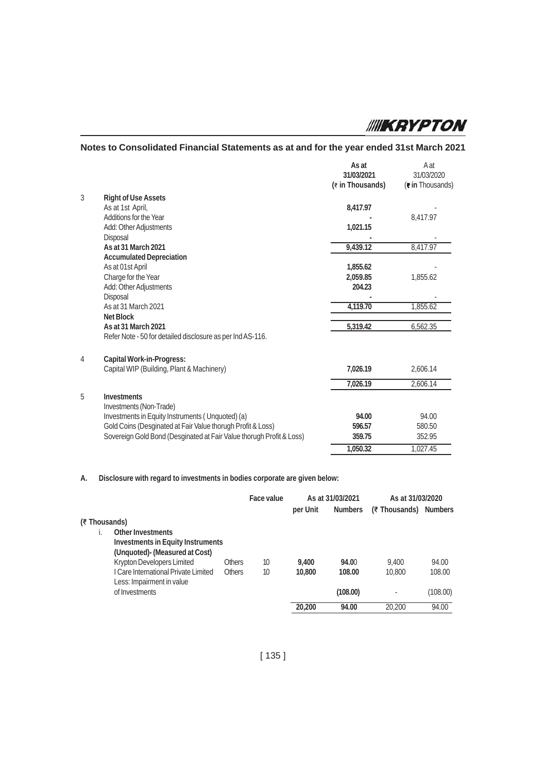|   |                                                                      | As at<br>31/03/2021<br>(₹ in Thousands) | A at<br>31/03/2020<br>$\left(\right)$ in Thousands) |
|---|----------------------------------------------------------------------|-----------------------------------------|-----------------------------------------------------|
| 3 | <b>Right of Use Assets</b>                                           |                                         |                                                     |
|   | As at 1st April,                                                     | 8,417.97                                |                                                     |
|   | Additions for the Year                                               |                                         | 8.417.97                                            |
|   | Add: Other Adjustments                                               | 1,021.15                                |                                                     |
|   | Disposal<br><b>As at 31 March 2021</b>                               |                                         |                                                     |
|   |                                                                      | 9,439.12                                | 8,417.97                                            |
|   | <b>Accumulated Depreciation</b><br>As at 01st April                  | 1,855.62                                |                                                     |
|   | Charge for the Year                                                  | 2,059.85                                | 1,855.62                                            |
|   | Add: Other Adjustments                                               | 204.23                                  |                                                     |
|   | Disposal                                                             |                                         |                                                     |
|   | As at 31 March 2021                                                  | 4,119.70                                | 1.855.62                                            |
|   | <b>Net Block</b>                                                     |                                         |                                                     |
|   | <b>As at 31 March 2021</b>                                           | 5,319.42                                | 6,562.35                                            |
|   | Refer Note - 50 for detailed disclosure as per Ind AS-116.           |                                         |                                                     |
| 4 | <b>Capital Work-in-Progress:</b>                                     |                                         |                                                     |
|   | Capital WIP (Building, Plant & Machinery)                            | 7,026.19                                | 2,606.14                                            |
|   |                                                                      | 7,026.19                                | 2,606.14                                            |
| 5 | <b>Investments</b><br>Investments (Non-Trade)                        |                                         |                                                     |
|   | Investments in Equity Instruments (Unquoted) (a)                     | 94.00                                   | 94.00                                               |
|   | Gold Coins (Desginated at Fair Value thorugh Profit & Loss)          | 596.57                                  | 580.50                                              |
|   | Sovereign Gold Bond (Desginated at Fair Value thorugh Profit & Loss) | 359.75                                  | 352.95                                              |
|   |                                                                      | 1.050.32                                | 1.027.45                                            |

### **Notes to Consolidated Financial Statements as at and for the year ended 31st March 2021**

### **A. Disclosure with regard to investments in bodies corporate are given below:**

|               |                                                                                                                                                                                                                             |                  | Face value | As at 31/03/2021 |                             | As at 31/03/2020 |                             |  |
|---------------|-----------------------------------------------------------------------------------------------------------------------------------------------------------------------------------------------------------------------------|------------------|------------|------------------|-----------------------------|------------------|-----------------------------|--|
|               |                                                                                                                                                                                                                             |                  |            | per Unit         | <b>Numbers</b>              | (₹ Thousands)    | <b>Numbers</b>              |  |
| (₹ Thousands) |                                                                                                                                                                                                                             |                  |            |                  |                             |                  |                             |  |
|               | <b>Other Investments</b><br><b>Investments in Equity Instruments</b><br>(Unquoted)- (Measured at Cost)<br>Krypton Developers Limited<br>I Care International Private Limited<br>Less: Impairment in value<br>of Investments | Others<br>Others | 10<br>10   | 9,400<br>10,800  | 94.00<br>108.00<br>(108.00) | 9.400<br>10,800  | 94.00<br>108.00<br>(108.00) |  |
|               |                                                                                                                                                                                                                             |                  |            | 20,200           | 94.00                       | 20,200           | 94.00                       |  |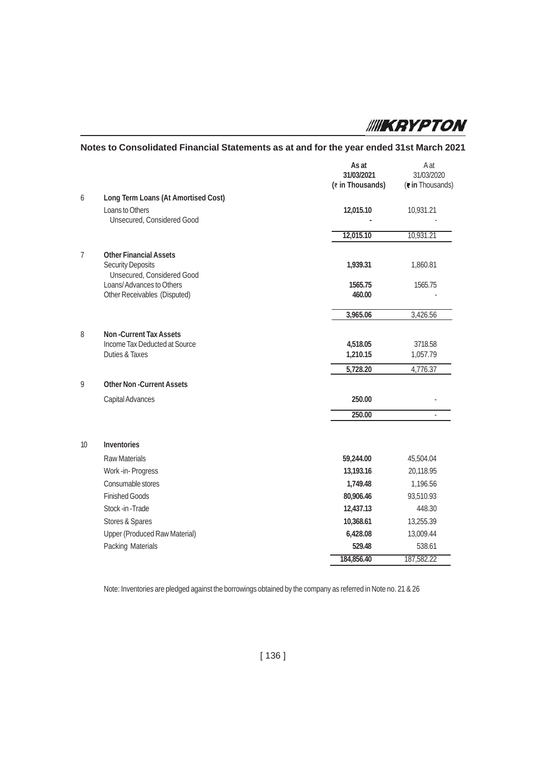|                |                                                                                         | As at<br>31/03/2021<br>(₹ in Thousands) | Aat<br>31/03/2020<br>(₹in Thousands) |
|----------------|-----------------------------------------------------------------------------------------|-----------------------------------------|--------------------------------------|
| 6              | Long Term Loans (At Amortised Cost)                                                     |                                         |                                      |
|                | Loans to Others<br>Unsecured, Considered Good                                           | 12,015.10                               | 10,931.21                            |
|                |                                                                                         | 12,015.10                               | 10,931.21                            |
| $\overline{7}$ | <b>Other Financial Assets</b><br><b>Security Deposits</b><br>Unsecured, Considered Good | 1,939.31                                | 1,860.81                             |
|                | Loans/Advances to Others<br>Other Receivables (Disputed)                                | 1565.75<br>460.00                       | 1565.75                              |
|                |                                                                                         | 3,965.06                                | 3,426.56                             |
| 8              | <b>Non-Current Tax Assets</b><br>Income Tax Deducted at Source<br>Duties & Taxes        | 4,518.05<br>1,210.15                    | 3718.58<br>1,057.79                  |
|                |                                                                                         | 5,728.20                                | 4,776.37                             |
| 9              | <b>Other Non-Current Assets</b>                                                         |                                         |                                      |
|                | Capital Advances                                                                        | 250.00                                  |                                      |
|                |                                                                                         | 250.00                                  |                                      |
| 10             | <b>Inventories</b>                                                                      |                                         |                                      |
|                | <b>Raw Materials</b>                                                                    | 59,244.00                               | 45,504.04                            |
|                | Work-in-Progress                                                                        | 13,193.16                               | 20,118.95                            |
|                | Consumable stores                                                                       | 1,749.48                                | 1,196.56                             |
|                | <b>Finished Goods</b>                                                                   | 80,906.46                               | 93,510.93                            |
|                | Stock -in -Trade                                                                        | 12,437.13                               | 448.30                               |
|                | Stores & Spares                                                                         | 10,368.61                               | 13,255.39                            |
|                | <b>Upper (Produced Raw Material)</b>                                                    | 6,428.08                                | 13,009.44                            |
|                | Packing Materials                                                                       | 529.48                                  | 538.61                               |
|                |                                                                                         | 184,856.40                              | 187,582.22                           |

### **Notes to Consolidated Financial Statements as at and for the year ended 31st March 2021**

Note: Inventories are pledged against the borrowings obtained by the company as referred in Note no. 21 & 26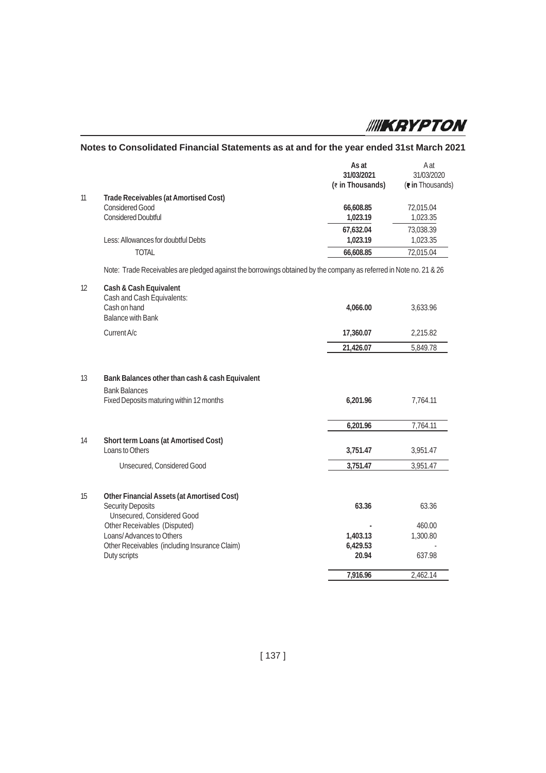|                   |                                                                                                                     | As at<br>31/03/2021<br>(₹ in Thousands) | Aat<br>31/03/2020<br>(₹in Thousands) |
|-------------------|---------------------------------------------------------------------------------------------------------------------|-----------------------------------------|--------------------------------------|
| 11                | <b>Trade Receivables (at Amortised Cost)</b>                                                                        |                                         |                                      |
|                   | <b>Considered Good</b><br><b>Considered Doubtful</b>                                                                | 66,608.85<br>1,023.19                   | 72,015.04<br>1,023.35                |
|                   | Less: Allowances for doubtful Debts                                                                                 | 67,632.04<br>1,023.19                   | 73,038.39<br>1,023.35                |
|                   | <b>TOTAL</b>                                                                                                        | 66,608.85                               | 72,015.04                            |
|                   | Note: Trade Receivables are pledged against the borrowings obtained by the company as referred in Note no. 21 & 26  |                                         |                                      |
| $12 \overline{ }$ | Cash & Cash Equivalent<br>Cash and Cash Equivalents:<br>Cash on hand<br><b>Balance with Bank</b>                    | 4.066.00                                | 3.633.96                             |
|                   | Current A/c                                                                                                         | 17,360.07                               | 2,215.82                             |
|                   |                                                                                                                     | 21,426.07                               | 5,849.78                             |
| 13                | Bank Balances other than cash & cash Equivalent<br><b>Bank Balances</b><br>Fixed Deposits maturing within 12 months | 6,201.96                                | 7,764.11                             |
|                   |                                                                                                                     | 6,201.96                                | 7,764.11                             |
| 14                | Short term Loans (at Amortised Cost)<br>Loans to Others                                                             | 3,751.47                                | 3,951.47                             |
|                   | Unsecured, Considered Good                                                                                          | 3,751.47                                | 3,951.47                             |
| 15                | <b>Other Financial Assets (at Amortised Cost)</b><br><b>Security Deposits</b><br>Unsecured, Considered Good         | 63.36                                   | 63.36                                |
|                   | Other Receivables (Disputed)                                                                                        |                                         | 460.00                               |
|                   | Loans/Advances to Others                                                                                            | 1,403.13                                | 1,300.80                             |
|                   | Other Receivables (including Insurance Claim)<br>Duty scripts                                                       | 6,429.53<br>20.94                       | 637.98                               |
|                   |                                                                                                                     | 7,916.96                                | 2,462.14                             |

### **Notes to Consolidated Financial Statements as at and for the year ended 31st March 2021**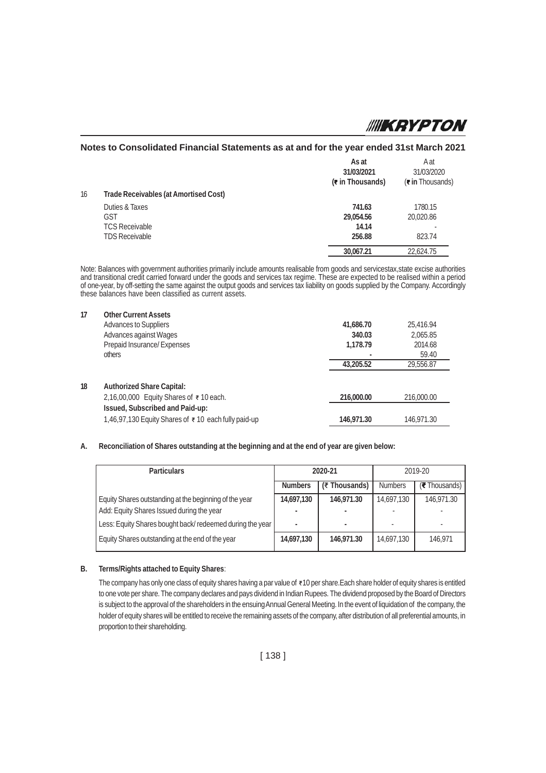#### **Notes to Consolidated Financial Statements as at and for the year ended 31st March 2021**

|    |                                       | As at<br>31/03/2021<br>$(\epsilon$ in Thousands) | Aat<br>31/03/2020<br>$(\overline{\bullet}$ in Thousands) |
|----|---------------------------------------|--------------------------------------------------|----------------------------------------------------------|
| 16 | Trade Receivables (at Amortised Cost) |                                                  |                                                          |
|    | Duties & Taxes                        | 741.63                                           | 1780.15                                                  |
|    | <b>GST</b>                            | 29,054.56                                        | 20,020.86                                                |
|    | <b>TCS Receivable</b>                 | 14.14                                            |                                                          |
|    | <b>TDS Receivable</b>                 | 256.88                                           | 823.74                                                   |
|    |                                       | 30,067.21                                        | 22,624.75                                                |

Note: Balances with government authorities primarily include amounts realisable from goods and servicestax,state excise authorities and transitional credit carried forward under the goods and services tax regime. These are expected to be realised within a period of one-year, by off-setting the same against the output goods and services tax liability on goods supplied by the Company. Accordingly these balances have been classified as current assets.

| 17 | <b>Other Current Assets</b>                         |            |            |
|----|-----------------------------------------------------|------------|------------|
|    | <b>Advances to Suppliers</b>                        | 41,686.70  | 25.416.94  |
|    | Advances against Wages                              | 340.03     | 2,065.85   |
|    | Prepaid Insurance/Expenses                          | 1.178.79   | 2014.68    |
|    | others                                              |            | 59.40      |
|    |                                                     | 43,205.52  | 29,556.87  |
| 18 | <b>Authorized Share Capital:</b>                    |            |            |
|    | 2,16,00,000 Equity Shares of ₹10 each.              | 216,000.00 | 216,000.00 |
|    | Issued, Subscribed and Paid-up:                     |            |            |
|    | 1,46,97,130 Equity Shares of ₹10 each fully paid-up | 146,971.30 | 146,971.30 |

#### **A. Reconciliation of Shares outstanding at the beginning and at the end of year are given below:**

| <b>Particulars</b>                                       | 2020-21        |               | 2019-20        |              |
|----------------------------------------------------------|----------------|---------------|----------------|--------------|
|                                                          | <b>Numbers</b> | (₹ Thousands) | <b>Numbers</b> | (₹Thousands) |
| Equity Shares outstanding at the beginning of the year   | 14,697,130     | 146.971.30    | 14.697.130     | 146,971.30   |
| Add: Equity Shares Issued during the year                |                |               |                |              |
| Less: Equity Shares bought back/redeemed during the year |                |               |                |              |
| Equity Shares outstanding at the end of the year         | 14,697,130     | 146.971.30    | 14,697,130     | 146.971      |

#### **B. Terms/Rights attached to Equity Shares**:

The company has only one class of equity shares having a par value of **"**10 per share.Each share holder of equity shares is entitled to one vote per share. The company declares and pays dividend in Indian Rupees. The dividend proposed by the Board of Directors is subject to the approval of the shareholders in the ensuing Annual General Meeting. In the event of liquidation of the company, the holder of equity shares will be entitled to receive the remaining assets of the company, after distribution of all preferential amounts, in proportion to their shareholding.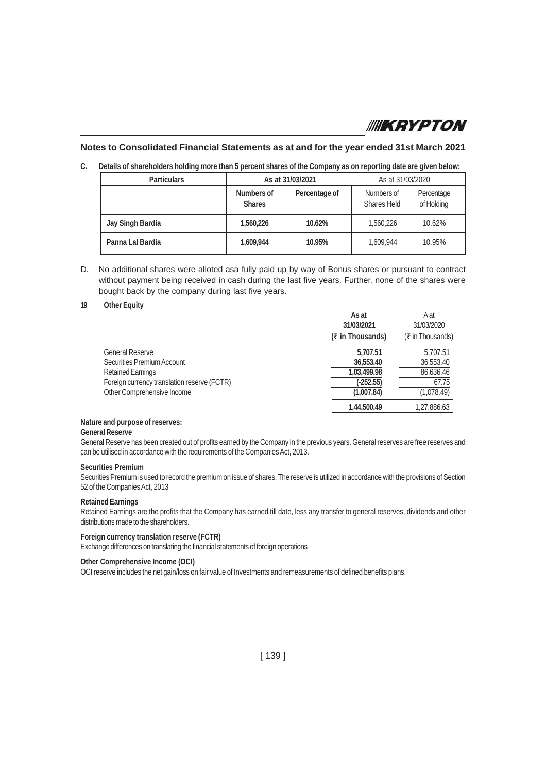#### **Notes to Consolidated Financial Statements as at and for the year ended 31st March 2021**

**C. Details of shareholders holding more than 5 percent shares of the Company as on reporting date are given below:**

| <b>Particulars</b> | As at 31/03/2021                             |        | As at 31/03/2020                 |                          |
|--------------------|----------------------------------------------|--------|----------------------------------|--------------------------|
|                    | Percentage of<br>Numbers of<br><b>Shares</b> |        | Numbers of<br><b>Shares Held</b> | Percentage<br>of Holding |
| Jay Singh Bardia   | 1.560.226                                    | 10.62% | 1.560.226                        | 10.62%                   |
| Panna Lal Bardia   | 1.609.944                                    | 10.95% | 1.609.944                        | 10.95%                   |

D. No additional shares were alloted asa fully paid up by way of Bonus shares or pursuant to contract without payment being received in cash during the last five years. Further, none of the shares were bought back by the company during last five years.

#### **19 Other Equity**

|                                             | As at<br>31/03/2021 | Aat<br>31/03/2020           |
|---------------------------------------------|---------------------|-----------------------------|
|                                             | (₹ in Thousands)    | $(\bar{\tau}$ in Thousands) |
| General Reserve                             | 5,707.51            | 5,707.51                    |
| Securities Premium Account                  | 36.553.40           | 36,553.40                   |
| <b>Retained Earnings</b>                    | 1,03,499.98         | 86,636.46                   |
| Foreign currency translation reserve (FCTR) | $(-252.55)$         | 67.75                       |
| Other Comprehensive Income                  | (1,007.84)          | (1,078.49)                  |
|                                             | 1.44.500.49         | 1,27,886.63                 |

#### **Nature and purpose of reserves:**

#### **General Reserve**

General Reserve has been created out of profits earned by the Company in the previous years. General reserves are free reserves and can be utilised in accordance with the requirements of the Companies Act, 2013.

#### **Securities Premium**

Securities Premium is used to record the premium on issue of shares. The reserve is utilized in accordance with the provisions of Section 52 of the Companies Act, 2013

#### **Retained Earnings**

Retained Earnings are the profits that the Company has earned till date, less any transfer to general reserves, dividends and other distributions made to the shareholders.

#### **Foreign currency translation reserve (FCTR)**

Exchange differences on translating the financial statements of foreign operations

#### **Other Comprehensive Income (OCI)**

OCI reserve includes the net gain/loss on fair value of Investments and remeasurements of defined benefits plans.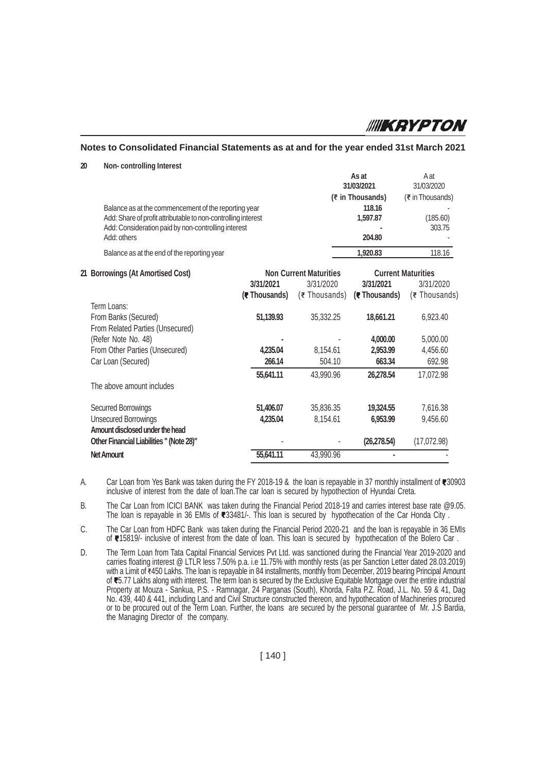#### **Notes to Consolidated Financial Statements as at and for the year ended 31st March 2021**

#### **20 Non- controlling Interest**

|                                                                                                                                                                                             |               |                               | As at<br>31/03/2021<br>(₹ in Thousands) | Aat<br>31/03/2020<br>$(\bar{\tau}$ in Thousands) |
|---------------------------------------------------------------------------------------------------------------------------------------------------------------------------------------------|---------------|-------------------------------|-----------------------------------------|--------------------------------------------------|
| Balance as at the commencement of the reporting year<br>Add: Share of profit attributable to non-controlling interest<br>Add: Consideration paid by non-controlling interest<br>Add: others |               |                               | 118.16<br>1,597.87<br>204.80            | (185.60)<br>303.75                               |
| Balance as at the end of the reporting year                                                                                                                                                 |               |                               | 1,920.83                                | 118.16                                           |
| 21 Borrowings (At Amortised Cost)                                                                                                                                                           |               | <b>Non Current Maturities</b> |                                         | <b>Current Maturities</b>                        |
|                                                                                                                                                                                             | 3/31/2021     | 3/31/2020                     | 3/31/2021                               | 3/31/2020                                        |
|                                                                                                                                                                                             | (₹ Thousands) | (₹ Thousands)                 | (₹ Thousands)                           | (₹ Thousands)                                    |
| Term Loans:                                                                                                                                                                                 |               |                               |                                         |                                                  |
| From Banks (Secured)                                                                                                                                                                        | 51,139.93     | 35,332.25                     | 18,661.21                               | 6,923.40                                         |
| From Related Parties (Unsecured)                                                                                                                                                            |               |                               |                                         |                                                  |
| (Refer Note No. 48)                                                                                                                                                                         |               |                               | 4,000.00                                | 5,000.00                                         |
| From Other Parties (Unsecured)                                                                                                                                                              | 4,235.04      | 8,154.61                      | 2,953.99                                | 4,456.60                                         |
| Car Loan (Secured)                                                                                                                                                                          | 266.14        | 504.10                        | 663.34                                  | 692.98                                           |
|                                                                                                                                                                                             | 55,641.11     | 43,990.96                     | 26,278.54                               | 17,072.98                                        |
| The above amount includes                                                                                                                                                                   |               |                               |                                         |                                                  |
| <b>Securred Borrowings</b>                                                                                                                                                                  | 51,406.07     | 35,836.35                     | 19,324.55                               | 7,616.38                                         |
| <b>Unsecured Borrowings</b>                                                                                                                                                                 | 4,235.04      | 8,154.61                      | 6,953.99                                | 9,456.60                                         |
| Amount disclosed under the head                                                                                                                                                             |               |                               |                                         |                                                  |
| Other Financial Liabilities " (Note 28)"                                                                                                                                                    |               |                               | (26, 278.54)                            | (17,072.98)                                      |
| <b>Net Amount</b>                                                                                                                                                                           | 55,641.11     | 43,990.96                     |                                         |                                                  |
|                                                                                                                                                                                             |               |                               |                                         |                                                  |

- A. Car Loan from Yes Bank was taken during the FY 2018-19 & the loan is repayable in 37 monthly installment of **"**30903 inclusive of interest from the date of loan.The car loan is secured by hypothection of Hyundai Creta.
- B. The Car Loan from ICICI BANK was taken during the Financial Period 2018-19 and carries interest base rate @9.05. The loan is repayable in 36 EMIs of **"**33481/-. This loan is secured by hypothecation of the Car Honda City .
- C. The Car Loan from HDFC Bank was taken during the Financial Period 2020-21 and the loan is repayable in 36 EMIs of **"**15819/- inclusive of interest from the date of loan. This loan is secured by hypothecation of the Bolero Car .
- D. The Term Loan from Tata Capital Financial Services Pvt Ltd. was sanctioned during the Financial Year 2019-2020 and carries floating interest @ LTLR less 7.50% p.a. i.e 11.75% with monthly rests (as per Sanction Letter dated 28.03.2019) with a Limit of ₹450 Lakhs. The loan is repayable in 84 installments, monthly from December, 2019 bearing Principal Amount<br>. of ₹5.77 Lakhs along with interest. The term loan is secured by the Exclusive Equitable Mortgage over the entire industrial<br>Property at Mouza - Sankua, P.S. - Ramnagar, 24 Parganas (South), Khorda, Falta P.Z. Road, J.L. N No. 439, 440 & 441, including Land and Civil Structure constructed thereon, and hypothecation of Machineries procured or to be procured out of the Term Loan. Further, the loans are secured by the personal guarantee of Mr. J.S Bardia, the Managing Director of the company.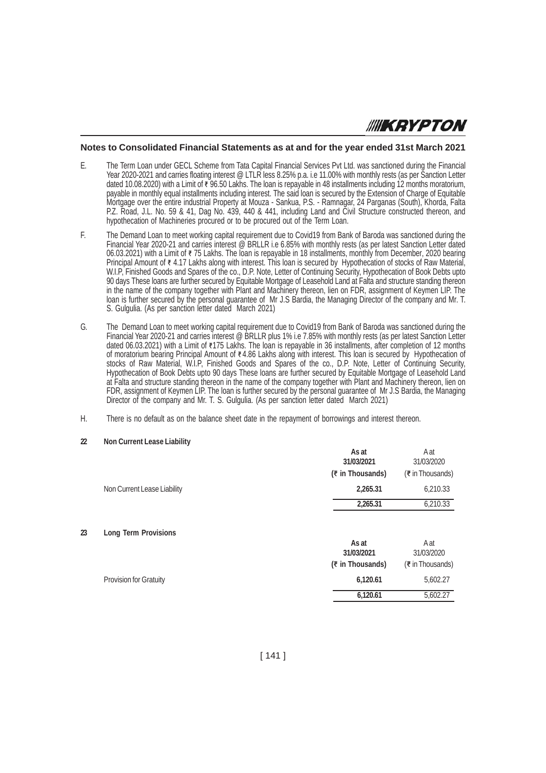#### **Notes to Consolidated Financial Statements as at and for the year ended 31st March 2021**

- E. The Term Loan under GECL Scheme from Tata Capital Financial Services Pvt Ltd. was sanctioned during the Financial Year 2020-2021 and carries floating interest @ LTLR less 8.25% p.a. i.e 11.00% with monthly rests (as per Sanction Letter dated 10.08.2020) with a Limit of **"** 96.50 Lakhs. The loan is repayable in 48 installments including 12 months moratorium, payable in monthly equal installments including interest. The said loan is secured by the Extension of Charge of Equitable Mortgage over the entire industrial Property at Mouza - Sankua, P.S. - Ramnagar, 24 Parganas (South), Khorda, Falta P.Z. Road, J.L. No. 59 & 41, Dag No. 439, 440 & 441, including Land and Civil Structure constructed thereon, and hypothecation of Machineries procured or to be procured out of the Term Loan.
- F. The Demand Loan to meet working capital requirement due to Covid19 from Bank of Baroda was sanctioned during the Financial Year 2020-21 and carries interest @ BRLLR i.e 6.85% with monthly rests (as per latest Sanction Letter dated 06.03.2021) with a Limit of **"** 75 Lakhs. The loan is repayable in 18 installments, monthly from December, 2020 bearing Principal Amount of **"** 4.17 Lakhs along with interest. This loan is secured by Hypothecation of stocks of Raw Material, W.I.P, Finished Goods and Spares of the co., D.P. Note, Letter of Continuing Security, Hypothecation of Book Debts upto 90 days These loans are further secured by Equitable Mortgage of Leasehold Land at Falta and structure standing thereon in the name of the company together with Plant and Machinery thereon, lien on FDR, assignment of Keymen LIP. The loan is further secured by the personal guarantee of Mr J.S Bardia, the Managing Director of the company and Mr. T. S. Gulgulia. (As per sanction letter dated March 2021)
- G. The Demand Loan to meet working capital requirement due to Covid19 from Bank of Baroda was sanctioned during the Financial Year 2020-21 and carries interest @ BRLLR plus 1% i.e 7.85% with monthly rests (as per latest Sanction Letter dated 06.03.2021) with a Limit of **"**175 Lakhs. The loan is repayable in 36 installments, after completion of 12 months of moratorium bearing Principal Amount of **"** 4.86 Lakhs along with interest. This loan is secured by Hypothecation of stocks of Raw Material, W.I.P, Finished Goods and Spares of the co., D.P. Note, Letter of Continuing Security, Hypothecation of Book Debts upto 90 days These loans are further secured by Equitable Mortgage of Leasehold Land at Falta and structure standing thereon in the name of the company together with Plant and Machinery thereon, lien on FDR, assignment of Keymen LIP. The loan is further secured by the personal guarantee of Mr J.S Bardia, the Managing Director of the company and Mr. T. S. Gulgulia. (As per sanction letter dated March 2021)
- H. There is no default as on the balance sheet date in the repayment of borrowings and interest thereon.
- **22 Non Current Lease Liability**

|                                   | As at<br>31/03/2021            | Aat<br>31/03/2020                         |
|-----------------------------------|--------------------------------|-------------------------------------------|
|                                   | (₹ in Thousands)               | $(\bar{\tau}$ in Thousands)               |
| Non Current Lease Liability       | 2,265.31                       | 6,210.33                                  |
|                                   | 2,265.31                       | 6,210.33                                  |
| 23<br><b>Long Term Provisions</b> |                                |                                           |
|                                   | As at                          | Aat                                       |
|                                   | 31/03/2021<br>(₹ in Thousands) | 31/03/2020<br>$(\bar{\tau}$ in Thousands) |
| Provision for Gratuity            | 6,120.61                       | 5,602.27                                  |
|                                   | 6,120.61                       | 5,602.27                                  |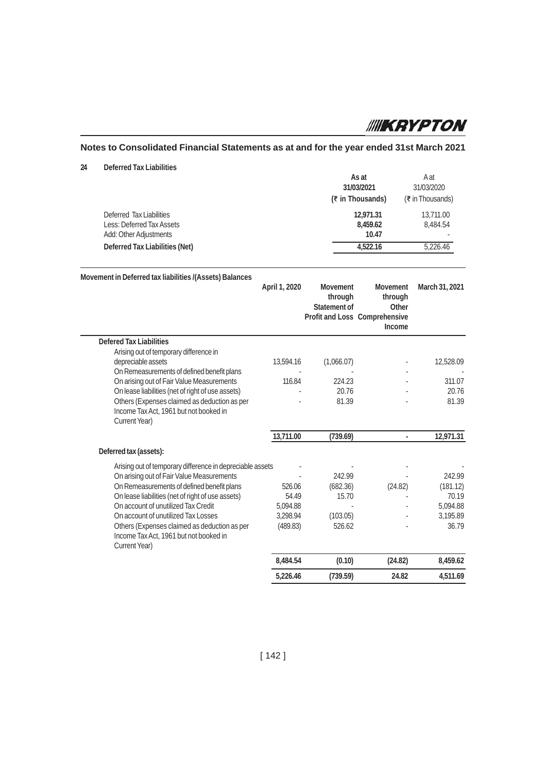

**24 Deferred Tax Liabilities**

|                                                                                                            |               |                                                   | As at<br>31/03/2021<br>(₹ in Thousands)        | Aat<br>31/03/2020<br>(₹ in Thousands) |  |
|------------------------------------------------------------------------------------------------------------|---------------|---------------------------------------------------|------------------------------------------------|---------------------------------------|--|
| Deferred Tax Liabilities<br>Less: Deferred Tax Assets<br>Add: Other Adjustments                            |               |                                                   | 12,971.31<br>8,459.62<br>10.47                 | 13,711.00<br>8,484.54                 |  |
| <b>Deferred Tax Liabilities (Net)</b>                                                                      |               |                                                   | 4,522.16                                       | 5,226.46                              |  |
| Movement in Deferred tax liabilities /(Assets) Balances                                                    | April 1, 2020 | <b>Movement</b><br>through<br><b>Statement of</b> | <b>Movement</b><br>through<br>Other            | March 31, 2021                        |  |
|                                                                                                            |               |                                                   | Profit and Loss Comprehensive<br><b>Income</b> |                                       |  |
| <b>Defered Tax Liabilities</b>                                                                             |               |                                                   |                                                |                                       |  |
| Arising out of temporary difference in<br>depreciable assets<br>On Remeasurements of defined benefit plans | 13,594.16     | (1,066.07)                                        |                                                | 12,528.09                             |  |
| On arising out of Fair Value Measurements<br>On lease liabilities (net of right of use assets)             | 116.84        | 224.23<br>20.76                                   |                                                | 311.07<br>20.76                       |  |
| Others (Expenses claimed as deduction as per<br>Income Tax Act, 1961 but not booked in<br>Current Year)    |               | 81.39                                             |                                                | 81.39                                 |  |
|                                                                                                            | 13,711.00     | (739.69)                                          | $\overline{\phantom{a}}$                       | 12,971.31                             |  |
| Deferred tax (assets):                                                                                     |               |                                                   |                                                |                                       |  |
| Arising out of temporary difference in depreciable assets                                                  |               |                                                   |                                                |                                       |  |
| On arising out of Fair Value Measurements<br>On Remeasurements of defined benefit plans                    | 526.06        | 242.99<br>(682.36)                                | (24.82)                                        | 242.99<br>(181.12)                    |  |
| On lease liabilities (net of right of use assets)                                                          | 54.49         | 15.70                                             |                                                | 70.19                                 |  |
| On account of unutilized Tax Credit                                                                        | 5,094.88      |                                                   |                                                | 5,094.88                              |  |
| On account of unutilized Tax Losses                                                                        | 3,298.94      | (103.05)                                          |                                                | 3,195.89                              |  |
| Others (Expenses claimed as deduction as per<br>Income Tax Act, 1961 but not booked in<br>Current Year)    | (489.83)      | 526.62                                            |                                                | 36.79                                 |  |
|                                                                                                            | 8,484.54      | (0.10)                                            | (24.82)                                        | 8,459.62                              |  |
|                                                                                                            | 5,226.46      | (739.59)                                          | 24.82                                          | 4,511.69                              |  |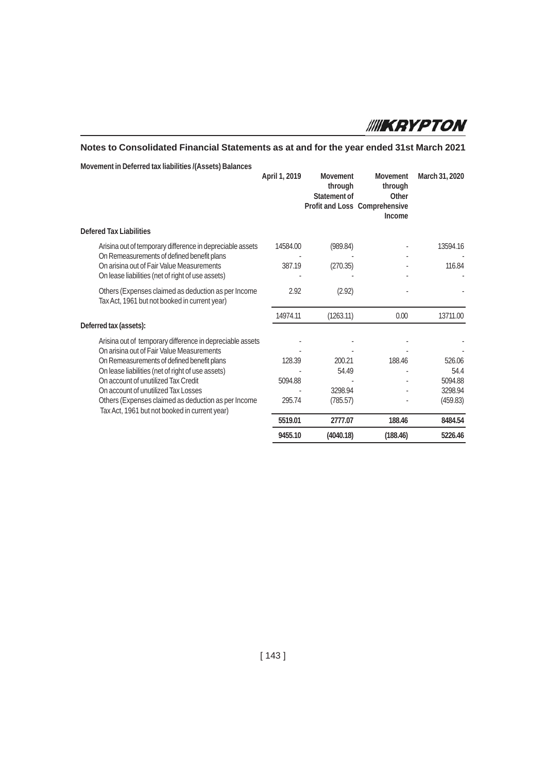### **Notes to Consolidated Financial Statements as at and for the year ended 31st March 2021**

**Movement in Deferred tax liabilities /(Assets) Balances**

|                                                                                                         | April 1, 2019 | <b>Movement</b><br>through<br>Statement of | <b>Movement</b><br>through<br>Other<br>Profit and Loss Comprehensive<br>Income | March 31, 2020 |
|---------------------------------------------------------------------------------------------------------|---------------|--------------------------------------------|--------------------------------------------------------------------------------|----------------|
| <b>Defered Tax Liabilities</b>                                                                          |               |                                            |                                                                                |                |
| Arisina out of temporary difference in depreciable assets<br>On Remeasurements of defined benefit plans | 14584.00      | (989.84)                                   |                                                                                | 13594.16       |
| On arisina out of Fair Value Measurements<br>On lease liabilities (net of right of use assets)          | 387.19        | (270.35)                                   |                                                                                | 116.84         |
| Others (Expenses claimed as deduction as per Income<br>Tax Act, 1961 but not booked in current year)    | 2.92          | (2.92)                                     |                                                                                |                |
| Deferred tax (assets):                                                                                  | 14974.11      | (1263.11)                                  | 0.00                                                                           | 13711.00       |
| Arisina out of temporary difference in depreciable assets<br>On arisina out of Fair Value Measurements  |               |                                            |                                                                                |                |
| On Remeasurements of defined benefit plans                                                              | 128.39        | 200.21                                     | 188.46                                                                         | 526.06         |
| On lease liabilities (net of right of use assets)                                                       |               | 54.49                                      |                                                                                | 54.4           |
| On account of unutilized Tax Credit                                                                     | 5094.88       |                                            |                                                                                | 5094.88        |
| On account of unutilized Tax Losses                                                                     |               | 3298.94                                    |                                                                                | 3298.94        |
| Others (Expenses claimed as deduction as per Income<br>Tax Act, 1961 but not booked in current year)    | 295.74        | (785.57)                                   |                                                                                | (459.83)       |
|                                                                                                         | 5519.01       | 2777.07                                    | 188.46                                                                         | 8484.54        |
|                                                                                                         | 9455.10       | (4040.18)                                  | (188.46)                                                                       | 5226.46        |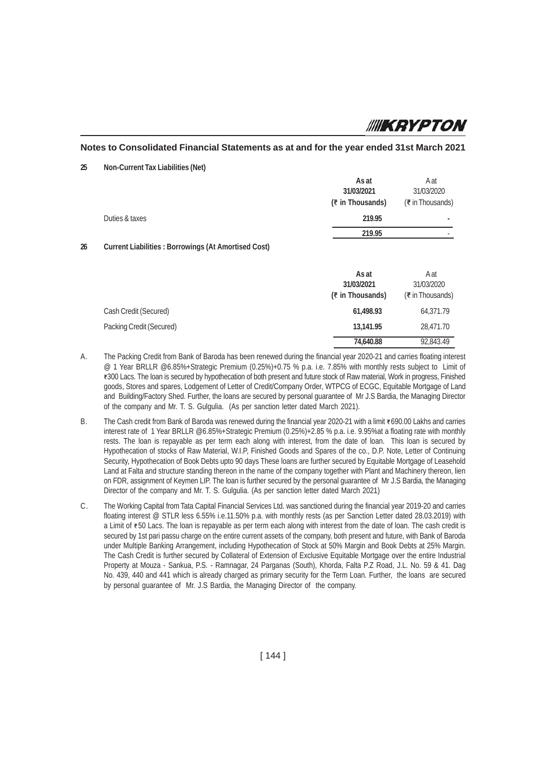**74,640.88** 92,843.49

## **Notes to Consolidated Financial Statements as at and for the year ended 31st March 2021**

**25 Non-Current Tax Liabilities (Net)**

- **As at** A at  **31/03/2021** 31/03/2020 **(" in Thousands)** (**"** in Thousands) Duties & taxes **219.95 - 219.95** - **26 Current Liabilities : Borrowings (At Amortised Cost) As at** A at  **31/03/2021** 31/03/2020 **(" in Thousands)** (**"** in Thousands) Cash Credit (Secured) **61,498.93** 64,371.79 Packing Credit (Secured) **13,141.95** 28,471.70
- A. The Packing Credit from Bank of Baroda has been renewed during the financial year 2020-21 and carries floating interest @ 1 Year BRLLR @6.85%+Strategic Premium (0.25%)+0.75 % p.a. i.e. 7.85% with monthly rests subject to Limit of **"**300 Lacs. The loan is secured by hypothecation of both present and future stock of Raw material, Work in progress, Finished goods, Stores and spares, Lodgement of Letter of Credit/Company Order, WTPCG of ECGC, Equitable Mortgage of Land and Building/Factory Shed. Further, the loans are secured by personal guarantee of Mr J.S Bardia, the Managing Director of the company and Mr. T. S. Gulgulia. (As per sanction letter dated March 2021).
- B. The Cash credit from Bank of Baroda was renewed during the financial year 2020-21 with a limit **"**690.00 Lakhs and carries interest rate of 1 Year BRLLR @6.85%+Strategic Premium (0.25%)+2.85 % p.a. i.e. 9.95%at a floating rate with monthly rests. The loan is repayable as per term each along with interest, from the date of loan. This loan is secured by Hypothecation of stocks of Raw Material, W.I.P, Finished Goods and Spares of the co., D.P. Note, Letter of Continuing Security, Hypothecation of Book Debts upto 90 days These loans are further secured by Equitable Mortgage of Leasehold Land at Falta and structure standing thereon in the name of the company together with Plant and Machinery thereon, lien on FDR, assignment of Keymen LIP. The loan is further secured by the personal guarantee of Mr J.S Bardia, the Managing Director of the company and Mr. T. S. Gulgulia. (As per sanction letter dated March 2021)
- C. The Working Capital from Tata Capital Financial Services Ltd. was sanctioned during the financial year 2019-20 and carries floating interest @ STLR less 6.55% i.e.11.50% p.a. with monthly rests (as per Sanction Letter dated 28.03.2019) with a Limit of **"**50 Lacs. The loan is repayable as per term each along with interest from the date of loan. The cash credit is secured by 1st pari passu charge on the entire current assets of the company, both present and future, with Bank of Baroda under Multiple Banking Arrangement, including Hypothecation of Stock at 50% Margin and Book Debts at 25% Margin. The Cash Credit is further secured by Collateral of Extension of Exclusive Equitable Mortgage over the entire Industrial Property at Mouza - Sankua, P.S. - Ramnagar, 24 Parganas (South), Khorda, Falta P.Z Road, J.L. No. 59 & 41. Dag No. 439, 440 and 441 which is already charged as primary security for the Term Loan. Further, the loans are secured by personal guarantee of Mr. J.S Bardia, the Managing Director of the company.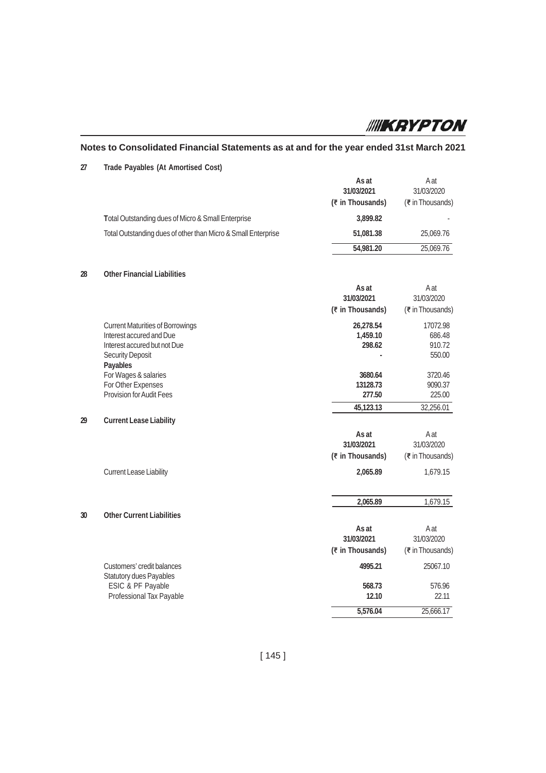| 27 | Trade Payables (At Amortised Cost)                            |                                |                                |
|----|---------------------------------------------------------------|--------------------------------|--------------------------------|
|    |                                                               | As at<br>31/03/2021            | Aat<br>31/03/2020              |
|    |                                                               | (₹ in Thousands)               | (₹ in Thousands)               |
|    | Total Outstanding dues of Micro & Small Enterprise            | 3,899.82                       |                                |
|    | Total Outstanding dues of other than Micro & Small Enterprise | 51,081.38                      | 25,069.76                      |
|    |                                                               | 54,981.20                      | 25,069.76                      |
| 28 | <b>Other Financial Liabilities</b>                            |                                |                                |
|    |                                                               | As at                          | Aat                            |
|    |                                                               | 31/03/2021<br>(₹ in Thousands) | 31/03/2020<br>(₹ in Thousands) |
|    | <b>Current Maturities of Borrowings</b>                       | 26,278.54                      | 17072.98                       |
|    | Interest accured and Due                                      | 1,459.10                       | 686.48                         |
|    | Interest accured but not Due                                  | 298.62                         | 910.72                         |
|    | <b>Security Deposit</b>                                       |                                | 550.00                         |
|    | Payables<br>For Wages & salaries                              | 3680.64                        | 3720.46                        |
|    | For Other Expenses                                            | 13128.73                       | 9090.37                        |
|    | <b>Provision for Audit Fees</b>                               | 277.50                         | 225.00                         |
|    |                                                               | 45,123.13                      | 32,256.01                      |
| 29 | <b>Current Lease Liability</b>                                |                                |                                |
|    |                                                               | As at                          | Aat                            |
|    |                                                               | 31/03/2021                     | 31/03/2020                     |
|    |                                                               | (₹ in Thousands)               | (₹ in Thousands)               |
|    | <b>Current Lease Liability</b>                                | 2,065.89                       | 1,679.15                       |
|    |                                                               | 2,065.89                       | 1,679.15                       |
| 30 | <b>Other Current Liabilities</b>                              |                                |                                |
|    |                                                               | As at                          | Aat                            |
|    |                                                               | 31/03/2021                     | 31/03/2020                     |
|    |                                                               | (₹ in Thousands)               | (₹ in Thousands)               |
|    | Customers' credit balances<br>Statutory dues Payables         | 4995.21                        | 25067.10                       |
|    | ESIC & PF Payable                                             | 568.73                         | 576.96                         |
|    | Professional Tax Payable                                      | 12.10                          | 22.11                          |
|    |                                                               | 5,576.04                       | 25,666.17                      |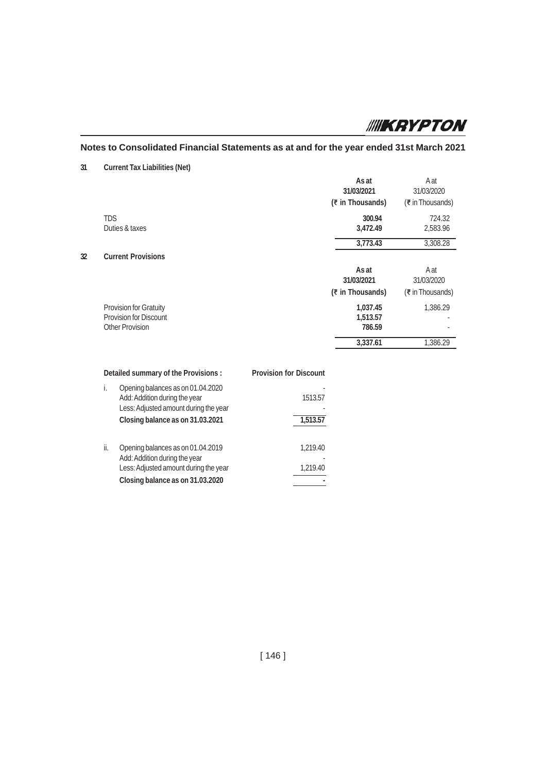| 31 | <b>Current Tax Liabilities (Net)</b>                                              |                               |                                         |                                       |
|----|-----------------------------------------------------------------------------------|-------------------------------|-----------------------------------------|---------------------------------------|
|    |                                                                                   |                               | As at<br>31/03/2021<br>(₹ in Thousands) | Aat<br>31/03/2020<br>(₹ in Thousands) |
|    | <b>TDS</b><br>Duties & taxes                                                      |                               | 300.94<br>3,472.49                      | 724.32<br>2,583.96                    |
|    |                                                                                   |                               | 3,773.43                                | 3,308.28                              |
| 32 | <b>Current Provisions</b>                                                         |                               |                                         |                                       |
|    |                                                                                   |                               | As at<br>31/03/2021<br>(₹ in Thousands) | Aat<br>31/03/2020<br>(₹ in Thousands) |
|    | Provision for Gratuity<br><b>Provision for Discount</b><br><b>Other Provision</b> |                               | 1,037.45<br>1,513.57<br>786.59          | 1,386.29                              |
|    |                                                                                   |                               | 3,337.61                                | 1,386.29                              |
|    | Detailed summary of the Provisions :<br>$\sim$ Original belanges as an 01.04.3030 | <b>Provision for Discount</b> |                                         |                                       |

| i.  | Opening balances as on 01.04.2020<br>Add: Addition during the year<br>Less: Adjusted amount during the year<br>Closing balance as on 31.03.2021 | 1513.57<br>1,513.57 |
|-----|-------------------------------------------------------------------------------------------------------------------------------------------------|---------------------|
| ii. | Opening balances as on 01.04.2019<br>Add: Addition during the year                                                                              | 1.219.40            |
|     | Less: Adjusted amount during the year<br>Closing balance as on 31.03.2020                                                                       | 1.219.40            |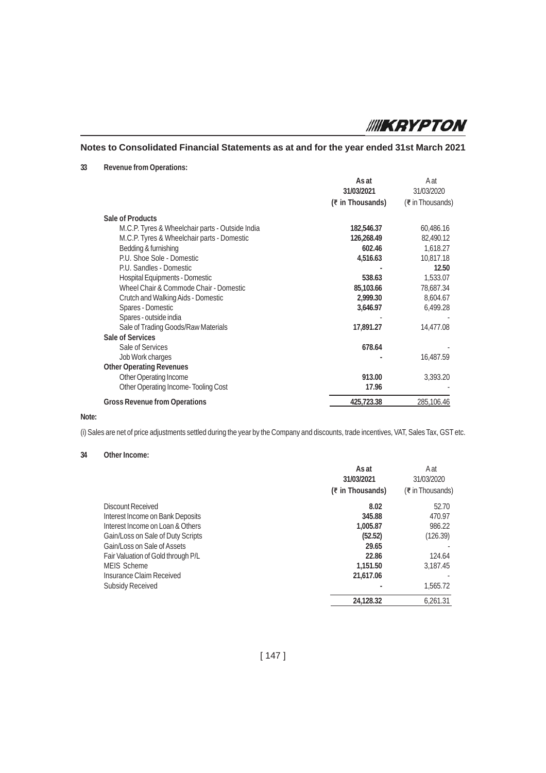# **Notes to Consolidated Financial Statements as at and for the year ended 31st March 2021**

# **33 Revenue from Operations:**

|                                                 | As at            | Aat              |
|-------------------------------------------------|------------------|------------------|
|                                                 | 31/03/2021       | 31/03/2020       |
|                                                 | (₹ in Thousands) | (₹ in Thousands) |
| <b>Sale of Products</b>                         |                  |                  |
| M.C.P. Tyres & Wheelchair parts - Outside India | 182,546.37       | 60,486.16        |
| M.C.P. Tyres & Wheelchair parts - Domestic      | 126,268.49       | 82,490.12        |
| Bedding & furnishing                            | 602.46           | 1,618.27         |
| P.U. Shoe Sole - Domestic                       | 4,516.63         | 10,817.18        |
| P.U. Sandles - Domestic                         |                  | 12.50            |
| <b>Hospital Equipments - Domestic</b>           | 538.63           | 1,533.07         |
| Wheel Chair & Commode Chair - Domestic          | 85,103.66        | 78,687.34        |
| Crutch and Walking Aids - Domestic              | 2,999.30         | 8,604.67         |
| Spares - Domestic                               | 3,646.97         | 6,499.28         |
| Spares - outside india                          |                  |                  |
| Sale of Trading Goods/Raw Materials             | 17,891.27        | 14,477.08        |
| <b>Sale of Services</b>                         |                  |                  |
| Sale of Services                                | 678.64           |                  |
| Job Work charges                                |                  | 16,487.59        |
| <b>Other Operating Revenues</b>                 |                  |                  |
| Other Operating Income                          | 913.00           | 3,393.20         |
| Other Operating Income-Tooling Cost             | 17.96            |                  |
| <b>Gross Revenue from Operations</b>            | 425,723.38       | 285,106.46       |

# **Note:**

(i) Sales are net of price adjustments settled during the year by the Company and discounts, trade incentives, VAT, Sales Tax, GST etc.

# **34 Other Income:**

|                                    | As at<br>31/03/2021 | Aat<br>31/03/2020           |
|------------------------------------|---------------------|-----------------------------|
|                                    | (₹ in Thousands)    | $(\bar{\tau}$ in Thousands) |
| Discount Received                  | 8.02                | 52.70                       |
| Interest Income on Bank Deposits   | 345.88              | 470.97                      |
| Interest Income on Loan & Others   | 1.005.87            | 986.22                      |
| Gain/Loss on Sale of Duty Scripts  | (52.52)             | (126.39)                    |
| Gain/Loss on Sale of Assets        | 29.65               |                             |
| Fair Valuation of Gold through P/L | 22.86               | 124.64                      |
| <b>MEIS Scheme</b>                 | 1.151.50            | 3,187.45                    |
| Insurance Claim Received           | 21,617.06           |                             |
| <b>Subsidy Received</b>            |                     | 1,565.72                    |
|                                    | 24.128.32           | 6.261.31                    |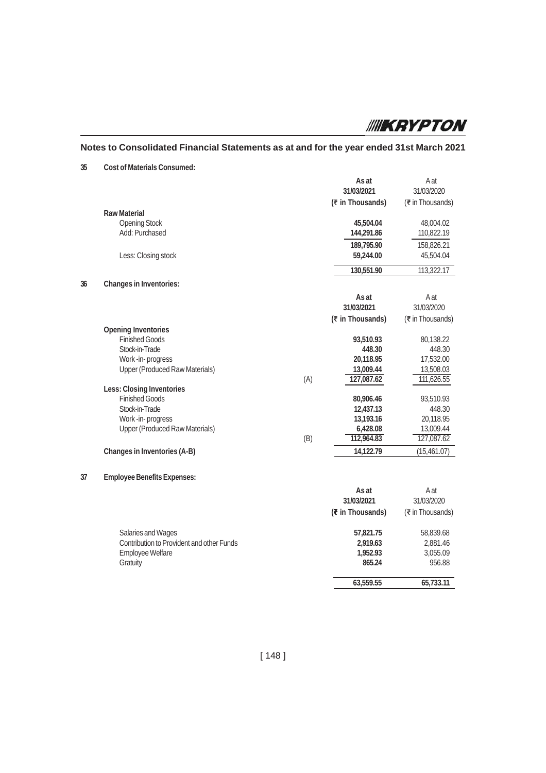# **Notes to Consolidated Financial Statements as at and for the year ended 31st March 2021**

**As at** A at  **31/03/2021** 31/03/2020 **(" in Thousands)** (**"** in Thousands) **Raw Material** Opening Stock **45,504.04** 48,004.02<br>Add: Purchased **48,004.02** 48,004.02 Add: Purchased **144,291.86** 110,822.19 **189,795.90** 158,826.21 **Less: Closing stock 130,551.90** 113,322.17 **36 Changes in Inventories: As at** A at **A at A at A at 21/03/2020 31/03/2021** 31/03/2020 **(" in Thousands)** (**"** in Thousands) **Opening Inventories** Finished Goods<br>
Finished Goods<br>
93,510.93<br>
93,510.93<br>
93,510.93<br>
93,510.93<br>
93,510.93<br>
93,510.93<br>
9448.30<br>
9448.30 Stock-in-Trade **448.30** 448.30 Work -in- progress 20,118.95 and 20,118.95 and 20,118.95 and 20,118.95 and 20,118.95 and 20,118.95 and 20,118.95<br>**20,118.95** 13,009.44 and 21,009.44 and 21,009.44 and 21,009.44 and 21,508.03 Upper (Produced Raw Materials) **13,009.44** 13,508.03<br>(A) 127,087.62 111,626.55  $127,087.62$ **Less: Closing Inventories** Finished Goods **80,906.46** 93,510.93 Stock-in-Trade **12,437.13** 448.30<br>Work-in-progress **13,193.16** 20,118.95 Work -in- progress **13,193.16** 20,118.95<br>
Upper (Produced Raw Materials) **13,099.44 13,009.44 13,009.44 Upper (Produced Raw Materials)** (B) **112,964.83** 127,087.62 **Changes in Inventories (A-B) 14,122.79** (15,461.07) **37 Employee Benefits Expenses:**

|                                           | As at<br>31/03/2021 | Aat<br>31/03/2020 |
|-------------------------------------------|---------------------|-------------------|
|                                           | (₹ in Thousands)    | (₹ in Thousands)  |
| Salaries and Wages                        | 57,821.75           | 58,839.68         |
| Contribution to Provident and other Funds | 2,919.63            | 2,881.46          |
| Employee Welfare                          | 1,952.93            | 3,055.09          |
| Gratuity                                  | 865.24              | 956.88            |
|                                           | 63.559.55           | 65,733.11         |

**35 Cost of Materials Consumed:**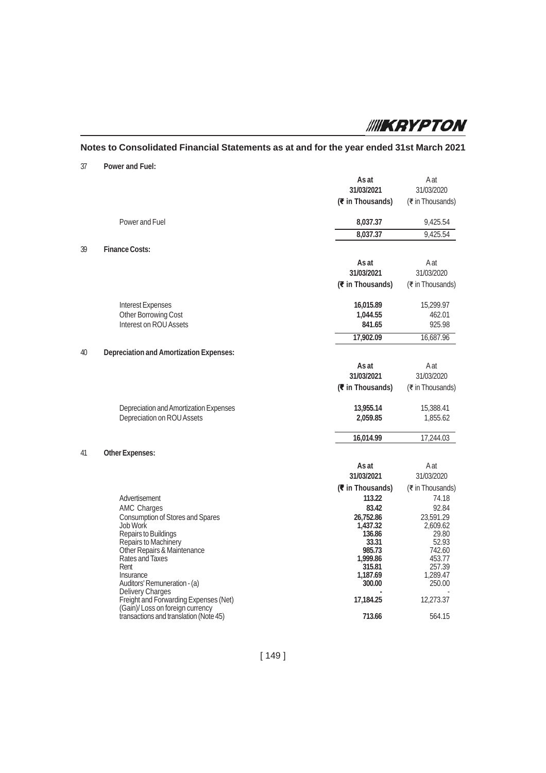| 37 | <b>Power and Fuel:</b>                                                                                                                                                                                                                                   |                                                                                                                                       |                                                                                                                                   |
|----|----------------------------------------------------------------------------------------------------------------------------------------------------------------------------------------------------------------------------------------------------------|---------------------------------------------------------------------------------------------------------------------------------------|-----------------------------------------------------------------------------------------------------------------------------------|
|    |                                                                                                                                                                                                                                                          | As at<br>31/03/2021                                                                                                                   | Aat<br>31/03/2020                                                                                                                 |
|    |                                                                                                                                                                                                                                                          | (₹ in Thousands)                                                                                                                      | (₹ in Thousands)                                                                                                                  |
|    | Power and Fuel                                                                                                                                                                                                                                           | 8,037.37                                                                                                                              | 9,425.54                                                                                                                          |
|    |                                                                                                                                                                                                                                                          | 8,037.37                                                                                                                              | 9,425.54                                                                                                                          |
| 39 | <b>Finance Costs:</b>                                                                                                                                                                                                                                    |                                                                                                                                       |                                                                                                                                   |
|    |                                                                                                                                                                                                                                                          | As at<br>31/03/2021                                                                                                                   | Aat<br>31/03/2020                                                                                                                 |
|    |                                                                                                                                                                                                                                                          | (₹ in Thousands)                                                                                                                      | (₹ in Thousands)                                                                                                                  |
|    | Interest Expenses<br>Other Borrowing Cost<br>Interest on ROU Assets                                                                                                                                                                                      | 16,015.89<br>1,044.55<br>841.65                                                                                                       | 15,299.97<br>462.01<br>925.98                                                                                                     |
|    |                                                                                                                                                                                                                                                          | 17,902.09                                                                                                                             | 16,687.96                                                                                                                         |
| 40 | <b>Depreciation and Amortization Expenses:</b>                                                                                                                                                                                                           |                                                                                                                                       |                                                                                                                                   |
|    |                                                                                                                                                                                                                                                          | As at<br>31/03/2021<br>(₹ in Thousands)                                                                                               | Aat<br>31/03/2020<br>(₹ in Thousands)                                                                                             |
|    | Depreciation and Amortization Expenses<br>Depreciation on ROU Assets                                                                                                                                                                                     | 13,955.14<br>2,059.85                                                                                                                 | 15,388.41<br>1,855.62                                                                                                             |
|    |                                                                                                                                                                                                                                                          | 16,014.99                                                                                                                             | 17,244.03                                                                                                                         |
| 41 | <b>Other Expenses:</b>                                                                                                                                                                                                                                   |                                                                                                                                       |                                                                                                                                   |
|    |                                                                                                                                                                                                                                                          | As at<br>31/03/2021                                                                                                                   | Aat<br>31/03/2020                                                                                                                 |
|    | Advertisement<br><b>AMC Charges</b><br><b>Consumption of Stores and Spares</b><br><b>Job Work</b><br>Repairs to Buildings<br>Repairs to Machinery<br>Other Repairs & Maintenance<br>Rates and Taxes<br>Rent<br>Insurance<br>Auditors' Remuneration - (a) | (₹ in Thousands)<br>113.22<br>83.42<br>26,752.86<br>1,437.32<br>136.86<br>33.31<br>985.73<br>1,999.86<br>315.81<br>1,187.69<br>300.00 | (₹ in Thousands)<br>74.18<br>92.84<br>23,591.29<br>2,609.62<br>29.80<br>52.93<br>742.60<br>453.77<br>257.39<br>1,289.47<br>250.00 |
|    | Delivery Charges<br>Freight and Forwarding Expenses (Net)                                                                                                                                                                                                | 17,184.25                                                                                                                             | 12,273.37                                                                                                                         |
|    | (Gain)/ Loss on foreign currency<br>transactions and translation (Note 45)                                                                                                                                                                               | 713.66                                                                                                                                | 564.15                                                                                                                            |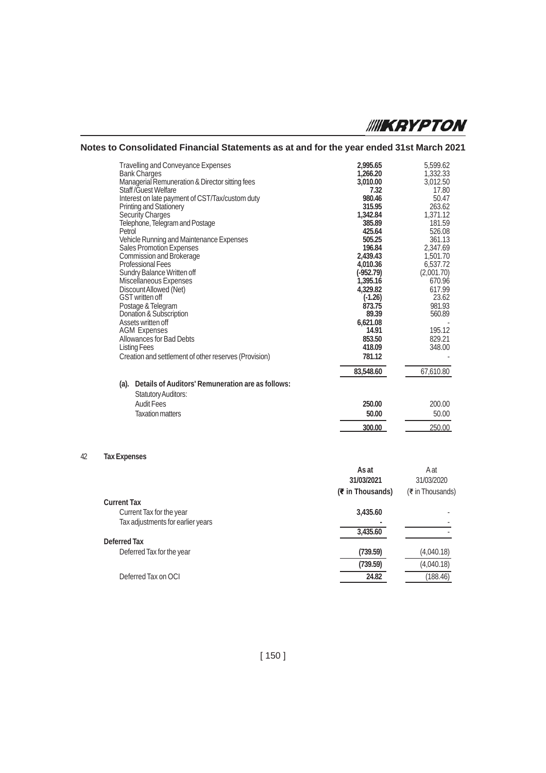| <b>Travelling and Conveyance Expenses</b>                                            | 2,995.65        | 5,599.62         |
|--------------------------------------------------------------------------------------|-----------------|------------------|
| <b>Bank Charges</b>                                                                  | 1,266.20        | 1,332.33         |
| Managerial Remuneration & Director sitting fees                                      | 3,010.00        | 3,012.50         |
| Staff / Guest Welfare                                                                | 7.32<br>980.46  | 17.80<br>50.47   |
| Interest on late payment of CST/Tax/custom duty<br><b>Printing and Stationery</b>    | 315.95          | 263.62           |
| Security Charges                                                                     | 1.342.84        | 1,371.12         |
| Telephone, Telegram and Postage                                                      | 385.89          | 181.59           |
| Petrol                                                                               | 425.64          | 526.08           |
| Vehicle Running and Maintenance Expenses                                             | 505.25          | 361.13           |
| <b>Sales Promotion Expenses</b>                                                      | 196.84          | 2,347.69         |
| <b>Commission and Brokerage</b>                                                      | 2,439.43        | 1,501.70         |
| <b>Professional Fees</b>                                                             | 4,010.36        | 6,537.72         |
| Sundry Balance Written off                                                           | $(-952.79)$     | (2,001.70)       |
| Miscellaneous Expenses                                                               | 1.395.16        | 670.96           |
| Discount Allowed (Net)                                                               | 4,329.82        | 617.99           |
| <b>GST</b> written off                                                               | $(-1.26)$       | 23.62            |
| Postage & Telegram                                                                   | 873.75<br>89.39 | 981.93<br>560.89 |
| Donation & Subscription<br>Assets written off                                        | 6,621.08        |                  |
| <b>AGM Expenses</b>                                                                  | 14.91           | 195.12           |
| <b>Allowances for Bad Debts</b>                                                      | 853.50          | 829.21           |
| <b>Listing Fees</b>                                                                  | 418.09          | 348.00           |
| Creation and settlement of other reserves (Provision)                                | 781.12          |                  |
|                                                                                      | 83,548.60       | 67,610.80        |
| (a). Details of Auditors' Remuneration are as follows:<br><b>Statutory Auditors:</b> |                 |                  |
| <b>Audit Fees</b>                                                                    | 250.00          | 200.00           |
| <b>Taxation matters</b>                                                              | 50.00           | 50.00            |
|                                                                                      | 300.00          | 250.00           |
|                                                                                      |                 |                  |

# **Notes to Consolidated Financial Statements as at and for the year ended 31st March 2021**

# 42 **Tax Expenses**

|                                   | As at<br>31/03/2021 | A at<br>31/03/2020 |
|-----------------------------------|---------------------|--------------------|
|                                   | (₹ in Thousands)    | (₹ in Thousands)   |
| <b>Current Tax</b>                |                     |                    |
| Current Tax for the year          | 3,435.60            |                    |
| Tax adjustments for earlier years |                     |                    |
|                                   | 3,435.60            |                    |
| <b>Deferred Tax</b>               |                     |                    |
| Deferred Tax for the year         | (739.59)            | (4,040.18)         |
|                                   | (739.59)            | (4,040.18)         |
| Deferred Tax on OCI               | 24.82               | (188.46)           |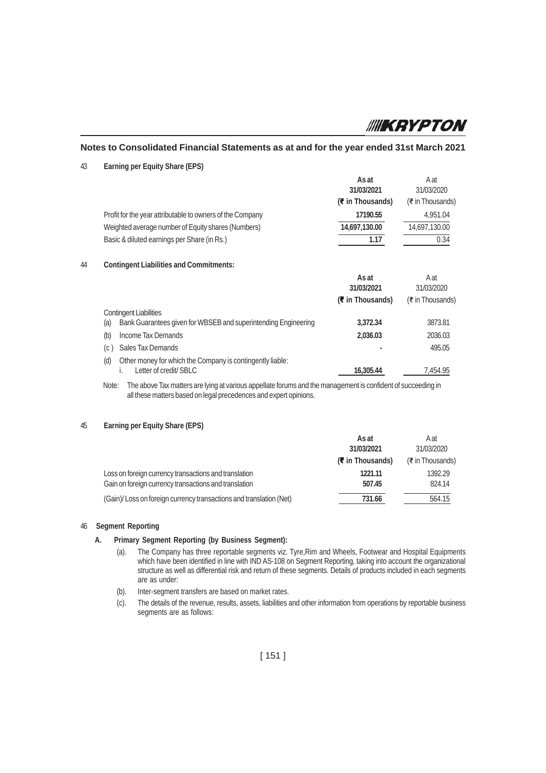# **Notes to Consolidated Financial Statements as at and for the year ended 31st March 2021**

43 **Earning per Equity Share (EPS)**

|    |                                                                       | As at<br>31/03/2021 | Aat<br>31/03/2020    |
|----|-----------------------------------------------------------------------|---------------------|----------------------|
|    |                                                                       | (₹ in Thousands)    | $(\xi$ in Thousands) |
|    | Profit for the year attributable to owners of the Company             | 17190.55            | 4,951.04             |
|    | Weighted average number of Equity shares (Numbers)                    | 14,697,130.00       | 14,697,130.00        |
|    | Basic & diluted earnings per Share (in Rs.)                           | 1.17                | 0.34                 |
| 44 | <b>Contingent Liabilities and Commitments:</b>                        |                     |                      |
|    |                                                                       | As at               | Aat                  |
|    |                                                                       | 31/03/2021          | 31/03/2020           |
|    |                                                                       | (₹ in Thousands)    | $(\xi$ in Thousands) |
|    | <b>Contingent Liabilities</b>                                         |                     |                      |
|    | Bank Guarantees given for WBSEB and superintending Engineering<br>(a) | 3,372.34            | 3873.81              |
|    | Income Tax Demands<br>(b)                                             | 2,036.03            | 2036.03              |
|    | Sales Tax Demands<br>(c)                                              |                     | 495.05               |
|    | (d)<br>Other money for which the Company is contingently liable:      |                     |                      |
|    | Letter of credit/ SBLC                                                | 16,305.44           | 7,454.95             |
|    |                                                                       |                     |                      |

Note: The above Tax matters are lying at various appellate forums and the management is confident of succeeding in all these matters based on legal precedences and expert opinions.

#### 45 **Earning per Equity Share (EPS)**

|                                                                    | As at            | A at                 |
|--------------------------------------------------------------------|------------------|----------------------|
|                                                                    | 31/03/2021       | 31/03/2020           |
|                                                                    | (₹ in Thousands) | $(\xi$ in Thousands) |
| Loss on foreign currency transactions and translation              | 1221.11          | 1392.29              |
| Gain on foreign currency transactions and translation              | 507.45           | 824.14               |
| (Gain)/Loss on foreign currency transactions and translation (Net) | 731.66           | 564.15               |

#### 46 **Segment Reporting**

## **A. Primary Segment Reporting (by Business Segment):**

- (a). The Company has three reportable segments viz. Tyre,Rim and Wheels, Footwear and Hospital Equipments which have been identified in line with IND AS-108 on Segment Reporting, taking into account the organizational structure as well as differential risk and return of these segments. Details of products included in each segments are as under:
- (b). Inter-segment transfers are based on market rates.
- (c). The details of the revenue, results, assets, liabilities and other information from operations by reportable business segments are as follows: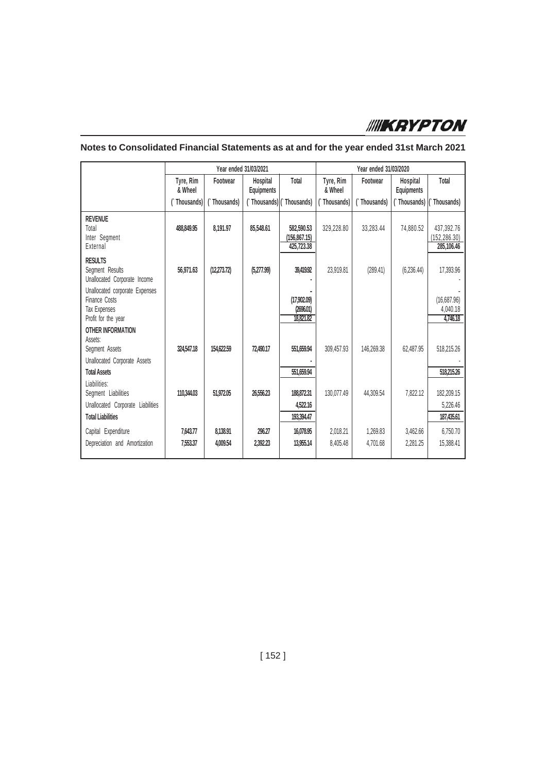|                                                                                                      |                      | Year ended 31/03/2021 |                         |                                           |                      | Year ended 31/03/2020 |                               |                                           |  |
|------------------------------------------------------------------------------------------------------|----------------------|-----------------------|-------------------------|-------------------------------------------|----------------------|-----------------------|-------------------------------|-------------------------------------------|--|
|                                                                                                      | Tyre, Rim<br>& Wheel | Footwear              | Hospital<br>Equipments  | Total                                     | Tyre, Rim<br>& Wheel | Footwear              | Hospital<br><b>Equipments</b> | Total                                     |  |
|                                                                                                      | (Thousands)          | (Thousands)           | (Thousands) (Thousands) |                                           | (Thousands)          | (Thousands)           | (`Thousands)   (`             | Thousands)                                |  |
| <b>REVENUE</b><br>Total<br>Inter Segment<br>External                                                 | 488.849.95           | 8.191.97              | 85,548.61               | 582,590.53<br>(156, 867.15)<br>425,723.38 | 329,228.80           | 33.283.44             | 74.880.52                     | 437.392.76<br>(152, 286.30)<br>285.106.46 |  |
| <b>RESULTS</b><br>Segment Results<br>Unallocated Corporate Income                                    | 56,971.63            | (12, 273.72)          | (5,277.99)              | 39,419.92                                 | 23,919.81            | (289.41)              | (6,236.44)                    | 17,393.96                                 |  |
| Unallocated corporate Expenses<br><b>Finance Costs</b><br><b>Tax Expenses</b><br>Profit for the year |                      |                       |                         | (17,902.09)<br>(2696.01)<br>18,821.82     |                      |                       |                               | (16,687.96)<br>4.040.18<br>4,746.18       |  |
| <b>OTHER INFORMATION</b><br>Assets:<br>Segment Assets                                                | 324,547.18           | 154,622.59            | 72,490.17               | 551,659.94                                | 309.457.93           | 146.269.38            | 62.487.95                     | 518,215.26                                |  |
| Unallocated Corporate Assets<br><b>Total Assets</b><br>Liabilities:                                  |                      |                       |                         | 551,659.94                                |                      |                       |                               | 518,215.26                                |  |
| Segment Liabilities<br>Unallocated Corporate Liabilities                                             | 110.344.03           | 51.972.05             | 26,556.23               | 188.872.31<br>4.522.16                    | 130.077.49           | 44.309.54             | 7.822.12                      | 182,209.15<br>5,226.46                    |  |
| <b>Total Liabilities</b>                                                                             |                      |                       |                         | 193,394.47                                |                      |                       |                               | 187,435.61                                |  |
| Capital Expenditure                                                                                  | 7,643.77             | 8,138.91              | 296.27                  | 16,078.95                                 | 2,018.21             | 1,269.83              | 3,462.66                      | 6,750.70                                  |  |
| Depreciation and Amortization                                                                        | 7,553.37             | 4.009.54              | 2.392.23                | 13.955.14                                 | 8,405.48             | 4.701.68              | 2.281.25                      | 15,388.41                                 |  |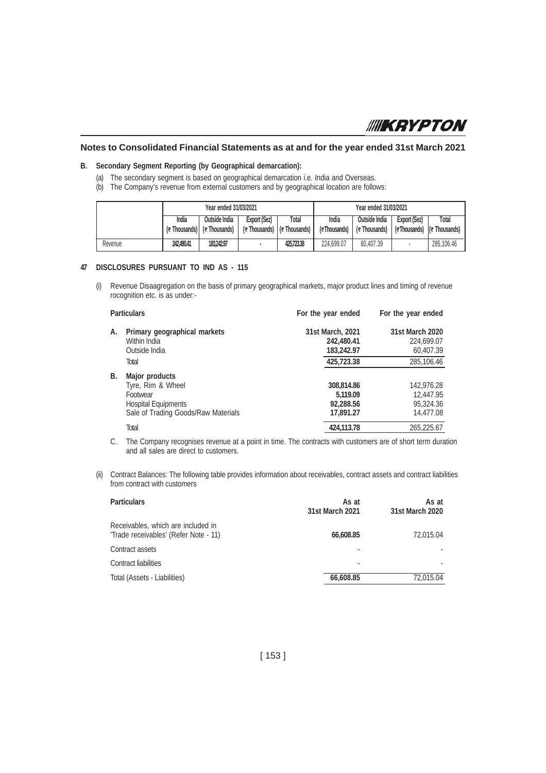

# **B. Secondary Segment Reporting (by Geographical demarcation):**

- (a) The secondary segment is based on geographical demarcation i.e. India and Overseas.
- (b) The Company's revenue from external customers and by geographical location are follows:

|         | Year ended 31/03/2021 |                                                |                                               | Year ended 31/03/2021 |                       |                                |                                             |            |
|---------|-----------------------|------------------------------------------------|-----------------------------------------------|-----------------------|-----------------------|--------------------------------|---------------------------------------------|------------|
|         | India                 | Outside India<br>(₹ Thousands) । (₹ Thousands) | Export (Sez)<br>(₹ Thousands)   (₹ Thousands) | Total                 | India<br>(₹Thousands) | Outside India<br>(₹ Thousands) | Export (Sez)<br>(₹Thousands) ।(₹ Thousands) | Total      |
| Revenue | 242,480.41            | 183242.97                                      |                                               | 425.723.38            | 224.699.07            | 60.407.39                      |                                             | 285,106.46 |

### **47 DISCLOSURES PURSUANT TO IND AS - 115**

(i) Revenue Disaagregation on the basis of primary geographical markets, major product lines and timing of revenue rocognition etc. is as under:-

| <b>Particulars</b> |                                                                                                                      | For the year ended                               | For the year ended                                |  |
|--------------------|----------------------------------------------------------------------------------------------------------------------|--------------------------------------------------|---------------------------------------------------|--|
| А.                 | Primary geographical markets<br>Within India<br>Outside India                                                        | 31st March, 2021<br>242,480.41<br>183,242.97     | 31st March 2020<br>224,699.07<br>60,407.39        |  |
|                    | Total                                                                                                                | 425,723.38                                       | 285,106.46                                        |  |
| В.                 | Major products<br>Tyre, Rim & Wheel<br>Footwear<br><b>Hospital Equipments</b><br>Sale of Trading Goods/Raw Materials | 308,814.86<br>5,119.09<br>92.288.56<br>17.891.27 | 142,976.28<br>12,447.95<br>95,324.36<br>14,477.08 |  |
|                    | Total                                                                                                                | 424.113.78                                       | 265.225.67                                        |  |

C. The Company recognises revenue at a point in time. The contracts with customers are of short term duration and all sales are direct to customers.

(ii) Contract Balances: The following table provides information about receivables, contract assets and contract liabilities from contract with customers

| <b>Particulars</b>                                                          | As at<br>31st March 2021 | As at<br>31st March 2020 |
|-----------------------------------------------------------------------------|--------------------------|--------------------------|
| Receivables, which are included in<br>'Trade receivables' (Refer Note - 11) | 66,608.85                | 72.015.04                |
| Contract assets                                                             |                          |                          |
| <b>Contract liabilities</b>                                                 |                          |                          |
| Total (Assets - Liabilities)                                                | 66,608.85                | 72,015.04                |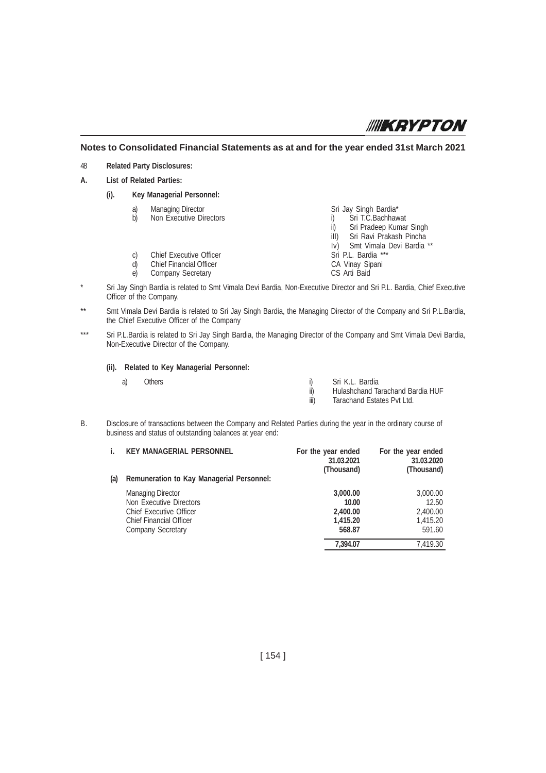# **Notes to Consolidated Financial Statements as at and for the year ended 31st March 2021**

- 48 **Related Party Disclosures:**
- **A. List of Related Parties:**

#### **(i). Key Managerial Personnel:**

| a) | <b>Managing Director</b> | Sri Jay Singh Bardia* |  |
|----|--------------------------|-----------------------|--|
|    | Non Executive Directors  | Sri T.C.Bachhawat     |  |

- Non Executive Directors i) Sri T.C.Bachhamatic iii
- 
- d) Chief Financial Officer CA Vinay Sipanic CA Vinay Sipanic CA Vinay Sipanic CA Vinay Sipanic CA Vinay Sipanic CA Vinay Sipanic CA Vinay Sipanic CA Vinay Sipanic CA Vinay Sipanic CA Vinay Sipanic CA Vinay Sipanic CA Vinay
	- Company Secretary

Sri Pradeep Kumar Singh iII) Sri Ravi Prakash Pincha IV) Shi Navi Franashi Fincha<br>Iv) Smt Vimala Devi Bardia \*\*<br>Sri P.L. Bardia \*\*\* c) Chief Executive Officer Sri P.L. Bardia \*\*<br>
d) Chief Financial Officer Sri P.L. Bardia \*\*\* CA Vinay Sipani

- Sri Jay Singh Bardia is related to Smt Vimala Devi Bardia, Non-Executive Director and Sri P.L. Bardia, Chief Executive Officer of the Company.
- \*\* Smt Vimala Devi Bardia is related to Sri Jay Singh Bardia, the Managing Director of the Company and Sri P.L.Bardia, the Chief Executive Officer of the Company
- \*\*\* Sri P.L.Bardia is related to Sri Jay Singh Bardia, the Managing Director of the Company and Smt Vimala Devi Bardia, Non-Executive Director of the Company.

### **(ii). Related to Key Managerial Personnel:**

| a) | <b>Others</b> | Sri K.L. Bardia                         |
|----|---------------|-----------------------------------------|
|    |               | <b>Hulashchand Tarachand Bardia HUF</b> |
|    |               | iii)<br>Tarachand Estates Pvt Ltd.      |

B. Disclosure of transactions between the Company and Related Parties during the year in the ordinary course of business and status of outstanding balances at year end:

| (a) | <b>KEY MANAGERIAL PERSONNEL</b><br>Remuneration to Kay Managerial Personnel:                                                                               | For the year ended<br>31.03.2021<br>(Thousand)      | For the year ended<br>31.03.2020<br>(Thousand)      |
|-----|------------------------------------------------------------------------------------------------------------------------------------------------------------|-----------------------------------------------------|-----------------------------------------------------|
|     | <b>Managing Director</b><br><b>Non Executive Directors</b><br><b>Chief Executive Officer</b><br><b>Chief Financial Officer</b><br><b>Company Secretary</b> | 3,000.00<br>10.00<br>2,400.00<br>1.415.20<br>568.87 | 3,000.00<br>12.50<br>2,400.00<br>1,415.20<br>591.60 |
|     |                                                                                                                                                            | 7.394.07                                            | 7.419.30                                            |
|     |                                                                                                                                                            |                                                     |                                                     |

[ 154 ]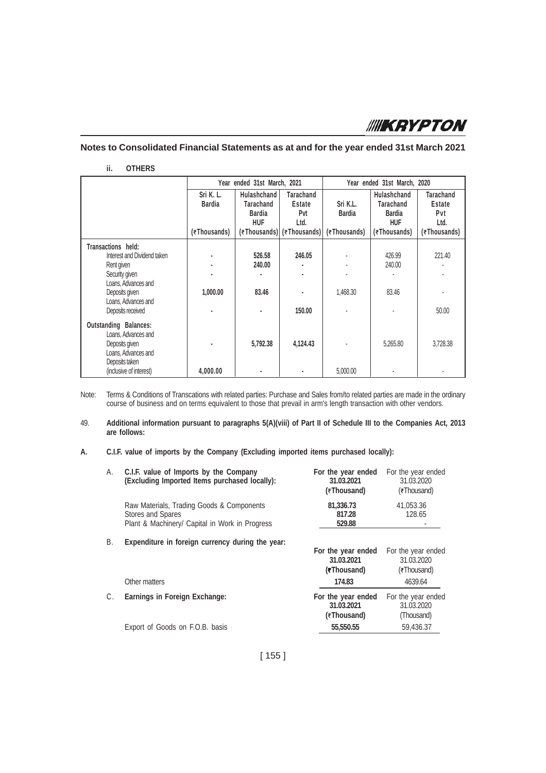**Notes to Consolidated Financial Statements as at and for the year ended 31st March 2021**

**ii. OTHERS**

|                              |                                     | Year ended 31st March, 2021                                                             |                                                                           |                                           | Year ended 31st March, 2020                               |                                                    |
|------------------------------|-------------------------------------|-----------------------------------------------------------------------------------------|---------------------------------------------------------------------------|-------------------------------------------|-----------------------------------------------------------|----------------------------------------------------|
|                              | Sri K. L.<br>Bardia<br>(₹Thousands) | <b>Hulashchand</b><br>Tarachand<br>Bardia<br>HUF<br>$(\overline{\mathbf{z}}$ Thousands) | Tarachand<br>Estate<br>Pvt<br>Ltd.<br>$(\overline{\mathbf{z}}$ Thousands) | Sri K.L.<br><b>Bardia</b><br>(₹Thousands) | Hulashchand<br>Tarachand<br>Bardia<br>HUF<br>(₹Thousands) | Tarachand<br>Estate<br>Pvt<br>Ltd.<br>(₹Thousands) |
| Transactions held:           |                                     |                                                                                         |                                                                           |                                           |                                                           |                                                    |
| Interest and Dividend taken  |                                     | 526.58                                                                                  | 246.05                                                                    |                                           | 426.99                                                    | 221.40                                             |
| Rent given                   |                                     | 240.00                                                                                  |                                                                           |                                           | 240.00                                                    |                                                    |
| Security given               |                                     |                                                                                         |                                                                           |                                           |                                                           |                                                    |
| Loans, Advances and          |                                     |                                                                                         |                                                                           |                                           |                                                           |                                                    |
| Deposits given               | 1,000.00                            | 83.46                                                                                   |                                                                           | 1,468.30                                  | 83.46                                                     |                                                    |
| Loans, Advances and          |                                     |                                                                                         |                                                                           |                                           |                                                           |                                                    |
| Deposits received            |                                     |                                                                                         | 150.00                                                                    |                                           |                                                           | 50.00                                              |
| <b>Outstanding Balances:</b> |                                     |                                                                                         |                                                                           |                                           |                                                           |                                                    |
| Loans, Advances and          |                                     |                                                                                         |                                                                           |                                           |                                                           |                                                    |
| Deposits given               |                                     | 5,792.38                                                                                | 4,124.43                                                                  |                                           | 5,265.80                                                  | 3,728.38                                           |
| Loans, Advances and          |                                     |                                                                                         |                                                                           |                                           |                                                           |                                                    |
| Deposits taken               |                                     |                                                                                         |                                                                           |                                           |                                                           |                                                    |
| (inclusive of interest)      | 4.000.00                            |                                                                                         |                                                                           | 5,000.00                                  |                                                           |                                                    |

Note: Terms & Conditions of Transcations with related parties: Purchase and Sales from/to related parties are made in the ordinary course of business and on terms equivalent to those that prevail in arm's length transaction with other vendors.

49. **Additional information pursuant to paragraphs 5(A)(viii) of Part II of Schedule III to the Companies Act, 2013 are follows:**

# **A. C.I.F. value of imports by the Company (Excluding imported items purchased locally):**

| А. | C.I.F. value of Imports by the Company<br>(Excluding Imported Items purchased locally):                          | For the year ended<br>31.03.2021<br>(₹Thousand) | For the year ended<br>31.03.2020<br>(₹Thousand) |
|----|------------------------------------------------------------------------------------------------------------------|-------------------------------------------------|-------------------------------------------------|
|    | Raw Materials, Trading Goods & Components<br>Stores and Spares<br>Plant & Machinery/ Capital in Work in Progress | 81.336.73<br>817.28<br>529.88                   | 41.053.36<br>128.65                             |
| В. | Expenditure in foreign currency during the year:                                                                 | For the year ended<br>31.03.2021<br>(Thousand)  | For the year ended<br>31.03.2020<br>(₹Thousand) |
|    | Other matters                                                                                                    | 174.83                                          | 4639.64                                         |
| С. | Earnings in Foreign Exchange:                                                                                    | For the year ended<br>31.03.2021<br>(₹Thousand) | For the year ended<br>31.03.2020<br>(Thousand)  |
|    | Export of Goods on F.O.B. basis                                                                                  | 55,550.55                                       | 59.436.37                                       |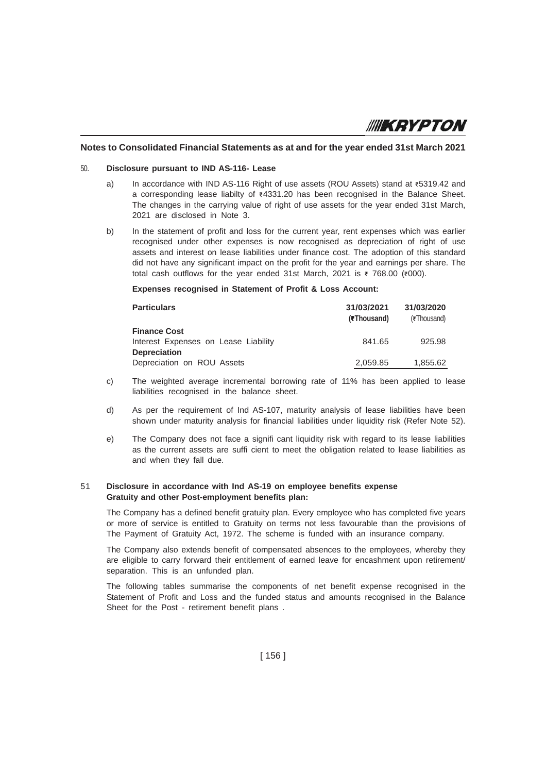### 50. **Disclosure pursuant to IND AS-116- Lease**

- a) In accordance with IND AS-116 Right of use assets (ROU Assets) stand at **"**5319.42 and a corresponding lease liabilty of **"**4331.20 has been recognised in the Balance Sheet. The changes in the carrying value of right of use assets for the year ended 31st March, 2021 are disclosed in Note 3.
- b) In the statement of profit and loss for the current year, rent expenses which was earlier recognised under other expenses is now recognised as depreciation of right of use assets and interest on lease liabilities under finance cost. The adoption of this standard did not have any significant impact on the profit for the year and earnings per share. The total cash outflows for the year ended 31st March, 2021 is  $\bar{x}$  768.00 ( $\bar{x}$ 000).

### **Expenses recognised in Statement of Profit & Loss Account:**

| <b>Particulars</b>                                          | 31/03/2021<br>(₹Thousand) | 31/03/2020<br>(₹Thousand) |
|-------------------------------------------------------------|---------------------------|---------------------------|
| <b>Finance Cost</b><br>Interest Expenses on Lease Liability | 841.65                    | 925.98                    |
| <b>Depreciation</b><br>Depreciation on ROU Assets           | 2,059.85                  | 1,855.62                  |

- c) The weighted average incremental borrowing rate of 11% has been applied to lease liabilities recognised in the balance sheet.
- d) As per the requirement of Ind AS-107, maturity analysis of lease liabilities have been shown under maturity analysis for financial liabilities under liquidity risk (Refer Note 52).
- e) The Company does not face a signifi cant liquidity risk with regard to its lease liabilities as the current assets are suffi cient to meet the obligation related to lease liabilities as and when they fall due.

# 51 **Disclosure in accordance with Ind AS-19 on employee benefits expense Gratuity and other Post-employment benefits plan:**

The Company has a defined benefit gratuity plan. Every employee who has completed five years or more of service is entitled to Gratuity on terms not less favourable than the provisions of The Payment of Gratuity Act, 1972. The scheme is funded with an insurance company.

The Company also extends benefit of compensated absences to the employees, whereby they are eligible to carry forward their entitlement of earned leave for encashment upon retirement/ separation. This is an unfunded plan.

The following tables summarise the components of net benefit expense recognised in the Statement of Profit and Loss and the funded status and amounts recognised in the Balance Sheet for the Post - retirement benefit plans .

[ 156 ]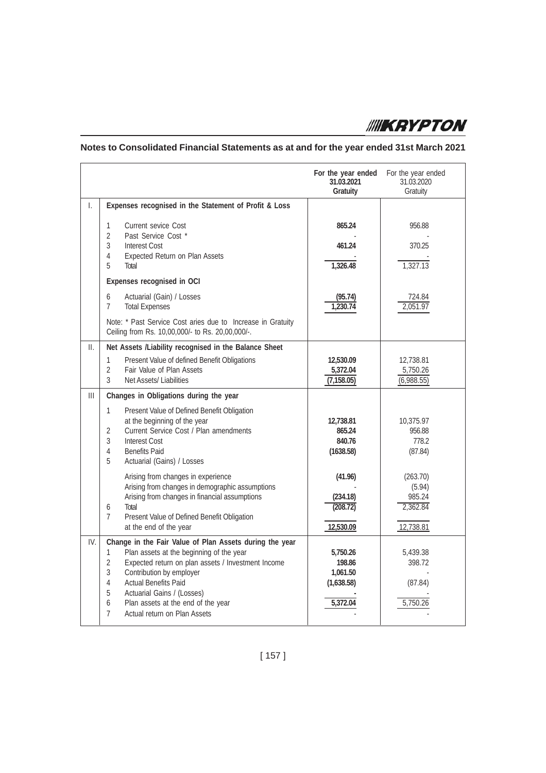|     |                                                                                                                                                                                                                                                                                                                                                                                                    | For the year ended<br>31.03.2021<br>Gratuity             | For the year ended<br>31.03.2020<br>Gratuity          |
|-----|----------------------------------------------------------------------------------------------------------------------------------------------------------------------------------------------------------------------------------------------------------------------------------------------------------------------------------------------------------------------------------------------------|----------------------------------------------------------|-------------------------------------------------------|
| L.  | Expenses recognised in the Statement of Profit & Loss                                                                                                                                                                                                                                                                                                                                              |                                                          |                                                       |
|     | 1<br><b>Current sevice Cost</b><br>$\overline{2}$<br>Past Service Cost *<br>3<br><b>Interest Cost</b><br>4<br>Expected Return on Plan Assets<br>5<br>Total                                                                                                                                                                                                                                         | 865.24<br>461.24<br>1,326.48                             | 956.88<br>370.25<br>1,327.13                          |
|     | Expenses recognised in OCI                                                                                                                                                                                                                                                                                                                                                                         |                                                          |                                                       |
|     | 6<br>Actuarial (Gain) / Losses<br>$\overline{7}$<br><b>Total Expenses</b>                                                                                                                                                                                                                                                                                                                          | (95.74)<br>1,230.74                                      | 724.84<br>2,051.97                                    |
|     | Note: * Past Service Cost aries due to Increase in Gratuity<br>Ceiling from Rs. 10,00,000/- to Rs. 20,00,000/-.                                                                                                                                                                                                                                                                                    |                                                          |                                                       |
| Ⅱ.  | Net Assets /Liability recognised in the Balance Sheet                                                                                                                                                                                                                                                                                                                                              |                                                          |                                                       |
|     | Present Value of defined Benefit Obligations<br>1<br>$\overline{2}$<br>Fair Value of Plan Assets<br>3<br>Net Assets/ Liabilities                                                                                                                                                                                                                                                                   | 12,530.09<br>5,372.04<br>(7, 158.05)                     | 12,738.81<br>5,750.26<br>(6,988.55)                   |
| Ш   | Changes in Obligations during the year                                                                                                                                                                                                                                                                                                                                                             |                                                          |                                                       |
|     | 1<br>Present Value of Defined Benefit Obligation<br>at the beginning of the year<br>Current Service Cost / Plan amendments<br>$\overline{2}$<br>$\overline{3}$<br><b>Interest Cost</b><br>$\overline{4}$<br><b>Benefits Paid</b><br>5<br>Actuarial (Gains) / Losses                                                                                                                                | 12,738.81<br>865.24<br>840.76<br>(1638.58)               | 10,375.97<br>956.88<br>778.2<br>(87.84)               |
|     | Arising from changes in experience<br>Arising from changes in demographic assumptions<br>Arising from changes in financial assumptions<br>6<br>Total<br>$\overline{7}$<br>Present Value of Defined Benefit Obligation<br>at the end of the year                                                                                                                                                    | (41.96)<br>(234.18)<br>(208.72)<br>12,530.09             | (263.70)<br>(5.94)<br>985.24<br>2,362.84<br>12,738.81 |
| IV. | Change in the Fair Value of Plan Assets during the year<br>Plan assets at the beginning of the year<br>1<br>$\overline{2}$<br>Expected return on plan assets / Investment Income<br>$\overline{3}$<br>Contribution by employer<br>4<br><b>Actual Benefits Paid</b><br>5<br>Actuarial Gains / (Losses)<br>6<br>Plan assets at the end of the year<br>$\overline{7}$<br>Actual return on Plan Assets | 5,750.26<br>198.86<br>1,061.50<br>(1,638.58)<br>5,372.04 | 5,439.38<br>398.72<br>(87.84)<br>5,750.26             |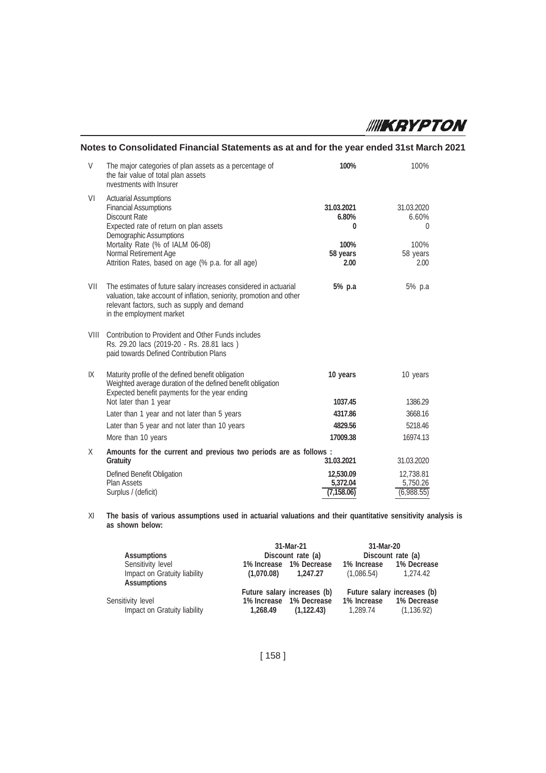# **Notes to Consolidated Financial Statements as at and for the year ended 31st March 2021**

| V    | The major categories of plan assets as a percentage of<br>the fair value of total plan assets<br>nvestments with Insurer                                                                                            | 100%                     | 100%                     |
|------|---------------------------------------------------------------------------------------------------------------------------------------------------------------------------------------------------------------------|--------------------------|--------------------------|
| VI   | <b>Actuarial Assumptions</b><br><b>Financial Assumptions</b><br><b>Discount Rate</b><br>Expected rate of return on plan assets<br><b>Demographic Assumptions</b>                                                    | 31.03.2021<br>6.80%<br>0 | 31.03.2020<br>6.60%<br>0 |
|      | Mortality Rate (% of IALM 06-08)<br>Normal Retirement Age<br>Attrition Rates, based on age (% p.a. for all age)                                                                                                     | 100%<br>58 years<br>2.00 | 100%<br>58 years<br>2.00 |
| VII  | The estimates of future salary increases considered in actuarial<br>valuation, take account of inflation, seniority, promotion and other<br>relevant factors, such as supply and demand<br>in the employment market | 5% p.a                   | 5% p.a                   |
| VIII | Contribution to Provident and Other Funds includes<br>Rs. 29.20 lacs (2019-20 - Rs. 28.81 lacs)<br>paid towards Defined Contribution Plans                                                                          |                          |                          |
| IX   | Maturity profile of the defined benefit obligation<br>Weighted average duration of the defined benefit obligation<br>Expected benefit payments for the year ending                                                  | 10 years                 | 10 years                 |
|      | Not later than 1 year                                                                                                                                                                                               | 1037.45                  | 1386.29                  |
|      | Later than 1 year and not later than 5 years                                                                                                                                                                        | 4317.86                  | 3668.16                  |
|      | Later than 5 year and not later than 10 years                                                                                                                                                                       | 4829.56                  | 5218.46                  |
|      | More than 10 years                                                                                                                                                                                                  | 17009.38                 | 16974.13                 |
| X    | Amounts for the current and previous two periods are as follows :                                                                                                                                                   |                          |                          |
|      | Gratuity                                                                                                                                                                                                            | 31.03.2021               | 31.03.2020               |
|      | Defined Benefit Obligation                                                                                                                                                                                          | 12,530.09                | 12,738.81                |
|      | <b>Plan Assets</b>                                                                                                                                                                                                  | 5,372.04                 | 5,750.26                 |
|      | Surplus / (deficit)                                                                                                                                                                                                 | (7, 158.06)              | (6.988.55)               |

XI **The basis of various assumptions used in actuarial valuations and their quantitative sensitivity analysis is as shown below:**

| <b>Assumptions</b>           |            | 31-Mar-21<br>Discount rate (a) | 31-Mar-20<br>Discount rate (a) |                             |
|------------------------------|------------|--------------------------------|--------------------------------|-----------------------------|
| Sensitivity level            |            | 1% Increase 1% Decrease        | 1% Increase                    | 1% Decrease                 |
| Impact on Gratuity liability | (1.070.08) | 1.247.27                       | (1,086.54)                     | 1,274.42                    |
| <b>Assumptions</b>           |            |                                |                                |                             |
|                              |            | Future salary increases (b)    |                                | Future salary increases (b) |
| Sensitivity level            |            | 1% Increase 1% Decrease        | 1% Increase                    | 1% Decrease                 |
| Impact on Gratuity liability | 1.268.49   | (1.122.43)                     | 1,289.74                       | (1, 136.92)                 |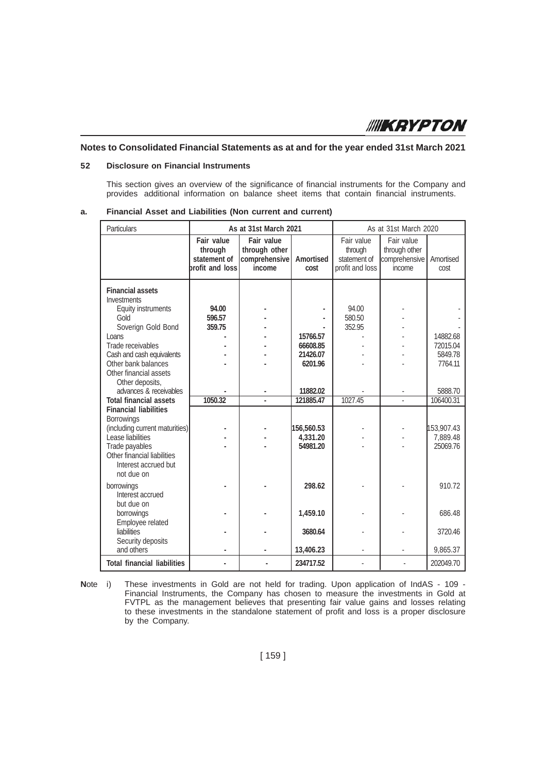# **52 Disclosure on Financial Instruments**

This section gives an overview of the significance of financial instruments for the Company and provides additional information on balance sheet items that contain financial instruments.

| <b>Particulars</b>                                                                                                                                                                              |                                                          | As at 31st March 2021                                  | As at 31st March 2020              |                                                          |                                                        |                                    |
|-------------------------------------------------------------------------------------------------------------------------------------------------------------------------------------------------|----------------------------------------------------------|--------------------------------------------------------|------------------------------------|----------------------------------------------------------|--------------------------------------------------------|------------------------------------|
|                                                                                                                                                                                                 | Fair value<br>through<br>statement of<br>brofit and loss | Fair value<br>through other<br>comprehensive<br>income | Amortised<br>cost                  | Fair value<br>through<br>statement of<br>profit and loss | Fair value<br>through other<br>comprehensive<br>income | Amortised<br>cost                  |
| <b>Financial assets</b><br><b>Investments</b><br><b>Equity instruments</b><br>Gold                                                                                                              | 94.00<br>596.57                                          |                                                        |                                    | 94.00<br>580.50                                          |                                                        |                                    |
| Soverign Gold Bond<br>Loans                                                                                                                                                                     | 359.75                                                   |                                                        | 15766.57                           | 352.95                                                   |                                                        | 14882.68                           |
| Trade receivables<br>Cash and cash equivalents<br>Other bank balances<br>Other financial assets                                                                                                 |                                                          |                                                        | 66608.85<br>21426.07<br>6201.96    |                                                          |                                                        | 72015.04<br>5849.78<br>7764.11     |
| Other deposits,<br>advances & receivables<br><b>Total financial assets</b>                                                                                                                      | 1050.32                                                  |                                                        | 11882.02<br>121885.47              | 1027.45                                                  |                                                        | 5888.70<br>106400.31               |
| <b>Financial liabilities</b><br><b>Borrowings</b><br>(including current maturities)<br>Lease liabilities<br>Trade payables<br>Other financial liabilities<br>Interest accrued but<br>not due on |                                                          |                                                        | 156,560.53<br>4,331.20<br>54981.20 |                                                          |                                                        | 153,907.43<br>7.889.48<br>25069.76 |
| borrowings<br>Interest accrued<br>but due on                                                                                                                                                    |                                                          |                                                        | 298.62                             |                                                          |                                                        | 910.72                             |
| borrowings<br>Employee related                                                                                                                                                                  |                                                          |                                                        | 1,459.10                           |                                                          |                                                        | 686.48                             |
| <b>liabilities</b><br>Security deposits                                                                                                                                                         |                                                          |                                                        | 3680.64                            |                                                          |                                                        | 3720.46                            |
| and others<br><b>Total financial liabilities</b>                                                                                                                                                |                                                          |                                                        | 13,406.23<br>234717.52             |                                                          |                                                        | 9,865.37<br>202049.70              |

#### **a. Financial Asset and Liabilities (Non current and current)**

**N**ote i) These investments in Gold are not held for trading. Upon application of IndAS - 109 - Financial Instruments, the Company has chosen to measure the investments in Gold at FVTPL as the management believes that presenting fair value gains and losses relating to these investments in the standalone statement of profit and loss is a proper disclosure by the Company.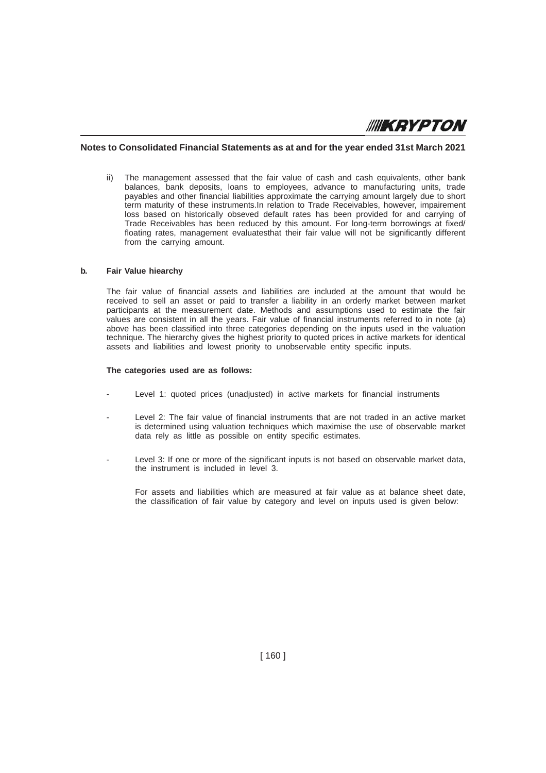

ii) The management assessed that the fair value of cash and cash equivalents, other bank balances, bank deposits, loans to employees, advance to manufacturing units, trade payables and other financial liabilities approximate the carrying amount largely due to short term maturity of these instruments.In relation to Trade Receivables, however, impairement loss based on historically obseved default rates has been provided for and carrying of Trade Receivables has been reduced by this amount. For long-term borrowings at fixed/ floating rates, management evaluatesthat their fair value will not be significantly different from the carrying amount.

### **b. Fair Value hiearchy**

The fair value of financial assets and liabilities are included at the amount that would be received to sell an asset or paid to transfer a liability in an orderly market between market participants at the measurement date. Methods and assumptions used to estimate the fair values are consistent in all the years. Fair value of financial instruments referred to in note (a) above has been classified into three categories depending on the inputs used in the valuation technique. The hierarchy gives the highest priority to quoted prices in active markets for identical assets and liabilities and lowest priority to unobservable entity specific inputs.

#### **The categories used are as follows:**

- Level 1: quoted prices (unadjusted) in active markets for financial instruments
- Level 2: The fair value of financial instruments that are not traded in an active market is determined using valuation techniques which maximise the use of observable market data rely as little as possible on entity specific estimates.
- Level 3: If one or more of the significant inputs is not based on observable market data, the instrument is included in level 3.

For assets and liabilities which are measured at fair value as at balance sheet date, the classification of fair value by category and level on inputs used is given below: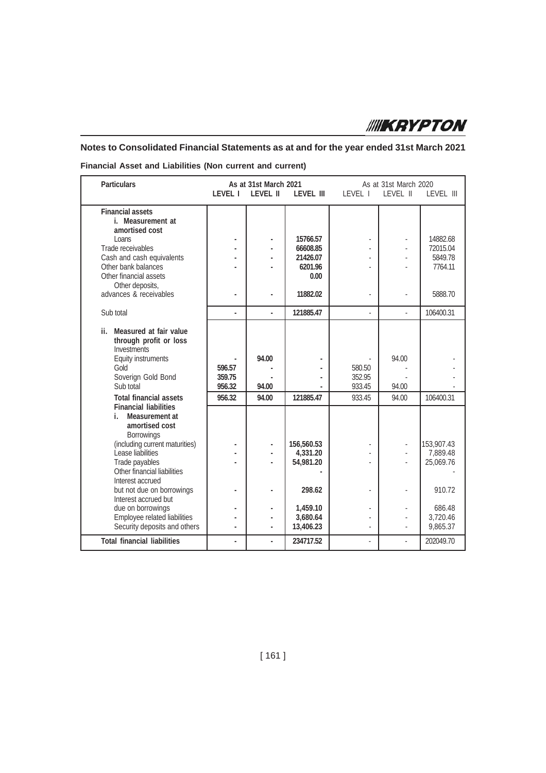# **Financial Asset and Liabilities (Non current and current)**

| <b>Particulars</b>                                                                                                                                                                                                                                                                                                                | As at 31st March 2021      |                 |                                                                       | As at 31st March 2020      |                |                                                                     |
|-----------------------------------------------------------------------------------------------------------------------------------------------------------------------------------------------------------------------------------------------------------------------------------------------------------------------------------|----------------------------|-----------------|-----------------------------------------------------------------------|----------------------------|----------------|---------------------------------------------------------------------|
|                                                                                                                                                                                                                                                                                                                                   | <b>LEVEL I</b>             | <b>LEVEL II</b> | <b>LEVEL III</b>                                                      | LEVEL 1                    | LEVEL II       | LEVEL III                                                           |
| <b>Financial assets</b><br>i. Measurement at<br>amortised cost                                                                                                                                                                                                                                                                    |                            |                 |                                                                       |                            |                |                                                                     |
| Loans                                                                                                                                                                                                                                                                                                                             |                            |                 | 15766.57                                                              |                            |                | 14882.68                                                            |
| Trade receivables                                                                                                                                                                                                                                                                                                                 |                            |                 | 66608.85                                                              |                            |                | 72015.04                                                            |
| Cash and cash equivalents<br>Other bank balances                                                                                                                                                                                                                                                                                  |                            |                 | 21426.07<br>6201.96                                                   |                            |                | 5849.78<br>7764.11                                                  |
| Other financial assets<br>Other deposits,                                                                                                                                                                                                                                                                                         |                            |                 | 0.00                                                                  |                            |                |                                                                     |
| advances & receivables                                                                                                                                                                                                                                                                                                            |                            |                 | 11882.02                                                              |                            |                | 5888.70                                                             |
| Sub total                                                                                                                                                                                                                                                                                                                         |                            |                 | 121885.47                                                             |                            |                | 106400.31                                                           |
| Measured at fair value<br>ii.<br>through profit or loss<br>Investments<br><b>Equity instruments</b><br>Gold<br>Soverign Gold Bond<br>Sub total                                                                                                                                                                                    | 596.57<br>359.75<br>956.32 | 94.00<br>94.00  |                                                                       | 580.50<br>352.95<br>933.45 | 94.00<br>94.00 |                                                                     |
| <b>Total financial assets</b>                                                                                                                                                                                                                                                                                                     | 956.32                     | 94.00           | 121885.47                                                             | 933.45                     | 94.00          | 106400.31                                                           |
| <b>Financial liabilities</b><br>Measurement at<br>i.<br>amortised cost<br><b>Borrowings</b><br>(including current maturities)<br>Lease liabilities<br>Trade payables<br>Other financial liabilities<br>Interest accrued<br>but not due on borrowings<br>Interest accrued but<br>due on borrowings<br>Employee related liabilities |                            |                 | 156,560.53<br>4,331.20<br>54,981.20<br>298.62<br>1,459.10<br>3,680.64 |                            |                | 153,907.43<br>7,889.48<br>25,069.76<br>910.72<br>686.48<br>3,720.46 |
| Security deposits and others                                                                                                                                                                                                                                                                                                      |                            |                 | 13,406.23                                                             |                            |                | 9,865.37                                                            |
| <b>Total financial liabilities</b>                                                                                                                                                                                                                                                                                                | Ĭ.                         |                 | 234717.52                                                             |                            |                | 202049.70                                                           |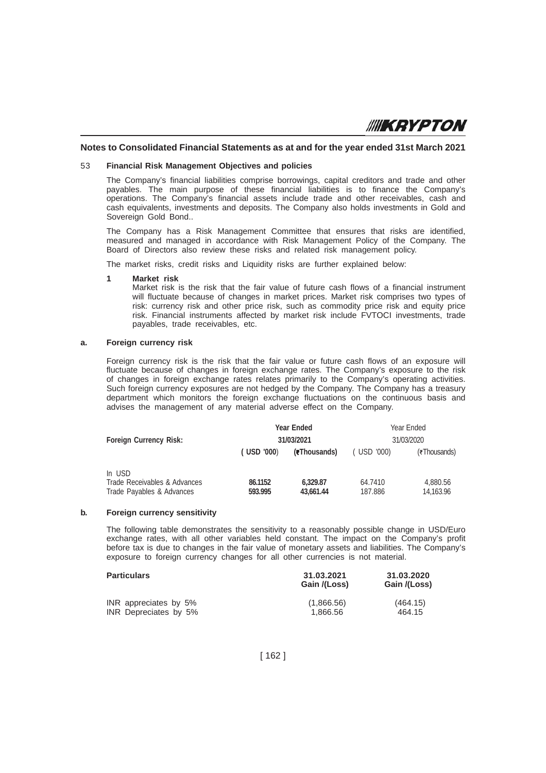### 53 **Financial Risk Management Objectives and policies**

The Company's financial liabilities comprise borrowings, capital creditors and trade and other payables. The main purpose of these financial liabilities is to finance the Company's operations. The Company's financial assets include trade and other receivables, cash and cash equivalents, investments and deposits. The Company also holds investments in Gold and Sovereign Gold Bond..

The Company has a Risk Management Committee that ensures that risks are identified, measured and managed in accordance with Risk Management Policy of the Company. The Board of Directors also review these risks and related risk management policy.

The market risks, credit risks and Liquidity risks are further explained below:

### **1 Market risk**

Market risk is the risk that the fair value of future cash flows of a financial instrument will fluctuate because of changes in market prices. Market risk comprises two types of risk: currency risk and other price risk, such as commodity price risk and equity price risk. Financial instruments affected by market risk include FVTOCI investments, trade payables, trade receivables, etc.

### **a. Foreign currency risk**

Foreign currency risk is the risk that the fair value or future cash flows of an exposure will fluctuate because of changes in foreign exchange rates. The Company's exposure to the risk of changes in foreign exchange rates relates primarily to the Company's operating activities. Such foreign currency exposures are not hedged by the Company. The Company has a treasury department which monitors the foreign exchange fluctuations on the continuous basis and advises the management of any material adverse effect on the Company.

| <b>Foreign Currency Risk:</b>          |               | <b>Year Ended</b><br>31/03/2021 | Year Ended<br>31/03/2020 |              |
|----------------------------------------|---------------|---------------------------------|--------------------------|--------------|
|                                        | $($ USD '000) | (₹Thousands)                    | $($ USD '000)            | (₹Thousands) |
| In USD<br>Trade Receivables & Advances | 86.1152       | 6.329.87                        | 64.7410                  | 4.880.56     |
| Trade Payables & Advances              | 593.995       | 43,661.44                       | 187.886                  | 14.163.96    |

#### **b. Foreign currency sensitivity**

The following table demonstrates the sensitivity to a reasonably possible change in USD/Euro exchange rates, with all other variables held constant. The impact on the Company's profit before tax is due to changes in the fair value of monetary assets and liabilities. The Company's exposure to foreign currency changes for all other currencies is not material.

| Particulars           | 31.03.2021<br>Gain /(Loss) | 31.03.2020<br>Gain /(Loss) |
|-----------------------|----------------------------|----------------------------|
| INR appreciates by 5% | (1,866.56)                 | (464.15)                   |
| INR Depreciates by 5% | 1.866.56                   | 464.15                     |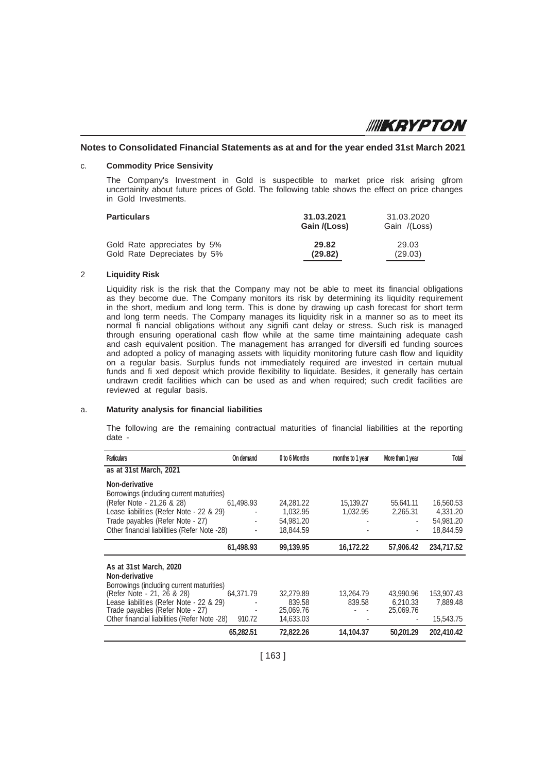### **Notes to Consolidated Financial Statements as at and for the year ended 31st March 2021**

### c. **Commodity Price Sensivity**

The Company's Investment in Gold is suspectible to market price risk arising gfrom uncertainity about future prices of Gold. The following table shows the effect on price changes in Gold Investments.

| <b>Particulars</b>          | 31.03.2021<br>Gain /(Loss) | 31.03.2020<br>Gain /(Loss) |
|-----------------------------|----------------------------|----------------------------|
| Gold Rate appreciates by 5% | 29.82                      | 29.03                      |
| Gold Rate Depreciates by 5% | (29.82)                    | (29.03)                    |

#### 2 **Liquidity Risk**

Liquidity risk is the risk that the Company may not be able to meet its financial obligations as they become due. The Company monitors its risk by determining its liquidity requirement in the short, medium and long term. This is done by drawing up cash forecast for short term and long term needs. The Company manages its liquidity risk in a manner so as to meet its normal fi nancial obligations without any signifi cant delay or stress. Such risk is managed through ensuring operational cash flow while at the same time maintaining adequate cash and cash equivalent position. The management has arranged for diversifi ed funding sources and adopted a policy of managing assets with liquidity monitoring future cash flow and liquidity on a regular basis. Surplus funds not immediately required are invested in certain mutual funds and fi xed deposit which provide flexibility to liquidate. Besides, it generally has certain undrawn credit facilities which can be used as and when required; such credit facilities are reviewed at regular basis.

### a. **Maturity analysis for financial liabilities**

The following are the remaining contractual maturities of financial liabilities at the reporting date -

| <b>Particulars</b>                                                                                                                                              | On demand | 0 to 6 Months          | months to 1 year    | More than 1 year      | Total                  |
|-----------------------------------------------------------------------------------------------------------------------------------------------------------------|-----------|------------------------|---------------------|-----------------------|------------------------|
| as at 31st March, 2021                                                                                                                                          |           |                        |                     |                       |                        |
| Non-derivative<br>Borrowings (including current maturities)<br>(Refer Note - 21,26 & 28)                                                                        | 61.498.93 | 24.281.22              | 15.139.27           | 55.641.11             | 16,560.53              |
| Lease liabilities (Refer Note - 22 & 29)                                                                                                                        |           | 1.032.95               | 1,032.95            | 2,265.31              | 4,331.20               |
| Trade payables (Refer Note - 27)<br>Other financial liabilities (Refer Note -28)                                                                                |           | 54,981.20<br>18,844.59 |                     |                       | 54,981.20<br>18,844.59 |
|                                                                                                                                                                 | 61,498.93 | 99,139.95              | 16,172.22           | 57,906.42             | 234,717.52             |
| As at 31st March, 2020<br>Non-derivative<br>Borrowings (including current maturities)<br>(Refer Note - 21, 26 & 28)<br>Lease liabilities (Refer Note - 22 & 29) | 64,371.79 | 32.279.89<br>839.58    | 13,264.79<br>839.58 | 43,990.96<br>6.210.33 | 153,907.43<br>7.889.48 |
| Trade payables (Refer Note - 27)<br>Other financial liabilities (Refer Note -28)                                                                                | 910.72    | 25,069.76<br>14.633.03 |                     | 25.069.76             | 15,543.75              |
|                                                                                                                                                                 | 65,282.51 | 72.822.26              | 14.104.37           | 50.201.29             | 202.410.42             |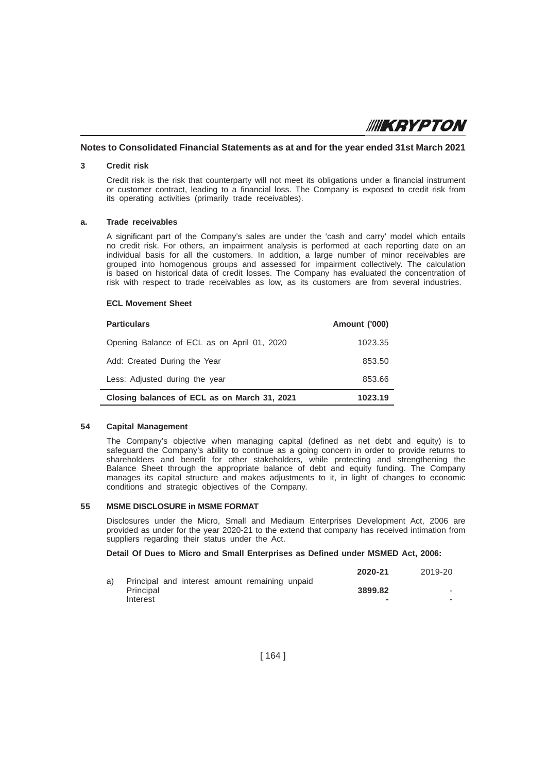

### **3 Credit risk**

Credit risk is the risk that counterparty will not meet its obligations under a financial instrument or customer contract, leading to a financial loss. The Company is exposed to credit risk from its operating activities (primarily trade receivables).

#### **a. Trade receivables**

A significant part of the Company's sales are under the 'cash and carry' model which entails no credit risk. For others, an impairment analysis is performed at each reporting date on an individual basis for all the customers. In addition, a large number of minor receivables are grouped into homogenous groups and assessed for impairment collectively. The calculation is based on historical data of credit losses. The Company has evaluated the concentration of risk with respect to trade receivables as low, as its customers are from several industries.

#### **ECL Movement Sheet**

| Closing balances of ECL as on March 31, 2021 | 1023.19              |
|----------------------------------------------|----------------------|
| Less: Adjusted during the year               | 853.66               |
| Add: Created During the Year                 | 853.50               |
| Opening Balance of ECL as on April 01, 2020  | 1023.35              |
| <b>Particulars</b>                           | <b>Amount ('000)</b> |

### **54 Capital Management**

The Company's objective when managing capital (defined as net debt and equity) is to safeguard the Company's ability to continue as a going concern in order to provide returns to shareholders and benefit for other stakeholders, while protecting and strengthening the Balance Sheet through the appropriate balance of debt and equity funding. The Company manages its capital structure and makes adjustments to it, in light of changes to economic conditions and strategic objectives of the Company.

### **55 MSME DISCLOSURE in MSME FORMAT**

Disclosures under the Micro, Small and Mediaum Enterprises Development Act, 2006 are provided as under for the year 2020-21 to the extend that company has received intimation from suppliers regarding their status under the Act.

### **Detail Of Dues to Micro and Small Enterprises as Defined under MSMED Act, 2006:**

|                                                   | 2020-21        | 2019-20 |
|---------------------------------------------------|----------------|---------|
| a) Principal and interest amount remaining unpaid |                |         |
| Principal                                         | 3899.82        | -       |
| Interest                                          | $\blacksquare$ |         |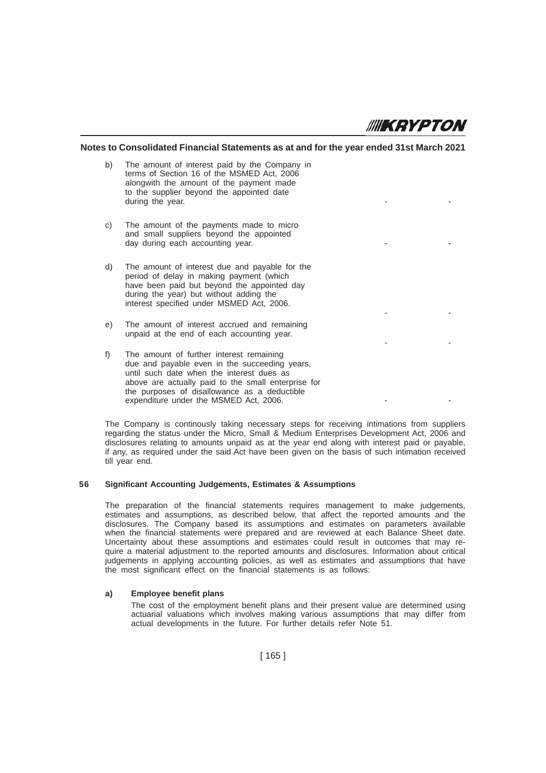| b) | The amount of interest paid by the Company in<br>terms of Section 16 of the MSMED Act, 2006<br>alongwith the amount of the payment made<br>to the supplier beyond the appointed date<br>during the year.                                                                                |
|----|-----------------------------------------------------------------------------------------------------------------------------------------------------------------------------------------------------------------------------------------------------------------------------------------|
| C) | The amount of the payments made to micro<br>and small suppliers beyond the appointed<br>day during each accounting year.                                                                                                                                                                |
| d) | The amount of interest due and payable for the<br>period of delay in making payment (which<br>have been paid but beyond the appointed day<br>during the year) but without adding the<br>interest specified under MSMED Act, 2006.                                                       |
| e) | The amount of interest accrued and remaining<br>unpaid at the end of each accounting year.                                                                                                                                                                                              |
| f) | The amount of further interest remaining<br>due and payable even in the succeeding years,<br>until such date when the interest dues as<br>above are actually paid to the small enterprise for<br>the purposes of disallowance as a deductible<br>expenditure under the MSMED Act, 2006. |

The Company is continously taking necessary steps for receiving intimations from suppliers regarding the status under the Micro, Small & Medium Enterprises Development Act, 2006 and disclosures relating to amounts unpaid as at the year end along with interest paid or payable, if any, as required under the said Act have been given on the basis of such intimation received till year end.

#### **56 Significant Accounting Judgements, Estimates & Assumptions**

The preparation of the financial statements requires management to make judgements, estimates and assumptions, as described below, that affect the reported amounts and the disclosures. The Company based its assumptions and estimates on parameters available when the financial statements were prepared and are reviewed at each Balance Sheet date. Uncertainty about these assumptions and estimates could result in outcomes that may require a material adjustment to the reported amounts and disclosures. Information about critical judgements in applying accounting policies, as well as estimates and assumptions that have the most significant effect on the financial statements is as follows:

### **a) Employee benefit plans**

The cost of the employment benefit plans and their present value are determined using actuarial valuations which involves making various assumptions that may differ from actual developments in the future. For further details refer Note 51.